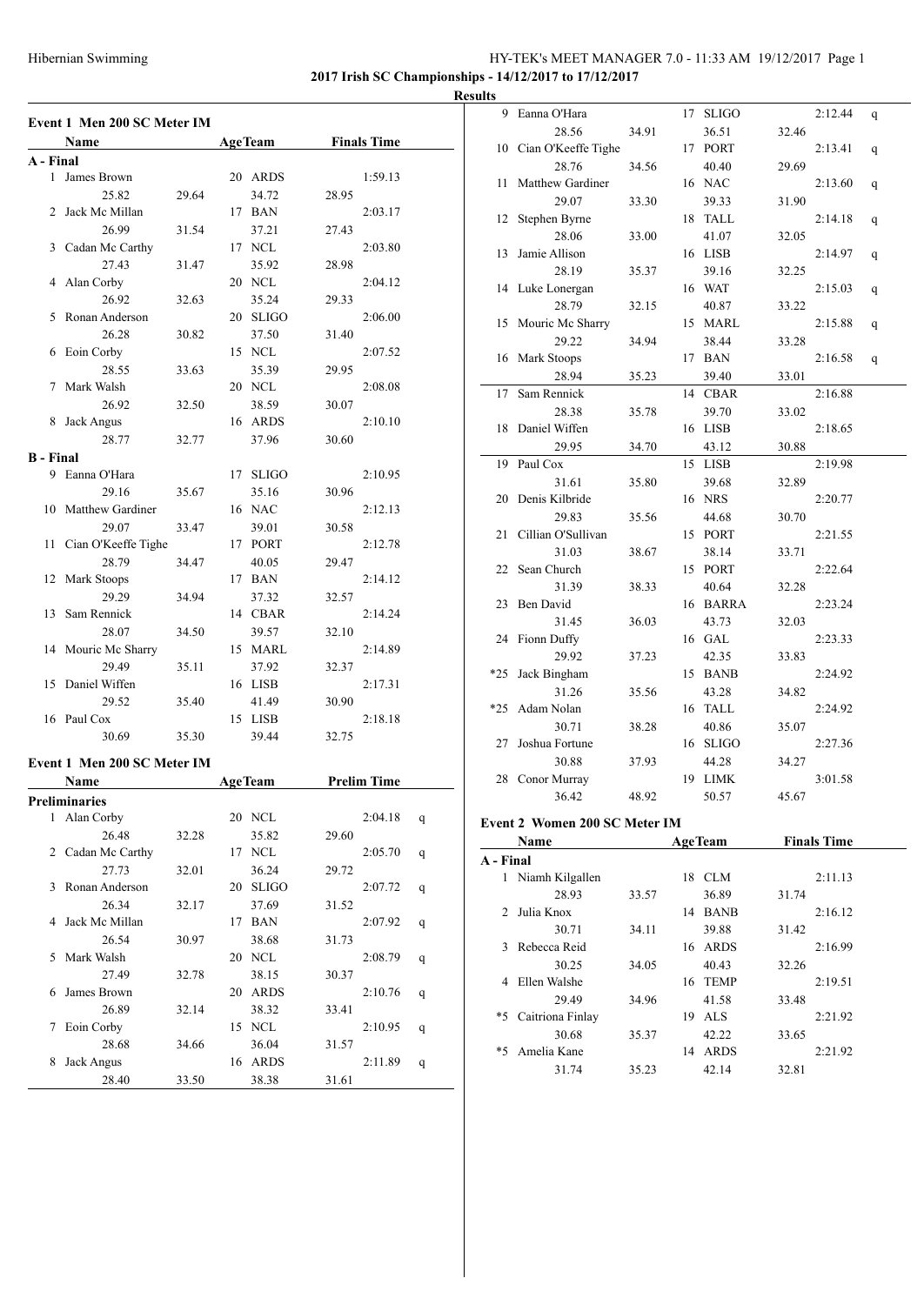### HY-TEK's MEET MANAGER 7.0 - 11:33 AM 19/12/2017 Page 1 **2017 Irish SC Championships - 14/12/2017 to 17/12/2017**

**Results**

| Event 1 Men 200 SC Meter IM             |                    |
|-----------------------------------------|--------------------|
| Name<br><b>AgeTeam</b>                  | <b>Finals Time</b> |
| A - Final                               |                    |
| James Brown<br>1<br>20 ARDS             | 1:59.13            |
| 25.82<br>29.64                          | 34.72<br>28.95     |
| 17 BAN<br>Jack Mc Millan<br>2           | 2:03.17            |
| 26.99<br>31.54                          | 37.21<br>27.43     |
| 3<br>Cadan Mc Carthy<br>17 NCL          | 2:03.80            |
| 27.43<br>31.47                          | 35.92<br>28.98     |
| Alan Corby<br>20 NCL<br>4               | 2:04.12            |
| 26.92<br>32.63                          | 35.24<br>29.33     |
| Ronan Anderson<br>20 SLIGO<br>5         | 2:06.00            |
| 26.28<br>30.82                          | 37.50<br>31.40     |
| Eoin Corby<br>15 NCL<br>6               | 2:07.52            |
| 28.55<br>33.63                          | 35.39<br>29.95     |
| 20 NCL<br>Mark Walsh<br>7               | 2:08.08            |
| 26.92<br>32.50                          | 38.59<br>30.07     |
| Jack Angus<br>16 ARDS<br>8              | 2:10.10            |
| 28.77<br>32.77                          | 37.96<br>30.60     |
| <b>B</b> - Final                        |                    |
| 9 Eanna O'Hara<br>17 SLIGO              | 2:10.95            |
| 29.16<br>35.67                          | 35.16<br>30.96     |
| <b>Matthew Gardiner</b><br>16 NAC<br>10 | 2:12.13            |
| 29.07<br>33.47                          | 39.01<br>30.58     |
| Cian O'Keeffe Tighe<br>17 PORT<br>11    | 2:12.78            |
| 28.79                                   |                    |
| 34.47                                   | 40.05<br>29.47     |
| Mark Stoops<br>17 BAN<br>12             | 2:14.12            |
| 29.29<br>34.94                          | 37.32<br>32.57     |
| 14 CBAR<br>13<br>Sam Rennick            | 2:14.24            |
| 28.07<br>34.50                          | 39.57<br>32.10     |
| Mouric Mc Sharry<br>15 MARL<br>14       | 2:14.89            |
| 29.49<br>35.11                          | 37.92<br>32.37     |
| Daniel Wiffen<br>16 LISB<br>15          | 2:17.31            |
| 29.52<br>35.40                          | 41.49<br>30.90     |
| Paul Cox<br>15 LISB<br>16               | 2:18.18            |
| 30.69<br>35.30                          | 39.44<br>32.75     |
| Event 1 Men 200 SC Meter IM             |                    |
| <b>AgeTeam</b><br>Name                  | <b>Prelim Time</b> |
| Preliminaries                           |                    |
| 20 NCL<br>$\mathbf{1}$<br>Alan Corby    | 2:04.18<br>q       |
| 26.48<br>32.28                          | 35.82<br>29.60     |
| 2<br>Cadan Mc Carthy<br>17 NCL          | 2:05.70<br>q       |
| 27.73<br>32.01                          | 36.24<br>29.72     |
| Ronan Anderson<br>3<br>20 SLIGO         | 2:07.72<br>q       |
| 26.34<br>32.17                          | 37.69<br>31.52     |
| Jack Mc Millan<br>17 BAN<br>4           | 2:07.92<br>q       |
| 26.54<br>30.97                          | 38.68<br>31.73     |
| Mark Walsh<br>20 NCL<br>5               | 2:08.79<br>q       |
| 27.49<br>32.78                          | 38.15<br>30.37     |
| James Brown<br>20 ARDS<br>6             | 2:10.76<br>q       |
| 26.89<br>32.14                          | 38.32<br>33.41     |
| 15 NCL<br>Eoin Corby<br>7               | 2:10.95<br>q       |
| 28.68<br>34.66                          | 36.04<br>31.57     |
| Jack Angus<br>16 ARDS<br>8              | 2:11.89<br>q       |
| 28.40<br>33.50                          | 38.38<br>31.61     |

| սււծ                                                            |                        |       |    |              |       |         |   |
|-----------------------------------------------------------------|------------------------|-------|----|--------------|-------|---------|---|
| 9                                                               | Eanna O'Hara           |       | 17 | <b>SLIGO</b> |       | 2:12.44 | q |
|                                                                 | 28.56                  | 34.91 |    | 36.51        | 32.46 |         |   |
|                                                                 | 10 Cian O'Keeffe Tighe |       |    | 17 PORT      |       | 2:13.41 | q |
|                                                                 | 28.76                  | 34.56 |    | 40.40        | 29.69 |         |   |
| 11                                                              | Matthew Gardiner       |       |    | 16 NAC       |       | 2:13.60 | q |
|                                                                 | 29.07                  | 33.30 |    | 39.33        | 31.90 |         |   |
| 12                                                              | Stephen Byrne          |       |    | 18 TALL      |       | 2:14.18 | q |
|                                                                 | 28.06                  | 33.00 |    | 41.07        | 32.05 |         |   |
| 13                                                              | Jamie Allison          |       |    | 16 LISB      |       | 2:14.97 | q |
|                                                                 | 28.19                  | 35.37 |    | 39.16        | 32.25 |         |   |
| 14                                                              | Luke Lonergan          |       |    | 16 WAT       |       | 2:15.03 | q |
|                                                                 | 28.79                  | 32.15 |    | 40.87        | 33.22 |         |   |
| 15                                                              | Mouric Mc Sharry       |       |    | 15 MARL      |       | 2:15.88 | q |
|                                                                 | 29.22                  | 34.94 |    | 38.44        | 33.28 |         |   |
| 16                                                              | Mark Stoops            |       |    | 17 BAN       |       | 2:16.58 | q |
|                                                                 | 28.94                  | 35.23 |    | 39.40        | 33.01 |         |   |
| 17                                                              | Sam Rennick            |       |    | 14 CBAR      |       | 2:16.88 |   |
|                                                                 | 28.38                  | 35.78 |    | 39.70        | 33.02 |         |   |
| 18                                                              | Daniel Wiffen          |       |    | 16 LISB      |       | 2:18.65 |   |
|                                                                 | 29.95                  | 34.70 |    | 43.12        | 30.88 |         |   |
| 19                                                              | Paul Cox               |       |    | 15 LISB      |       | 2:19.98 |   |
|                                                                 | 31.61                  | 35.80 |    | 39.68        | 32.89 |         |   |
| 20                                                              | Denis Kilbride         |       |    | 16 NRS       |       | 2:20.77 |   |
|                                                                 | 29.83                  | 35.56 |    | 44.68        | 30.70 |         |   |
| 21                                                              | Cillian O'Sullivan     |       |    | 15 PORT      |       | 2:21.55 |   |
|                                                                 | 31.03                  | 38.67 |    | 38.14        | 33.71 |         |   |
|                                                                 | 22 Sean Church         |       |    | 15 PORT      |       | 2:22.64 |   |
|                                                                 | 31.39                  | 38.33 |    | 40.64        | 32.28 |         |   |
| 23                                                              | Ben David              |       |    | 16 BARRA     |       | 2:23.24 |   |
|                                                                 | 31.45                  | 36.03 |    | 43.73        | 32.03 |         |   |
| 24                                                              | Fionn Duffy            |       |    | 16 GAL       |       | 2:23.33 |   |
|                                                                 | 29.92                  | 37.23 |    | 42.35        | 33.83 |         |   |
| $*25$                                                           | Jack Bingham           |       |    | 15 BANB      |       | 2:24.92 |   |
|                                                                 | 31.26                  | 35.56 |    | 43.28        | 34.82 |         |   |
| $*25$                                                           | Adam Nolan             |       |    | 16 TALL      |       | 2:24.92 |   |
|                                                                 | 30.71                  | 38.28 |    | 40.86        | 35.07 |         |   |
| 27                                                              | Joshua Fortune         |       |    | 16 SLIGO     |       | 2:27.36 |   |
|                                                                 | 30.88                  | 37.93 |    | 44.28        | 34.27 |         |   |
|                                                                 | 28 Conor Murray        |       |    | 19 LIMK      |       | 3:01.58 |   |
|                                                                 | 36.42                  | 48.92 |    | 50.57        | 45.67 |         |   |
| $F \rightarrow \rightarrow \rightarrow \rightarrow \rightarrow$ | Waman 200 CC Matan IM  |       |    |              |       |         |   |

#### **Event 2 Women 200 SC Meter IM**

|                             | Name             |       |    | <b>AgeTeam</b> |       | <b>Finals Time</b> |
|-----------------------------|------------------|-------|----|----------------|-------|--------------------|
| A - Final                   |                  |       |    |                |       |                    |
| 1                           | Niamh Kilgallen  |       | 18 | CLM            |       | 2:11.13            |
|                             | 28.93            | 33.57 |    | 36.89          | 31.74 |                    |
| $\mathcal{D}_{\mathcal{L}}$ | Julia Knox       |       | 14 | <b>BANB</b>    |       | 2:16.12            |
|                             | 30.71            | 34.11 |    | 39.88          | 31.42 |                    |
| 3                           | Rebecca Reid     |       | 16 | ARDS           |       | 2:16.99            |
|                             | 30.25            | 34.05 |    | 40.43          | 32.26 |                    |
| 4                           | Ellen Walshe     |       | 16 | <b>TEMP</b>    |       | 2:19.51            |
|                             | 29.49            | 34.96 |    | 41.58          | 33.48 |                    |
| *5                          | Caitriona Finlay |       | 19 | AL S           |       | 2:21.92            |
|                             | 30.68            | 35.37 |    | 42.22          | 33.65 |                    |
| *5                          | Amelia Kane      |       | 14 | <b>ARDS</b>    |       | 2:21.92            |
|                             | 31.74            | 35.23 |    | 42.14          | 32.81 |                    |
|                             |                  |       |    |                |       |                    |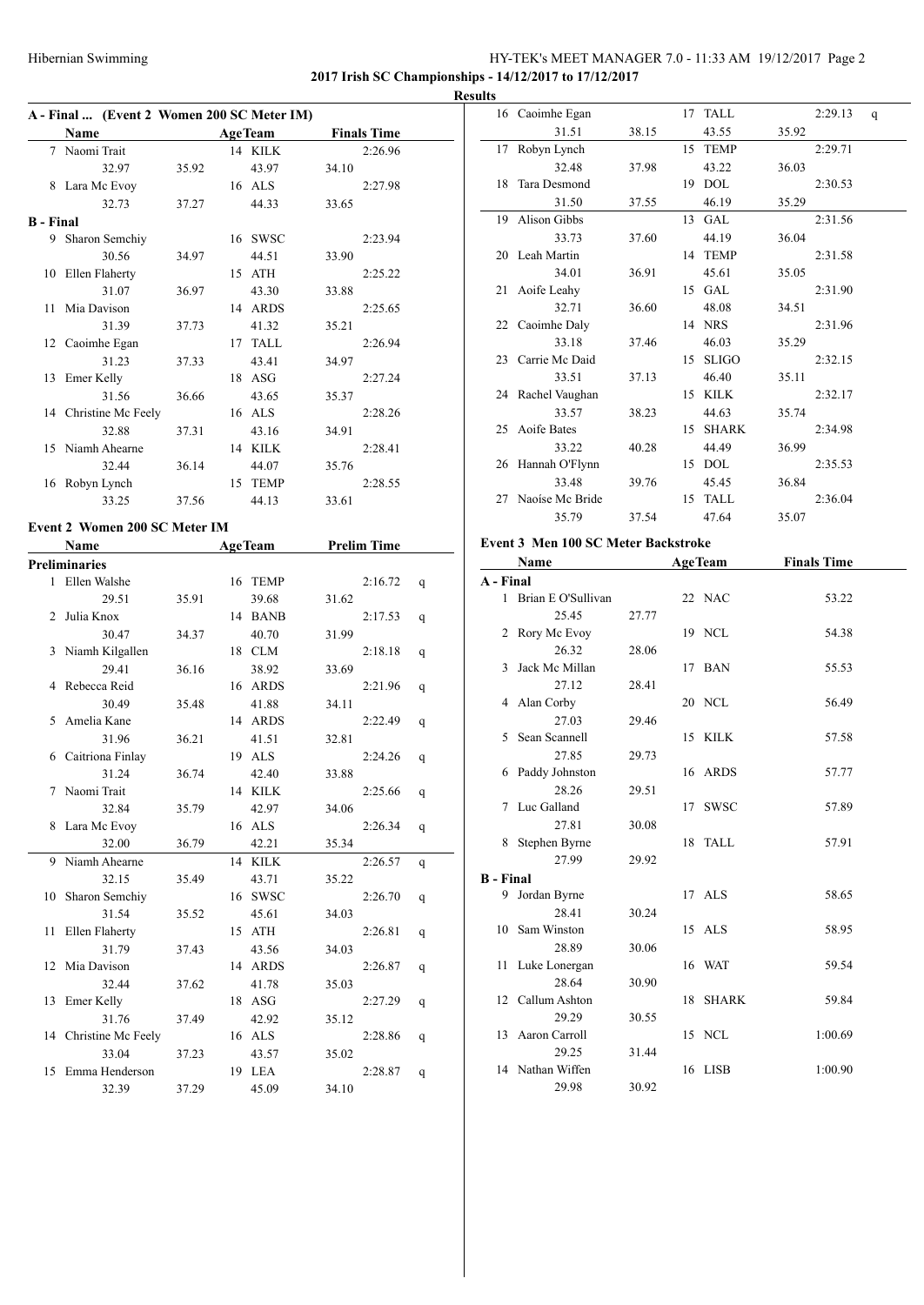# HY-TEK's MEET MANAGER 7.0 - 11:33 AM 19/12/2017 Page 2 **2017 Irish SC Championships - 14/12/2017 to 17/12/2017**

**Results**

**A - Final ... (Event 2 Women 200 SC Meter IM) Name Age Team Finals Time** 7 Naomi Trait 14 KILK 2:26.96 32.97 35.92 43.97 34.10 8 Lara Mc Evoy 16 ALS 2:27.98 32.73 37.27 44.33 33.65 **B - Final** 9 Sharon Semchiy 16 SWSC 2:23.94 30.56 34.97 44.51 33.90 10 Ellen Flaherty 15 ATH 2:25.22 31.07 36.97 43.30 33.88 11 Mia Davison 14 ARDS 2:25.65 31.39 37.73 41.32 35.21 12 Caoimhe Egan 17 TALL 2:26.94 31.23 37.33 43.41 34.97 13 Emer Kelly 18 ASG 2:27.24 31.56 36.66 43.65 35.37 14 Christine Mc Feely 16 ALS 2:28.26 32.88 37.31 43.16 34.91 15 Niamh Ahearne 14 KILK 2:28.41 32.44 36.14 44.07 35.76 16 Robyn Lynch 15 TEMP 2:28.55 33.25 37.56 44.13 33.61

### **Event 2 Women 200 SC Meter IM**

|    | Name                  |       | <b>AgeTeam</b> |       | <b>Prelim Time</b> |   |
|----|-----------------------|-------|----------------|-------|--------------------|---|
|    | <b>Preliminaries</b>  |       |                |       |                    |   |
|    | 1 Ellen Walshe        |       | 16 TEMP        |       | 2:16.72            | q |
|    | 29.51                 | 35.91 | 39.68          | 31.62 |                    |   |
| 2  | Julia Knox            |       | 14 BANB        |       | 2:17.53            | q |
|    | 30.47                 | 34.37 | 40.70          | 31.99 |                    |   |
|    | 3 Niamh Kilgallen     |       | 18 CLM         |       | 2:18.18            | q |
|    | 29.41                 | 36.16 | 38.92          | 33.69 |                    |   |
| 4  | Rebecca Reid          |       | 16 ARDS        |       | 2:21.96            | q |
|    | 30.49                 | 35.48 | 41.88          | 34.11 |                    |   |
| 5  | Amelia Kane           |       | 14 ARDS        |       | 2:22.49            | q |
|    | 31.96                 | 36.21 | 41.51          | 32.81 |                    |   |
| 6  | Caitriona Finlay      |       | 19 ALS         |       | 2:24.26            | q |
|    | 31.24                 | 36.74 | 42.40          | 33.88 |                    |   |
| 7  | Naomi Trait           |       | 14 KILK        |       | 2:25.66            | q |
|    | 32.84                 | 35.79 | 42.97          | 34.06 |                    |   |
| 8  | Lara Mc Evoy          |       | 16 ALS         |       | 2:26.34            | q |
|    | 32.00                 | 36.79 | 42.21          | 35.34 |                    |   |
| 9  | Niamh Ahearne         |       | 14 KILK        |       | 2:26.57            | q |
|    | 32.15                 | 35.49 | 43.71          | 35.22 |                    |   |
| 10 | Sharon Semchiy        |       | 16 SWSC        |       | 2:26.70            | q |
|    | 31.54                 | 35.52 | 45.61          | 34.03 |                    |   |
| 11 | Ellen Flaherty        |       | 15 ATH         |       | 2:26.81            | q |
|    | 31.79                 | 37.43 | 43.56          | 34.03 |                    |   |
|    | 12 Mia Davison        |       | 14 ARDS        |       | 2:26.87            | q |
|    | 32.44                 | 37.62 | 41.78          | 35.03 |                    |   |
|    | 13 Emer Kelly         |       | 18 ASG         |       | 2:27.29            | q |
|    | 31.76                 | 37.49 | 42.92          | 35.12 |                    |   |
|    | 14 Christine Mc Feely |       | 16 ALS         |       | 2:28.86            | q |
|    | 33.04                 | 37.23 | 43.57          | 35.02 |                    |   |
| 15 | Emma Henderson        |       | 19 LEA         |       | 2:28.87            | q |
|    | 32.39                 | 37.29 | 45.09          | 34.10 |                    |   |

| 16 Caoimhe Egan    |       |    | 17 TALL      |       | 2:29.13 | q |
|--------------------|-------|----|--------------|-------|---------|---|
| 31.51              | 38.15 |    | 43.55        | 35.92 |         |   |
| 17 Robyn Lynch     |       |    | 15 TEMP      |       | 2:29.71 |   |
| 32.48              | 37.98 |    | 43.22        | 36.03 |         |   |
| 18 Tara Desmond    |       |    | 19 DOL       |       | 2:30.53 |   |
| 31.50              | 37.55 |    | 46.19        | 35.29 |         |   |
| 19 Alison Gibbs    |       | 13 | <b>GAL</b>   |       | 2:31.56 |   |
| 33.73              | 37.60 |    | 44.19        | 36.04 |         |   |
| 20 Leah Martin     |       |    | 14 TEMP      |       | 2:31.58 |   |
| 34.01              | 36.91 |    | 45.61        | 35.05 |         |   |
| 21 Aoife Leahy     |       | 15 | <b>GAL</b>   |       | 2:31.90 |   |
| 32.71              | 36.60 |    | 48.08        | 34.51 |         |   |
| 22 Caoimhe Daly    |       |    | 14 NRS       |       | 2:31.96 |   |
| 33.18              | 37.46 |    | 46.03        | 35.29 |         |   |
| 23 Carrie Mc Daid  |       | 15 | <b>SLIGO</b> |       | 2:32.15 |   |
| 33.51              | 37.13 |    | 46.40        | 35.11 |         |   |
| 24 Rachel Vaughan  |       |    | 15 KILK      |       | 2:32.17 |   |
| 33.57              | 38.23 |    | 44.63        | 35.74 |         |   |
| 25 Aoife Bates     |       | 15 | <b>SHARK</b> |       | 2:34.98 |   |
| 33.22              | 40.28 |    | 44.49        | 36.99 |         |   |
| 26 Hannah O'Flynn  |       |    | 15 DOL       |       | 2:35.53 |   |
| 33.48              | 39.76 |    | 45.45        | 36.84 |         |   |
| 27 Naoíse Mc Bride |       |    | 15 TALL      |       | 2:36.04 |   |
| 35.79              | 37.54 |    | 47.64        | 35.07 |         |   |
|                    |       |    |              |       |         |   |

#### **Event 3 Men 100 SC Meter Backstroke**

| Name                               |                                                                               |    |              | <b>Finals Time</b>                                                                                                              |
|------------------------------------|-------------------------------------------------------------------------------|----|--------------|---------------------------------------------------------------------------------------------------------------------------------|
| A - Final                          |                                                                               |    |              |                                                                                                                                 |
| Brian E O'Sullivan<br>$\mathbf{1}$ |                                                                               |    |              | 53.22                                                                                                                           |
| 25.45                              | 27.77                                                                         |    |              |                                                                                                                                 |
| Rory Mc Evoy                       |                                                                               |    |              | 54.38                                                                                                                           |
| 26.32                              | 28.06                                                                         |    |              |                                                                                                                                 |
| Jack Mc Millan                     |                                                                               |    |              | 55.53                                                                                                                           |
| 27.12                              | 28.41                                                                         |    |              |                                                                                                                                 |
| Alan Corby                         |                                                                               |    |              | 56.49                                                                                                                           |
| 27.03                              | 29.46                                                                         |    |              |                                                                                                                                 |
| Sean Scannell                      |                                                                               |    |              | 57.58                                                                                                                           |
| 27.85                              | 29.73                                                                         |    |              |                                                                                                                                 |
| Paddy Johnston                     |                                                                               |    |              | 57.77                                                                                                                           |
| 28.26                              | 29.51                                                                         |    |              |                                                                                                                                 |
|                                    |                                                                               |    | <b>SWSC</b>  | 57.89                                                                                                                           |
| 27.81                              | 30.08                                                                         |    |              |                                                                                                                                 |
| Stephen Byrne                      |                                                                               | 18 | <b>TALL</b>  | 57.91                                                                                                                           |
|                                    | 29.92                                                                         |    |              |                                                                                                                                 |
| <b>B</b> - Final                   |                                                                               |    |              |                                                                                                                                 |
|                                    |                                                                               |    |              | 58.65                                                                                                                           |
| 28.41                              | 30.24                                                                         |    |              |                                                                                                                                 |
|                                    |                                                                               |    |              | 58.95                                                                                                                           |
| 28.89                              | 30.06                                                                         |    |              |                                                                                                                                 |
| Luke Lonergan<br>11                |                                                                               |    |              | 59.54                                                                                                                           |
|                                    | 30.90                                                                         |    |              |                                                                                                                                 |
| 12 Callum Ashton                   |                                                                               | 18 | <b>SHARK</b> | 59.84                                                                                                                           |
| 29.29                              | 30.55                                                                         |    |              |                                                                                                                                 |
|                                    |                                                                               |    |              | 1:00.69                                                                                                                         |
| 29.25                              | 31.44                                                                         |    |              |                                                                                                                                 |
| 14 Nathan Wiffen                   |                                                                               | 16 |              | 1:00.90                                                                                                                         |
| 29.98                              | 30.92                                                                         |    |              |                                                                                                                                 |
|                                    | Luc Galland<br>27.99<br>Jordan Byrne<br>Sam Winston<br>28.64<br>Aaron Carroll |    | 15           | <b>AgeTeam</b><br>22 NAC<br>19 NCL<br>17 BAN<br>20 NCL<br>15 KILK<br>16 ARDS<br>17<br>17 ALS<br>15 ALS<br>16 WAT<br>NCL<br>LISB |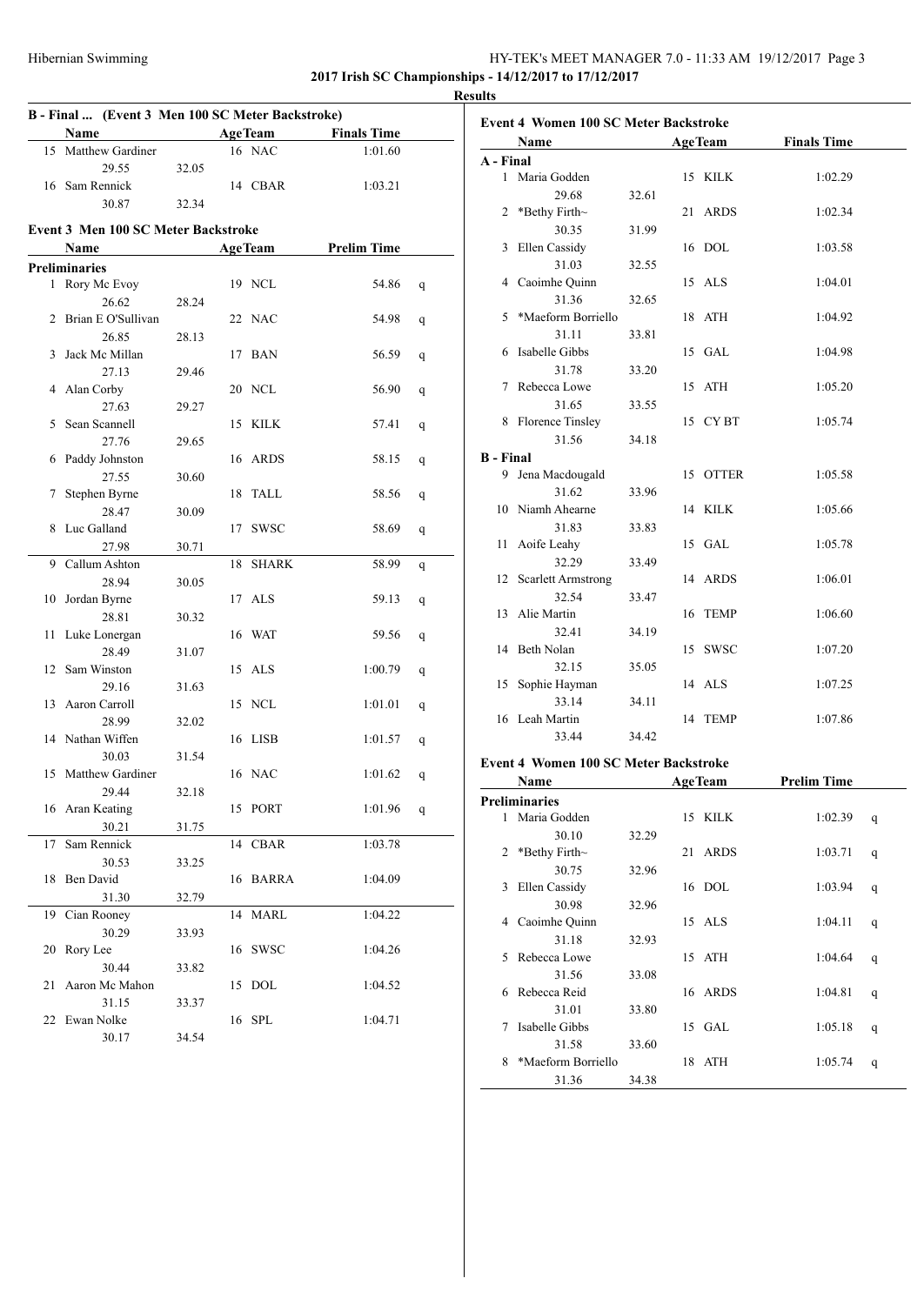### HY-TEK's MEET MANAGER 7.0 - 11:33 AM 19/12/2017 Page 3 **2017 Irish SC Championships - 14/12/2017 to 17/12/2017**

**Results**

| <b>AgeTeam</b><br>Name<br><b>Finals Time</b>                 |   |  |  |  |  |  |  |
|--------------------------------------------------------------|---|--|--|--|--|--|--|
|                                                              |   |  |  |  |  |  |  |
| 16 NAC<br>15 Matthew Gardiner<br>1:01.60                     |   |  |  |  |  |  |  |
| 29.55<br>32.05                                               |   |  |  |  |  |  |  |
| 16 Sam Rennick<br>14 CBAR<br>1:03.21                         |   |  |  |  |  |  |  |
| 30.87<br>32.34                                               |   |  |  |  |  |  |  |
| <b>Event 3 Men 100 SC Meter Backstroke</b>                   |   |  |  |  |  |  |  |
| <b>AgeTeam</b><br><b>Prelim Time</b><br>Name                 |   |  |  |  |  |  |  |
| <b>Preliminaries</b>                                         |   |  |  |  |  |  |  |
| 1 Rory Mc Evoy<br>19 NCL<br>54.86                            | q |  |  |  |  |  |  |
| 26.62<br>28.24                                               |   |  |  |  |  |  |  |
| Brian E O'Sullivan<br>2<br>22 NAC<br>54.98                   | q |  |  |  |  |  |  |
| 26.85<br>28.13                                               |   |  |  |  |  |  |  |
| Jack Mc Millan<br>17 BAN<br>56.59<br>3                       | q |  |  |  |  |  |  |
| 27.13<br>29.46                                               |   |  |  |  |  |  |  |
| 4 Alan Corby<br>20 NCL<br>56.90                              | q |  |  |  |  |  |  |
| 27.63<br>29.27                                               |   |  |  |  |  |  |  |
| Sean Scannell<br>15 KILK<br>57.41<br>5                       | q |  |  |  |  |  |  |
| 27.76<br>29.65                                               |   |  |  |  |  |  |  |
| Paddy Johnston<br>16 ARDS<br>58.15<br>6                      | q |  |  |  |  |  |  |
| 27.55<br>30.60                                               |   |  |  |  |  |  |  |
| Stephen Byrne<br>18 TALL<br>58.56<br>7                       | q |  |  |  |  |  |  |
| 28.47<br>30.09                                               |   |  |  |  |  |  |  |
| Luc Galland<br>17 SWSC<br>8<br>58.69                         | q |  |  |  |  |  |  |
| 27.98<br>30.71                                               |   |  |  |  |  |  |  |
| <b>SHARK</b><br>Callum Ashton<br>9<br>18<br>58.99            | q |  |  |  |  |  |  |
| 28.94<br>30.05                                               |   |  |  |  |  |  |  |
| 10 Jordan Byrne<br>17 ALS<br>59.13                           | q |  |  |  |  |  |  |
| 28.81<br>30.32                                               |   |  |  |  |  |  |  |
| 11<br>Luke Lonergan<br>16 WAT<br>59.56                       | q |  |  |  |  |  |  |
| 28.49<br>31.07                                               |   |  |  |  |  |  |  |
| Sam Winston<br>15 ALS<br>12<br>1:00.79                       | q |  |  |  |  |  |  |
| 29.16<br>31.63                                               |   |  |  |  |  |  |  |
| 13 Aaron Carroll<br>15 NCL<br>1:01.01                        | q |  |  |  |  |  |  |
| 28.99<br>32.02                                               |   |  |  |  |  |  |  |
| Nathan Wiffen<br>16 LISB<br>1:01.57<br>14                    | q |  |  |  |  |  |  |
| 30.03<br>31.54                                               |   |  |  |  |  |  |  |
| <b>Matthew Gardiner</b><br>16 NAC<br>15<br>1:01.62           | q |  |  |  |  |  |  |
| 29.44<br>32.18                                               |   |  |  |  |  |  |  |
| 16 Aran Keating<br>15 PORT<br>1:01.96                        | q |  |  |  |  |  |  |
| 30.21<br>31.75                                               |   |  |  |  |  |  |  |
| Sam Rennick<br>CBAR<br>17<br>14<br>1:03.78                   |   |  |  |  |  |  |  |
| 30.53<br>33.25<br>Ben David                                  |   |  |  |  |  |  |  |
| 16 BARRA<br>18<br>1:04.09<br>31.30                           |   |  |  |  |  |  |  |
| 32.79<br><b>MARL</b><br>1:04.22<br>14                        |   |  |  |  |  |  |  |
| 19<br>Cian Rooney<br>30.29                                   |   |  |  |  |  |  |  |
| 33.93<br>Rory Lee<br><b>SWSC</b><br>20<br>16<br>1:04.26      |   |  |  |  |  |  |  |
| 30.44                                                        |   |  |  |  |  |  |  |
| 33.82<br>Aaron Mc Mahon<br><b>DOL</b><br>21<br>1:04.52<br>15 |   |  |  |  |  |  |  |
| 31.15<br>33.37                                               |   |  |  |  |  |  |  |
| 16 SPL<br>22<br>Ewan Nolke<br>1:04.71                        |   |  |  |  |  |  |  |
| 30.17<br>34.54                                               |   |  |  |  |  |  |  |

|                  | Name                                         |       | <b>AgeTeam</b> | <b>Finals Time</b> |
|------------------|----------------------------------------------|-------|----------------|--------------------|
| A - Final        |                                              |       |                |                    |
|                  | 1 Maria Godden                               |       | 15 KILK        | 1:02.29            |
|                  | 29.68                                        | 32.61 |                |                    |
|                  | 2 *Bethy Firth~                              |       | 21 ARDS        | 1:02.34            |
|                  | 30.35                                        | 31.99 |                |                    |
| 3                | Ellen Cassidy                                |       | 16 DOL         | 1:03.58            |
|                  | 31.03                                        | 32.55 |                |                    |
|                  | 4 Caoimhe Quinn                              |       | 15 ALS         | 1:04.01            |
|                  | 31.36                                        | 32.65 |                |                    |
| 5                | *Maeform Borriello                           |       | 18 ATH         | 1:04.92            |
|                  | 31.11                                        | 33.81 |                |                    |
| 6                | Isabelle Gibbs                               |       | 15 GAL         | 1:04.98            |
|                  | 31.78                                        | 33.20 |                |                    |
|                  | 7 Rebecca Lowe                               |       | 15 ATH         | 1:05.20            |
|                  | 31.65                                        | 33.55 |                |                    |
|                  | 8 Florence Tinsley                           |       | 15 CYBT        | 1:05.74            |
|                  | 31.56                                        | 34.18 |                |                    |
| <b>B</b> - Final |                                              |       |                |                    |
|                  | 9 Jena Macdougald                            |       | 15 OTTER       | 1:05.58            |
|                  | 31.62                                        | 33.96 |                |                    |
|                  | 10 Niamh Ahearne                             |       | 14 KILK        | 1:05.66            |
|                  | 31.83                                        | 33.83 |                |                    |
| 11               | Aoife Leahy                                  |       | 15 GAL         | 1:05.78            |
|                  | 32.29                                        | 33.49 |                |                    |
|                  | 12 Scarlett Armstrong                        |       | 14 ARDS        | 1:06.01            |
|                  | 32.54                                        | 33.47 |                |                    |
|                  | 13 Alie Martin                               |       | 16 TEMP        | 1:06.60            |
|                  | 32.41                                        | 34.19 |                |                    |
|                  | 14 Beth Nolan                                |       | 15 SWSC        | 1:07.20            |
|                  | 32.15                                        | 35.05 |                |                    |
|                  | 15 Sophie Hayman                             |       | 14 ALS         | 1:07.25            |
|                  | 33.14                                        | 34.11 |                |                    |
|                  | 16 Leah Martin                               |       | 14 TEMP        | 1:07.86            |
|                  | 33.44                                        | 34.42 |                |                    |
|                  | <b>Event 4 Women 100 SC Meter Backstroke</b> |       |                |                    |
|                  |                                              |       |                | $\cdots$<br>ran*   |

|    | Name                 |       |    | <b>AgeTeam</b> | <b>Prelim Time</b> |   |
|----|----------------------|-------|----|----------------|--------------------|---|
|    | <b>Preliminaries</b> |       |    |                |                    |   |
| 1  | Maria Godden         |       |    | 15 KILK        | 1:02.39            | q |
|    | 30.10                | 32.29 |    |                |                    |   |
| 2  | *Bethy Firth $\sim$  |       | 21 | <b>ARDS</b>    | 1:03.71            | q |
|    | 30.75                | 32.96 |    |                |                    |   |
| 3  | Ellen Cassidy        |       |    | 16 DOL         | 1:03.94            | q |
|    | 30.98                | 32.96 |    |                |                    |   |
| 4  | Caoimhe Quinn        |       |    | 15 ALS         | 1:04.11            | q |
|    | 31.18                | 32.93 |    |                |                    |   |
| 5. | Rebecca Lowe         |       |    | 15 ATH         | 1:04.64            | q |
|    | 31.56                | 33.08 |    |                |                    |   |
| 6  | Rebecca Reid         |       |    | 16 ARDS        | 1:04.81            | q |
|    | 31.01                | 33.80 |    |                |                    |   |
| 7  | Isabelle Gibbs       |       |    | $15$ GAL       | 1:05.18            | q |
|    | 31.58                | 33.60 |    |                |                    |   |
| 8  | *Maeform Borriello   |       |    | 18 ATH         | 1:05.74            | q |
|    | 31.36                | 34.38 |    |                |                    |   |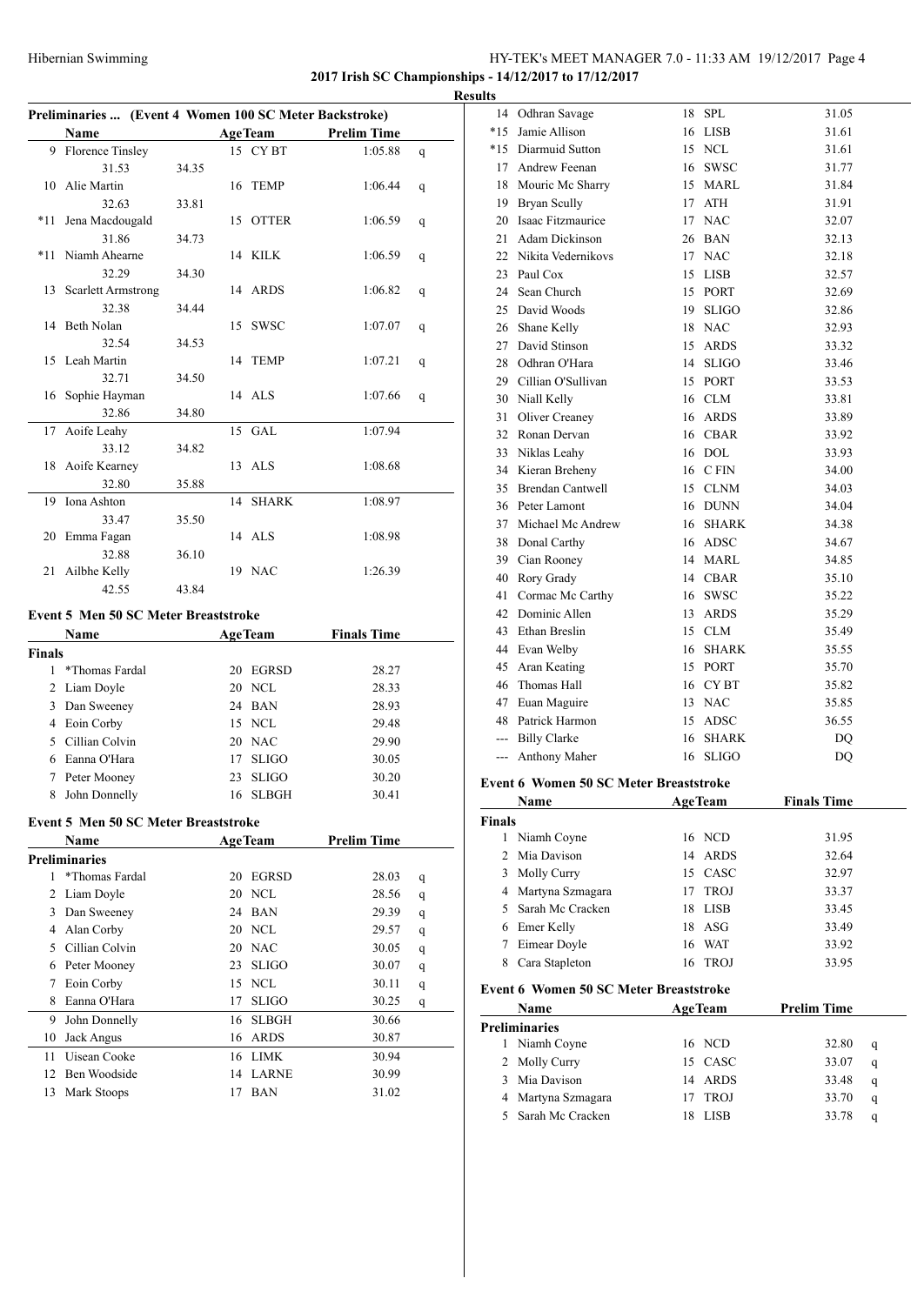# HY-TEK's MEET MANAGER 7.0 - 11:33 AM 19/12/2017 Page 4

**2017 Irish SC Championships - 14/12/2017 to 17/12/2017**

|       | Preliminaries  (Event 4 Women 100 SC Meter Backstroke) |       |  |                |                    |   |  |
|-------|--------------------------------------------------------|-------|--|----------------|--------------------|---|--|
|       | <b>Name</b>                                            |       |  | <b>AgeTeam</b> | <b>Prelim Time</b> |   |  |
|       | 9 Florence Tinsley                                     |       |  | 15 CYBT        | 1:05.88            | q |  |
|       | 31.53                                                  | 34.35 |  |                |                    |   |  |
|       | 10 Alie Martin                                         |       |  | 16 TEMP        | 1:06.44            | q |  |
|       | 32.63                                                  | 33.81 |  |                |                    |   |  |
| $*11$ | Jena Macdougald                                        |       |  | 15 OTTER       | 1:06.59            | q |  |
|       | 31.86                                                  | 34.73 |  |                |                    |   |  |
|       | *11 Niamh Ahearne                                      |       |  | 14 KILK        | 1:06.59            | q |  |
|       | 32.29                                                  | 34.30 |  |                |                    |   |  |
|       | 13 Scarlett Armstrong                                  |       |  | 14 ARDS        | 1:06.82            | q |  |
|       | 32.38                                                  | 34.44 |  |                |                    |   |  |
|       | 14 Beth Nolan                                          |       |  | 15 SWSC        | 1:07.07            | q |  |
|       | 32.54                                                  | 34.53 |  |                |                    |   |  |
|       | 15 Leah Martin                                         |       |  | 14 TEMP        | 1:07.21            | q |  |
|       | 32.71                                                  | 34.50 |  |                |                    |   |  |
|       | 16 Sophie Hayman                                       |       |  | 14 ALS         | 1:07.66            | q |  |
|       | 32.86                                                  | 34.80 |  |                |                    |   |  |
|       | 17 Aoife Leahy                                         |       |  | 15 GAL         | 1:07.94            |   |  |
|       | 33.12                                                  | 34.82 |  |                |                    |   |  |
|       | 18 Aoife Kearney                                       |       |  | 13 ALS         | 1:08.68            |   |  |
|       | 32.80                                                  | 35.88 |  |                |                    |   |  |
| 19    | Iona Ashton                                            |       |  | 14 SHARK       | 1:08.97            |   |  |
|       | 33.47                                                  | 35.50 |  |                |                    |   |  |
|       | 20 Emma Fagan                                          |       |  | 14 ALS         | 1:08.98            |   |  |
|       | 32.88                                                  | 36.10 |  |                |                    |   |  |
| 21    | Ailbhe Kelly                                           |       |  | 19 NAC         | 1:26.39            |   |  |
|       | 42.55                                                  | 43.84 |  |                |                    |   |  |

#### **Event 5 Men 50 SC Meter Breaststroke**

|        | Name           |    | <b>AgeTeam</b> | <b>Finals Time</b> |  |
|--------|----------------|----|----------------|--------------------|--|
| Finals |                |    |                |                    |  |
|        | *Thomas Fardal | 20 | <b>EGRSD</b>   | 28.27              |  |
|        | 2 Liam Doyle   |    | 20 NCL         | 28.33              |  |
| 3      | Dan Sweeney    |    | 24 BAN         | 28.93              |  |
| 4      | Eoin Corby     |    | 15 NCL         | 29.48              |  |
|        | Cillian Colvin |    | 20 NAC         | 29.90              |  |
| 6      | Eanna O'Hara   | 17 | <b>SLIGO</b>   | 30.05              |  |
|        | Peter Mooney   | 23 | <b>SLIGO</b>   | 30.20              |  |
| 8      | John Donnelly  | 16 | <b>SLBGH</b>   | 30.41              |  |

#### **Event 5 Men 50 SC Meter Breaststroke**

|    | <b>Name</b>          | <b>AgeTeam</b> |              | <b>Prelim Time</b> |       |   |
|----|----------------------|----------------|--------------|--------------------|-------|---|
|    | <b>Preliminaries</b> |                |              |                    |       |   |
|    | *Thomas Fardal       | 20             | <b>EGRSD</b> |                    | 28.03 | q |
| 2  | Liam Doyle           |                | 20 NCL       |                    | 28.56 | q |
| 3  | Dan Sweeney          |                | 24 BAN       |                    | 29.39 | q |
| 4  | Alan Corby           |                | 20 NCL       |                    | 29.57 | q |
| 5  | Cillian Colvin       |                | 20 NAC       |                    | 30.05 | q |
| 6  | Peter Mooney         | 23             | <b>SLIGO</b> |                    | 30.07 | q |
| 7  | Eoin Corby           | 15             | NCL.         |                    | 30.11 | q |
| 8  | Eanna O'Hara         | 17             | <b>SLIGO</b> |                    | 30.25 | q |
| 9  | John Donnelly        | 16             | <b>SLBGH</b> |                    | 30.66 |   |
| 10 | Jack Angus           | 16             | <b>ARDS</b>  |                    | 30.87 |   |
| 11 | Uisean Cooke         | 16             | <b>LIMK</b>  |                    | 30.94 |   |
| 12 | Ben Woodside         | 14             | <b>LARNE</b> |                    | 30.99 |   |
| 13 | Mark Stoops          | 17             | <b>BAN</b>   |                    | 31.02 |   |

| <b>Results</b> |                       |    |              |       |
|----------------|-----------------------|----|--------------|-------|
|                | 14 Odhran Savage      |    | 18 SPL       | 31.05 |
| $*15$          | Jamie Allison         |    | 16 LISB      | 31.61 |
|                | *15 Diarmuid Sutton   |    | 15 NCL       | 31.61 |
|                | 17 Andrew Feenan      |    | 16 SWSC      | 31.77 |
| 18             | Mouric Mc Sharry      |    | 15 MARL      | 31.84 |
| 19             | Bryan Scully          | 17 | <b>ATH</b>   | 31.91 |
| 20             | Isaac Fitzmaurice     | 17 | <b>NAC</b>   | 32.07 |
| 21             | Adam Dickinson        |    | 26 BAN       | 32.13 |
|                | 22 Nikita Vedernikovs |    | 17 NAC       | 32.18 |
|                | 23 Paul Cox           | 15 | LISB         | 32.57 |
| 24             | Sean Church           |    | 15 PORT      | 32.69 |
|                | 25 David Woods        | 19 | <b>SLIGO</b> | 32.86 |
|                | 26 Shane Kelly        |    | 18 NAC       | 32.93 |
|                | 27 David Stinson      | 15 | ARDS         | 33.32 |
|                | 28 Odhran O'Hara      | 14 | <b>SLIGO</b> | 33.46 |
|                | 29 Cillian O'Sullivan | 15 | PORT         | 33.53 |
|                | 30 Niall Kelly        |    | 16 CLM       | 33.81 |
|                | 31 Oliver Creaney     |    | 16 ARDS      | 33.89 |
|                | 32 Ronan Dervan       |    | 16 CBAR      | 33.92 |
|                | 33 Niklas Leahy       |    | 16 DOL       | 33.93 |
|                | 34 Kieran Breheny     |    | 16 C FIN     | 34.00 |
|                | 35 Brendan Cantwell   |    | 15 CLNM      | 34.03 |
|                | 36 Peter Lamont       |    | 16 DUNN      | 34.04 |
| 37             | Michael Mc Andrew     |    | 16 SHARK     | 34.38 |
|                | 38 Donal Carthy       |    | 16 ADSC      | 34.67 |
|                | 39 Cian Rooney        |    | 14 MARL      | 34.85 |
| 40             | Rory Grady            |    | 14 CBAR      | 35.10 |
| 41             | Cormac Mc Carthy      | 16 | <b>SWSC</b>  | 35.22 |
|                | 42 Dominic Allen      | 13 | <b>ARDS</b>  | 35.29 |
| 43             | Ethan Breslin         |    | 15 CLM       | 35.49 |
|                | 44 Evan Welby         | 16 | <b>SHARK</b> | 35.55 |
|                | 45 Aran Keating       | 15 | <b>PORT</b>  | 35.70 |
| 46             | Thomas Hall           |    | 16 CYBT      | 35.82 |
|                | 47 Euan Maguire       | 13 | <b>NAC</b>   | 35.85 |
|                | 48 Patrick Harmon     | 15 | ADSC         | 36.55 |
|                | --- Billy Clarke      | 16 | <b>SHARK</b> | DO    |
|                | Anthony Maher         |    | 16 SLIGO     | DQ    |
|                |                       |    |              |       |

#### **Event 6 Women 50 SC Meter Breaststroke**

|        | <b>Name</b>        |    | <b>AgeTeam</b> | <b>Finals Time</b> |  |
|--------|--------------------|----|----------------|--------------------|--|
| Finals |                    |    |                |                    |  |
|        | Niamh Coyne        |    | 16 NCD         | 31.95              |  |
|        | 2 Mia Davison      |    | 14 ARDS        | 32.64              |  |
| 3      | <b>Molly Curry</b> |    | 15 CASC        | 32.97              |  |
| 4      | Martyna Szmagara   | 17 | <b>TROJ</b>    | 33.37              |  |
|        | Sarah Mc Cracken   | 18 | LISB           | 33.45              |  |
| 6      | Emer Kelly         |    | 18 ASG         | 33.49              |  |
|        | Eimear Doyle       |    | 16 WAT         | 33.92              |  |
| 8      | Cara Stapleton     | 16 | <b>TROJ</b>    | 33.95              |  |

#### **Event 6 Women 50 SC Meter Breaststroke**

|   | <b>Name</b>          |    | <b>AgeTeam</b> | <b>Prelim Time</b> |       |   |
|---|----------------------|----|----------------|--------------------|-------|---|
|   | <b>Preliminaries</b> |    |                |                    |       |   |
| L | Niamh Coyne          |    | 16 NCD         |                    | 32.80 | q |
|   | 2 Molly Curry        |    | 15 CASC        |                    | 33.07 | q |
|   | Mia Davison          | 14 | ARDS           |                    | 33.48 | q |
|   | Martyna Szmagara     |    | TROJ           |                    | 33.70 | q |
|   | 5 Sarah Mc Cracken   |    | <b>LISB</b>    |                    | 33.78 | a |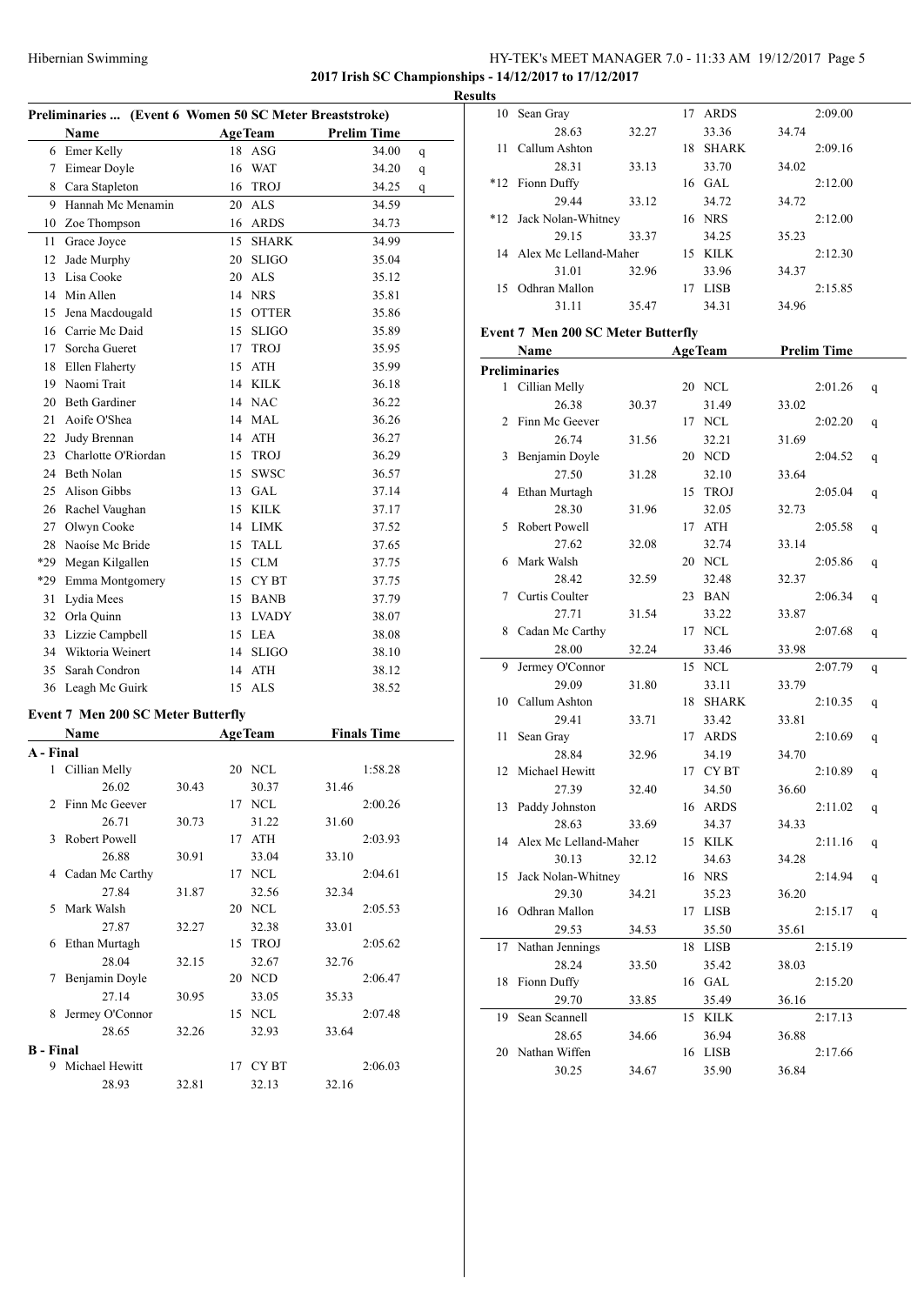# HY-TEK's MEET MANAGER 7.0 - 11:33 AM 19/12/2017 Page 5 **2017 Irish SC Championships - 14/12/2017 to 17/12/2017**

| Name                 |    |              | <b>Prelim Time</b>    |                                                         |  |  |
|----------------------|----|--------------|-----------------------|---------------------------------------------------------|--|--|
| Emer Kelly           | 18 |              | 34.00                 | q                                                       |  |  |
| Eimear Doyle         | 16 | <b>WAT</b>   | 34.20                 | q                                                       |  |  |
| Cara Stapleton       | 16 | <b>TROJ</b>  | 34.25                 | q                                                       |  |  |
| Hannah Mc Menamin    | 20 | <b>ALS</b>   | 34.59                 |                                                         |  |  |
| Zoe Thompson         | 16 | <b>ARDS</b>  | 34.73                 |                                                         |  |  |
| Grace Joyce          | 15 | <b>SHARK</b> | 34.99                 |                                                         |  |  |
| Jade Murphy          | 20 | <b>SLIGO</b> | 35.04                 |                                                         |  |  |
| Lisa Cooke           | 20 | <b>ALS</b>   | 35.12                 |                                                         |  |  |
| Min Allen            | 14 | <b>NRS</b>   | 35.81                 |                                                         |  |  |
| Jena Macdougald      | 15 | <b>OTTER</b> | 35.86                 |                                                         |  |  |
| Carrie Mc Daid       | 15 | <b>SLIGO</b> | 35.89                 |                                                         |  |  |
| Sorcha Gueret        | 17 | <b>TROJ</b>  | 35.95                 |                                                         |  |  |
| Ellen Flaherty       | 15 | <b>ATH</b>   | 35.99                 |                                                         |  |  |
| Naomi Trait          | 14 | <b>KILK</b>  | 36.18                 |                                                         |  |  |
| <b>Beth Gardiner</b> | 14 | <b>NAC</b>   | 36.22                 |                                                         |  |  |
| Aoife O'Shea         | 14 | <b>MAL</b>   | 36.26                 |                                                         |  |  |
| Judy Brennan         | 14 | <b>ATH</b>   | 36.27                 |                                                         |  |  |
| Charlotte O'Riordan  | 15 | <b>TROJ</b>  | 36.29                 |                                                         |  |  |
| <b>Beth Nolan</b>    | 15 | <b>SWSC</b>  | 36.57                 |                                                         |  |  |
| Alison Gibbs         | 13 | GAL          | 37.14                 |                                                         |  |  |
| Rachel Vaughan       | 15 | <b>KILK</b>  | 37.17                 |                                                         |  |  |
| Olwyn Cooke          | 14 | <b>LIMK</b>  | 37.52                 |                                                         |  |  |
| Naoíse Mc Bride      | 15 | <b>TALL</b>  | 37.65                 |                                                         |  |  |
| Megan Kilgallen      | 15 | <b>CLM</b>   | 37.75                 |                                                         |  |  |
| Emma Montgomery      | 15 | <b>CYBT</b>  | 37.75                 |                                                         |  |  |
| Lydia Mees           | 15 | <b>BANB</b>  | 37.79                 |                                                         |  |  |
| Orla Quinn           | 13 | <b>LVADY</b> | 38.07                 |                                                         |  |  |
| Lizzie Campbell      | 15 | <b>LEA</b>   | 38.08                 |                                                         |  |  |
| Wiktoria Weinert     | 14 | <b>SLIGO</b> | 38.10                 |                                                         |  |  |
| Sarah Condron        | 14 | <b>ATH</b>   | 38.12                 |                                                         |  |  |
| Leagh Mc Guirk       | 15 | <b>ALS</b>   | 38.52                 |                                                         |  |  |
|                      |    |              | <b>AgeTeam</b><br>ASG | Preliminaries  (Event 6 Women 50 SC Meter Breaststroke) |  |  |

# **Event 7 Men 200 SC Meter Butterfly**

|                  | Name             |       | <b>AgeTeam</b> |             |       | <b>Finals Time</b> |  |
|------------------|------------------|-------|----------------|-------------|-------|--------------------|--|
| A - Final        |                  |       |                |             |       |                    |  |
| $\mathbf{1}$     | Cillian Melly    |       | 20             | <b>NCL</b>  |       | 1:58.28            |  |
|                  | 26.02            | 30.43 |                | 30.37       | 31.46 |                    |  |
|                  | 2 Finn Mc Geever |       | 17             | <b>NCL</b>  |       | 2:00.26            |  |
|                  | 26.71            | 30.73 |                | 31.22       | 31.60 |                    |  |
| 3                | Robert Powell    |       | 17             | <b>ATH</b>  |       | 2:03.93            |  |
|                  | 26.88            | 30.91 |                | 33.04       | 33.10 |                    |  |
| 4                | Cadan Mc Carthy  |       | 17             | <b>NCL</b>  |       | 2:04.61            |  |
|                  | 27.84            | 31.87 |                | 32.56       | 32.34 |                    |  |
| 5.               | Mark Walsh       |       | 20             | <b>NCL</b>  |       | 2:05.53            |  |
|                  | 27.87            | 32.27 |                | 32.38       | 33.01 |                    |  |
| 6                | Ethan Murtagh    |       | 15             | <b>TROJ</b> |       | 2:05.62            |  |
|                  | 28.04            | 32.15 |                | 32.67       | 32.76 |                    |  |
| 7                | Benjamin Doyle   |       | 20             | <b>NCD</b>  |       | 2:06.47            |  |
|                  | 27.14            | 30.95 |                | 33.05       | 35.33 |                    |  |
| 8                | Jermey O'Connor  |       | 15             | <b>NCL</b>  |       | 2:07.48            |  |
|                  | 28.65            | 32.26 |                | 32.93       | 33.64 |                    |  |
| <b>B</b> - Final |                  |       |                |             |       |                    |  |
| 9                | Michael Hewitt   |       | 17             | CY BT       |       | 2:06.03            |  |
|                  | 28.93            | 32.81 |                | 32.13       | 32.16 |                    |  |

| <b>Results</b> |                          |       |    |              |       |         |  |
|----------------|--------------------------|-------|----|--------------|-------|---------|--|
|                | 10 Sean Gray             |       |    | 17 ARDS      |       | 2:09.00 |  |
|                | 28.63                    | 32.27 |    | 33.36        | 34.74 |         |  |
| 11             | Callum Ashton            |       | 18 | <b>SHARK</b> |       | 2:09.16 |  |
|                | 28.31                    | 33.13 |    | 33.70        | 34.02 |         |  |
|                | *12 Fionn Duffy          |       |    | $16$ GAL     |       | 2:12.00 |  |
|                | 29.44                    | 33.12 |    | 34.72        | 34.72 |         |  |
|                | *12 Jack Nolan-Whitney   |       |    | 16 NRS       |       | 2:12.00 |  |
|                | 29.15                    | 33.37 |    | 34.25        | 35.23 |         |  |
|                | 14 Alex Mc Lelland-Maher |       |    | 15 KILK      |       | 2:12.30 |  |
|                | 31.01                    | 32.96 |    | 33.96        | 34.37 |         |  |
|                | 15 Odhran Mallon         |       | 17 | <b>LISB</b>  |       | 2:15.85 |  |
|                | 31.11                    | 35.47 |    | 34.31        | 34.96 |         |  |

# **Event 7 Men 200 SC Meter Butterfly**

|                | <b>Name</b>           |       |    | <b>AgeTeam</b> |       | <b>Prelim Time</b> |   |
|----------------|-----------------------|-------|----|----------------|-------|--------------------|---|
|                | <b>Preliminaries</b>  |       |    |                |       |                    |   |
| 1              | Cillian Melly         |       |    | 20 NCL         |       | 2:01.26            | q |
|                | 26.38                 | 30.37 |    | 31.49          | 33.02 |                    |   |
| $\overline{2}$ | Finn Mc Geever        |       | 17 | NCL            |       | 2:02.20            | q |
|                | 26.74                 | 31.56 |    | 32.21          | 31.69 |                    |   |
| 3              | Benjamin Doyle        |       |    | 20 NCD         |       | 2:04.52            | q |
|                | 27.50                 | 31.28 |    | 32.10          | 33.64 |                    |   |
| 4              | Ethan Murtagh         |       | 15 | <b>TROJ</b>    |       | 2:05.04            | q |
|                | 28.30                 | 31.96 |    | 32.05          | 32.73 |                    |   |
| 5              | Robert Powell         |       |    | 17 ATH         |       | 2:05.58            | q |
|                | 27.62                 | 32.08 |    | 32.74          | 33.14 |                    |   |
| 6              | Mark Walsh            |       |    | 20 NCL         |       | 2:05.86            | q |
|                | 28.42                 | 32.59 |    | 32.48          | 32.37 |                    |   |
| 7              | Curtis Coulter        |       | 23 | BAN            |       | 2:06.34            | q |
|                | 27.71                 | 31.54 |    | 33.22          | 33.87 |                    |   |
| 8              | Cadan Mc Carthy       |       |    | 17 NCL         |       | 2:07.68            | q |
|                | 28.00                 | 32.24 |    | 33.46          | 33.98 |                    |   |
| 9              | Jermey O'Connor       |       | 15 | NCL            |       | 2:07.79            | q |
|                | 29.09                 | 31.80 |    | 33.11          | 33.79 |                    |   |
| 10             | Callum Ashton         |       |    | 18 SHARK       |       | 2:10.35            | q |
|                | 29.41                 | 33.71 |    | 33.42          | 33.81 |                    |   |
| 11             | Sean Gray             |       |    | 17 ARDS        |       | 2:10.69            | q |
|                | 28.84                 | 32.96 |    | 34.19          | 34.70 |                    |   |
| 12             | Michael Hewitt        |       |    | 17 CYBT        |       | 2:10.89            | q |
|                | 27.39                 | 32.40 |    | 34.50          | 36.60 |                    |   |
| 13             | Paddy Johnston        |       |    | 16 ARDS        |       | 2:11.02            | q |
|                | 28.63                 | 33.69 |    | 34.37          | 34.33 |                    |   |
| 14             | Alex Mc Lelland-Maher |       | 15 | KILK           |       | 2:11.16            | q |
|                | 30.13                 | 32.12 |    | 34.63          | 34.28 |                    |   |
| 15             | Jack Nolan-Whitney    |       |    | 16 NRS         |       | 2:14.94            | q |
|                | 29.30                 | 34.21 |    | 35.23          | 36.20 |                    |   |
| 16             | Odhran Mallon         |       | 17 | LISB           |       | 2:15.17            | q |
|                | 29.53                 | 34.53 |    | 35.50          | 35.61 |                    |   |
| 17             | Nathan Jennings       |       | 18 | <b>LISB</b>    |       | 2:15.19            |   |
|                | 28.24                 | 33.50 |    | 35.42          | 38.03 |                    |   |
| 18             | Fionn Duffy           |       |    | 16 GAL         |       | 2:15.20            |   |
|                | 29.70                 | 33.85 |    | 35.49          | 36.16 |                    |   |
| 19             | Sean Scannell         |       | 15 | KILK           |       | 2:17.13            |   |
|                | 28.65                 | 34.66 |    | 36.94          | 36.88 |                    |   |
| 20             | Nathan Wiffen         |       |    | 16 LISB        |       | 2:17.66            |   |
|                | 30.25                 | 34.67 |    | 35.90          | 36.84 |                    |   |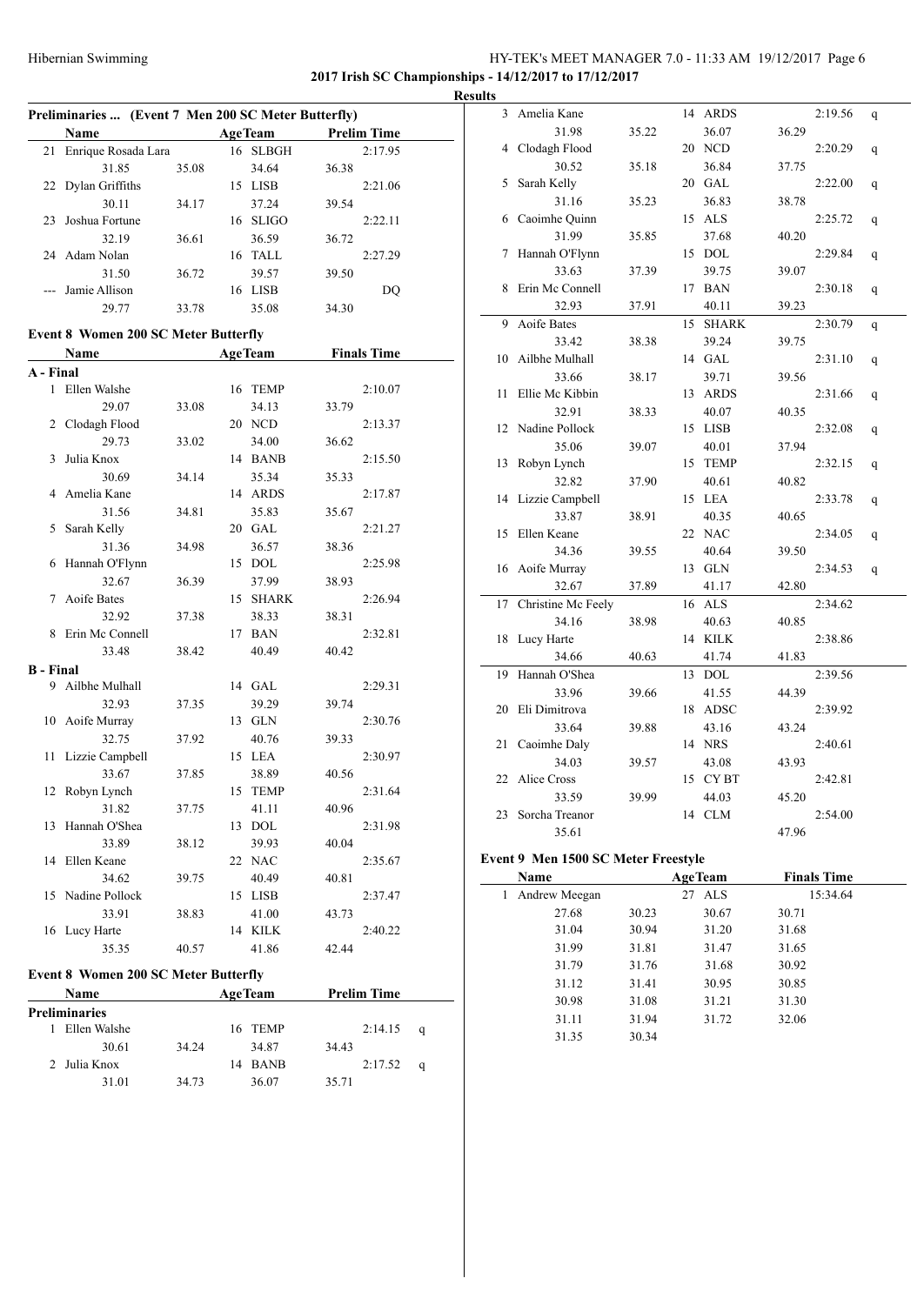# HY-TEK's MEET MANAGER 7.0 - 11:33 AM 19/12/2017 Page 6 **2017 Irish SC Championships - 14/12/2017 to 17/12/2017**

|                                             | Preliminaries  (Event 7 Men 200 SC Meter Butterfly) |       |    |                |                    |   |  |  |  |  |
|---------------------------------------------|-----------------------------------------------------|-------|----|----------------|--------------------|---|--|--|--|--|
|                                             | Name                                                |       |    | <b>AgeTeam</b> | <b>Prelim Time</b> |   |  |  |  |  |
| 21                                          | Enrique Rosada Lara                                 |       |    | 16 SLBGH       | 2:17.95            |   |  |  |  |  |
|                                             | 31.85                                               | 35.08 |    | 34.64          | 36.38              |   |  |  |  |  |
| 22                                          | Dylan Griffiths                                     |       |    | 15 LISB        | 2:21.06            |   |  |  |  |  |
|                                             | 30.11                                               | 34.17 |    | 37.24          | 39.54              |   |  |  |  |  |
| 23                                          | Joshua Fortune                                      |       |    | 16 SLIGO       | 2:22.11            |   |  |  |  |  |
|                                             | 32.19                                               | 36.61 |    | 36.59          | 36.72              |   |  |  |  |  |
|                                             | 24 Adam Nolan                                       |       |    | 16 TALL        | 2:27.29            |   |  |  |  |  |
|                                             | 31.50                                               | 36.72 |    | 39.57          | 39.50              |   |  |  |  |  |
|                                             | Jamie Allison                                       |       |    | 16 LISB        | DQ                 |   |  |  |  |  |
|                                             | 29.77                                               | 33.78 |    | 35.08          | 34.30              |   |  |  |  |  |
|                                             |                                                     |       |    |                |                    |   |  |  |  |  |
| <b>Event 8 Women 200 SC Meter Butterfly</b> |                                                     |       |    |                |                    |   |  |  |  |  |
|                                             | Name                                                |       |    | <b>AgeTeam</b> | <b>Finals Time</b> |   |  |  |  |  |
| A - Final                                   |                                                     |       |    |                |                    |   |  |  |  |  |
|                                             | 1 Ellen Walshe                                      |       |    | 16 TEMP        | 2:10.07            |   |  |  |  |  |
|                                             | 29.07                                               | 33.08 |    | 34.13          | 33.79              |   |  |  |  |  |
| $\overline{2}$                              | Clodagh Flood                                       |       |    | 20 NCD         | 2:13.37            |   |  |  |  |  |
|                                             | 29.73                                               | 33.02 |    | 34.00          | 36.62              |   |  |  |  |  |
| 3                                           | Julia Knox                                          |       |    | 14 BANB        | 2:15.50            |   |  |  |  |  |
|                                             | 30.69                                               | 34.14 |    | 35.34          | 35.33              |   |  |  |  |  |
| 4                                           | Amelia Kane                                         |       |    | 14 ARDS        | 2:17.87            |   |  |  |  |  |
|                                             | 31.56                                               | 34.81 |    | 35.83          | 35.67              |   |  |  |  |  |
| 5                                           | Sarah Kelly                                         |       |    | 20 GAL         | 2:21.27            |   |  |  |  |  |
|                                             | 31.36                                               | 34.98 |    | 36.57          | 38.36              |   |  |  |  |  |
| 6                                           | Hannah O'Flynn                                      |       |    | 15 DOL         | 2:25.98            |   |  |  |  |  |
|                                             | 32.67                                               | 36.39 |    | 37.99          | 38.93              |   |  |  |  |  |
| 7                                           | Aoife Bates                                         |       |    | 15 SHARK       | 2:26.94            |   |  |  |  |  |
|                                             | 32.92                                               | 37.38 |    | 38.33          | 38.31              |   |  |  |  |  |
| 8                                           | Erin Mc Connell                                     |       |    | 17 BAN         | 2:32.81            |   |  |  |  |  |
|                                             | 33.48                                               | 38.42 |    | 40.49          | 40.42              |   |  |  |  |  |
| <b>B</b> - Final                            |                                                     |       |    |                |                    |   |  |  |  |  |
|                                             | 9 Ailbhe Mulhall                                    |       |    | 14 GAL         | 2:29.31            |   |  |  |  |  |
|                                             | 32.93                                               | 37.35 |    | 39.29          | 39.74              |   |  |  |  |  |
|                                             | 10 Aoife Murray                                     |       |    | 13 GLN         | 2:30.76            |   |  |  |  |  |
|                                             | 32.75                                               | 37.92 |    | 40.76          | 39.33              |   |  |  |  |  |
| 11                                          | Lizzie Campbell                                     |       |    | 15 LEA         | 2:30.97            |   |  |  |  |  |
|                                             | 33.67                                               | 37.85 |    | 38.89          | 40.56              |   |  |  |  |  |
| 12                                          | Robyn Lynch                                         |       |    | 15 TEMP        | 2:31.64            |   |  |  |  |  |
|                                             | 31.82                                               | 37.75 |    | 41.11          | 40.96              |   |  |  |  |  |
| 13                                          | Hannah O'Shea                                       |       |    | 13 DOL         | 2:31.98            |   |  |  |  |  |
|                                             | 33.89                                               | 38.12 |    | 39.93          | 40.04              |   |  |  |  |  |
| 14                                          | Ellen Keane                                         |       |    | 22 NAC         | 2:35.67            |   |  |  |  |  |
|                                             | 34.62                                               | 39.75 |    | 40.49          | 40.81              |   |  |  |  |  |
| 15                                          | Nadine Pollock                                      |       |    | 15 LISB        | 2:37.47            |   |  |  |  |  |
|                                             | 33.91                                               | 38.83 |    | 41.00          | 43.73              |   |  |  |  |  |
|                                             | 16 Lucy Harte                                       |       |    | 14 KILK        | 2:40.22            |   |  |  |  |  |
|                                             | 35.35                                               | 40.57 |    | 41.86          | 42.44              |   |  |  |  |  |
|                                             | <b>Event 8 Women 200 SC Meter Butterfly</b>         |       |    |                |                    |   |  |  |  |  |
|                                             | Name                                                |       |    | <b>AgeTeam</b> | <b>Prelim Time</b> |   |  |  |  |  |
|                                             | <b>Preliminaries</b>                                |       |    |                |                    |   |  |  |  |  |
| 1                                           | Ellen Walshe                                        |       | 16 | <b>TEMP</b>    | 2:14.15            | q |  |  |  |  |
|                                             | 30.61                                               | 34.24 |    | 34.87          | 34.43              |   |  |  |  |  |
| 2                                           | Julia Knox                                          |       | 14 | <b>BANB</b>    | 2:17.52            | q |  |  |  |  |

31.01 34.73 36.07 35.71

| <b>Results</b> |                    |       |    |              |       |         |   |
|----------------|--------------------|-------|----|--------------|-------|---------|---|
|                | 3 Amelia Kane      |       |    | 14 ARDS      |       | 2:19.56 | q |
|                | 31.98              | 35.22 |    | 36.07        | 36.29 |         |   |
| 4              | Clodagh Flood      |       |    | 20 NCD       |       | 2:20.29 | q |
|                | 30.52              | 35.18 |    | 36.84        | 37.75 |         |   |
| 5              | Sarah Kelly        |       |    | 20 GAL       |       | 2:22.00 | q |
|                | 31.16              | 35.23 |    | 36.83        | 38.78 |         |   |
| 6              | Caoimhe Quinn      |       |    | 15 ALS       |       | 2:25.72 | q |
|                | 31.99              | 35.85 |    | 37.68        | 40.20 |         |   |
| 7              | Hannah O'Flynn     |       | 15 | <b>DOL</b>   |       | 2:29.84 | q |
|                | 33.63              | 37.39 |    | 39.75        | 39.07 |         |   |
| 8              | Erin Mc Connell    |       | 17 | BAN          |       | 2:30.18 | q |
|                | 32.93              | 37.91 |    | 40.11        | 39.23 |         |   |
| 9              | Aoife Bates        |       | 15 | <b>SHARK</b> |       | 2:30.79 | q |
|                | 33.42              | 38.38 |    | 39.24        | 39.75 |         |   |
| 10             | Ailbhe Mulhall     |       |    | 14 GAL       |       | 2:31.10 | q |
|                | 33.66              | 38.17 |    | 39.71        | 39.56 |         |   |
| 11             | Ellie Mc Kibbin    |       |    | 13 ARDS      |       | 2:31.66 | q |
|                | 32.91              | 38.33 |    | 40.07        | 40.35 |         |   |
| 12             | Nadine Pollock     |       |    | 15 LISB      |       | 2:32.08 | q |
|                | 35.06              | 39.07 |    | 40.01        | 37.94 |         |   |
| 13             | Robyn Lynch        |       |    | 15 TEMP      |       | 2:32.15 | q |
|                | 32.82              | 37.90 |    | 40.61        | 40.82 |         |   |
| 14             | Lizzie Campbell    |       |    | 15 LEA       |       | 2:33.78 | q |
|                | 33.87              | 38.91 |    | 40.35        | 40.65 |         |   |
| 15             | Ellen Keane        |       |    | 22 NAC       |       | 2:34.05 | q |
|                | 34.36              | 39.55 |    | 40.64        | 39.50 |         |   |
|                | 16 Aoife Murray    |       |    | 13 GLN       |       | 2:34.53 | q |
|                | 32.67              | 37.89 |    | 41.17        | 42.80 |         |   |
| 17             | Christine Mc Feely |       |    | 16 ALS       |       | 2:34.62 |   |
|                | 34.16              | 38.98 |    | 40.63        | 40.85 |         |   |
| 18             | Lucy Harte         |       |    | 14 KILK      |       | 2:38.86 |   |
|                | 34.66              | 40.63 |    | 41.74        | 41.83 |         |   |
| 19             | Hannah O'Shea      |       | 13 | <b>DOL</b>   |       | 2:39.56 |   |
|                | 33.96              | 39.66 |    | 41.55        | 44.39 |         |   |
| 20             | Eli Dimitrova      |       |    | 18 ADSC      |       | 2:39.92 |   |
|                | 33.64              | 39.88 |    | 43.16        | 43.24 |         |   |
| 21             | Caoimhe Daly       |       |    | 14 NRS       |       | 2:40.61 |   |
|                | 34.03              | 39.57 |    | 43.08        | 43.93 |         |   |
| 22             | Alice Cross        |       |    | 15 CYBT      |       | 2:42.81 |   |
|                | 33.59              | 39.99 |    | 44.03        | 45.20 |         |   |
| 23             | Sorcha Treanor     |       |    | 14 CLM       |       | 2:54.00 |   |
|                | 35.61              |       |    |              | 47.96 |         |   |

# **Event 9 Men 1500 SC Meter Freestyle**

| Name               |       | <b>AgeTeam</b> | <b>Finals Time</b> |  |
|--------------------|-------|----------------|--------------------|--|
| Andrew Meegan<br>1 |       | 27 ALS         | 15:34.64           |  |
| 27.68              | 30.23 | 30.67          | 30.71              |  |
| 31.04              | 30.94 | 31.20          | 31.68              |  |
| 31.99              | 31.81 | 31.47          | 31.65              |  |
| 31.79              | 31.76 | 31.68          | 30.92              |  |
| 31.12              | 31.41 | 30.95          | 30.85              |  |
| 30.98              | 31.08 | 31.21          | 31.30              |  |
| 31.11              | 31.94 | 31.72          | 32.06              |  |
| 31.35              | 30.34 |                |                    |  |
|                    |       |                |                    |  |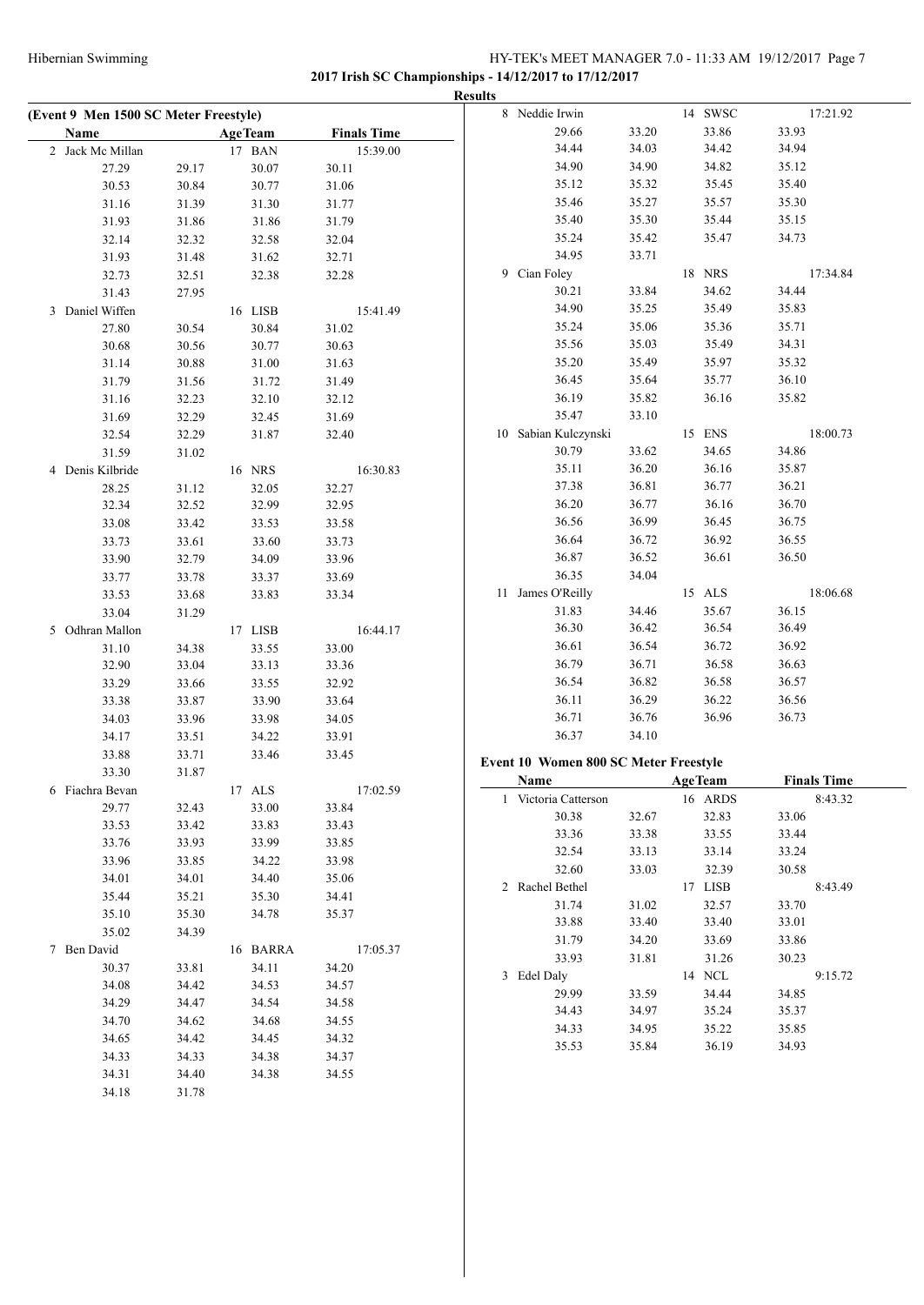# Hibernian Swimming HY-TEK's MEET MANAGER 7.0 - 11:33 AM 19/12/2017 Page 7 **2017 Irish SC Championships - 14/12/2017 to 17/12/2017**

**Results (Event 9 Men 1500 SC Meter Freestyle) Name Age Team Finals Time** 2 Jack Mc Millan 17 BAN 15:39.00 27.29 29.17 30.07 30.11 30.53 30.84 30.77 31.06 31.16 31.39 31.30 31.77 31.93 31.86 31.86 31.79 32.14 32.32 32.58 32.04 31.93 31.48 31.62 32.71 32.73 32.51 32.38 32.28 31.43 27.95 3 Daniel Wiffen 16 LISB 15:41.49 27.80 30.54 30.84 31.02 30.68 30.56 30.77 30.63 31.14 30.88 31.00 31.63 31.79 31.56 31.72 31.49 31.16 32.23 32.10 32.12 31.69 32.29 32.45 31.69 32.54 32.29 31.87 32.40 31.59 31.02 4 Denis Kilbride 16 NRS 16:30.83 28.25 31.12 32.05 32.27 32.34 32.52 32.99 32.95 33.08 33.42 33.53 33.58 33.73 33.61 33.60 33.73 33.90 32.79 34.09 33.96 33.77 33.78 33.37 33.69 33.53 33.68 33.83 33.34 33.04 31.29 5 Odhran Mallon 17 LISB 16:44.17 31.10 34.38 33.55 33.00 32.90 33.04 33.13 33.36 33.29 33.66 33.55 32.92 33.38 33.87 33.90 33.64 34.03 33.96 33.98 34.05 34.17 33.51 34.22 33.91 33.88 33.71 33.46 33.45 33.30 31.87 6 Fiachra Bevan 17 ALS 17:02.59 29.77 32.43 33.00 33.84 33.53 33.42 33.83 33.43 33.76 33.93 33.99 33.85 33.96 33.85 34.22 33.98 34.01 34.01 34.40 35.06 35.44 35.21 35.30 34.41 35.10 35.30 34.78 35.37 35.02 34.39 7 Ben David 16 BARRA 17:05.37 30.37 33.81 34.11 34.20 34.08 34.42 34.53 34.57 34.29 34.47 34.54 34.58 34.70 34.62 34.68 34.55 34.65 34.42 34.45 34.32 34.33 34.33 34.38 34.37 34.31 34.40 34.38 34.55 34.18 31.78 8 Neddie Irwin 14 SWSC 17:21.92 29.66 33.20 33.86 33.93 34.44 34.03 34.42 34.94 34.90 34.90 34.82 35.12 35.12 35.32 35.45 35.40 35.46 35.27 35.57 35.30 35.40 35.30 35.44 35.15 35.24 35.42 35.47 34.73 34.95 33.71 9 Cian Foley 18 NRS 17:34.84 30.21 33.84 34.62 34.44 34.90 35.25 35.49 35.83 35.24 35.06 35.36 35.71 35.56 35.03 35.49 34.31 35.20 35.49 35.97 35.32 36.45 35.64 35.77 36.10 36.19 35.82 36.16 35.82 35.47 33.10 10 Sabian Kulczynski 15 ENS 18:00.73 30.79 33.62 34.65 34.86 35.11 36.20 36.16 35.87 37.38 36.81 36.77 36.21 36.20 36.77 36.16 36.70 36.56 36.99 36.45 36.75 36.64 36.72 36.92 36.55 36.87 36.52 36.61 36.50 36.35 34.04 11 James O'Reilly 15 ALS 18:06.68 31.83 34.46 35.67 36.15 36.30 36.42 36.54 36.49 36.61 36.54 36.72 36.92 36.79 36.71 36.58 36.63 36.54 36.82 36.58 36.57 36.11 36.29 36.22 36.56 36.71 36.76 36.96 36.73 36.37 34.10 **Event 10 Women 800 SC Meter Freestyle Name Age Team Finals Time** 1 Victoria Catterson 16 ARDS 8:43.32 30.38 32.67 32.83 33.06 33.36 33.38 33.55 33.44 32.54 33.13 33.14 33.24 32.60 33.03 32.39 30.58 2 Rachel Bethel 17 LISB 8:43.49 31.74 31.02 32.57 33.70 33.88 33.40 33.40 33.01 31.79 34.20 33.69 33.86 33.93 31.81 31.26 30.23 3 Edel Daly 14 NCL 9:15.72 29.99 33.59 34.44 34.85 34.43 34.97 35.24 35.37 34.33 34.95 35.22 35.85 35.53 35.84 36.19 34.93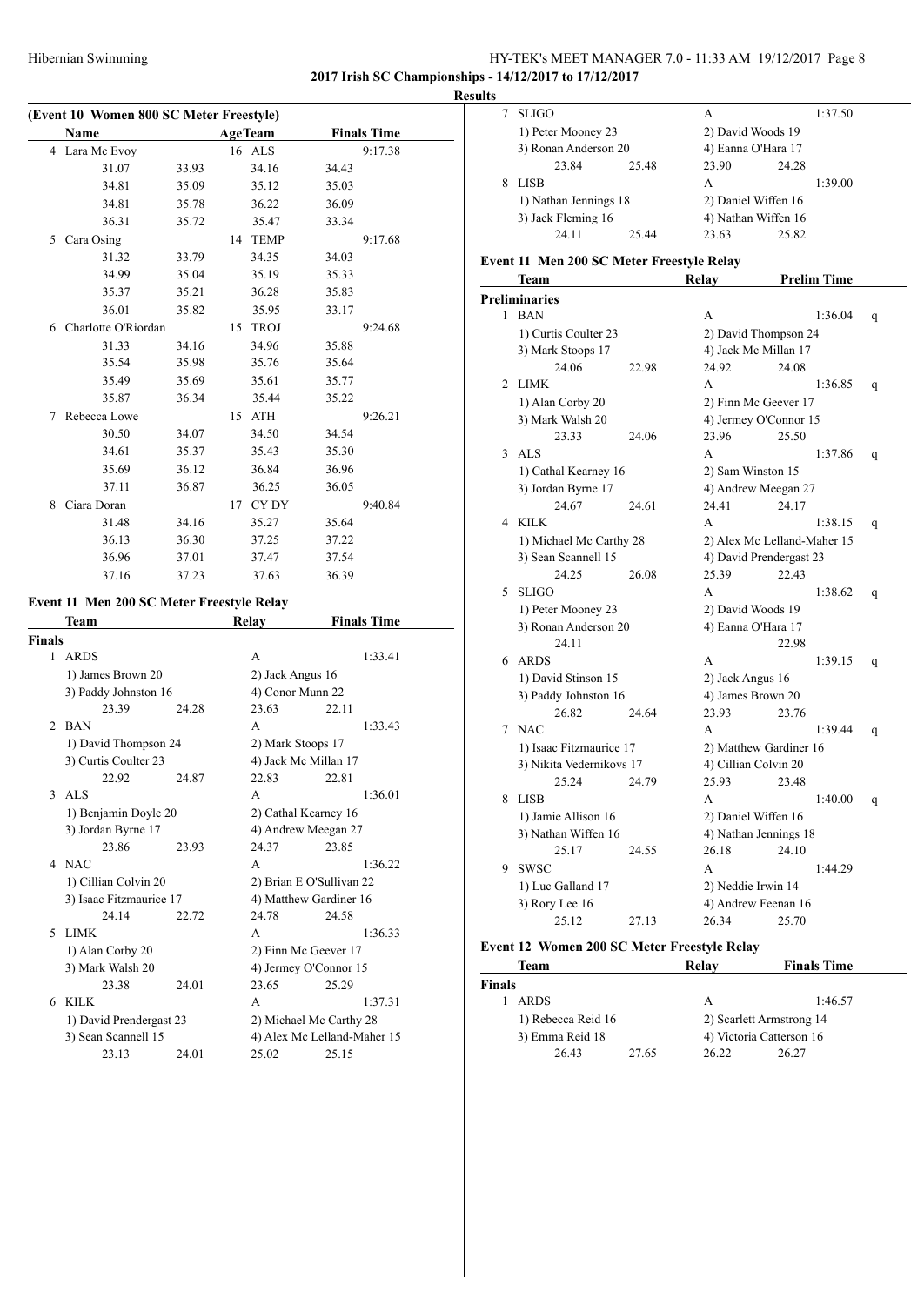#### HY-TEK's MEET MANAGER 7.0 - 11:33 AM 19/12/2017 Page 8 **2017 Irish SC Championships - 14/12/2017 to 17/12/2017**

**(Event 10 Women 800 SC Meter Freestyle) Name Age Team Finals Time** 4 Lara Mc Evoy 16 ALS 9:17.38 31.07 33.93 34.16 34.43 34.81 35.09 35.12 35.03 34.81 35.78 36.22 36.09 36.31 35.72 35.47 33.34 5 Cara Osing 14 TEMP 9:17.68 31.32 33.79 34.35 34.03 34.99 35.04 35.19 35.33 35.37 35.21 36.28 35.83 36.01 35.82 35.95 33.17 6 Charlotte O'Riordan 15 TROJ 9:24.68 31.33 34.16 34.96 35.88 35.54 35.98 35.76 35.64 35.49 35.69 35.61 35.77 35.87 36.34 35.44 35.22 7 Rebecca Lowe 15 ATH 9:26.21 30.50 34.07 34.50 34.54 34.61 35.37 35.43 35.30 35.69 36.12 36.84 36.96 37.11 36.87 36.25 36.05 8 Ciara Doran 17 CY DY 9:40.84 31.48 34.16 35.27 35.64 36.13 36.30 37.25 37.22 36.96 37.01 37.47 37.54 37.16 37.23 37.63 36.39

#### **Event 11 Men 200 SC Meter Freestyle Relay**

 $\overline{a}$ 

|                             |                         |       | 111.14 y          |                             |  |  |
|-----------------------------|-------------------------|-------|-------------------|-----------------------------|--|--|
| <b>Finals</b>               |                         |       |                   |                             |  |  |
|                             | 1 ARDS                  |       | A                 | 1:33.41                     |  |  |
|                             | 1) James Brown 20       |       | 2) Jack Angus 16  |                             |  |  |
|                             | 3) Paddy Johnston 16    |       | 4) Conor Munn 22  |                             |  |  |
|                             | 23.39                   | 24.28 | 23.63             | 22.11                       |  |  |
| $\mathcal{D}_{\mathcal{L}}$ | <b>BAN</b>              |       | A                 | 1:33.43                     |  |  |
|                             | 1) David Thompson 24    |       | 2) Mark Stoops 17 |                             |  |  |
|                             | 3) Curtis Coulter 23    |       |                   | 4) Jack Mc Millan 17        |  |  |
|                             | 22.92                   | 24.87 | 22.83             | 22.81                       |  |  |
| 3                           | ALS                     |       | A                 | 1:36.01                     |  |  |
|                             | 1) Benjamin Doyle 20    |       |                   | 2) Cathal Kearney 16        |  |  |
|                             | 3) Jordan Byrne 17      |       |                   | 4) Andrew Meegan 27         |  |  |
|                             | 23.86                   | 23.93 | 24.37             | 23.85                       |  |  |
|                             | 4 NAC                   |       | A                 | 1:36.22                     |  |  |
|                             | 1) Cillian Colvin 20    |       |                   | 2) Brian E O'Sullivan 22    |  |  |
|                             | 3) Isaac Fitzmaurice 17 |       |                   | 4) Matthew Gardiner 16      |  |  |
|                             | 24.14                   | 22.72 | 24.78             | 24.58                       |  |  |
| 5                           | <b>LIMK</b>             |       | A                 | 1:36.33                     |  |  |
|                             | 1) Alan Corby 20        |       |                   | 2) Finn Mc Geever 17        |  |  |
|                             | 3) Mark Walsh 20        |       |                   | 4) Jermey O'Connor 15       |  |  |
|                             | 23.38                   | 24.01 | 23.65             | 25.29                       |  |  |
| 6                           | <b>KILK</b>             |       | A                 | 1:37.31                     |  |  |
|                             | 1) David Prendergast 23 |       |                   | 2) Michael Mc Carthy 28     |  |  |
|                             | 3) Sean Scannell 15     |       |                   | 4) Alex Mc Lelland-Maher 15 |  |  |
|                             | 23.13                   | 24.01 | 25.02             | 25.15                       |  |  |

**Team Relay Finals Time**

|  | <b>Results</b>                              |              |                     |       |         |  |
|--|---------------------------------------------|--------------|---------------------|-------|---------|--|
|  |                                             | <b>SLIGO</b> |                     | А     | 1:37.50 |  |
|  | 1) Peter Mooney 23<br>3) Ronan Anderson 20  |              | 2) David Woods 19   |       |         |  |
|  |                                             |              | 4) Eanna O'Hara 17  |       |         |  |
|  |                                             | 23.84        | 25.48               | 23.90 | 24.28   |  |
|  | 8                                           | <b>LISB</b>  |                     | А     | 1:39.00 |  |
|  | 1) Nathan Jennings 18<br>3) Jack Fleming 16 |              | 2) Daniel Wiffen 16 |       |         |  |
|  |                                             |              | 4) Nathan Wiffen 16 |       |         |  |
|  |                                             | 24.11        | 25.44               | 23.63 | 25.82   |  |

#### **Event 11 Men 200 SC Meter Freestyle Relay**

|                | Team                     |       | Relay                   | <b>Prelim Time</b>          |   |
|----------------|--------------------------|-------|-------------------------|-----------------------------|---|
|                | <b>Preliminaries</b>     |       |                         |                             |   |
| 1              | <b>BAN</b>               |       | A                       | 1:36.04                     | q |
|                | 1) Curtis Coulter 23     |       | 2) David Thompson 24    |                             |   |
|                | 3) Mark Stoops 17        |       | 4) Jack Mc Millan 17    |                             |   |
|                | 24.06                    | 22.98 | 24.92                   | 24.08                       |   |
| $\overline{c}$ | <b>LIMK</b>              |       | A                       | 1:36.85                     | q |
|                | 1) Alan Corby 20         |       | 2) Finn Mc Geever 17    |                             |   |
|                | 3) Mark Walsh 20         |       | 4) Jermey O'Connor 15   |                             |   |
|                | 23.33                    | 24.06 | 23.96                   | 25.50                       |   |
| 3              | ALS                      |       | A                       | 1:37.86                     | q |
|                | 1) Cathal Kearney 16     |       | 2) Sam Winston 15       |                             |   |
|                | 3) Jordan Byrne 17       |       | 4) Andrew Meegan 27     |                             |   |
|                | 24.67                    | 24.61 | 24.41                   | 24.17                       |   |
| 4              | KILK                     |       | A                       | 1:38.15                     | q |
|                | 1) Michael Mc Carthy 28  |       |                         | 2) Alex Mc Lelland-Maher 15 |   |
|                | 3) Sean Scannell 15      |       | 4) David Prendergast 23 |                             |   |
|                | 24.25                    | 26.08 | 25.39                   | 22.43                       |   |
| 5              | <b>SLIGO</b>             |       | А                       | 1:38.62                     | q |
|                | 1) Peter Mooney 23       |       | 2) David Woods 19       |                             |   |
|                | 3) Ronan Anderson 20     |       | 4) Eanna O'Hara 17      |                             |   |
|                | 24.11                    |       |                         | 22.98                       |   |
| 6              | <b>ARDS</b>              |       | A                       | 1:39.15                     | q |
|                | 1) David Stinson 15      |       | 2) Jack Angus 16        |                             |   |
|                | 3) Paddy Johnston 16     |       | 4) James Brown 20       |                             |   |
|                | 26.82                    | 24.64 | 23.93                   | 23.76                       |   |
| 7              | <b>NAC</b>               |       | A                       | 1:39.44                     | q |
|                | 1) Isaac Fitzmaurice 17  |       | 2) Matthew Gardiner 16  |                             |   |
|                | 3) Nikita Vedernikovs 17 |       | 4) Cillian Colvin 20    |                             |   |
|                | 25.24                    | 24.79 | 25.93                   | 23.48                       |   |
| 8              | <b>LISB</b>              |       | A                       | 1:40.00                     | q |
|                | 1) Jamie Allison 16      |       | 2) Daniel Wiffen 16     |                             |   |
|                | 3) Nathan Wiffen 16      |       | 4) Nathan Jennings 18   |                             |   |
|                | 25.17                    | 24.55 | 26.18                   | 24.10                       |   |
| 9              | <b>SWSC</b>              |       | A                       | 1:44.29                     |   |
|                | 1) Luc Galland 17        |       | 2) Neddie Irwin 14      |                             |   |
|                | 3) Rory Lee 16           |       | 4) Andrew Feenan 16     |                             |   |
|                | 25.12                    | 27.13 | 26.34                   | 25.70                       |   |

#### **Event 12 Women 200 SC Meter Freestyle Relay**

 $\overline{\phantom{a}}$ 

| Team               |       | Relay | <b>Finals Time</b>       |
|--------------------|-------|-------|--------------------------|
| <b>Finals</b>      |       |       |                          |
| <b>ARDS</b>        |       | А     | 1:46.57                  |
| 1) Rebecca Reid 16 |       |       | 2) Scarlett Armstrong 14 |
| 3) Emma Reid 18    |       |       | 4) Victoria Catterson 16 |
| 26.43              | 27.65 | 26.22 | 26.27                    |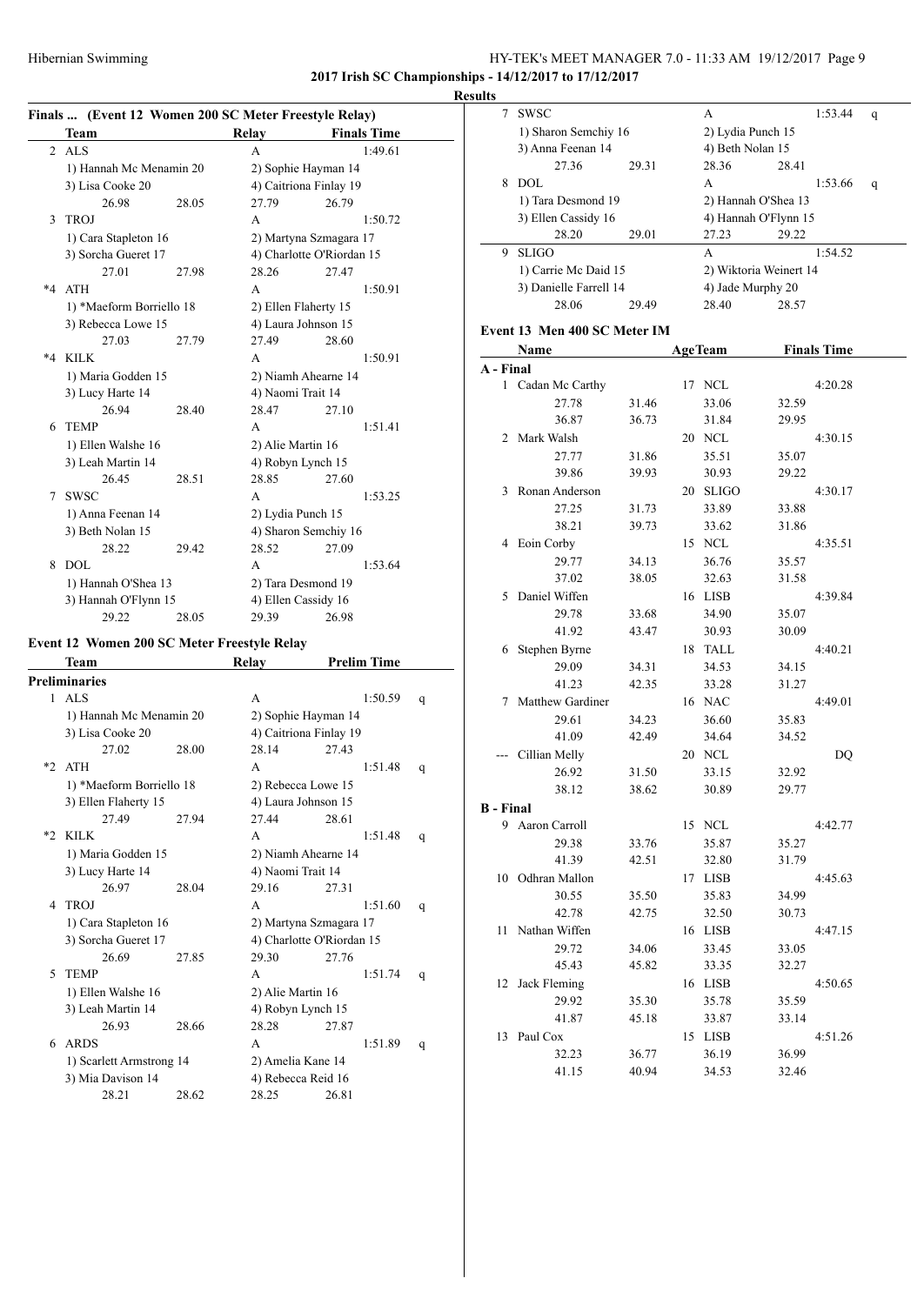### HY-TEK's MEET MANAGER 7.0 - 11:33 AM 19/12/2017 Page 9 **2017 Irish SC Championships - 14/12/2017 to 17/12/2017**

**Results**

# **Finals ... (Event 12 Women 200 SC Meter Freestyle Relay)**

|         | Team                     |       | Relay                     | <b>Finals Time</b> |
|---------|--------------------------|-------|---------------------------|--------------------|
| 2       | ALS                      |       | A                         | 1:49.61            |
|         | 1) Hannah Mc Menamin 20  |       | 2) Sophie Hayman 14       |                    |
|         | 3) Lisa Cooke 20         |       | 4) Caitriona Finlay 19    |                    |
|         | 26.98                    | 28.05 | 27.79                     | 26.79              |
| 3       | TROJ                     |       | A                         | 1:50.72            |
|         | 1) Cara Stapleton 16     |       | 2) Martyna Szmagara 17    |                    |
|         | 3) Sorcha Gueret 17      |       | 4) Charlotte O'Riordan 15 |                    |
|         | 27.01                    | 27.98 | 28.26                     | 27.47              |
| $*4$    | <b>ATH</b>               |       | A                         | 1:50.91            |
|         | 1) *Maeform Borriello 18 |       | 2) Ellen Flaherty 15      |                    |
|         | 3) Rebecca Lowe 15       |       | 4) Laura Johnson 15       |                    |
|         | 27.03                    | 27.79 | 27.49                     | 28.60              |
| $*_{4}$ | KILK                     |       | A                         | 1:50.91            |
|         | 1) Maria Godden 15       |       | 2) Niamh Ahearne 14       |                    |
|         | 3) Lucy Harte 14         |       | 4) Naomi Trait 14         |                    |
|         | 26.94                    | 28.40 | 28.47                     | 27.10              |
| 6       | <b>TEMP</b>              |       | A                         | 1:51.41            |
|         | 1) Ellen Walshe 16       |       | 2) Alie Martin 16         |                    |
|         | 3) Leah Martin 14        |       | 4) Robyn Lynch 15         |                    |
|         | 26.45                    | 28.51 | 28.85                     | 27.60              |
| 7       | <b>SWSC</b>              |       | A                         | 1:53.25            |
|         | 1) Anna Feenan 14        |       | 2) Lydia Punch 15         |                    |
|         | 3) Beth Nolan 15         |       | 4) Sharon Semchiy 16      |                    |
|         | 28.22                    | 29.42 | 28.52                     | 27.09              |
| 8       | DOL                      |       | A                         | 1:53.64            |
|         | 1) Hannah O'Shea 13      |       | 2) Tara Desmond 19        |                    |
|         | 3) Hannah O'Flynn 15     |       | 4) Ellen Cassidy 16       |                    |
|         | 29.22                    | 28.05 | 29.39                     | 26.98              |
|         |                          |       |                           |                    |

# **Event 12 Women 200 SC Meter Freestyle Relay**

|      | Team                     |       | Relay                  | <b>Prelim Time</b>        |   |  |
|------|--------------------------|-------|------------------------|---------------------------|---|--|
|      | <b>Preliminaries</b>     |       |                        |                           |   |  |
|      | $1$ ALS                  |       | A                      | 1:50.59                   | q |  |
|      | 1) Hannah Mc Menamin 20  |       |                        | 2) Sophie Hayman 14       |   |  |
|      | 3) Lisa Cooke 20         |       |                        | 4) Caitriona Finlay 19    |   |  |
|      | 27.02                    | 28.00 | 28.14                  | 27.43                     |   |  |
| $*2$ | <b>ATH</b>               |       | A                      | 1:51.48                   | q |  |
|      | 1) *Maeform Borriello 18 |       | 2) Rebecca Lowe 15     |                           |   |  |
|      | 3) Ellen Flaherty 15     |       | 4) Laura Johnson 15    |                           |   |  |
|      | 27.49                    | 27.94 | 27.44                  | 28.61                     |   |  |
| $*2$ | <b>KILK</b>              |       | A                      | 1:51.48                   | q |  |
|      | 1) Maria Godden 15       |       | 2) Niamh Ahearne 14    |                           |   |  |
|      | 3) Lucy Harte 14         |       | 4) Naomi Trait 14      |                           |   |  |
|      | 26.97                    | 28.04 | 29.16                  | 27.31                     |   |  |
| 4    | TROJ                     |       | A                      | 1:51.60                   | q |  |
|      | 1) Cara Stapleton 16     |       | 2) Martyna Szmagara 17 |                           |   |  |
|      | 3) Sorcha Gueret 17      |       |                        | 4) Charlotte O'Riordan 15 |   |  |
|      | 26.69                    | 27.85 | 29.30                  | 27.76                     |   |  |
| 5    | <b>TEMP</b>              |       | A                      | 1:51.74                   | q |  |
|      | 1) Ellen Walshe 16       |       | 2) Alie Martin 16      |                           |   |  |
|      | 3) Leah Martin 14        |       | 4) Robyn Lynch 15      |                           |   |  |
|      | 26.93                    | 28.66 | 28.28                  | 27.87                     |   |  |
| 6    | <b>ARDS</b>              |       | A                      | 1:51.89                   | q |  |
|      | 1) Scarlett Armstrong 14 |       |                        | 2) Amelia Kane 14         |   |  |
|      | 3) Mia Davison 14        |       | 4) Rebecca Reid 16     |                           |   |  |
|      | 28.21                    | 28.62 | 28.25                  | 26.81                     |   |  |

| ums              |                              |                |    |                   |                        |                    |   |
|------------------|------------------------------|----------------|----|-------------------|------------------------|--------------------|---|
| 7                | SWSC                         |                |    | A                 |                        | 1:53.44            | q |
|                  | 1) Sharon Semchiy 16         |                |    | 2) Lydia Punch 15 |                        |                    |   |
|                  | 3) Anna Feenan 14            |                |    | 4) Beth Nolan 15  |                        |                    |   |
|                  | 27.36                        | 29.31          |    | 28.36             | 28.41                  |                    |   |
|                  | 8 DOL                        |                |    | A                 |                        | 1:53.66            | q |
|                  | 1) Tara Desmond 19           |                |    |                   | 2) Hannah O'Shea 13    |                    |   |
|                  | 3) Ellen Cassidy 16          |                |    |                   | 4) Hannah O'Flynn 15   |                    |   |
|                  | 28.20                        | 29.01          |    | 27.23             | 29.22                  |                    |   |
| 9.               | <b>SLIGO</b>                 |                |    | A                 |                        | 1:54.52            |   |
|                  | 1) Carrie Mc Daid 15         |                |    |                   | 2) Wiktoria Weinert 14 |                    |   |
|                  | 3) Danielle Farrell 14       |                |    | 4) Jade Murphy 20 |                        |                    |   |
|                  | 28.06                        | 29.49          |    | 28.40             | 28.57                  |                    |   |
|                  |                              |                |    |                   |                        |                    |   |
|                  | Event 13 Men 400 SC Meter IM |                |    |                   |                        |                    |   |
|                  | Name                         |                |    | <b>AgeTeam</b>    |                        | <b>Finals Time</b> |   |
| A - Final        |                              |                |    | 17 NCL            |                        |                    |   |
|                  | 1 Cadan Mc Carthy<br>27.78   | 31.46          |    | 33.06             |                        | 4:20.28            |   |
|                  | 36.87                        | 36.73          |    | 31.84             | 32.59<br>29.95         |                    |   |
|                  | 2 Mark Walsh                 |                |    | 20 NCL            |                        | 4:30.15            |   |
|                  |                              |                |    | 35.51             |                        |                    |   |
|                  | 27.77<br>39.86               | 31.86<br>39.93 |    |                   | 35.07<br>29.22         |                    |   |
|                  |                              |                |    | 30.93             |                        |                    |   |
|                  | 3 Ronan Anderson             |                |    | 20 SLIGO          |                        | 4:30.17            |   |
|                  | 27.25                        | 31.73          |    | 33.89             | 33.88                  |                    |   |
|                  | 38.21                        | 39.73          |    | 33.62             | 31.86                  |                    |   |
|                  | 4 Eoin Corby                 |                |    | 15 NCL            |                        | 4:35.51            |   |
|                  | 29.77                        | 34.13          |    | 36.76             | 35.57                  |                    |   |
|                  | 37.02                        | 38.05          |    | 32.63             | 31.58                  |                    |   |
| 5.               | Daniel Wiffen                |                |    | 16 LISB           |                        | 4:39.84            |   |
|                  | 29.78<br>41.92               | 33.68<br>43.47 |    | 34.90             | 35.07                  |                    |   |
|                  |                              |                |    | 30.93             | 30.09                  |                    |   |
|                  | 6 Stephen Byrne              |                | 18 | TALL              |                        | 4:40.21            |   |
|                  | 29.09<br>41.23               | 34.31<br>42.35 |    | 34.53             | 34.15<br>31.27         |                    |   |
|                  | 7 Matthew Gardiner           |                |    | 33.28<br>16 NAC   |                        | 4:49.01            |   |
|                  | 29.61                        | 34.23          |    | 36.60             | 35.83                  |                    |   |
|                  | 41.09                        | 42.49          |    | 34.64             | 34.52                  |                    |   |
| $---$            | Cillian Melly                |                |    | 20 NCL            |                        | DQ                 |   |
|                  | 26.92                        | 31.50          |    | 33.15             | 32.92                  |                    |   |
|                  | 38.12                        | 38.62          |    | 30.89             | 29.77                  |                    |   |
| <b>B</b> - Final |                              |                |    |                   |                        |                    |   |
|                  | 9 Aaron Carroll              |                |    | 15 NCL            |                        | 4:42.77            |   |
|                  | 29.38                        | 33.76          |    | 35.87             | 35.27                  |                    |   |
|                  | 41.39                        | 42.51          |    | 32.80             | 31.79                  |                    |   |
|                  | 10 Odhran Mallon             |                |    | 17 LISB           |                        | 4:45.63            |   |
|                  | 30.55                        | 35.50          |    | 35.83             | 34.99                  |                    |   |
|                  | 42.78                        | 42.75          |    | 32.50             | 30.73                  |                    |   |
| 11 -             | Nathan Wiffen                |                |    | 16 LISB           |                        | 4:47.15            |   |
|                  | 29.72                        | 34.06          |    | 33.45             | 33.05                  |                    |   |
|                  | 45.43                        | 45.82          |    | 33.35             | 32.27                  |                    |   |
| 12               | Jack Fleming                 |                |    | 16 LISB           |                        | 4:50.65            |   |
|                  | 29.92                        | 35.30          |    | 35.78             | 35.59                  |                    |   |
|                  | 41.87                        | 45.18          |    | 33.87             | 33.14                  |                    |   |
|                  | 13 Paul Cox                  |                |    | 15 LISB           |                        | 4:51.26            |   |
|                  | 32.23                        | 36.77          |    | 36.19             | 36.99                  |                    |   |
|                  | 41.15                        | 40.94          |    | 34.53             | 32.46                  |                    |   |
|                  |                              |                |    |                   |                        |                    |   |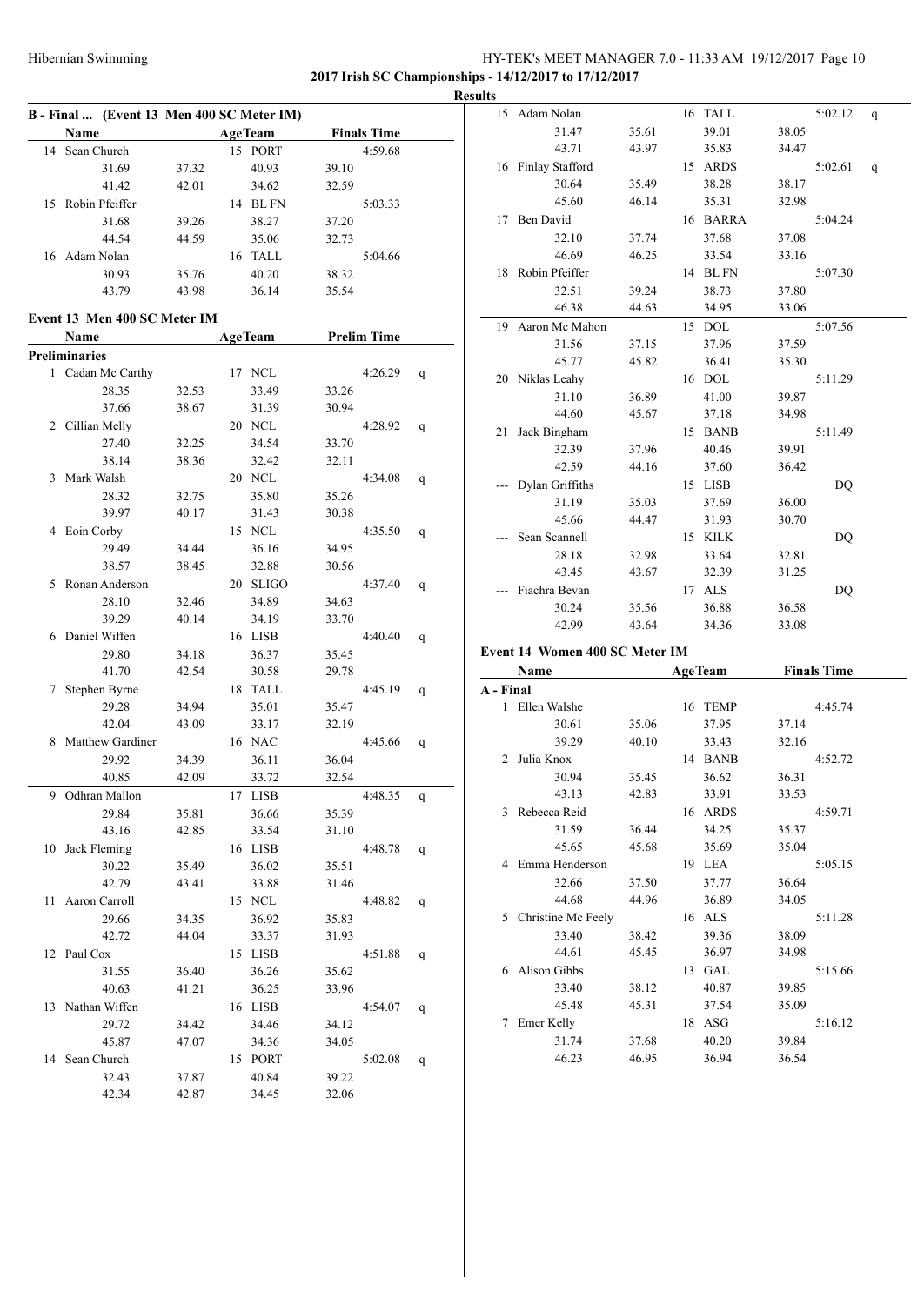# HY-TEK's MEET MANAGER 7.0 - 11:33 AM 19/12/2017 Page 10 **2017 Irish SC Championships - 14/12/2017 to 17/12/2017**

**B - Final ... (Event 13 Men 400 SC Meter IM) Name Age Team Finals Time** 14 Sean Church 15 PORT 4:59.68 31.69 37.32 40.93 39.10 41.42 42.01 34.62 32.59 15 Robin Pfeiffer 14 BL FN 5:03.33 31.68 39.26 38.27 37.20 44.54 44.59 35.06 32.73 16 Adam Nolan 16 TALL 5:04.66 30.93 35.76 40.20 38.32 43.79 43.98 36.14 35.54 **Event 13 Men 400 SC Meter IM Name Age Team Prelim Time Preliminaries** 1 Cadan Mc Carthy 17 NCL 4:26.29 q 28.35 32.53 33.49 33.26 37.66 38.67 31.39 30.94 2 Cillian Melly 20 NCL 4:28.92 q 27.40 32.25 34.54 33.70 38.14 38.36 32.42 32.11 3 Mark Walsh 20 NCL 4:34.08 q 28.32 32.75 35.80 35.26 39.97 40.17 31.43 30.38 4 Eoin Corby 15 NCL 4:35.50 q 29.49 34.44 36.16 34.95 38.57 38.45 32.88 30.56 5 Ronan Anderson 20 SLIGO 4:37.40 q 28.10 32.46 34.89 34.63 39.29 40.14 34.19 33.70 6 Daniel Wiffen 16 LISB 4:40.40 q 29.80 34.18 36.37 35.45 41.70 42.54 30.58 29.78 7 Stephen Byrne 18 TALL 4:45.19 q 29.28 34.94 35.01 35.47 42.04 43.09 33.17 32.19 8 Matthew Gardiner 16 NAC 4:45.66 q 29.92 34.39 36.11 36.04 40.85 42.09 33.72 32.54 9 Odhran Mallon 17 LISB 4:48.35 q 29.84 35.81 36.66 35.39 43.16 42.85 33.54 31.10 10 Jack Fleming 16 LISB 4:48.78 q 30.22 35.49 36.02 35.51 42.79 43.41 33.88 31.46 11 Aaron Carroll 15 NCL 4:48.82 q 29.66 34.35 36.92 35.83 42.72 44.04 33.37 31.93 12 Paul Cox 15 LISB 4:51.88 q 31.55 36.40 36.26 35.62 40.63 41.21 36.25 33.96 13 Nathan Wiffen 16 LISB 4:54.07 q 29.72 34.42 34.46 34.12 45.87 47.07 34.36 34.05 14 Sean Church 15 PORT 5:02.08 q 32.43 37.87 40.84 39.22 42.34 42.87 34.45 32.06

| <b>Results</b> |                                |       |                |       |                    |   |
|----------------|--------------------------------|-------|----------------|-------|--------------------|---|
|                | 15 Adam Nolan                  |       | 16 TALL        |       | 5:02.12            | q |
|                | 31.47                          | 35.61 | 39.01          | 38.05 |                    |   |
|                | 43.71                          | 43.97 | 35.83          | 34.47 |                    |   |
|                | 16 Finlay Stafford             |       | 15 ARDS        |       | 5:02.61            | q |
|                | 30.64                          | 35.49 | 38.28          | 38.17 |                    |   |
|                | 45.60                          | 46.14 | 35.31          | 32.98 |                    |   |
| 17             | Ben David                      |       | 16 BARRA       |       | 5:04.24            |   |
|                | 32.10                          | 37.74 | 37.68          | 37.08 |                    |   |
|                | 46.69                          | 46.25 | 33.54          | 33.16 |                    |   |
| 18             | Robin Pfeiffer                 |       | 14 BL FN       |       | 5:07.30            |   |
|                | 32.51                          | 39.24 | 38.73          | 37.80 |                    |   |
|                | 46.38                          | 44.63 | 34.95          | 33.06 |                    |   |
|                | 19 Aaron Mc Mahon              |       | 15 DOL         |       | 5:07.56            |   |
|                | 31.56                          | 37.15 | 37.96          | 37.59 |                    |   |
|                | 45.77                          | 45.82 | 36.41          | 35.30 |                    |   |
|                | 20 Niklas Leahy                |       | 16 DOL         |       | 5:11.29            |   |
|                | 31.10                          | 36.89 | 41.00          | 39.87 |                    |   |
|                | 44.60                          | 45.67 | 37.18          | 34.98 |                    |   |
| 21             | Jack Bingham                   |       | 15 BANB        |       | 5:11.49            |   |
|                | 32.39                          | 37.96 | 40.46          | 39.91 |                    |   |
|                | 42.59                          | 44.16 | 37.60          | 36.42 |                    |   |
|                | Dylan Griffiths                |       | 15 LISB        |       | DQ                 |   |
|                | 31.19                          | 35.03 | 37.69          | 36.00 |                    |   |
|                | 45.66                          | 44.47 | 31.93          | 30.70 |                    |   |
|                | Sean Scannell                  |       | 15 KILK        |       | DQ                 |   |
|                | 28.18                          | 32.98 | 33.64          | 32.81 |                    |   |
|                | 43.45                          | 43.67 | 32.39          | 31.25 |                    |   |
|                | Fiachra Bevan                  |       | 17 ALS         |       | DQ                 |   |
|                | 30.24                          | 35.56 | 36.88          | 36.58 |                    |   |
|                | 42.99                          | 43.64 | 34.36          | 33.08 |                    |   |
|                | Event 14 Women 400 SC Meter IM |       |                |       |                    |   |
|                | Name                           |       | <b>AgeTeam</b> |       | <b>Finals Time</b> |   |
| A - Final      |                                |       |                |       |                    |   |
|                | 1 Ellen Walshe                 |       | 16 TEMP        |       | 4:45.74            |   |
|                | 30.61                          | 35.06 | 37.95          | 37.14 |                    |   |
|                | 39.29                          | 40.10 | 33.43          | 32.16 |                    |   |
| 2              | Julia Knox                     |       | 14 BANB        |       | 4:52.72            |   |
|                | 30.94                          | 35.45 | 36.62          | 36.31 |                    |   |
|                | 43.13                          | 42.83 | 33.91          | 33.53 |                    |   |
|                | 3 Rebecca Reid                 |       | 16 ARDS        |       | 4:59.71            |   |
|                | 31.59                          | 36.44 | 34.25          | 35.37 |                    |   |
|                | 45.65                          | 45.68 | 35.69          | 35.04 |                    |   |
| 4              | Emma Henderson                 |       | 19 LEA         |       | 5:05.15            |   |
|                | 32.66                          | 37.50 | 37.77          | 36.64 |                    |   |
|                | 44.68                          | 44.96 | 36.89          | 34.05 |                    |   |
|                | 5 Christine Mc Feely           |       | 16 ALS         |       | 5:11.28            |   |
|                | 33.40                          | 38.42 | 39.36          | 38.09 |                    |   |
|                | 44.61                          | 45.45 | 36.97          | 34.98 |                    |   |
|                | 6 Alison Gibbs                 |       | 13 GAL         |       | 5:15.66            |   |
|                | 33.40                          | 38.12 | 40.87          | 39.85 |                    |   |
|                | 45.48                          | 45.31 | 37.54          | 35.09 |                    |   |
| 7              | Emer Kelly                     |       | 18 ASG         |       | 5:16.12            |   |
|                |                                |       |                |       |                    |   |
|                | 31.74                          | 37.68 | 40.20          | 39.84 |                    |   |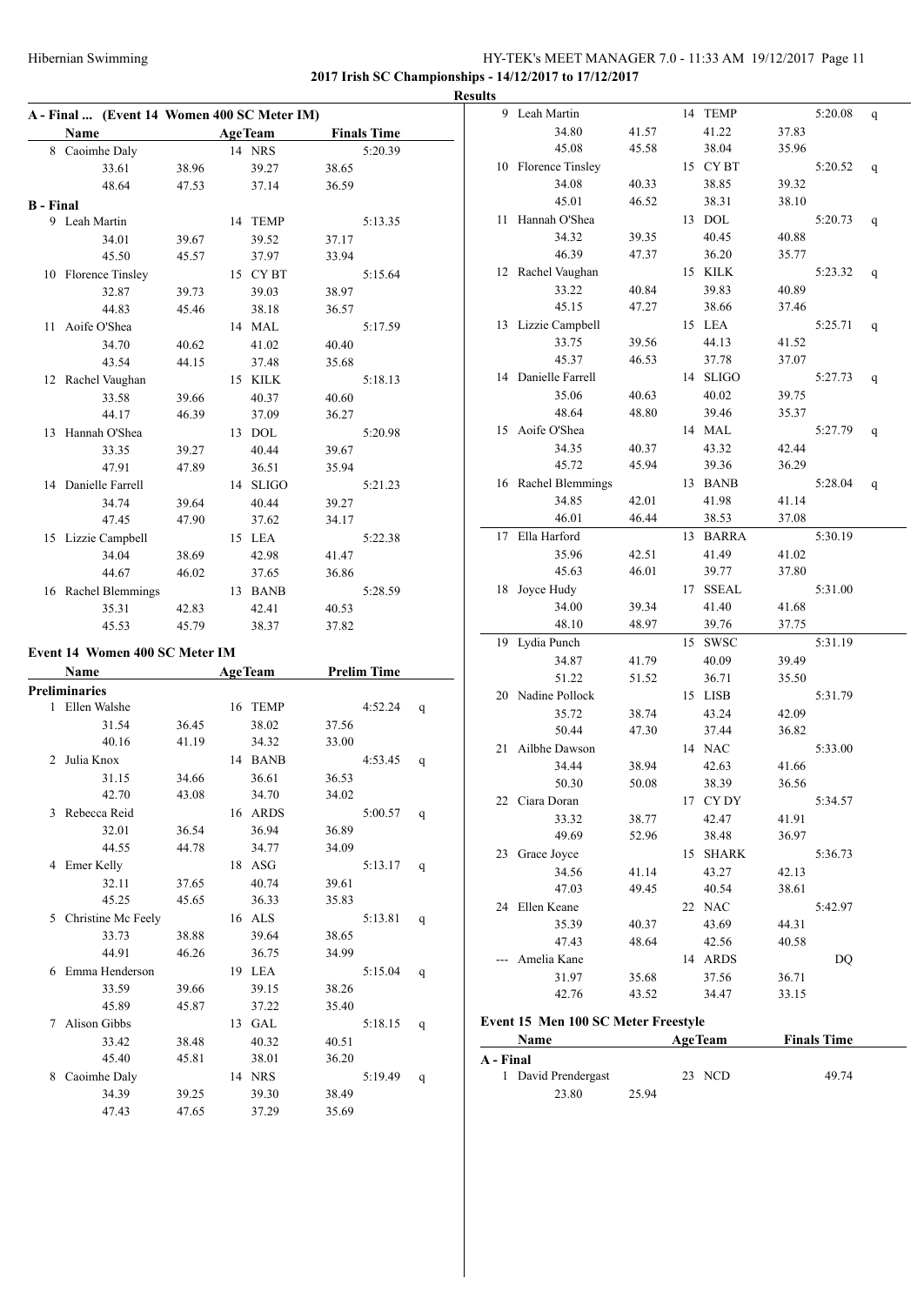# HY-TEK's MEET MANAGER 7.0 - 11:33 AM 19/12/2017 Page 11 **2017 Irish SC Championships - 14/12/2017 to 17/12/2017**

**Results A - Final ... (Event 14 Women 400 SC Meter IM) Name Age Team Finals Time** 8 Caoimhe Daly 14 NRS 5:20.39 33.61 38.96 39.27 38.65 48.64 47.53 37.14 36.59 **B - Final** 9 Leah Martin 14 TEMP 5:13.35 34.01 39.67 39.52 37.17 45.50 45.57 37.97 33.94 10 Florence Tinsley 15 CY BT 5:15.64 32.87 39.73 39.03 38.97 44.83 45.46 38.18 36.57 11 Aoife O'Shea 14 MAL 5:17.59 34.70 40.62 41.02 40.40 43.54 44.15 37.48 35.68 12 Rachel Vaughan 15 KILK 5:18.13 33.58 39.66 40.37 40.60 44.17 46.39 37.09 36.27 13 Hannah O'Shea 13 DOL 5:20.98 33.35 39.27 40.44 39.67 47.91 47.89 36.51 35.94 14 Danielle Farrell 14 SLIGO 5:21.23 34.74 39.64 40.44 39.27 47.45 47.90 37.62 34.17 15 Lizzie Campbell 15 LEA 5:22.38 34.04 38.69 42.98 41.47 44.67 46.02 37.65 36.86 16 Rachel Blemmings 13 BANB 5:28.59 35.31 42.83 42.41 40.53 45.53 45.79 38.37 37.82 **Event 14 Women 400 SC Meter IM Name Age Team Prelim Time Preliminaries** 1 Ellen Walshe 16 TEMP 4:52.24 q 31.54 36.45 38.02 37.56 40.16 41.19 34.32 33.00 2 Julia Knox 14 BANB 4:53.45 q 31.15 34.66 36.61 36.53 42.70 43.08 34.70 34.02 3 Rebecca Reid 16 ARDS 5:00.57 q 32.01 36.54 36.94 36.89 44.55 44.78 34.77 34.09 4 Emer Kelly 18 ASG 5:13.17 q 32.11 37.65 40.74 39.61 45.25 45.65 36.33 35.83 5 Christine Mc Feely 16 ALS 5:13.81 q 33.73 38.88 39.64 38.65 44.91 46.26 36.75 34.99 6 Emma Henderson 19 LEA 5:15.04 q

33.59 39.66 39.15 38.26 45.89 45.87 37.22 35.40 7 Alison Gibbs 13 GAL 5:18.15 q 33.42 38.48 40.32 40.51 45.40 45.81 38.01 36.20 8 Caoimhe Daly 14 NRS 5:19.49 q 34.39 39.25 39.30 38.49 47.43 47.65 37.29 35.69

|           | 9 Leah Martin                       |       | 14 | <b>TEMP</b>    |       | 5:20.08            | q |
|-----------|-------------------------------------|-------|----|----------------|-------|--------------------|---|
|           | 34.80                               | 41.57 |    | 41.22          | 37.83 |                    |   |
|           | 45.08                               | 45.58 |    | 38.04          | 35.96 |                    |   |
|           | 10 Florence Tinsley                 |       |    | 15 CYBT        |       | 5:20.52            | q |
|           | 34.08                               | 40.33 |    | 38.85          | 39.32 |                    |   |
|           | 45.01                               | 46.52 |    | 38.31          | 38.10 |                    |   |
| 11 -      | Hannah O'Shea                       |       |    | 13 DOL         |       | 5:20.73            | q |
|           | 34.32                               | 39.35 |    | 40.45          | 40.88 |                    |   |
|           | 46.39                               | 47.37 |    | 36.20          | 35.77 |                    |   |
|           | 12 Rachel Vaughan                   |       |    | 15 KILK        |       | 5:23.32            | q |
|           | 33.22                               |       |    | 39.83          | 40.89 |                    |   |
|           | 45.15                               | 40.84 |    | 38.66          | 37.46 |                    |   |
|           |                                     | 47.27 |    |                |       |                    |   |
|           | 13 Lizzie Campbell                  |       |    | 15 LEA         |       | 5:25.71            | q |
|           | 33.75                               | 39.56 |    | 44.13          | 41.52 |                    |   |
|           | 45.37                               | 46.53 |    | 37.78          | 37.07 |                    |   |
|           | 14 Danielle Farrell                 |       |    | 14 SLIGO       |       | 5:27.73            | q |
|           | 35.06                               | 40.63 |    | 40.02          | 39.75 |                    |   |
|           | 48.64                               | 48.80 |    | 39.46          | 35.37 |                    |   |
|           | 15 Aoife O'Shea                     |       |    | 14 MAL         |       | 5:27.79            | q |
|           | 34.35                               | 40.37 |    | 43.32          | 42.44 |                    |   |
|           | 45.72                               | 45.94 |    | 39.36          | 36.29 |                    |   |
|           | 16 Rachel Blemmings                 |       |    | 13 BANB        |       | 5:28.04            | q |
|           | 34.85                               | 42.01 |    | 41.98          | 41.14 |                    |   |
|           | 46.01                               | 46.44 |    | 38.53          | 37.08 |                    |   |
|           | 17 Ella Harford                     |       |    | 13 BARRA       |       | 5:30.19            |   |
|           | 35.96                               | 42.51 |    | 41.49          | 41.02 |                    |   |
|           | 45.63                               | 46.01 |    | 39.77          | 37.80 |                    |   |
| 18        | Joyce Hudy                          |       | 17 | <b>SSEAL</b>   |       | 5:31.00            |   |
|           | 34.00                               | 39.34 |    | 41.40          | 41.68 |                    |   |
|           | 48.10                               | 48.97 |    | 39.76          | 37.75 |                    |   |
| 19        | Lydia Punch                         |       | 15 | <b>SWSC</b>    |       | 5:31.19            |   |
|           | 34.87                               | 41.79 |    | 40.09          | 39.49 |                    |   |
|           | 51.22                               | 51.52 |    | 36.71          | 35.50 |                    |   |
|           | 20 Nadine Pollock                   |       |    | 15 LISB        |       | 5:31.79            |   |
|           | 35.72                               | 38.74 |    | 43.24          | 42.09 |                    |   |
|           | 50.44                               | 47.30 |    | 37.44          | 36.82 |                    |   |
|           | Ailbhe Dawson                       |       |    |                |       |                    |   |
| 21        |                                     |       |    | 14 NAC         |       | 5:33.00            |   |
|           | 34.44                               | 38.94 |    | 42.63          | 41.66 |                    |   |
|           | 50.30                               | 50.08 |    | 38.39          | 36.56 |                    |   |
|           | 22 Ciara Doran                      |       |    | 17 CY DY       |       | 5:34.57            |   |
|           | 33.32                               | 38.77 |    | 42.47          | 41.91 |                    |   |
|           | 49.69                               | 52.96 |    | 38.48          | 36.97 |                    |   |
|           | 23 Grace Joyce                      |       | 15 | <b>SHARK</b>   |       | 5:36.73            |   |
|           | 34.56                               | 41.14 |    | 43.27          | 42.13 |                    |   |
|           | 47.03                               | 49.45 |    | 40.54          | 38.61 |                    |   |
|           | 24 Ellen Keane                      |       |    | 22 NAC         |       | 5:42.97            |   |
|           | 35.39                               | 40.37 |    | 43.69          | 44.31 |                    |   |
|           | 47.43                               | 48.64 |    | 42.56          | 40.58 |                    |   |
|           | Amelia Kane                         |       | 14 | <b>ARDS</b>    |       | DQ                 |   |
|           | 31.97                               | 35.68 |    | 37.56          | 36.71 |                    |   |
|           | 42.76                               | 43.52 |    | 34.47          | 33.15 |                    |   |
|           |                                     |       |    |                |       |                    |   |
|           | Event 15 Men 100 SC Meter Freestyle |       |    |                |       |                    |   |
|           | Name                                |       |    | <b>AgeTeam</b> |       | <b>Finals Time</b> |   |
| A - Final |                                     |       |    |                |       |                    |   |
|           | 1 David Prendergast                 |       | 23 | NCD            |       | 49.74              |   |
|           | 23.80                               | 25.94 |    |                |       |                    |   |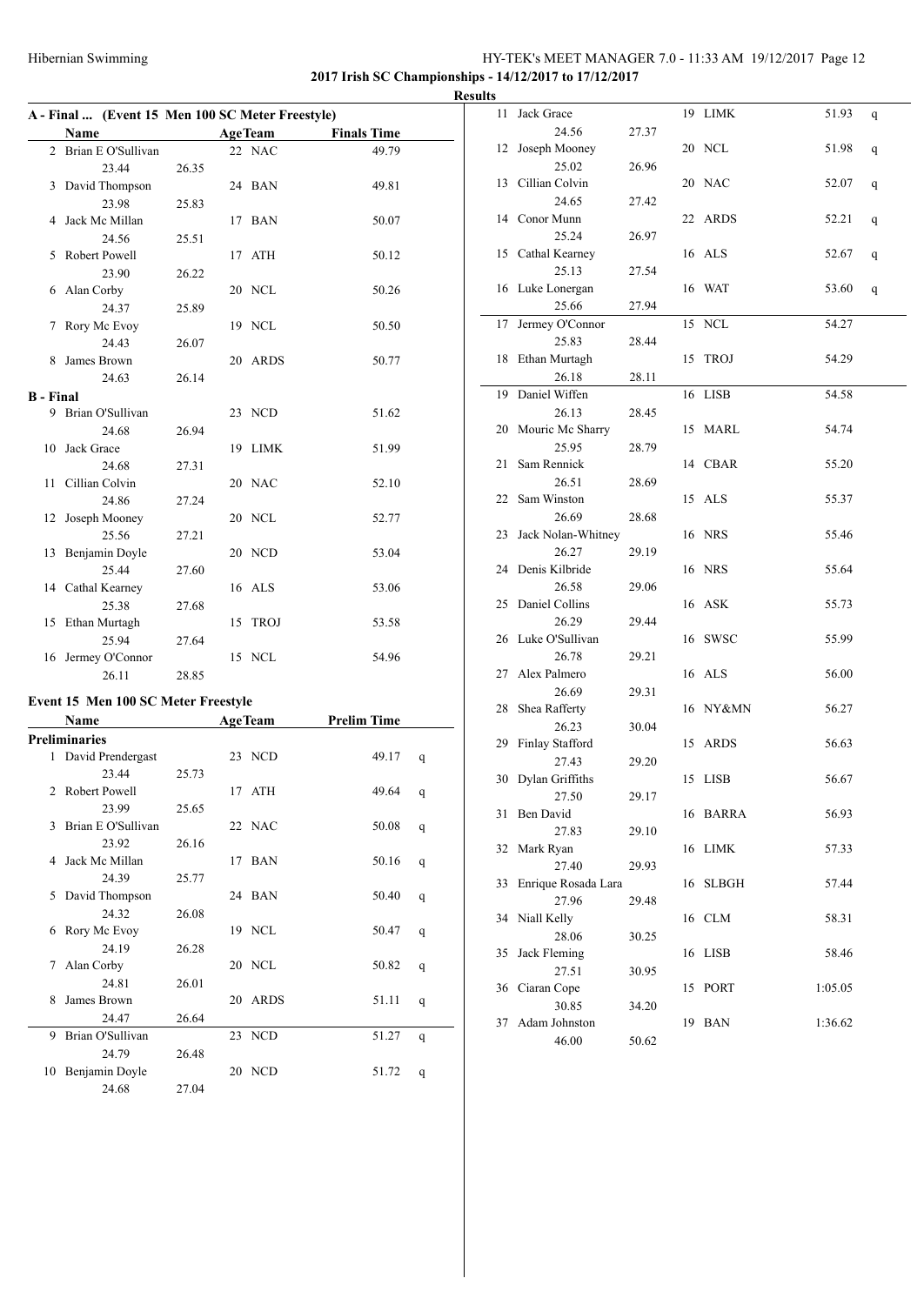# Hibernian Swimming HY-TEK's MEET MANAGER 7.0 - 11:33 AM 19/12/2017 Page 12 **2017 Irish SC Championships - 14/12/2017 to 17/12/2017**

|                  | A - Final  (Event 15 Men 100 SC Meter Freestyle) |       |                |                    |
|------------------|--------------------------------------------------|-------|----------------|--------------------|
|                  | Name                                             |       | <b>AgeTeam</b> | <b>Finals Time</b> |
|                  | 2 Brian E O'Sullivan                             |       | 22 NAC         | 49.79              |
|                  | 23.44                                            | 26.35 |                |                    |
|                  | 3 David Thompson                                 |       | 24 BAN         | 49.81              |
|                  | 23.98                                            | 25.83 |                |                    |
|                  | 4 Jack Mc Millan                                 |       | 17 BAN         | 50.07              |
|                  | 24.56                                            | 25.51 |                |                    |
| 5                | Robert Powell                                    |       | 17 ATH         | 50.12              |
|                  | 23.90                                            | 26.22 |                |                    |
| 6                | Alan Corby                                       |       | 20 NCL         | 50.26              |
|                  | 24.37                                            | 25.89 |                |                    |
| 7                | Rory Mc Evoy                                     |       | 19 NCL         | 50.50              |
|                  | 24.43                                            | 26.07 |                |                    |
| 8.               | James Brown                                      |       | 20 ARDS        | 50.77              |
|                  | 24.63                                            | 26.14 |                |                    |
| <b>B</b> - Final |                                                  |       |                |                    |
|                  | 9 Brian O'Sullivan                               |       | 23 NCD         | 51.62              |
|                  | 24.68                                            | 26.94 |                |                    |
| 10               | Jack Grace                                       |       | 19 LIMK        | 51.99              |
|                  | 24.68                                            | 27.31 |                |                    |
| 11               | Cillian Colvin                                   |       | 20 NAC         | 52.10              |
|                  | 24.86                                            | 27.24 |                |                    |
| 12               | Joseph Mooney                                    |       | 20 NCL         | 52.77              |
|                  | 25.56                                            | 27.21 |                |                    |
|                  | 13 Benjamin Doyle                                |       | 20 NCD         | 53.04              |
|                  | 25.44                                            | 27.60 |                |                    |
|                  | 14 Cathal Kearney                                |       | 16 ALS         | 53.06              |
|                  | 25.38                                            | 27.68 |                |                    |
|                  | 15 Ethan Murtagh                                 |       | 15 TROJ        | 53.58              |
|                  | 25.94                                            | 27.64 |                |                    |
| 16               | Jermey O'Connor                                  |       | 15 NCL         | 54.96              |
|                  | 26.11                                            | 28.85 |                |                    |

# **Event 15 Men 100 SC Meter Freestyle**

|                               | Name                 |       | <b>AgeTeam</b> |         | <b>Prelim Time</b> |   |
|-------------------------------|----------------------|-------|----------------|---------|--------------------|---|
|                               | <b>Preliminaries</b> |       |                |         |                    |   |
| 1                             | David Prendergast    |       |                | 23 NCD  | 49.17              | q |
|                               | 23.44                | 25.73 |                |         |                    |   |
| $\mathfrak{D}_{\mathfrak{p}}$ | Robert Powell        |       |                | 17 ATH  | 49.64              | q |
|                               | 23.99                | 25.65 |                |         |                    |   |
| 3                             | Brian E O'Sullivan   |       |                | 22 NAC  | 50.08              | q |
|                               | 23.92                | 26.16 |                |         |                    |   |
| 4                             | Jack Mc Millan       |       |                | 17 BAN  | 50.16              | q |
|                               | 24.39                | 25.77 |                |         |                    |   |
| 5                             | David Thompson       |       |                | 24 BAN  | 50.40              | q |
|                               | 24.32                | 26.08 |                |         |                    |   |
| 6                             | Rory Mc Evoy         |       |                | 19 NCL  | 50.47              | q |
|                               | 24.19                | 26.28 |                |         |                    |   |
| 7                             | Alan Corby           |       |                | 20 NCL  | 50.82              | q |
|                               | 24.81                | 26.01 |                |         |                    |   |
| 8                             | James Brown          |       |                | 20 ARDS | 51.11              | q |
|                               | 24.47                | 26.64 |                |         |                    |   |
| 9                             | Brian O'Sullivan     |       |                | 23 NCD  | 51.27              | q |
|                               | 24.79                | 26.48 |                |         |                    |   |
| 10                            | Benjamin Doyle       |       |                | 20 NCD  | 51.72              | q |
|                               | 24.68                | 27.04 |                |         |                    |   |

|   | <b>Results</b> |                       |       |          |         |              |
|---|----------------|-----------------------|-------|----------|---------|--------------|
|   | 11             | Jack Grace            |       | 19 LIMK  | 51.93   | q            |
|   |                | 24.56                 | 27.37 |          |         |              |
| - |                | 12 Joseph Mooney      |       | 20 NCL   | 51.98   | $\mathbf{q}$ |
|   |                | 25.02                 | 26.96 |          |         |              |
|   |                | 13 Cillian Colvin     |       | 20 NAC   | 52.07   | $\mathbf{q}$ |
|   |                | 24.65                 | 27.42 |          |         |              |
|   |                | 14 Conor Munn         |       | 22 ARDS  | 52.21   | q            |
|   |                | 25.24                 | 26.97 |          |         |              |
|   |                | 15 Cathal Kearney     |       | 16 ALS   | 52.67   | q            |
|   |                | 25.13                 | 27.54 |          |         |              |
|   |                | 16 Luke Lonergan      |       | 16 WAT   | 53.60   | q            |
|   |                | 25.66                 | 27.94 |          |         |              |
|   | 17             | Jermey O'Connor       |       | 15 NCL   | 54.27   |              |
|   |                | 25.83                 | 28.44 |          |         |              |
|   |                | 18 Ethan Murtagh      |       | 15 TROJ  | 54.29   |              |
|   |                | 26.18                 | 28.11 |          |         |              |
|   |                | 19 Daniel Wiffen      |       | 16 LISB  | 54.58   |              |
|   |                | 26.13                 | 28.45 |          |         |              |
|   |                | 20 Mouric Mc Sharry   |       | 15 MARL  | 54.74   |              |
|   |                | 25.95                 | 28.79 |          |         |              |
|   | 21             | Sam Rennick           |       | 14 CBAR  | 55.20   |              |
|   |                | 26.51                 | 28.69 |          |         |              |
|   |                | 22 Sam Winston        |       | 15 ALS   | 55.37   |              |
|   |                | 26.69                 | 28.68 |          |         |              |
|   |                | 23 Jack Nolan-Whitney |       | 16 NRS   | 55.46   |              |
|   |                | 26.27                 | 29.19 |          |         |              |
|   |                | 24 Denis Kilbride     |       | 16 NRS   | 55.64   |              |
|   |                | 26.58                 | 29.06 |          |         |              |
|   |                | 25 Daniel Collins     |       | 16 ASK   | 55.73   |              |
|   |                | 26.29                 | 29.44 |          |         |              |
|   |                | 26 Luke O'Sullivan    |       | 16 SWSC  | 55.99   |              |
|   |                | 26.78                 | 29.21 |          |         |              |
|   |                | 27 Alex Palmero       |       | 16 ALS   | 56.00   |              |
|   |                | 26.69                 | 29.31 |          |         |              |
|   |                | 28 Shea Rafferty      |       | 16 NY&MN | 56.27   |              |
|   |                | 26.23                 | 30.04 |          |         |              |
|   |                | 29 Finlay Stafford    |       | 15 ARDS  | 56.63   |              |
|   |                | 27.43                 | 29.20 |          |         |              |
|   |                | 30 Dylan Griffiths    |       | 15 LISB  | 56.67   |              |
|   |                | 27.50                 | 29.17 |          |         |              |
|   |                | 31 Ben David          |       | 16 BARRA | 56.93   |              |
|   |                | 27.83                 | 29.10 |          |         |              |
|   |                | 32 Mark Ryan          |       | 16 LIMK  | 57.33   |              |
|   |                | 27.40                 | 29.93 |          |         |              |
|   | 33             | Enrique Rosada Lara   |       | 16 SLBGH | 57.44   |              |
|   |                | 27.96                 | 29.48 |          |         |              |
|   |                | 34 Niall Kelly        |       | 16 CLM   | 58.31   |              |
|   |                | 28.06                 | 30.25 |          |         |              |
|   | 35             | Jack Fleming          |       | 16 LISB  | 58.46   |              |
|   |                | 27.51                 | 30.95 |          |         |              |
|   |                | 36 Ciaran Cope        |       | 15 PORT  | 1:05.05 |              |
|   |                | 30.85                 | 34.20 |          |         |              |
|   | 37             | Adam Johnston         |       | 19 BAN   | 1:36.62 |              |
|   |                | 46.00                 | 50.62 |          |         |              |
|   |                |                       |       |          |         |              |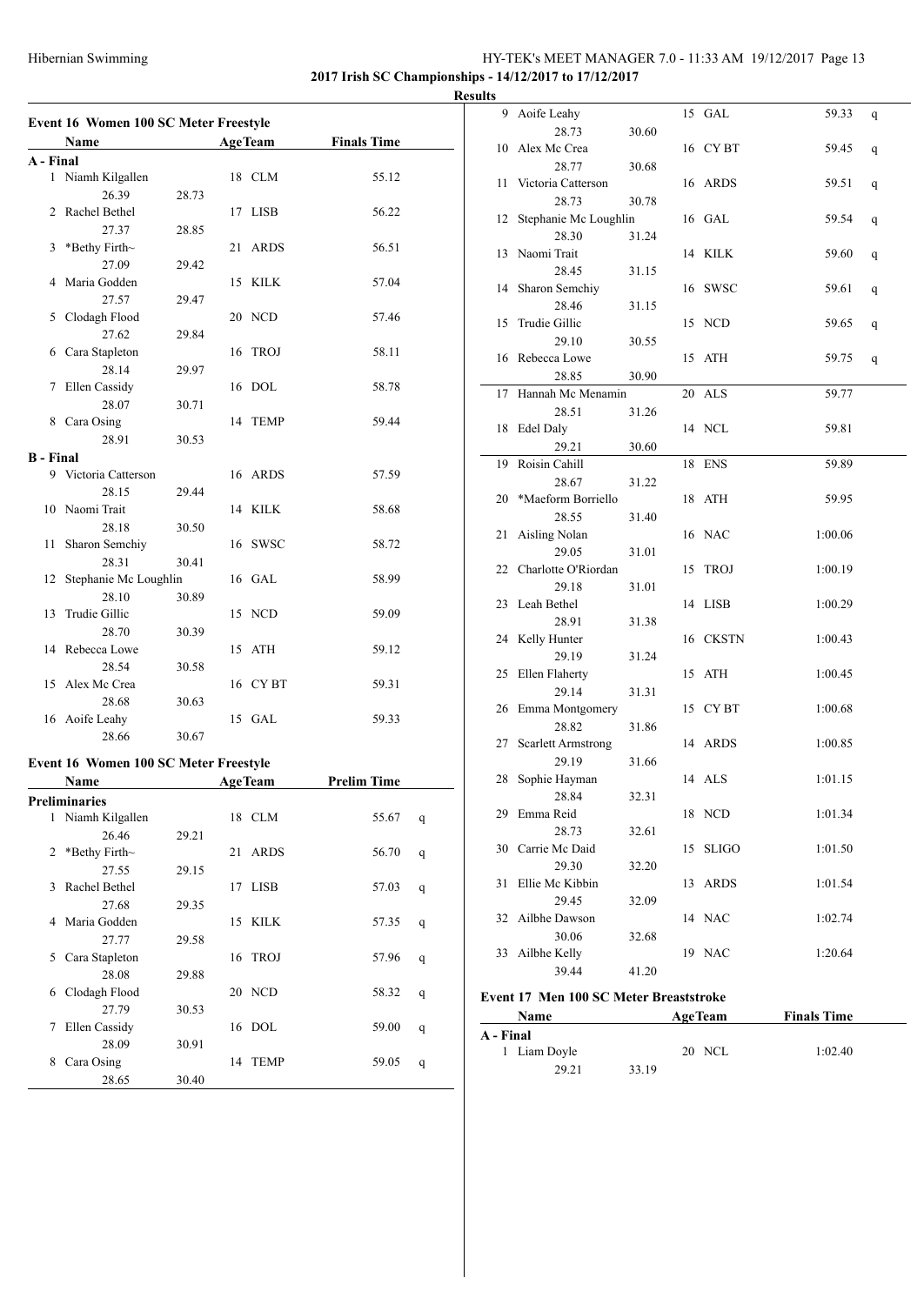### HY-TEK's MEET MANAGER 7.0 - 11:33 AM 19/12/2017 Page 13 **2017 Irish SC Championships - 14/12/2017 to 17/12/2017**

**Results**

|                  | <b>Event 16 Women 100 SC Meter Freestyle</b><br>Name |       |    | <b>AgeTeam</b> | <b>Finals Time</b> |   |
|------------------|------------------------------------------------------|-------|----|----------------|--------------------|---|
|                  |                                                      |       |    |                |                    |   |
| A - Final        |                                                      |       |    |                |                    |   |
|                  | 1 Niamh Kilgallen                                    |       |    | 18 CLM         | 55.12              |   |
|                  | 26.39                                                | 28.73 |    |                |                    |   |
| 2                | Rachel Bethel                                        |       |    | 17 LISB        | 56.22              |   |
|                  | 27.37                                                | 28.85 |    |                |                    |   |
| 3                | *Bethy Firth~                                        |       | 21 | <b>ARDS</b>    | 56.51              |   |
|                  | 27.09                                                | 29.42 |    |                |                    |   |
| 4                | Maria Godden                                         |       | 15 | KILK           | 57.04              |   |
|                  | 27.57                                                | 29.47 |    |                |                    |   |
| 5                | Clodagh Flood                                        |       |    | 20 NCD         | 57.46              |   |
|                  | 27.62                                                | 29.84 |    |                |                    |   |
| 6                | Cara Stapleton                                       |       | 16 | <b>TROJ</b>    | 58.11              |   |
|                  | 28.14                                                | 29.97 |    |                |                    |   |
| 7                | Ellen Cassidy                                        |       |    | 16 DOL         | 58.78              |   |
|                  | 28.07<br>Cara Osing                                  | 30.71 |    | 14 TEMP        |                    |   |
| 8                |                                                      |       |    |                | 59.44              |   |
|                  | 28.91                                                | 30.53 |    |                |                    |   |
| <b>B</b> - Final |                                                      |       |    | 16 ARDS        |                    |   |
|                  | 9 Victoria Catterson                                 |       |    |                | 57.59              |   |
|                  | 28.15                                                | 29.44 |    |                |                    |   |
| 10               | Naomi Trait                                          |       |    | 14 KILK        | 58.68              |   |
|                  | 28.18                                                | 30.50 |    |                |                    |   |
| 11               | Sharon Semchiy                                       |       |    | 16 SWSC        | 58.72              |   |
|                  | 28.31                                                | 30.41 |    |                |                    |   |
| 12               | Stephanie Mc Loughlin                                |       |    | 16 GAL         | 58.99              |   |
|                  | 28.10                                                | 30.89 |    |                |                    |   |
| 13               | Trudie Gillic                                        |       |    | 15 NCD         | 59.09              |   |
|                  | 28.70                                                | 30.39 |    |                |                    |   |
|                  | 14 Rebecca Lowe                                      |       |    | 15 ATH         | 59.12              |   |
|                  | 28.54                                                | 30.58 |    |                |                    |   |
| 15               | Alex Mc Crea                                         |       |    | 16 CYBT        | 59.31              |   |
|                  | 28.68                                                | 30.63 |    |                |                    |   |
|                  | 16 Aoife Leahy                                       |       |    | 15 GAL         | 59.33              |   |
|                  | 28.66                                                | 30.67 |    |                |                    |   |
|                  | Event 16 Women 100 SC Meter Freestyle                |       |    |                |                    |   |
|                  | Name                                                 |       |    | <b>AgeTeam</b> | <b>Prelim Time</b> |   |
|                  | Preliminaries                                        |       |    |                |                    |   |
| 1                | Niamh Kilgallen                                      |       |    | 18 CLM         | 55.67              | q |
|                  | 26.46                                                | 29.21 |    |                |                    |   |
| 2                | *Bethy Firth~                                        |       | 21 | <b>ARDS</b>    | 56.70              | q |
|                  | 27.55                                                | 29.15 |    |                |                    |   |
| 3                | Rachel Bethel                                        |       | 17 | LISB           | 57.03              | q |
|                  | 27.68                                                | 29.35 |    |                |                    |   |
| 4                | Maria Godden                                         |       |    | 15 KILK        | 57.35              | q |
|                  | 27.77                                                | 29.58 |    |                |                    |   |
| 5                | Cara Stapleton                                       |       | 16 | <b>TROJ</b>    | 57.96              | q |
|                  | 28.08                                                | 29.88 |    |                |                    |   |
| 6                | Clodagh Flood                                        |       |    | 20 NCD         | 58.32              | q |
|                  | 27.79                                                | 30.53 |    |                |                    |   |
| 7                | Ellen Cassidy                                        |       | 16 | DOL            | 59.00              | q |
|                  | 28.09                                                | 30.91 |    |                |                    |   |
| 8                | Cara Osing                                           |       | 14 | <b>TEMP</b>    | 59.05              | q |
|                  | 28.65                                                | 30.40 |    |                |                    |   |

| uns |                                |       |    |              |         |   |
|-----|--------------------------------|-------|----|--------------|---------|---|
| 9   | Aoife Leahy                    |       |    | 15 GAL       | 59.33   | q |
|     | 28.73                          | 30.60 |    |              |         |   |
| 10  | Alex Mc Crea                   |       |    | 16 CYBT      | 59.45   | q |
|     | 28.77                          | 30.68 |    |              |         |   |
| 11  | Victoria Catterson             |       |    | 16 ARDS      | 59.51   | q |
|     | 28.73                          | 30.78 |    |              |         |   |
| 12  | Stephanie Mc Loughlin          |       |    | 16 GAL       | 59.54   | q |
|     | 28.30                          | 31.24 |    |              |         |   |
| 13  | Naomi Trait                    |       |    | 14 KILK      | 59.60   | q |
|     | 28.45                          | 31.15 |    |              |         |   |
| 14  | Sharon Semchiy                 |       |    | 16 SWSC      | 59.61   | q |
|     | 28.46                          | 31.15 |    |              |         |   |
| 15  | Trudie Gillic                  |       |    | 15 NCD       | 59.65   | q |
|     | 29.10                          | 30.55 |    |              |         |   |
|     | 16 Rebecca Lowe                |       |    | 15 ATH       | 59.75   | q |
|     | 28.85                          | 30.90 |    |              |         |   |
| 17  | Hannah Mc Menamin              |       |    | 20 ALS       | 59.77   |   |
|     | 28.51                          | 31.26 |    |              |         |   |
|     | 18 Edel Daly                   |       |    | 14 NCL       | 59.81   |   |
|     | 29.21                          | 30.60 |    |              |         |   |
| 19  | Roisin Cahill                  |       |    | 18 ENS       | 59.89   |   |
|     | 28.67                          | 31.22 |    |              |         |   |
| 20  | *Maeform Borriello             |       |    | 18 ATH       | 59.95   |   |
|     | 28.55                          | 31.40 |    |              |         |   |
| 21  | Aisling Nolan                  |       |    | 16 NAC       | 1:00.06 |   |
|     | 29.05                          | 31.01 |    |              |         |   |
|     | 22 Charlotte O'Riordan         |       | 15 | TROJ         | 1:00.19 |   |
|     | 29.18                          | 31.01 |    |              |         |   |
|     | 23 Leah Bethel                 |       |    | 14 LISB      | 1:00.29 |   |
|     | 28.91                          | 31.38 |    |              |         |   |
|     | 24 Kelly Hunter<br>29.19       |       |    | 16 CKSTN     | 1:00.43 |   |
|     |                                | 31.24 |    |              |         |   |
|     | 25 Ellen Flaherty<br>29.14     | 31.31 |    | 15 ATH       | 1:00.45 |   |
|     | 26 Emma Montgomery             |       |    | 15 CYBT      | 1:00.68 |   |
|     | 28.82                          | 31.86 |    |              |         |   |
| 27  | <b>Scarlett Armstrong</b>      |       |    | 14 ARDS      | 1:00.85 |   |
|     | 29.19                          | 31.66 |    |              |         |   |
| 28  | Sophie Hayman                  |       |    | 14 ALS       | 1:01.15 |   |
|     | 28.84                          | 32.31 |    |              |         |   |
|     | 29 Emma Reid                   |       |    | 18 NCD       | 1:01.34 |   |
|     | 28.73                          | 32.61 |    |              |         |   |
|     | 30 Carrie Mc Daid              |       | 15 | <b>SLIGO</b> | 1:01.50 |   |
|     | 29.30                          | 32.20 |    |              |         |   |
| 31  | Ellie Mc Kibbin                |       | 13 | <b>ARDS</b>  | 1:01.54 |   |
|     | 29.45                          | 32.09 |    |              |         |   |
| 32  | Ailbhe Dawson                  |       |    | 14 NAC       | 1:02.74 |   |
|     | 30.06                          | 32.68 |    |              |         |   |
| 33  | Ailbhe Kelly                   |       |    | 19 NAC       | 1:20.64 |   |
|     | 39.44                          | 41.20 |    |              |         |   |
|     |                                |       |    |              |         |   |
|     | 17 Mon 100 CC Motor Drogotatre |       |    |              |         |   |

#### **Event 17 Men 100 SC Meter Breaststroke**

| <b>Name</b>  |       | <b>AgeTeam</b> | <b>Finals Time</b> |  |
|--------------|-------|----------------|--------------------|--|
| A - Final    |       |                |                    |  |
| 1 Liam Doyle |       | 20 NCL         | 1:02.40            |  |
| 29.21        | 33.19 |                |                    |  |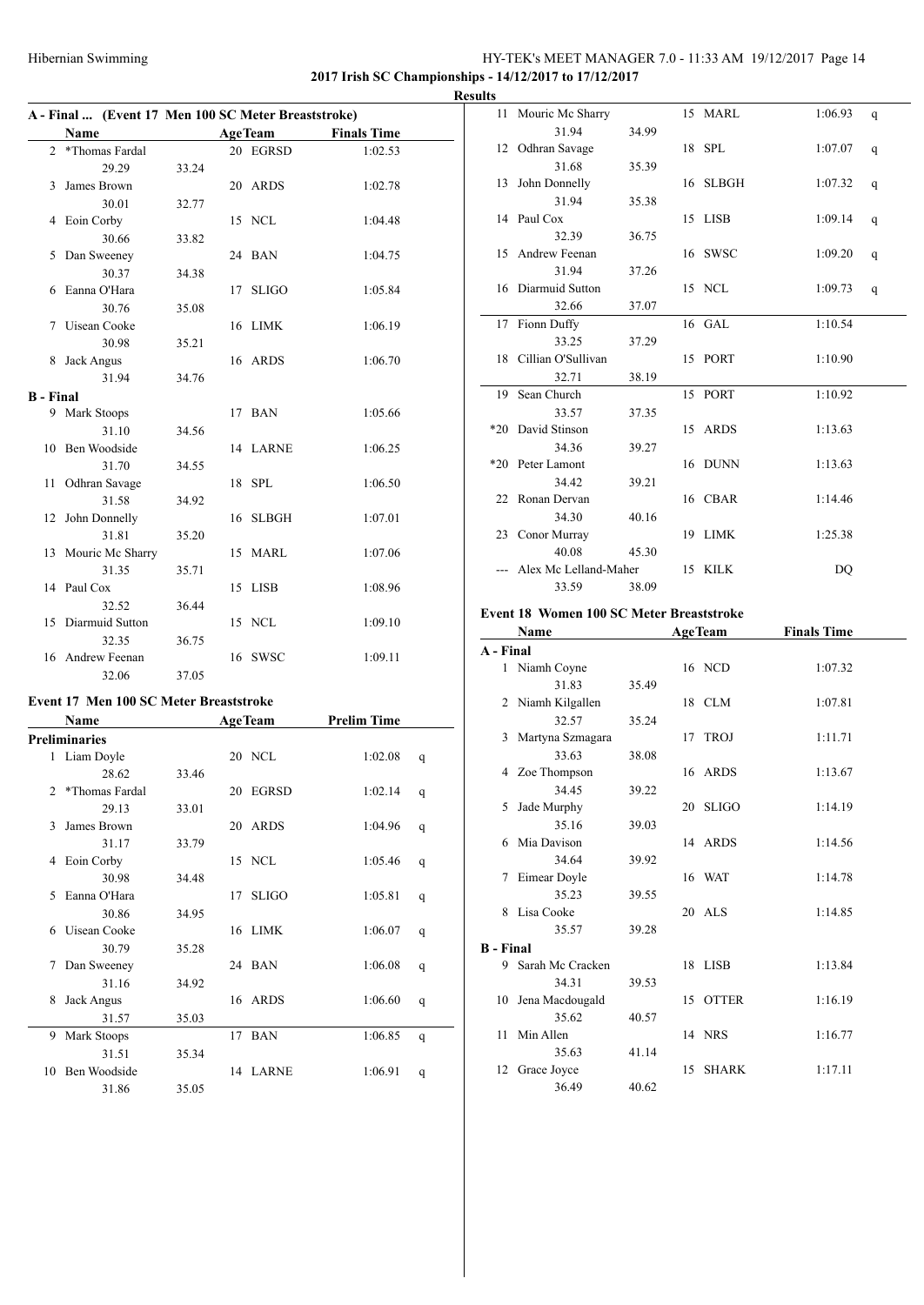### Hibernian Swimming HY-TEK's MEET MANAGER 7.0 - 11:33 AM 19/12/2017 Page 14 **2017 Irish SC Championships - 14/12/2017 to 17/12/2017**

|                  | A - Final  (Event 17 Men 100 SC Meter Breaststroke) |       |    |                |                    |
|------------------|-----------------------------------------------------|-------|----|----------------|--------------------|
|                  | Name                                                |       |    | <b>AgeTeam</b> | <b>Finals Time</b> |
| 2                | *Thomas Fardal                                      |       |    | 20 EGRSD       | 1:02.53            |
|                  | 29.29                                               | 33.24 |    |                |                    |
|                  | 3 James Brown                                       |       |    | 20 ARDS        | 1:02.78            |
|                  | 30.01                                               | 32.77 |    |                |                    |
| 4                | Eoin Corby                                          |       |    | 15 NCL         | 1:04.48            |
|                  | 30.66                                               | 33.82 |    |                |                    |
| 5                | Dan Sweeney                                         |       |    | 24 BAN         | 1:04.75            |
|                  | 30.37                                               | 34.38 |    |                |                    |
| 6.               | Eanna O'Hara                                        |       | 17 | <b>SLIGO</b>   | 1:05.84            |
|                  | 30.76                                               | 35.08 |    |                |                    |
|                  | 7 Uisean Cooke                                      |       |    | 16 LIMK        | 1:06.19            |
|                  | 30.98                                               | 35.21 |    |                |                    |
| 8                | Jack Angus                                          |       |    | 16 ARDS        | 1:06.70            |
|                  | 31.94                                               | 34.76 |    |                |                    |
| <b>B</b> - Final |                                                     |       |    |                |                    |
|                  | 9 Mark Stoops                                       |       |    | 17 BAN         | 1:05.66            |
|                  | 31.10                                               | 34.56 |    |                |                    |
|                  | 10 Ben Woodside                                     |       |    | 14 LARNE       | 1:06.25            |
|                  | 31.70                                               | 34.55 |    |                |                    |
|                  | 11 Odhran Savage                                    |       |    | 18 SPL         | 1:06.50            |
|                  | 31.58                                               | 34.92 |    |                |                    |
|                  | 12 John Donnelly                                    |       |    | 16 SLBGH       | 1:07.01            |
|                  | 31.81                                               | 35.20 |    |                |                    |
|                  | 13 Mouric Mc Sharry                                 |       |    | 15 MARL        | 1:07.06            |
|                  | 31.35                                               | 35.71 |    |                |                    |
|                  | 14 Paul Cox                                         |       |    | 15 LISB        | 1:08.96            |
|                  | 32.52                                               | 36.44 |    |                |                    |
|                  | 15 Diarmuid Sutton                                  |       |    | 15 NCL         | 1:09.10            |
|                  | 32.35                                               | 36.75 |    |                |                    |
| 16               | Andrew Feenan                                       |       | 16 | <b>SWSC</b>    | 1:09.11            |
|                  | 32.06                                               | 37.05 |    |                |                    |

# **Event 17 Men 100 SC Meter Breaststroke**

|                | <b>Name</b>    |       |    | <b>AgeTeam</b> | <b>Prelim Time</b> |   |
|----------------|----------------|-------|----|----------------|--------------------|---|
|                | Preliminaries  |       |    |                |                    |   |
|                | 1 Liam Doyle   |       |    | 20 NCL         | 1:02.08            | q |
|                | 28.62          | 33.46 |    |                |                    |   |
| $\mathfrak{D}$ | *Thomas Fardal |       | 20 | EGRSD          | 1:02.14            | q |
|                | 29.13          | 33.01 |    |                |                    |   |
| $\mathbf{3}$   | James Brown    |       |    | 20 ARDS        | 1:04.96            | q |
|                | 31.17          | 33.79 |    |                |                    |   |
| 4              | Eoin Corby     |       |    | 15 NCL         | 1:05.46            | q |
|                | 30.98          | 34.48 |    |                |                    |   |
| 5              | Eanna O'Hara   |       | 17 | <b>SLIGO</b>   | 1:05.81            | q |
|                | 30.86          | 34.95 |    |                |                    |   |
| 6              | Uisean Cooke   |       |    | 16 LIMK        | 1:06.07            | q |
|                | 30.79          | 35.28 |    |                |                    |   |
| 7              | Dan Sweeney    |       |    | 24 BAN         | 1:06.08            | q |
|                | 31.16          | 34.92 |    |                |                    |   |
| 8              | Jack Angus     |       |    | 16 ARDS        | 1:06.60            | q |
|                | 31.57          | 35.03 |    |                |                    |   |
| 9              | Mark Stoops    |       | 17 | <b>BAN</b>     | 1:06.85            | q |
|                | 31.51          | 35.34 |    |                |                    |   |
| 10             | Ben Woodside   |       |    | 14 LARNE       | 1:06.91            | q |
|                | 31.86          | 35.05 |    |                |                    |   |

|    | <b>Results</b> |                         |       |          |         |   |
|----|----------------|-------------------------|-------|----------|---------|---|
|    |                | 11 Mouric Mc Sharry     |       | 15 MARL  | 1:06.93 | q |
| L, |                | 31.94                   | 34.99 |          |         |   |
|    |                | 12 Odhran Savage        |       | 18 SPL   | 1:07.07 | q |
|    |                | 31.68                   | 35.39 |          |         |   |
|    |                | 13 John Donnelly        |       | 16 SLBGH | 1:07.32 | q |
|    |                | 31.94                   | 35.38 |          |         |   |
|    |                | 14 Paul Cox             |       | 15 LISB  | 1:09.14 | q |
|    |                | 32.39                   | 36.75 |          |         |   |
|    |                | 15 Andrew Feenan        |       | 16 SWSC  | 1:09.20 | q |
|    |                | 31.94                   | 37.26 |          |         |   |
|    |                | 16 Diarmuid Sutton      |       | 15 NCL   | 1:09.73 | q |
|    |                | 32.66                   | 37.07 |          |         |   |
|    |                | 17 Fionn Duffy<br>33.25 |       | 16 GAL   | 1:10.54 |   |
|    |                | 18 Cillian O'Sullivan   | 37.29 | 15 PORT  | 1:10.90 |   |
|    |                | 32.71                   | 38.19 |          |         |   |
|    | 19             | Sean Church             |       | 15 PORT  | 1:10.92 |   |
|    |                | 33.57                   | 37.35 |          |         |   |
|    |                | *20 David Stinson       |       | 15 ARDS  | 1:13.63 |   |
|    |                | 34.36                   | 39.27 |          |         |   |
|    |                | *20 Peter Lamont        |       | 16 DUNN  | 1:13.63 |   |
|    |                | 34.42                   | 39.21 |          |         |   |
|    |                | 22 Ronan Dervan         |       | 16 CBAR  | 1:14.46 |   |
|    |                | 34.30                   | 40.16 |          |         |   |
|    |                | 23 Conor Murray         |       | 19 LIMK  | 1:25.38 |   |
|    |                | 40.08                   | 45.30 |          |         |   |
|    |                | Alex Mc Lelland-Maher   |       | 15 KILK  | DQ      |   |
|    |                | 33.59                   | 38.09 |          |         |   |

#### **Event 18 Women 100 SC Meter Breaststroke**

|                  | Name               |       | <b>AgeTeam</b>     | <b>Finals Time</b> |
|------------------|--------------------|-------|--------------------|--------------------|
| A - Final        |                    |       |                    |                    |
| 1                | Niamh Coyne        |       | 16 NCD             | 1:07.32            |
|                  | 31.83              | 35.49 |                    |                    |
|                  | 2 Niamh Kilgallen  |       | 18 CLM             | 1:07.81            |
|                  | 32.57              | 35.24 |                    |                    |
| 3                | Martyna Szmagara   |       | 17 TROJ            | 1:11.71            |
|                  | 33.63              | 38.08 |                    |                    |
|                  | 4 Zoe Thompson     |       | 16 ARDS            | 1:13.67            |
|                  | 34.45              | 39.22 |                    |                    |
|                  | 5 Jade Murphy      |       | 20 SLIGO           | 1:14.19            |
|                  | 35.16              | 39.03 |                    |                    |
|                  | 6 Mia Davison      |       | 14 ARDS            | 1:14.56            |
|                  | 34.64              | 39.92 |                    |                    |
|                  | 7 Eimear Doyle     |       | 16 WAT             | 1:14.78            |
|                  | 35.23              | 39.55 |                    |                    |
|                  | 8 Lisa Cooke       |       | 20 ALS             | 1:14.85            |
|                  | 35.57              | 39.28 |                    |                    |
| <b>B</b> - Final |                    |       |                    |                    |
| 9                | Sarah Mc Cracken   |       | 18 LISB            | 1:13.84            |
|                  | 34.31              | 39.53 |                    |                    |
|                  | 10 Jena Macdougald |       | 15 OTTER           | 1:16.19            |
|                  | 35.62              | 40.57 |                    |                    |
| 11               | Min Allen          |       | 14 NRS             | 1:16.77            |
|                  | 35.63              | 41.14 |                    |                    |
|                  | 12 Grace Joyce     |       | <b>SHARK</b><br>15 | 1:17.11            |
|                  | 36.49              | 40.62 |                    |                    |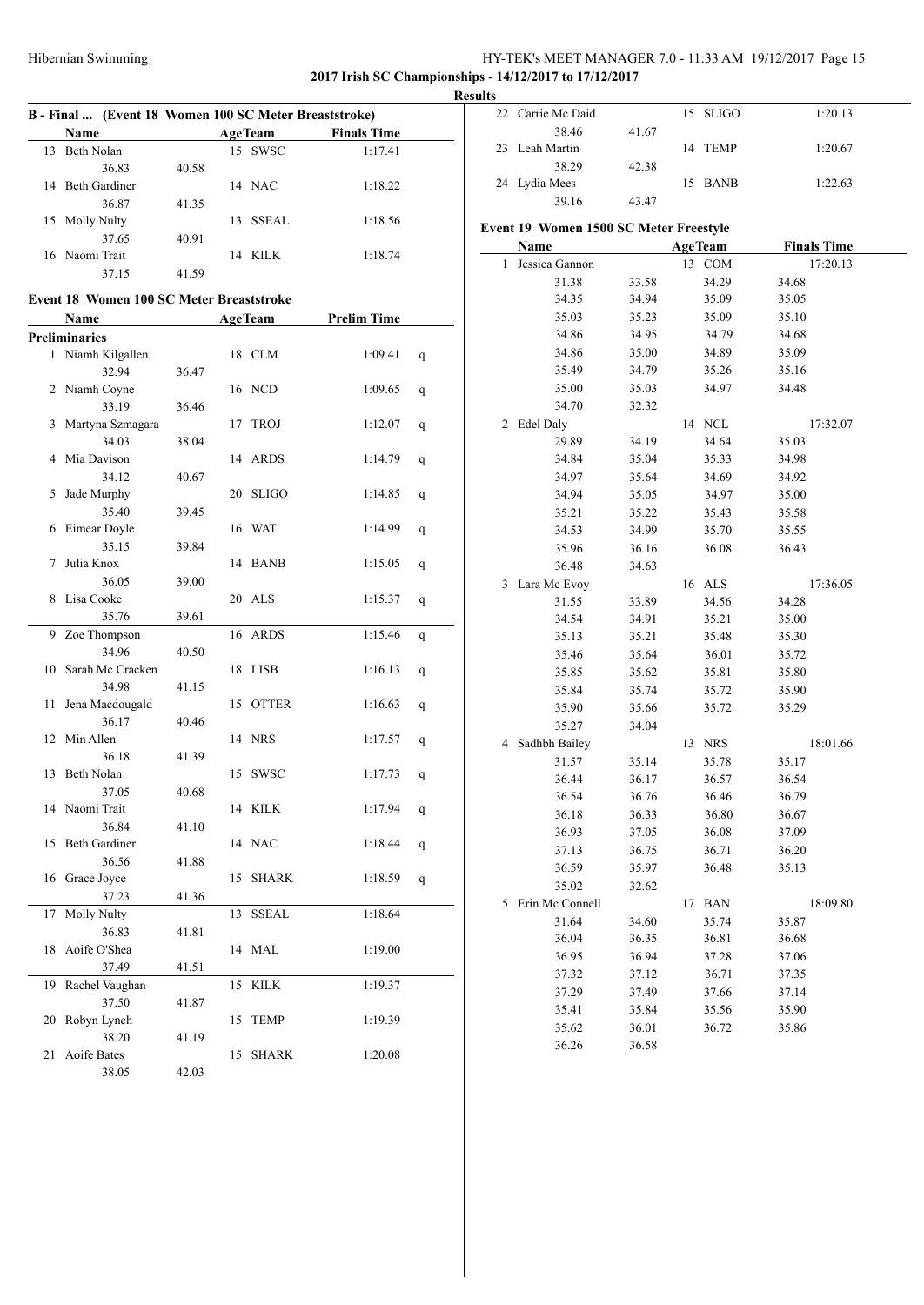### Hibernian Swimming HY-TEK's MEET MANAGER 7.0 - 11:33 AM 19/12/2017 Page 15 **2017 Irish SC Championships - 14/12/2017 to 17/12/2017**

**Results**

| B - Final  (Event 18 Women 100 SC Meter Breaststroke) |       |                |                    |              | 22 Carrie Mc Daid                      |       |                | 15 SLIGO |       | 1:20.13            |
|-------------------------------------------------------|-------|----------------|--------------------|--------------|----------------------------------------|-------|----------------|----------|-------|--------------------|
| Name                                                  |       | AgeTeam        | <b>Finals Time</b> |              | 38.46                                  | 41.67 |                |          |       |                    |
| 13 Beth Nolan                                         |       | 15 SWSC        | 1:17.41            |              | 23 Leah Martin                         |       |                | 14 TEMP  |       | 1:20.67            |
| 36.83                                                 | 40.58 |                |                    |              | 38.29                                  | 42.38 |                |          |       |                    |
| 14 Beth Gardiner                                      |       | 14 NAC         | 1:18.22            |              | 24 Lydia Mees                          |       |                | 15 BANB  |       | 1:22.63            |
| 36.87                                                 | 41.35 |                |                    |              | 39.16                                  | 43.47 |                |          |       |                    |
| 15 Molly Nulty                                        |       | 13 SSEAL       | 1:18.56            |              | Event 19 Women 1500 SC Meter Freestyle |       |                |          |       |                    |
| 37.65                                                 | 40.91 |                |                    |              | Name                                   |       | <b>AgeTeam</b> |          |       | <b>Finals Time</b> |
| 16 Naomi Trait                                        |       | 14 KILK        | 1:18.74            |              | 1 Jessica Gannon                       |       |                | 13 COM   |       | 17:20.13           |
| 37.15                                                 | 41.59 |                |                    |              | 31.38                                  | 33.58 |                | 34.29    | 34.68 |                    |
| Event 18 Women 100 SC Meter Breaststroke              |       |                |                    |              | 34.35                                  | 34.94 |                | 35.09    | 35.05 |                    |
| Name                                                  |       | <b>AgeTeam</b> | <b>Prelim Time</b> |              | 35.03                                  | 35.23 |                | 35.09    | 35.10 |                    |
| <b>Preliminaries</b>                                  |       |                |                    |              | 34.86                                  | 34.95 |                | 34.79    | 34.68 |                    |
| 1 Niamh Kilgallen                                     |       | 18 CLM         | 1:09.41            | $\mathsf{q}$ | 34.86                                  | 35.00 |                | 34.89    | 35.09 |                    |
| 32.94                                                 | 36.47 |                |                    |              | 35.49                                  | 34.79 |                | 35.26    | 35.16 |                    |
| 2 Niamh Coyne                                         |       | 16 NCD         | 1:09.65            | $\mathbf{q}$ | 35.00                                  | 35.03 |                | 34.97    | 34.48 |                    |
| 33.19                                                 | 36.46 |                |                    |              | 34.70                                  | 32.32 |                |          |       |                    |
| 3 Martyna Szmagara                                    |       | 17 TROJ        | 1:12.07            | q            | 2 Edel Daly                            |       |                | 14 NCL   |       | 17:32.07           |
| 34.03                                                 | 38.04 |                |                    |              | 29.89                                  | 34.19 |                | 34.64    | 35.03 |                    |
| 4 Mia Davison                                         |       | 14 ARDS        | 1:14.79            | q            | 34.84                                  | 35.04 |                | 35.33    | 34.98 |                    |
| 34.12                                                 | 40.67 |                |                    |              | 34.97                                  | 35.64 |                | 34.69    | 34.92 |                    |
| 5 Jade Murphy                                         |       | 20 SLIGO       | 1:14.85            | q            | 34.94                                  | 35.05 |                | 34.97    | 35.00 |                    |
| 35.40                                                 | 39.45 |                |                    |              | 35.21                                  | 35.22 |                | 35.43    | 35.58 |                    |
| 6 Eimear Doyle                                        |       | 16 WAT         | 1:14.99            | q            | 34.53                                  | 34.99 |                | 35.70    | 35.55 |                    |
| 35.15                                                 | 39.84 |                |                    |              | 35.96                                  | 36.16 |                | 36.08    | 36.43 |                    |
| 7 Julia Knox                                          |       | 14 BANB        | 1:15.05            | q            | 36.48                                  | 34.63 |                |          |       |                    |
| 36.05                                                 | 39.00 |                |                    |              | 3 Lara Mc Evoy                         |       |                | 16 ALS   |       | 17:36.05           |
| 8 Lisa Cooke                                          |       | 20 ALS         | 1:15.37            | $\mathbf{q}$ | 31.55                                  | 33.89 |                | 34.56    | 34.28 |                    |
| 35.76                                                 | 39.61 |                |                    |              | 34.54                                  | 34.91 |                | 35.21    | 35.00 |                    |
| 9 Zoe Thompson                                        |       | 16 ARDS        | 1:15.46            | $\mathsf{q}$ | 35.13                                  | 35.21 |                | 35.48    | 35.30 |                    |
| 34.96                                                 | 40.50 |                |                    |              | 35.46                                  | 35.64 |                | 36.01    | 35.72 |                    |
| 10 Sarah Mc Cracken                                   |       | 18 LISB        | 1:16.13            | $\mathsf{q}$ | 35.85                                  | 35.62 |                | 35.81    | 35.80 |                    |
| 34.98                                                 | 41.15 |                |                    |              | 35.84                                  | 35.74 |                | 35.72    | 35.90 |                    |
| 11 Jena Macdougald                                    |       | 15 OTTER       | 1:16.63            | $\mathbf{q}$ | 35.90                                  | 35.66 |                | 35.72    | 35.29 |                    |
| 36.17                                                 | 40.46 |                |                    |              | 35.27                                  | 34.04 |                |          |       |                    |
| 12 Min Allen                                          |       | 14 NRS         | 1:17.57            | q            | 4 Sadhbh Bailey                        |       |                | 13 NRS   |       | 18:01.66           |
| 36.18                                                 | 41.39 |                |                    |              | 31.57                                  | 35.14 |                | 35.78    | 35.17 |                    |
| 13 Beth Nolan                                         |       | 15 SWSC        | 1:17.73            | q            | 36.44                                  | 36.17 |                | 36.57    | 36.54 |                    |
| 37.05                                                 | 40.68 |                |                    |              | 36.54                                  | 36.76 |                | 36.46    | 36.79 |                    |
| 14 Naomi Trait                                        |       | 14 KILK        | 1:17.94 $q$        |              | 36.18                                  | 36.33 |                | 36.80    | 36.67 |                    |
| 36.84                                                 | 41.10 |                |                    |              | 36.93                                  | 37.05 |                | 36.08    | 37.09 |                    |
| 15 Beth Gardiner                                      |       | 14 NAC         | 1:18.44            | $\mathsf{q}$ | 37.13                                  | 36.75 |                | 36.71    | 36.20 |                    |
| 36.56                                                 | 41.88 |                |                    |              | 36.59                                  | 35.97 |                | 36.48    | 35.13 |                    |
| 16 Grace Joyce                                        |       | 15 SHARK       | 1:18.59 $q$        |              | 35.02                                  | 32.62 |                |          |       |                    |
| 37.23                                                 | 41.36 |                |                    |              | 5 Erin Mc Connell                      |       |                | 17 BAN   |       | 18:09.80           |
| 17 Molly Nulty                                        |       | 13 SSEAL       | 1:18.64            |              | 31.64                                  | 34.60 |                | 35.74    | 35.87 |                    |
| 36.83                                                 | 41.81 |                |                    |              | 36.04                                  | 36.35 |                | 36.81    | 36.68 |                    |
| 18 Aoife O'Shea                                       |       | 14 MAL         | 1:19.00            |              | 36.95                                  | 36.94 |                | 37.28    | 37.06 |                    |
| 37.49                                                 | 41.51 |                |                    |              | 37.32                                  | 37.12 |                | 36.71    | 37.35 |                    |
| 19 Rachel Vaughan                                     |       | 15 KILK        | 1:19.37            |              | 37.29                                  | 37.49 |                | 37.66    | 37.14 |                    |
| 37.50                                                 | 41.87 |                |                    |              | 35.41                                  | 35.84 |                | 35.56    | 35.90 |                    |
| 20 Robyn Lynch                                        |       | 15 TEMP        | 1:19.39            |              | 35.62                                  | 36.01 |                | 36.72    | 35.86 |                    |
| 38.20                                                 | 41.19 |                |                    |              | 36.26                                  | 36.58 |                |          |       |                    |
| 21 Aoife Bates                                        |       | 15 SHARK       | 1:20.08            |              |                                        |       |                |          |       |                    |
| 38.05                                                 | 42.03 |                |                    |              |                                        |       |                |          |       |                    |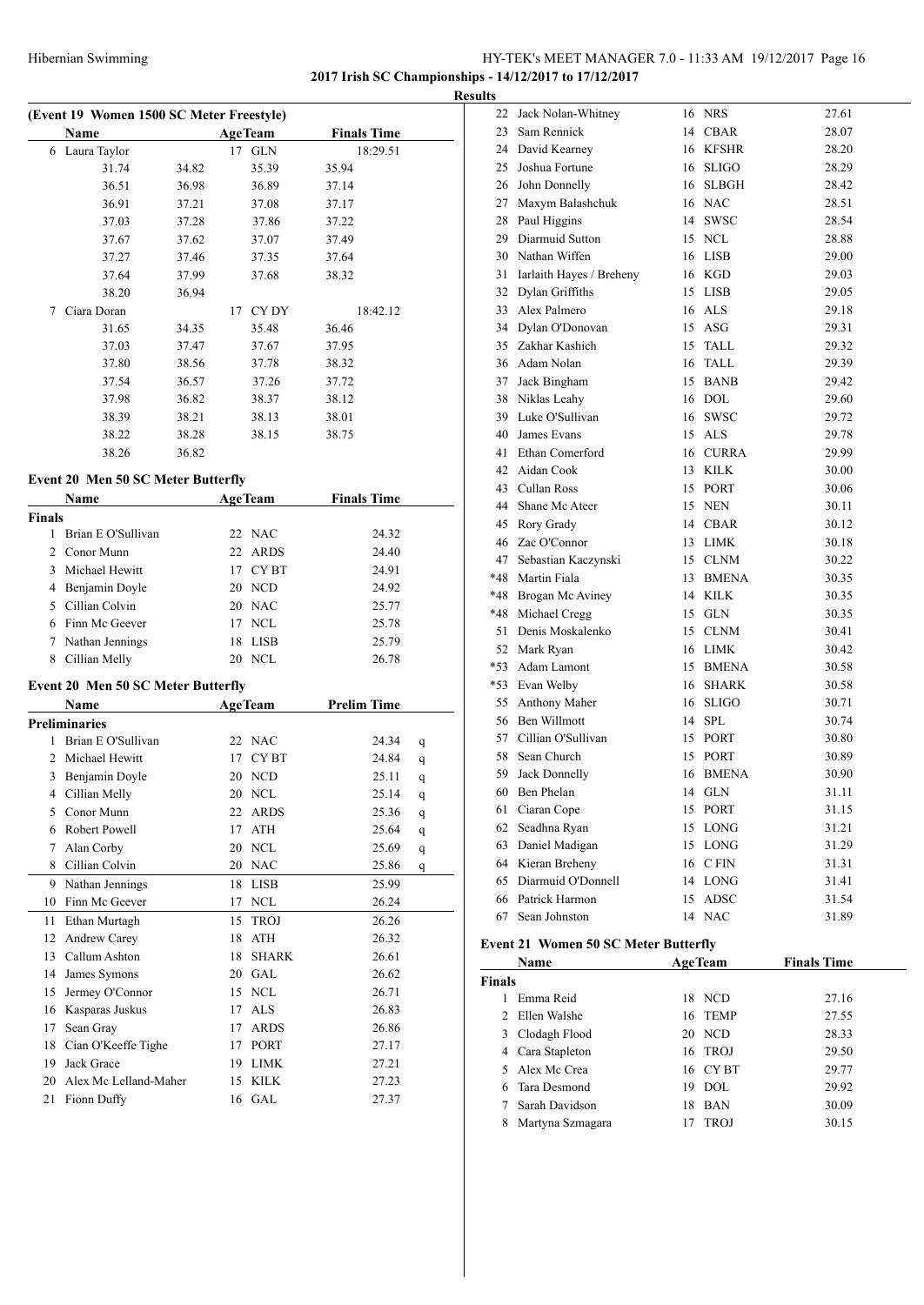### HY-TEK's MEET MANAGER 7.0 - 11:33 AM 19/12/2017 Page 16 **2017 Irish SC Championships - 14/12/2017 to 17/12/2017**

**Results**

| Name              |       | <b>AgeTeam</b> | <b>Finals Time</b> |
|-------------------|-------|----------------|--------------------|
| Laura Taylor<br>6 |       | 17 GLN         | 18:29.51           |
| 31.74             | 34.82 | 35.39          | 35.94              |
| 36.51             | 36.98 | 36.89          | 37.14              |
| 36.91             | 37.21 | 37.08          | 37.17              |
| 37.03             | 37.28 | 37.86          | 37.22              |
| 37.67             | 37.62 | 37.07          | 37.49              |
| 37.27             | 37.46 | 37.35          | 37.64              |
| 37.64             | 37.99 | 37.68          | 38.32              |
| 38.20             | 36.94 |                |                    |
| Ciara Doran<br>7  |       | CY DY<br>17    | 18:42.12           |
| 31.65             | 34.35 | 35.48          | 36.46              |
| 37.03             | 37.47 | 37.67          | 37.95              |
| 37.80             | 38.56 | 37.78          | 38.32              |
| 37.54             | 36.57 | 37.26          | 37.72              |
| 37.98             | 36.82 | 38.37          | 38.12              |
| 38.39             | 38.21 | 38.13          | 38.01              |
| 38.22             | 38.28 | 38.15          | 38.75              |
| 38.26             | 36.82 |                |                    |

#### **Event 20 Men 50 SC Meter Butterfly**

|        | <b>Name</b>        |    | <b>AgeTeam</b> | <b>Finals Time</b> |  |
|--------|--------------------|----|----------------|--------------------|--|
| Finals |                    |    |                |                    |  |
|        | Brian E O'Sullivan |    | 22 NAC         | 24.32              |  |
|        | 2 Conor Munn       |    | 22 ARDS        | 24.40              |  |
| 3      | Michael Hewitt     |    | 17 CYBT        | 24.91              |  |
|        | Benjamin Doyle     |    | 20 NCD         | 24.92              |  |
|        | Cillian Colvin     |    | 20 NAC         | 25.77              |  |
|        | Finn Mc Geever     |    | 17 NCL         | 25.78              |  |
|        | Nathan Jennings    | 18 | <b>LISB</b>    | 25.79              |  |
| 8      | Cillian Melly      | 20 | <b>NCL</b>     | 26.78              |  |
|        |                    |    |                |                    |  |

#### **Event 20 Men 50 SC Meter Butterfly**

|                | Name                  |    | <b>AgeTeam</b> | <b>Prelim Time</b> |   |
|----------------|-----------------------|----|----------------|--------------------|---|
|                | <b>Preliminaries</b>  |    |                |                    |   |
| 1              | Brian E O'Sullivan    |    | 22 NAC         | 24.34              | q |
| $\mathfrak{D}$ | Michael Hewitt        | 17 | <b>CYBT</b>    | 24.84              | q |
| 3              | Benjamin Doyle        | 20 | <b>NCD</b>     | 25.11              | q |
| 4              | Cillian Melly         | 20 | <b>NCL</b>     | 25.14              | q |
| 5              | Conor Munn            | 22 | <b>ARDS</b>    | 25.36              | q |
| 6              | Robert Powell         | 17 | <b>ATH</b>     | 25.64              | q |
| 7              | Alan Corby            | 20 | <b>NCL</b>     | 25.69              | q |
| 8              | Cillian Colvin        | 20 | <b>NAC</b>     | 25.86              | q |
| 9              | Nathan Jennings       | 18 | <b>LISB</b>    | 25.99              |   |
| 10             | Finn Mc Geever        | 17 | <b>NCL</b>     | 26.24              |   |
| 11             | Ethan Murtagh         | 15 | <b>TROJ</b>    | 26.26              |   |
| 12             | <b>Andrew Carey</b>   | 18 | <b>ATH</b>     | 26.32              |   |
| 13             | Callum Ashton         | 18 | <b>SHARK</b>   | 26.61              |   |
| 14             | James Symons          | 20 | <b>GAL</b>     | 26.62              |   |
| 15             | Jermey O'Connor       | 15 | <b>NCL</b>     | 26.71              |   |
| 16             | Kasparas Juskus       | 17 | <b>ALS</b>     | 26.83              |   |
| 17             | Sean Gray             | 17 | <b>ARDS</b>    | 26.86              |   |
| 18             | Cian O'Keeffe Tighe   | 17 | <b>PORT</b>    | 27.17              |   |
| 19             | Jack Grace            | 19 | <b>LIMK</b>    | 27.21              |   |
| 20             | Alex Mc Lelland-Maher | 15 | <b>KILK</b>    | 27.23              |   |
| 21             | Fionn Duffy           |    | 16 GAL         | 27.37              |   |

| 22    | Jack Nolan-Whitney       |    | 16 NRS       | 27.61 |
|-------|--------------------------|----|--------------|-------|
| 23    | Sam Rennick              |    | 14 CBAR      | 28.07 |
| 24    | David Kearney            | 16 | KFSHR        | 28.20 |
| 25    | Joshua Fortune           |    | 16 SLIGO     | 28.29 |
| 26    | John Donnelly            | 16 | <b>SLBGH</b> | 28.42 |
| 27    | Maxym Balashchuk         |    | 16 NAC       | 28.51 |
| 28    | Paul Higgins             | 14 | <b>SWSC</b>  | 28.54 |
| 29    | Diarmuid Sutton          | 15 | <b>NCL</b>   | 28.88 |
| 30    | Nathan Wiffen            | 16 | <b>LISB</b>  | 29.00 |
| 31    | Iarlaith Hayes / Breheny | 16 | KGD          | 29.03 |
| 32    | Dylan Griffiths          | 15 | <b>LISB</b>  | 29.05 |
| 33    | Alex Palmero             |    | 16 ALS       | 29.18 |
| 34    | Dylan O'Donovan          | 15 | ASG          | 29.31 |
| 35    | Zakhar Kashich           | 15 | TALL         | 29.32 |
| 36    | Adam Nolan               | 16 | TALL         | 29.39 |
| 37    | Jack Bingham             | 15 | <b>BANB</b>  | 29.42 |
| 38    | Niklas Leahy             | 16 | <b>DOL</b>   | 29.60 |
| 39    | Luke O'Sullivan          | 16 | <b>SWSC</b>  | 29.72 |
| 40    | James Evans              | 15 | <b>ALS</b>   | 29.78 |
| 41    | Ethan Comerford          | 16 | <b>CURRA</b> | 29.99 |
| 42    | Aidan Cook               | 13 | <b>KILK</b>  | 30.00 |
| 43    | Cullan Ross              | 15 | <b>PORT</b>  | 30.06 |
| 44    | Shane Mc Ateer           |    | 15 NEN       | 30.11 |
| 45    | Rory Grady               |    | 14 CBAR      | 30.12 |
| 46    | Zac O'Connor             |    | 13 LIMK      | 30.18 |
| 47    | Sebastian Kaczynski      |    | 15 CLNM      | 30.22 |
| *48   | Martin Fiala             |    | 13 BMENA     | 30.35 |
| *48   | Brogan Mc Aviney         | 14 | <b>KILK</b>  | 30.35 |
| *48   | Michael Cregg            | 15 | <b>GLN</b>   | 30.35 |
| 51    | Denis Moskalenko         | 15 | <b>CLNM</b>  | 30.41 |
| 52    | Mark Ryan                | 16 | <b>LIMK</b>  | 30.42 |
| $*53$ | Adam Lamont              | 15 | <b>BMENA</b> | 30.58 |
| $*53$ | Evan Welby               | 16 | <b>SHARK</b> | 30.58 |
| 55    | Anthony Maher            | 16 | <b>SLIGO</b> | 30.71 |
| 56    | Ben Willmott             | 14 | <b>SPL</b>   | 30.74 |
|       | 57 Cillian O'Sullivan    |    | 15 PORT      | 30.80 |
| 58    | Sean Church              | 15 | <b>PORT</b>  | 30.89 |
| 59    | Jack Donnelly            | 16 | <b>BMENA</b> | 30.90 |
| 60    | Ben Phelan               | 14 | <b>GLN</b>   | 31.11 |
| 61    | Ciaran Cope              | 15 | PORT         | 31.15 |
| 62    | Seadhna Ryan             | 15 | LONG         | 31.21 |
| 63    | Daniel Madigan           | 15 | LONG         | 31.29 |
| 64    | Kieran Breheny           | 16 | C FIN        | 31.31 |
| 65    | Diarmuid O'Donnell       | 14 | <b>LONG</b>  | 31.41 |
| 66    | Patrick Harmon           | 15 | ADSC         | 31.54 |
| 67    | Sean Johnston            | 14 | <b>NAC</b>   | 31.89 |

#### **Event 21 Women 50 SC Meter Butterfly**

|        | <b>Name</b>      |    | <b>AgeTeam</b> | <b>Finals Time</b> |  |
|--------|------------------|----|----------------|--------------------|--|
| Finals |                  |    |                |                    |  |
|        | Emma Reid        |    | 18 NCD         | 27.16              |  |
|        | 2 Ellen Walshe   |    | 16 TEMP        | 27.55              |  |
|        | 3 Clodagh Flood  |    | 20 NCD         | 28.33              |  |
|        | 4 Cara Stapleton |    | 16 TROJ        | 29.50              |  |
|        | 5 Alex Mc Crea   |    | 16 CYBT        | 29.77              |  |
| 6.     | Tara Desmond     | 19 | DOL            | 29.92              |  |
|        | Sarah Davidson   | 18 | <b>BAN</b>     | 30.09              |  |
| 8      | Martyna Szmagara | 17 | <b>TROJ</b>    | 30.15              |  |
|        |                  |    |                |                    |  |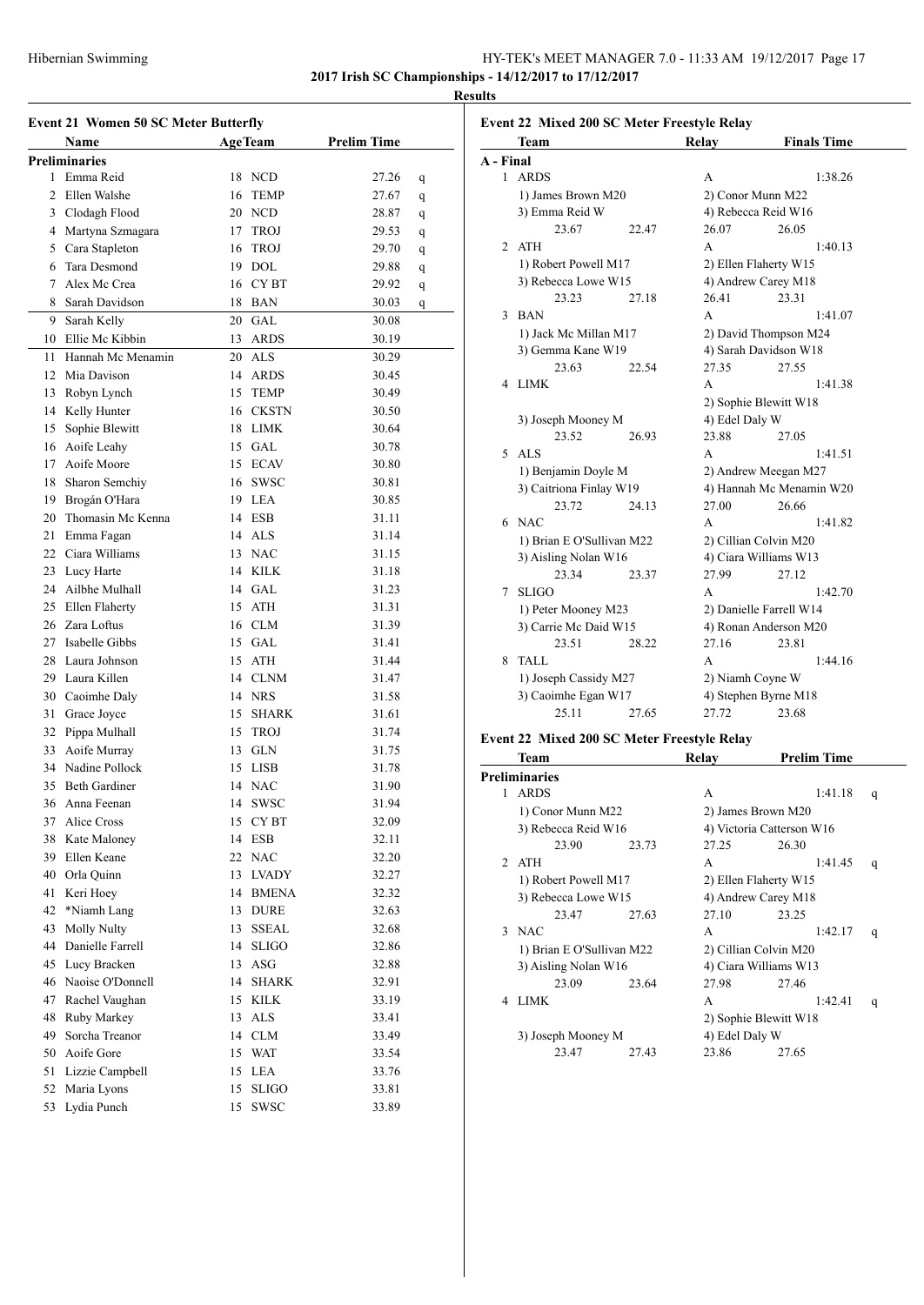**Results**

|    | <b>Event 21 Women 50 SC Meter Butterfly</b> |    |                |                    |   |
|----|---------------------------------------------|----|----------------|--------------------|---|
|    | Name                                        |    | <b>AgeTeam</b> | <b>Prelim Time</b> |   |
|    | <b>Preliminaries</b>                        |    |                |                    |   |
| 1  | Emma Reid                                   | 18 | <b>NCD</b>     | 27.26              | q |
| 2  | Ellen Walshe                                | 16 | <b>TEMP</b>    | 27.67              | q |
|    | 3 Clodagh Flood                             |    | 20 NCD         | 28.87              | q |
|    | 4 Martyna Szmagara                          |    | 17 TROJ        | 29.53              | q |
|    | 5 Cara Stapleton                            | 16 | <b>TROJ</b>    | 29.70              | q |
| 6  | Tara Desmond                                |    | 19 DOL         | 29.88              | q |
| 7  | Alex Mc Crea                                |    | 16 CYBT        | 29.92              | q |
| 8  | Sarah Davidson                              | 18 | BAN            | 30.03              | q |
| 9  | Sarah Kelly                                 | 20 | GAL            | 30.08              |   |
| 10 | Ellie Mc Kibbin                             | 13 | ARDS           | 30.19              |   |
| 11 | Hannah Mc Menamin                           |    | 20 ALS         | 30.29              |   |
| 12 | Mia Davison                                 | 14 | <b>ARDS</b>    | 30.45              |   |
| 13 | Robyn Lynch                                 | 15 | <b>TEMP</b>    | 30.49              |   |
| 14 | Kelly Hunter                                | 16 | <b>CKSTN</b>   | 30.50              |   |
| 15 | Sophie Blewitt                              |    | 18 LIMK        | 30.64              |   |
| 16 | Aoife Leahy                                 |    | 15 GAL         | 30.78              |   |
| 17 | Aoife Moore                                 |    | 15 ECAV        | 30.80              |   |
| 18 | Sharon Semchiy                              |    | 16 SWSC        | 30.81              |   |
| 19 | Brogán O'Hara                               |    | 19 LEA         | 30.85              |   |
| 20 | Thomasin Mc Kenna                           |    | 14 ESB         | 31.11              |   |
| 21 | Emma Fagan                                  |    | 14 ALS         | 31.14              |   |
|    | 22 Ciara Williams                           |    | 13 NAC         | 31.15              |   |
| 23 | Lucy Harte                                  |    | 14 KILK        | 31.18              |   |
| 24 | Ailbhe Mulhall                              |    | 14 GAL         | 31.23              |   |
| 25 | Ellen Flaherty                              | 15 | <b>ATH</b>     | 31.31              |   |
| 26 | Zara Loftus                                 |    | 16 CLM         | 31.39              |   |
| 27 | Isabelle Gibbs                              |    | 15 GAL         | 31.41              |   |
| 28 | Laura Johnson                               |    | 15 ATH         | 31.44              |   |
| 29 | Laura Killen                                |    | 14 CLNM        | 31.47              |   |
|    | 30 Caoimhe Daly                             |    | 14 NRS         | 31.58              |   |
| 31 | Grace Joyce                                 | 15 | <b>SHARK</b>   | 31.61              |   |
|    | 32 Pippa Mulhall                            | 15 | TROJ           | 31.74              |   |
| 33 | Aoife Murray                                |    | 13 GLN         | 31.75              |   |
|    | 34 Nadine Pollock                           | 15 | <b>LISB</b>    | 31.78              |   |
| 35 | <b>Beth Gardiner</b>                        |    | 14 NAC         | 31.90              |   |
|    | 36 Anna Feenan                              |    | 14 SWSC        | 31.94              |   |
| 37 | Alice Cross                                 |    | 15 CYBT        | 32.09              |   |
| 38 | Kate Maloney                                |    | 14 ESB         | 32.11              |   |
| 39 | Ellen Keane                                 | 22 | $\rm NAC$      | 32.20              |   |
| 40 | Orla Quinn                                  | 13 | <b>LVADY</b>   | 32.27              |   |
| 41 | Keri Hoey                                   |    | 14 BMENA       | 32.32              |   |
| 42 | *Niamh Lang                                 |    | 13 DURE        | 32.63              |   |
| 43 | <b>Molly Nulty</b>                          | 13 | <b>SSEAL</b>   | 32.68              |   |
| 44 | Danielle Farrell                            | 14 | <b>SLIGO</b>   | 32.86              |   |
| 45 | Lucy Bracken                                | 13 | ASG            | 32.88              |   |
| 46 | Naoise O'Donnell                            | 14 | <b>SHARK</b>   | 32.91              |   |
| 47 | Rachel Vaughan                              | 15 | <b>KILK</b>    | 33.19              |   |
| 48 | Ruby Markey                                 | 13 | <b>ALS</b>     | 33.41              |   |
| 49 | Sorcha Treanor                              | 14 | CLM            | 33.49              |   |
| 50 | Aoife Gore                                  | 15 | <b>WAT</b>     | 33.54              |   |
| 51 | Lizzie Campbell                             | 15 | LEA            | 33.76              |   |
| 52 | Maria Lyons                                 | 15 | <b>SLIGO</b>   | 33.81              |   |
| 53 | Lydia Punch                                 | 15 | <b>SWSC</b>    | 33.89              |   |
|    |                                             |    |                |                    |   |

| A - Final<br>1 ARDS<br>A<br>1) James Brown M20<br>2) Conor Munn M22<br>3) Emma Reid W<br>4) Rebecca Reid W16<br>23.67<br>26.07<br>22.47<br><b>ATH</b><br>A<br>2<br>1) Robert Powell M17<br>2) Ellen Flaherty W15<br>4) Andrew Carey M18<br>3) Rebecca Lowe W15<br>23.23<br>26.41<br>27.18<br><b>BAN</b><br>3<br>A | 1:38.26<br>26.05<br>1:40.13<br>23.31<br>1:41.07 |  |  |  |  |
|-------------------------------------------------------------------------------------------------------------------------------------------------------------------------------------------------------------------------------------------------------------------------------------------------------------------|-------------------------------------------------|--|--|--|--|
|                                                                                                                                                                                                                                                                                                                   |                                                 |  |  |  |  |
|                                                                                                                                                                                                                                                                                                                   |                                                 |  |  |  |  |
|                                                                                                                                                                                                                                                                                                                   |                                                 |  |  |  |  |
|                                                                                                                                                                                                                                                                                                                   |                                                 |  |  |  |  |
|                                                                                                                                                                                                                                                                                                                   |                                                 |  |  |  |  |
|                                                                                                                                                                                                                                                                                                                   |                                                 |  |  |  |  |
|                                                                                                                                                                                                                                                                                                                   |                                                 |  |  |  |  |
|                                                                                                                                                                                                                                                                                                                   |                                                 |  |  |  |  |
|                                                                                                                                                                                                                                                                                                                   |                                                 |  |  |  |  |
|                                                                                                                                                                                                                                                                                                                   |                                                 |  |  |  |  |
| 1) Jack Mc Millan M17<br>2) David Thompson M24                                                                                                                                                                                                                                                                    |                                                 |  |  |  |  |
| 4) Sarah Davidson W18<br>3) Gemma Kane W19                                                                                                                                                                                                                                                                        |                                                 |  |  |  |  |
| 23.63<br>27.35<br>22.54                                                                                                                                                                                                                                                                                           | 27.55                                           |  |  |  |  |
| LIMK<br>A<br>4                                                                                                                                                                                                                                                                                                    | 1:41.38                                         |  |  |  |  |
| 2) Sophie Blewitt W18                                                                                                                                                                                                                                                                                             |                                                 |  |  |  |  |
| 4) Edel Daly W<br>3) Joseph Mooney M                                                                                                                                                                                                                                                                              |                                                 |  |  |  |  |
| 23.52<br>23.88<br>26.93                                                                                                                                                                                                                                                                                           | 27.05                                           |  |  |  |  |
| <b>ALS</b><br>5<br>A                                                                                                                                                                                                                                                                                              | 1:41.51                                         |  |  |  |  |
| 1) Benjamin Doyle M                                                                                                                                                                                                                                                                                               | 2) Andrew Meegan M27                            |  |  |  |  |
| 3) Caitriona Finlay W19                                                                                                                                                                                                                                                                                           | 4) Hannah Mc Menamin W20                        |  |  |  |  |
| 23.72<br>27.00<br>24.13                                                                                                                                                                                                                                                                                           | 26.66                                           |  |  |  |  |
| 6 NAC<br>A                                                                                                                                                                                                                                                                                                        | 1:41.82                                         |  |  |  |  |
| 1) Brian E O'Sullivan M22                                                                                                                                                                                                                                                                                         | 2) Cillian Colvin M20                           |  |  |  |  |
| 3) Aisling Nolan W16<br>4) Ciara Williams W13                                                                                                                                                                                                                                                                     |                                                 |  |  |  |  |
| 23.34<br>27.99<br>23.37                                                                                                                                                                                                                                                                                           | 27.12                                           |  |  |  |  |
| <b>SLIGO</b><br>A<br>7                                                                                                                                                                                                                                                                                            | 1:42.70                                         |  |  |  |  |
| 1) Peter Mooney M23<br>2) Danielle Farrell W14                                                                                                                                                                                                                                                                    |                                                 |  |  |  |  |
| 3) Carrie Mc Daid W15<br>4) Ronan Anderson M20                                                                                                                                                                                                                                                                    |                                                 |  |  |  |  |
| 23.51<br>27.16<br>28.22                                                                                                                                                                                                                                                                                           | 23.81                                           |  |  |  |  |
| <b>TALL</b><br>8<br>A                                                                                                                                                                                                                                                                                             | 1:44.16                                         |  |  |  |  |
| 1) Joseph Cassidy M27<br>2) Niamh Coyne W                                                                                                                                                                                                                                                                         |                                                 |  |  |  |  |
| 3) Caoimhe Egan W17<br>4) Stephen Byrne M18                                                                                                                                                                                                                                                                       |                                                 |  |  |  |  |
| 27.72<br>25.11<br>27.65                                                                                                                                                                                                                                                                                           | 23.68                                           |  |  |  |  |
| Event 22 Mixed 200 SC Meter Freestyle Relay                                                                                                                                                                                                                                                                       |                                                 |  |  |  |  |
| Team<br>Relay                                                                                                                                                                                                                                                                                                     | <b>Prelim Time</b>                              |  |  |  |  |

| Team                 |                | Relav                                                                                                                                                              | <b>Prelim Time</b>    |                                                                                                                                                   |  |  |  |
|----------------------|----------------|--------------------------------------------------------------------------------------------------------------------------------------------------------------------|-----------------------|---------------------------------------------------------------------------------------------------------------------------------------------------|--|--|--|
| <b>Preliminaries</b> |                |                                                                                                                                                                    |                       |                                                                                                                                                   |  |  |  |
| <b>ARDS</b>          |                | A                                                                                                                                                                  | 1:41.18               | q                                                                                                                                                 |  |  |  |
|                      |                |                                                                                                                                                                    |                       |                                                                                                                                                   |  |  |  |
|                      |                |                                                                                                                                                                    |                       |                                                                                                                                                   |  |  |  |
| 23.90                | 23.73          | 27.25                                                                                                                                                              | 26.30                 |                                                                                                                                                   |  |  |  |
| <b>ATH</b>           |                | A                                                                                                                                                                  | 1:41.45               | q                                                                                                                                                 |  |  |  |
|                      |                |                                                                                                                                                                    |                       |                                                                                                                                                   |  |  |  |
|                      |                |                                                                                                                                                                    |                       |                                                                                                                                                   |  |  |  |
| 23.47                | 27.63          | 27.10                                                                                                                                                              | 23.25                 |                                                                                                                                                   |  |  |  |
| 3 NAC                |                | A                                                                                                                                                                  | 1:42.17               | q                                                                                                                                                 |  |  |  |
|                      |                |                                                                                                                                                                    | 2) Cillian Colvin M20 |                                                                                                                                                   |  |  |  |
|                      |                |                                                                                                                                                                    |                       |                                                                                                                                                   |  |  |  |
| 23.09                | 23.64          | 27.98                                                                                                                                                              | 27.46                 |                                                                                                                                                   |  |  |  |
| <b>LIMK</b>          |                | A                                                                                                                                                                  | 1:42.41               | q                                                                                                                                                 |  |  |  |
|                      |                |                                                                                                                                                                    |                       |                                                                                                                                                   |  |  |  |
|                      | 4) Edel Daly W |                                                                                                                                                                    |                       |                                                                                                                                                   |  |  |  |
| 23.47                | 27.43          | 23.86                                                                                                                                                              | 27.65                 |                                                                                                                                                   |  |  |  |
|                      |                | 1) Conor Munn M22<br>3) Rebecca Reid W16<br>1) Robert Powell M17<br>3) Rebecca Lowe W15<br>1) Brian E O'Sullivan M22<br>3) Aisling Nolan W16<br>3) Joseph Mooney M |                       | 2) James Brown M20<br>4) Victoria Catterson W16<br>2) Ellen Flaherty W15<br>4) Andrew Carey M18<br>4) Ciara Williams W13<br>2) Sophie Blewitt W18 |  |  |  |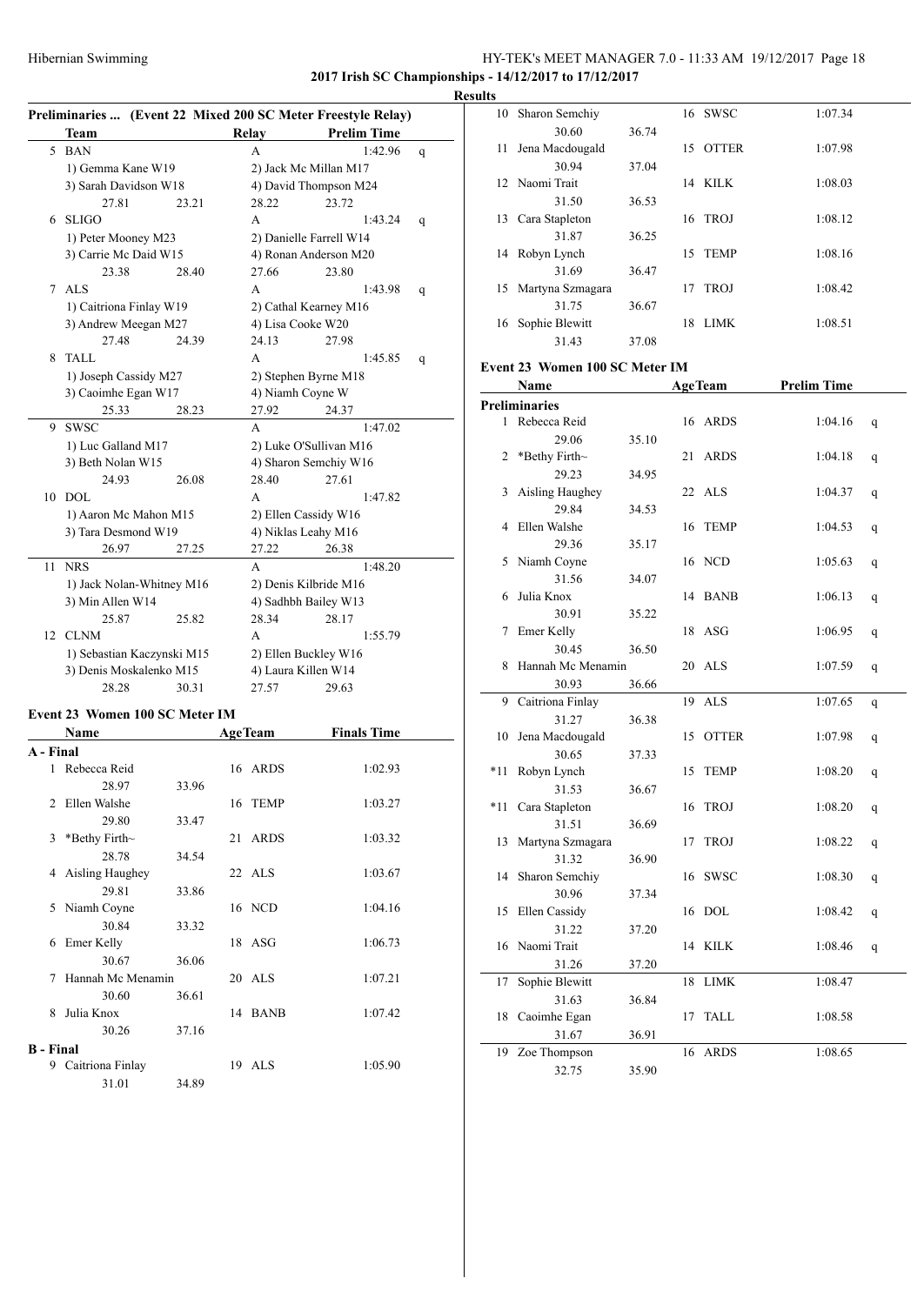#### HY-TEK's MEET MANAGER 7.0 - 11:33 AM 19/12/2017 Page 18 **2017 Irish SC Championships - 14/12/2017 to 17/12/2017**

29.36 35.17

31.56 34.07

30.91 35.22

30.45 36.50

30.93 36.66

31.27 36.38

30.65 37.33

31.53 36.67

31.51 36.69

31.32 36.90

30.96 37.34

31.22 37.20

31.26 37.20

31.63 36.84

31.67 36.91

32.75 35.90

**Results**<br>10 Sh

|    | Hibernian Swimming               |       |                                            | 2017 Irish SC Champions                                                            |   |  |  |  |
|----|----------------------------------|-------|--------------------------------------------|------------------------------------------------------------------------------------|---|--|--|--|
|    | Team                             |       | <b>Relay</b>                               | Preliminaries  (Event 22 Mixed 200 SC Meter Freestyle Relay)<br><b>Prelim Time</b> |   |  |  |  |
| 5  | <b>BAN</b>                       |       | A                                          | 1:42.96                                                                            | q |  |  |  |
|    | 1) Gemma Kane W19                |       |                                            | 2) Jack Mc Millan M17                                                              |   |  |  |  |
|    | 3) Sarah Davidson W18            |       |                                            | 4) David Thompson M24                                                              |   |  |  |  |
|    | 27.81                            | 23.21 | 28.22                                      | 23.72                                                                              |   |  |  |  |
| 6  | <b>SLIGO</b>                     |       | A                                          | 1:43.24                                                                            | q |  |  |  |
|    | 1) Peter Mooney M23              |       |                                            | 2) Danielle Farrell W14                                                            |   |  |  |  |
|    | 3) Carrie Mc Daid W15            |       |                                            | 4) Ronan Anderson M20                                                              |   |  |  |  |
|    | 23.38                            | 28.40 | 27.66                                      | 23.80                                                                              |   |  |  |  |
| 7  | <b>ALS</b>                       |       | A                                          | 1:43.98                                                                            | q |  |  |  |
|    | 1) Caitriona Finlay W19          |       | 2) Cathal Kearney M16<br>4) Lisa Cooke W20 |                                                                                    |   |  |  |  |
|    | 3) Andrew Meegan M27<br>27.48    | 24.39 | 24.13                                      | 27.98                                                                              |   |  |  |  |
| 8  | <b>TALL</b>                      |       | A                                          | 1:45.85                                                                            | q |  |  |  |
|    | 1) Joseph Cassidy M27            |       |                                            | 2) Stephen Byrne M18                                                               |   |  |  |  |
|    | 3) Caoimhe Egan W17              |       | 4) Niamh Coyne W                           |                                                                                    |   |  |  |  |
|    | 25.33                            | 28.23 | 27.92                                      | 24.37                                                                              |   |  |  |  |
| 9. | SWSC                             |       | A                                          | 1:47.02                                                                            |   |  |  |  |
|    | 1) Luc Galland M17               |       |                                            | 2) Luke O'Sullivan M16                                                             |   |  |  |  |
|    | 3) Beth Nolan W15                |       |                                            | 4) Sharon Semchiy W16                                                              |   |  |  |  |
|    | 24.93                            | 26.08 | 28.40                                      | 27.61                                                                              |   |  |  |  |
| 10 | <b>DOL</b>                       |       | A                                          | 1:47.82                                                                            |   |  |  |  |
|    | 1) Aaron Mc Mahon M15            |       |                                            | 2) Ellen Cassidy W16                                                               |   |  |  |  |
|    | 3) Tara Desmond W19              |       | 4) Niklas Leahy M16                        |                                                                                    |   |  |  |  |
|    | 26.97                            | 27.25 | 27.22                                      | 26.38                                                                              |   |  |  |  |
| 11 | <b>NRS</b>                       |       | A                                          | 1:48.20                                                                            |   |  |  |  |
|    | 1) Jack Nolan-Whitney M16        |       |                                            | 2) Denis Kilbride M16                                                              |   |  |  |  |
|    | 3) Min Allen W14                 |       |                                            | 4) Sadhbh Bailey W13                                                               |   |  |  |  |
|    | 25.87                            | 25.82 | 28.34                                      | 28.17                                                                              |   |  |  |  |
|    | 12 CLNM                          |       | A                                          | 1:55.79                                                                            |   |  |  |  |
|    | 1) Sebastian Kaczynski M15       |       |                                            | 2) Ellen Buckley W16                                                               |   |  |  |  |
|    | 3) Denis Moskalenko M15<br>28.28 | 30.31 | 27.57                                      | 4) Laura Killen W14<br>29.63                                                       |   |  |  |  |
|    |                                  |       |                                            |                                                                                    |   |  |  |  |
|    | Event 23 Women 100 SC Meter IM   |       |                                            |                                                                                    |   |  |  |  |
|    | Name                             |       |                                            | AgeTeam Finals Time                                                                |   |  |  |  |
| 1  | A - Final<br>Rebecca Reid        |       |                                            |                                                                                    |   |  |  |  |
|    |                                  |       | 16 ARDS                                    | 1:02.93                                                                            |   |  |  |  |
|    | 28.97<br>2 Ellen Walshe          | 33.96 | 16 TEMP                                    | 1:03.27                                                                            |   |  |  |  |
|    |                                  |       |                                            |                                                                                    |   |  |  |  |

29.80 33.47

28.78 34.54

29.81 33.86

30.84 33.32

30.67 36.06

30.60 36.61

30.26 37.16

31.01 34.89

**B - Final**

3 \*Bethy Firth~ 21 ARDS 1:03.32

4 Aisling Haughey 22 ALS 1:03.67

5 Niamh Coyne 16 NCD 1:04.16

6 Emer Kelly 18 ASG 1:06.73

7 Hannah Mc Menamin 20 ALS 1:07.21

8 Julia Knox 14 BANB 1:07.42

9 Caitriona Finlay 19 ALS 1:05.90

|    | 10 Sharon Semchiy              |       | 16 SWSC        | 1:07.34            |   |
|----|--------------------------------|-------|----------------|--------------------|---|
|    | 30.60                          | 36.74 |                |                    |   |
| 11 | Jena Macdougald                |       | 15 OTTER       | 1:07.98            |   |
|    | 30.94                          | 37.04 |                |                    |   |
|    | 12 Naomi Trait                 |       | 14 KILK        | 1:08.03            |   |
|    | 31.50                          | 36.53 |                |                    |   |
|    | 13 Cara Stapleton              |       | 16 TROJ        | 1:08.12            |   |
|    | 31.87                          | 36.25 |                |                    |   |
|    | 14 Robyn Lynch                 |       | 15 TEMP        | 1:08.16            |   |
|    | 31.69                          | 36.47 |                |                    |   |
|    | 15 Martyna Szmagara            |       | 17 TROJ        | 1:08.42            |   |
|    | 31.75                          | 36.67 |                |                    |   |
|    | 16 Sophie Blewitt              |       | 18 LIMK        | 1:08.51            |   |
|    | 31.43                          | 37.08 |                |                    |   |
|    | Event 23 Women 100 SC Meter IM |       |                |                    |   |
|    | Name                           |       | <b>AgeTeam</b> | <b>Prelim Time</b> |   |
|    | Preliminaries                  |       |                |                    |   |
|    | 1 Rebecca Reid                 |       | 16 ARDS        | 1:04.16            | q |
|    | 29.06                          | 35.10 |                |                    |   |
| 2  | *Bethy Firth $\sim$            |       | 21 ARDS        | 1:04.18            | q |
|    | 29.23                          | 34.95 |                |                    |   |
| 3  | Aisling Haughey                |       | 22 ALS         | 1:04.37            | q |
|    | 29.84                          | 34.53 |                |                    |   |
| 4  | Ellen Walshe                   |       | 16 TEMP        | 1:04.53            | q |

5 Niamh Coyne 16 NCD 1:05.63 q

6 Julia Knox 14 BANB 1:06.13 q

7 Emer Kelly 18 ASG 1:06.95 q

8 Hannah Mc Menamin 20 ALS 1:07.59 q

9 Caitriona Finlay 19 ALS 1:07.65 q

10 Jena Macdougald 15 OTTER 1:07.98 q

\*11 Robyn Lynch 15 TEMP 1:08.20 q

\*11 Cara Stapleton 16 TROJ 1:08.20 q

13 Martyna Szmagara 17 TROJ 1:08.22 q

14 Sharon Semchiy 16 SWSC 1:08.30 q

15 Ellen Cassidy 16 DOL 1:08.42 q

16 Naomi Trait 14 KILK 1:08.46 q

17 Sophie Blewitt 18 LIMK 1:08.47

18 Caoimhe Egan 17 TALL 1:08.58

19 Zoe Thompson 16 ARDS 1:08.65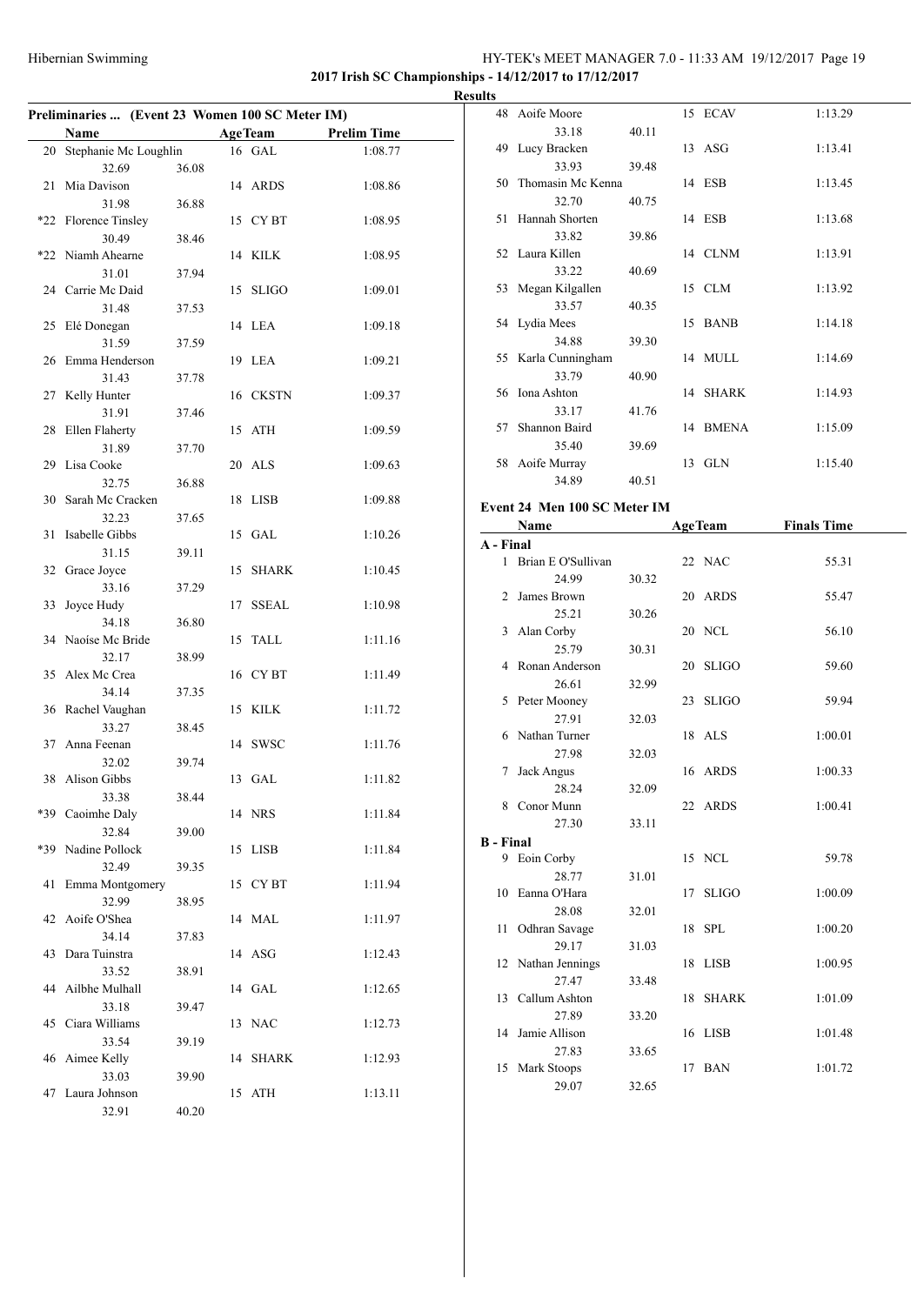#### HY-TEK's MEET MANAGER 7.0 - 11:33 AM 19/12/2017 Page 19 **2017 Irish SC Championships - 14/12/2017 to 17/12/2017**

**Preliminaries ... (Event 23 Women 100 SC Meter IM) Name Age Team Prelim Time** 20 Stephanie Mc Loughlin 16 GAL 1:08.77 32.69 36.08 21 Mia Davison 14 ARDS 1:08.86 31.98 36.88 \*22 Florence Tinsley 15 CY BT 1:08.95 30.49 38.46 \*22 Niamh Ahearne 14 KILK 1:08.95 31.01 37.94 24 Carrie Mc Daid 15 SLIGO 1:09.01 31.48 37.53 25 Elé Donegan 14 LEA 1:09.18 31.59 37.59 26 Emma Henderson 19 LEA 1:09.21 31.43 37.78 27 Kelly Hunter 16 CKSTN 1:09.37 31.91 37.46 28 Ellen Flaherty 15 ATH 1:09.59 31.89 37.70 29 Lisa Cooke 20 ALS 1:09.63 32.75 36.88 30 Sarah Mc Cracken 18 LISB 1:09.88 32.23 37.65 31 Isabelle Gibbs 15 GAL 1:10.26 31.15 39.11 32 Grace Joyce 15 SHARK 1:10.45 33.16 37.29 33 Joyce Hudy 17 SSEAL 1:10.98 34.18 36.80 34 Naoíse Mc Bride 15 TALL 1:11.16 32.17 38.99 35 Alex Mc Crea 16 CY BT 1:11.49 34.14 37.35 36 Rachel Vaughan 15 KILK 1:11.72 33.27 38.45 37 Anna Feenan 14 SWSC 1:11.76 32.02 39.74 38 Alison Gibbs 13 GAL 1:11.82 33.38 38.44 \*39 Caoimhe Daly 14 NRS 1:11.84 32.84 39.00 \*39 Nadine Pollock 15 LISB 1:11.84 32.49 39.35 41 Emma Montgomery 15 CY BT 1:11.94 32.99 38.95 42 Aoife O'Shea 14 MAL 1:11.97 34.14 37.83 43 Dara Tuinstra 14 ASG 1:12.43 33.52 38.91 44 Ailbhe Mulhall 14 GAL 1:12.65 33.18 39.47 45 Ciara Williams 13 NAC 1:12.73 33.54 39.19 46 Aimee Kelly 14 SHARK 1:12.93 33.03 39.90 47 Laura Johnson 15 ATH 1:13.11 32.91 40.20

|    | <b>Results</b>   |                              |       |    |                |                    |  |
|----|------------------|------------------------------|-------|----|----------------|--------------------|--|
|    |                  | 48 Aoife Moore               |       |    | 15 ECAV        | 1:13.29            |  |
| E, |                  | 33.18                        | 40.11 |    |                |                    |  |
|    |                  | 49 Lucy Bracken              |       |    | $13$ ASG       | 1:13.41            |  |
|    |                  | 33.93                        | 39.48 |    |                |                    |  |
|    |                  | 50 Thomasin Mc Kenna         |       |    | 14 ESB         | 1:13.45            |  |
|    |                  | 32.70                        | 40.75 |    |                |                    |  |
|    |                  | 51 Hannah Shorten            |       |    | 14 ESB         | 1:13.68            |  |
|    |                  | 33.82                        | 39.86 |    |                |                    |  |
|    |                  | 52 Laura Killen              |       |    | 14 CLNM        | 1:13.91            |  |
|    |                  | 33.22                        | 40.69 |    |                |                    |  |
|    |                  | 53 Megan Kilgallen           |       |    | 15 CLM         | 1:13.92            |  |
|    |                  | 33.57                        | 40.35 |    |                |                    |  |
|    |                  | 54 Lydia Mees<br>34.88       |       |    | 15 BANB        | 1:14.18            |  |
|    |                  | 55 Karla Cunningham          | 39.30 |    | 14 MULL        | 1:14.69            |  |
|    |                  | 33.79                        | 40.90 |    |                |                    |  |
|    |                  | 56 Iona Ashton               |       |    | 14 SHARK       | 1:14.93            |  |
|    |                  | 33.17                        | 41.76 |    |                |                    |  |
|    |                  | 57 Shannon Baird             |       |    | 14 BMENA       | 1:15.09            |  |
|    |                  | 35.40                        | 39.69 |    |                |                    |  |
|    |                  | 58 Aoife Murray              |       |    | 13 GLN         | 1:15.40            |  |
|    |                  | 34.89                        | 40.51 |    |                |                    |  |
|    |                  | Event 24 Men 100 SC Meter IM |       |    |                |                    |  |
|    |                  | Name                         |       |    |                | <b>Finals Time</b> |  |
|    | A - Final        |                              |       |    | <b>AgeTeam</b> |                    |  |
|    |                  | 1 Brian E O'Sullivan         |       |    | 22 NAC         | 55.31              |  |
|    |                  | 24.99                        | 30.32 |    |                |                    |  |
|    |                  | 2 James Brown                |       |    | 20 ARDS        | 55.47              |  |
|    |                  | 25.21                        | 30.26 |    |                |                    |  |
|    |                  | 3 Alan Corby                 |       |    | 20 NCL         | 56.10              |  |
|    |                  | 25.79                        | 30.31 |    |                |                    |  |
|    |                  | 4 Ronan Anderson             |       |    |                |                    |  |
|    |                  |                              |       |    | 20 SLIGO       | 59.60              |  |
|    |                  | 26.61                        | 32.99 |    |                |                    |  |
|    |                  | 5 Peter Mooney               |       |    | 23 SLIGO       | 59.94              |  |
|    |                  | 27.91                        | 32.03 |    |                |                    |  |
|    |                  | 6 Nathan Turner              |       |    | 18 ALS         | 1:00.01            |  |
|    |                  | 27.98                        | 32.03 |    |                |                    |  |
|    |                  | 7 Jack Angus                 |       |    | 16 ARDS        | 1:00.33            |  |
|    |                  | 28.24                        | 32.09 |    |                |                    |  |
|    |                  | 8 Conor Munn                 |       |    | 22 ARDS        | 1:00.41            |  |
|    |                  | 27.30                        | 33.11 |    |                |                    |  |
|    | <b>B</b> - Final |                              |       |    |                |                    |  |
|    |                  | 9 Eoin Corby                 |       |    | 15 NCL         | 59.78              |  |
|    |                  | 28.77                        | 31.01 |    |                |                    |  |
|    |                  | 10 Eanna O'Hara              |       | 17 | <b>SLIGO</b>   | 1:00.09            |  |
|    | 11               | 28.08                        | 32.01 |    | 18 SPL         |                    |  |
|    |                  | Odhran Savage<br>29.17       |       |    |                | 1:00.20            |  |
|    |                  |                              | 31.03 |    | 18 LISB        | 1:00.95            |  |
|    |                  | 12 Nathan Jennings<br>27.47  | 33.48 |    |                |                    |  |
|    |                  | 13 Callum Ashton             |       |    | 18 SHARK       | 1:01.09            |  |

14 Jamie Allison 16 LISB 1:01.48

15 Mark Stoops 17 BAN 1:01.72

27.83 33.65

29.07 32.65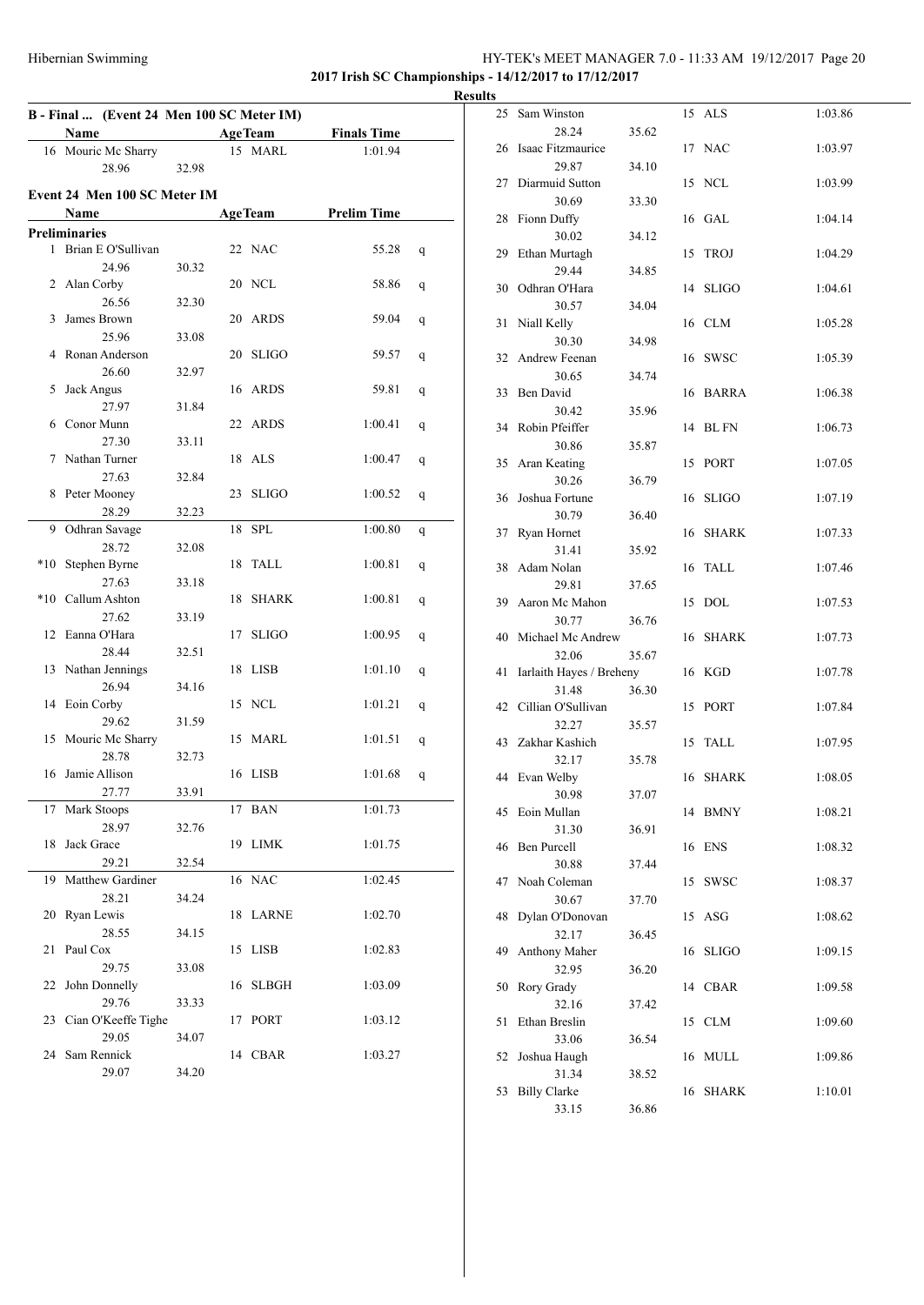### HY-TEK's MEET MANAGER 7.0 - 11:33 AM 19/12/2017 Page 20 **2017 Irish SC Championships - 14/12/2017 to 17/12/2017**

**B - Final ... (Event 24 Men 100 SC Meter IM) Name Age Team Finals Time** 16 Mouric Mc Sharry 15 MARL 1:01.94 28.96 32.98 **Event 24 Men 100 SC Meter IM Name Age Team Prelim Time Preliminaries** 1 Brian E O'Sullivan 22 NAC 55.28 q 24.96 30.32 2 Alan Corby 20 NCL 58.86 q 26.56 32.30 3 James Brown 20 ARDS 59.04 q 25.96 33.08 4 Ronan Anderson 20 SLIGO 59.57 q 26.60 32.97 5 Jack Angus 16 ARDS 59.81 q 27.97 31.84 6 Conor Munn 22 ARDS 1:00.41 q 27.30 33.11 7 Nathan Turner 18 ALS 1:00.47 q 27.63 32.84 8 Peter Mooney 23 SLIGO 1:00.52 q 28.29 32.23 9 Odhran Savage 18 SPL 1:00.80 q 28.72 32.08 \*10 Stephen Byrne 18 TALL 1:00.81 q 27.63 33.18 \*10 Callum Ashton 18 SHARK 1:00.81 q 27.62 33.19 12 Eanna O'Hara 17 SLIGO 1:00.95 q 28.44 32.51 13 Nathan Jennings 18 LISB 1:01.10 q 26.94 34.16 14 Eoin Corby 15 NCL 1:01.21 q 29.62 31.59 15 Mouric Mc Sharry 15 MARL 1:01.51 q 28.78 32.73 16 Jamie Allison 16 LISB 1:01.68 q 27.77 33.91 17 Mark Stoops 17 BAN 1:01.73 28.97 32.76 18 Jack Grace 19 LIMK 1:01.75 29.21 32.54 19 Matthew Gardiner 16 NAC 1:02.45 28.21 34.24 20 Ryan Lewis 18 LARNE 1:02.70 28.55 34.15 21 Paul Cox 15 LISB 1:02.83 29.75 33.08 22 John Donnelly 16 SLBGH 1:03.09 29.76 33.33 23 Cian O'Keeffe Tighe 17 PORT 1:03.12 29.05 34.07 24 Sam Rennick 14 CBAR 1:03.27 29.07 34.20

|                | <b>Results</b> |                                   |       |    |             |         |
|----------------|----------------|-----------------------------------|-------|----|-------------|---------|
|                |                | 25 Sam Winston<br>28.24           | 35.62 |    | 15 ALS      | 1:03.86 |
| Ī.             |                | 26 Isaac Fitzmaurice              |       |    | 17 NAC      | 1:03.97 |
|                |                | 29.87<br>27 Diarmuid Sutton       | 34.10 |    | 15 NCL      | 1:03.99 |
|                |                | 30.69<br>28 Fionn Duffy           | 33.30 |    | 16 GAL      | 1:04.14 |
|                |                | 30.02                             | 34.12 |    |             |         |
|                |                | 29 Ethan Murtagh<br>29.44         | 34.85 |    | 15 TROJ     | 1:04.29 |
|                |                | 30 Odhran O'Hara                  |       |    | 14 SLIGO    | 1:04.61 |
|                |                | 30.57<br>31 Niall Kelly           | 34.04 |    | 16 CLM      | 1:05.28 |
|                |                | 30.30<br>32 Andrew Feenan         | 34.98 |    | 16 SWSC     | 1:05.39 |
|                |                | 30.65<br>33 Ben David             | 34.74 |    | 16 BARRA    | 1:06.38 |
|                |                | 30.42                             | 35.96 |    |             |         |
|                |                | 34 Robin Pfeiffer<br>30.86        | 35.87 |    | 14 BL FN    | 1:06.73 |
|                |                | 35 Aran Keating<br>30.26          |       |    | 15 PORT     | 1:07.05 |
|                |                | 36 Joshua Fortune                 | 36.79 |    | 16 SLIGO    | 1:07.19 |
|                |                | 30.79<br>37 Ryan Hornet           | 36.40 |    | 16 SHARK    | 1:07.33 |
|                |                | 31.41<br>38 Adam Nolan            | 35.92 |    | 16 TALL     | 1:07.46 |
|                |                | 29.81                             | 37.65 |    |             |         |
|                |                | 39 Aaron Mc Mahon<br>30.77        | 36.76 |    | 15 DOL      | 1:07.53 |
|                |                | 40 Michael Mc Andrew<br>32.06     | 35.67 |    | 16 SHARK    | 1:07.73 |
|                | 41             | Iarlaith Hayes / Breheny<br>31.48 | 36.30 |    | 16 KGD      | 1:07.78 |
|                |                | 42 Cillian O'Sullivan             |       |    | 15 PORT     | 1:07.84 |
|                |                | 32.27<br>43 Zakhar Kashich        | 35.57 |    | 15 TALL     | 1:07.95 |
|                |                | 32.17<br>44 Evan Welby            | 35.78 |    | 16 SHARK    | 1:08.05 |
| $\overline{a}$ |                | 30.98                             | 37.07 |    |             |         |
|                |                | 45 Eoin Mullan<br>31.30           | 36.91 |    | 14 BMNY     | 1:08.21 |
|                |                | 46 Ben Purcell<br>30.88           | 37.44 |    | 16 ENS      | 1:08.32 |
|                | 47             | Noah Coleman                      |       | 15 | <b>SWSC</b> | 1:08.37 |
|                | 48             | 30.67<br>Dylan O'Donovan          | 37.70 | 15 | ASG         | 1:08.62 |
|                | 49             | 32.17<br>Anthony Maher            | 36.45 |    | 16 SLIGO    | 1:09.15 |
|                |                | 32.95                             | 36.20 |    |             |         |
|                | 50             | Rory Grady<br>32.16               | 37.42 |    | 14 CBAR     | 1:09.58 |
|                | 51             | Ethan Breslin<br>33.06            | 36.54 |    | 15 CLM      | 1:09.60 |
|                | 52             | Joshua Haugh                      |       |    | 16 MULL     | 1:09.86 |
|                | 53             | 31.34<br><b>Billy Clarke</b>      | 38.52 |    | 16 SHARK    | 1:10.01 |
|                |                | 33.15                             | 36.86 |    |             |         |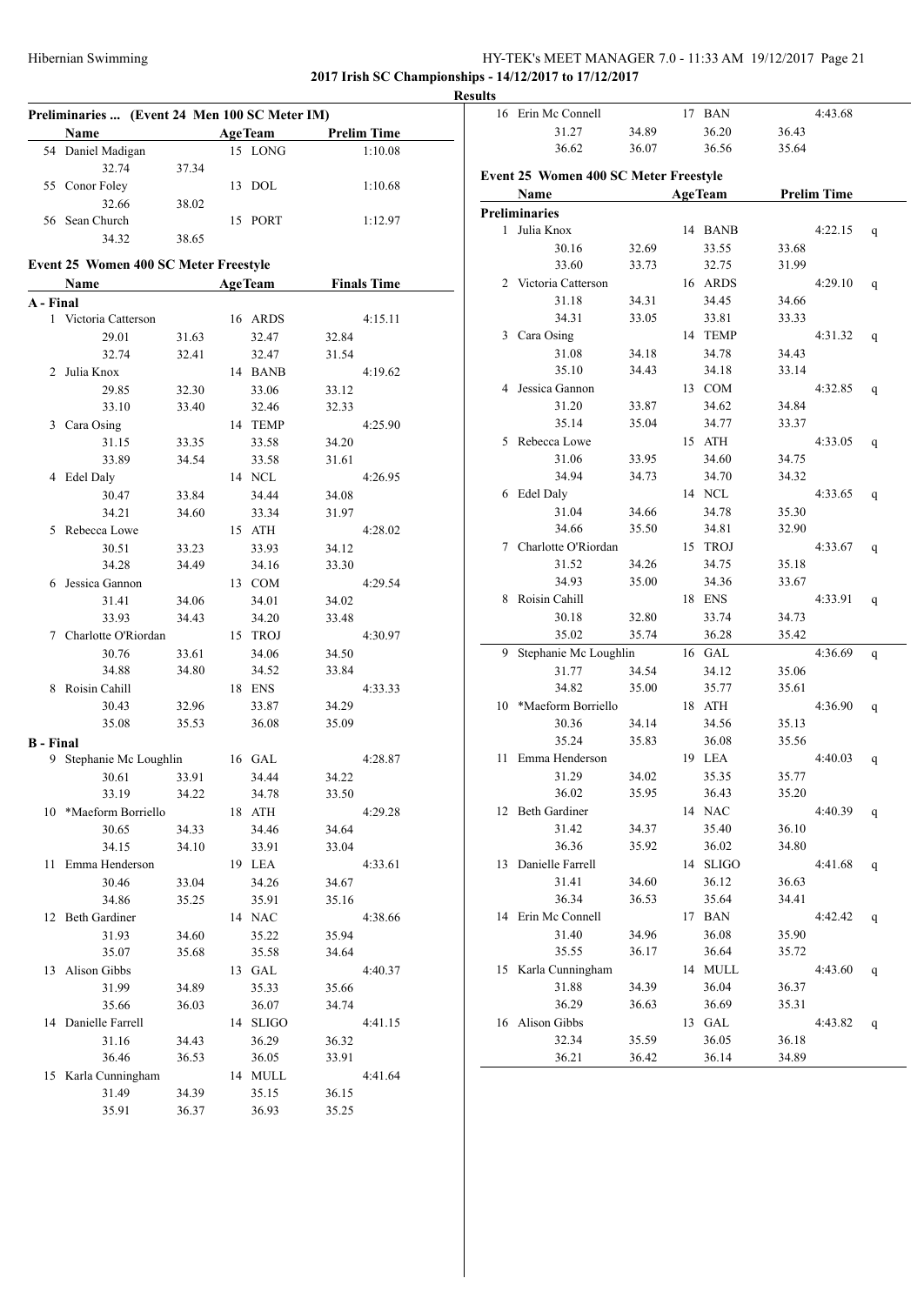# HY-TEK's MEET MANAGER 7.0 - 11:33 AM 19/12/2017 Page 21

**2017 Irish SC Championships - 14/12/2017 to 17/12/2017**

|                  |                                               |       |                |          |       |                    | <b>Results</b> |                                       |       |                |       |                    |   |
|------------------|-----------------------------------------------|-------|----------------|----------|-------|--------------------|----------------|---------------------------------------|-------|----------------|-------|--------------------|---|
|                  | Preliminaries  (Event 24 Men 100 SC Meter IM) |       |                |          |       |                    |                | 16 Erin Mc Connell                    |       | 17 BAN         |       | 4:43.68            |   |
|                  | Name                                          |       | <b>AgeTeam</b> |          |       | <b>Prelim Time</b> |                | 31.27                                 | 34.89 | 36.20          | 36.43 |                    |   |
|                  | 54 Daniel Madigan                             |       |                | 15 LONG  |       | 1:10.08            |                | 36.62                                 | 36.07 | 36.56          | 35.64 |                    |   |
|                  | 32.74                                         | 37.34 |                |          |       |                    |                | Event 25 Women 400 SC Meter Freestyle |       |                |       |                    |   |
|                  | 55 Conor Foley                                |       |                | 13 DOL   |       | 1:10.68            |                | Name                                  |       | <b>AgeTeam</b> |       | <b>Prelim Time</b> |   |
|                  | 32.66                                         | 38.02 |                |          |       |                    |                | <b>Preliminaries</b>                  |       |                |       |                    |   |
|                  | 56 Sean Church                                |       |                | 15 PORT  |       | 1:12.97            |                | 1 Julia Knox                          |       | 14 BANB        |       | 4:22.15            |   |
|                  | 34.32                                         | 38.65 |                |          |       |                    |                | 30.16                                 | 32.69 | 33.55          | 33.68 |                    |   |
|                  | Event 25 Women 400 SC Meter Freestyle         |       |                |          |       |                    |                | 33.60                                 | 33.73 | 32.75          | 31.99 |                    |   |
|                  | Name                                          |       | <b>AgeTeam</b> |          |       | <b>Finals Time</b> |                | 2 Victoria Catterson                  |       | 16 ARDS        |       | 4:29.10            |   |
| A - Final        |                                               |       |                |          |       |                    |                | 31.18                                 | 34.31 | 34.45          | 34.66 |                    |   |
|                  | 1 Victoria Catterson                          |       |                | 16 ARDS  |       | 4:15.11            |                | 34.31                                 | 33.05 | 33.81          | 33.33 |                    |   |
|                  | 29.01                                         | 31.63 |                | 32.47    | 32.84 |                    |                | 3 Cara Osing                          |       | 14 TEMP        |       | 4:31.32            |   |
|                  | 32.74                                         | 32.41 |                | 32.47    | 31.54 |                    |                | 31.08                                 | 34.18 | 34.78          | 34.43 |                    |   |
|                  | 2 Julia Knox                                  |       |                | 14 BANB  |       | 4:19.62            |                | 35.10                                 | 34.43 | 34.18          | 33.14 |                    |   |
|                  | 29.85                                         | 32.30 |                | 33.06    | 33.12 |                    |                | 4 Jessica Gannon                      |       | 13 COM         |       | 4:32.85            |   |
|                  | 33.10                                         | 33.40 |                | 32.46    | 32.33 |                    |                | 31.20                                 | 33.87 | 34.62          | 34.84 |                    |   |
|                  | 3 Cara Osing                                  |       |                | 14 TEMP  |       | 4:25.90            |                | 35.14                                 | 35.04 | 34.77          | 33.37 |                    |   |
|                  | 31.15                                         | 33.35 |                | 33.58    | 34.20 |                    |                | 5 Rebecca Lowe                        |       | 15 ATH         |       | 4:33.05            |   |
|                  | 33.89                                         | 34.54 |                | 33.58    | 31.61 |                    |                | 31.06                                 | 33.95 | 34.60          | 34.75 |                    |   |
|                  | 4 Edel Daly                                   |       |                | 14 NCL   |       | 4:26.95            |                | 34.94                                 | 34.73 | 34.70          | 34.32 |                    |   |
|                  | 30.47                                         | 33.84 |                | 34.44    | 34.08 |                    |                | 6 Edel Daly                           |       | 14 NCL         |       | 4:33.65            |   |
|                  | 34.21                                         | 34.60 |                | 33.34    | 31.97 |                    |                | 31.04                                 | 34.66 | 34.78          | 35.30 |                    |   |
|                  | 5 Rebecca Lowe                                |       |                | 15 ATH   |       | 4:28.02            |                | 34.66                                 | 35.50 | 34.81          | 32.90 |                    |   |
|                  | 30.51                                         | 33.23 |                | 33.93    | 34.12 |                    |                | 7 Charlotte O'Riordan                 |       | 15 TROJ        |       | 4:33.67            |   |
|                  | 34.28                                         | 34.49 |                | 34.16    | 33.30 |                    |                | 31.52                                 | 34.26 | 34.75          | 35.18 |                    |   |
|                  | 6 Jessica Gannon                              |       |                | 13 COM   |       | 4:29.54            |                | 34.93                                 | 35.00 | 34.36          | 33.67 |                    |   |
|                  | 31.41                                         | 34.06 |                | 34.01    | 34.02 |                    |                | 8 Roisin Cahill                       |       | 18 ENS         |       | 4:33.91            |   |
|                  | 33.93                                         | 34.43 |                | 34.20    | 33.48 |                    |                | 30.18                                 | 32.80 | 33.74          | 34.73 |                    |   |
|                  | 7 Charlotte O'Riordan                         |       |                | 15 TROJ  |       | 4:30.97            |                | 35.02                                 | 35.74 | 36.28          | 35.42 |                    |   |
|                  | 30.76                                         | 33.61 |                | 34.06    | 34.50 |                    |                | 9 Stephanie Mc Loughlin               |       | 16 GAL         |       | 4:36.69            |   |
|                  | 34.88                                         | 34.80 |                | 34.52    | 33.84 |                    |                | 31.77                                 | 34.54 | 34.12          | 35.06 |                    |   |
|                  | 8 Roisin Cahill                               |       |                | 18 ENS   |       | 4:33.33            |                | 34.82                                 | 35.00 | 35.77          | 35.61 |                    |   |
|                  | 30.43                                         | 32.96 |                | 33.87    | 34.29 |                    |                | 10 *Maeform Borriello                 |       | 18 ATH         |       | 4:36.90            |   |
|                  | 35.08                                         | 35.53 |                | 36.08    | 35.09 |                    |                | 30.36                                 | 34.14 | 34.56          | 35.13 |                    |   |
| <b>B</b> - Final |                                               |       |                |          |       |                    |                | 35.24                                 | 35.83 | 36.08          | 35.56 |                    |   |
|                  | 9 Stephanie Mc Loughlin                       |       |                | 16 GAL   |       | 4:28.87            |                | 11 Emma Henderson                     |       | 19 LEA         |       | 4:40.03            |   |
|                  | 30.61                                         | 33.91 |                | 34.44    | 34.22 |                    |                | 31.29                                 | 34.02 | 35.35          | 35.77 |                    |   |
|                  | 33.19                                         | 34.22 |                | 34.78    | 33.50 |                    |                | 36.02                                 | 35.95 | 36.43          | 35.20 |                    |   |
|                  | 10 *Maeform Borriello                         |       |                | 18 ATH   |       | 4:29.28            |                | 12 Beth Gardiner                      |       | 14 NAC         |       | 4:40.39            |   |
|                  | 30.65                                         | 34.33 |                | 34.46    | 34.64 |                    |                | 31.42                                 | 34.37 | 35.40          | 36.10 |                    |   |
|                  | 34.15                                         | 34.10 |                | 33.91    | 33.04 |                    |                | 36.36                                 | 35.92 | 36.02          | 34.80 |                    |   |
|                  | 11 Emma Henderson                             |       |                | 19 LEA   |       | 4:33.61            |                | 13 Danielle Farrell                   |       | 14 SLIGO       |       | 4:41.68            |   |
|                  | 30.46                                         | 33.04 |                | 34.26    | 34.67 |                    |                | 31.41                                 | 34.60 | 36.12          | 36.63 |                    |   |
|                  | 34.86                                         | 35.25 |                | 35.91    | 35.16 |                    |                | 36.34                                 | 36.53 | 35.64          | 34.41 |                    |   |
|                  | 12 Beth Gardiner                              |       |                | 14 NAC   |       | 4:38.66            |                | 14 Erin Mc Connell                    |       | 17 BAN         |       | 4:42.42            |   |
|                  | 31.93                                         | 34.60 |                | 35.22    | 35.94 |                    |                | 31.40                                 | 34.96 | 36.08          | 35.90 |                    |   |
|                  | 35.07                                         | 35.68 |                | 35.58    | 34.64 |                    |                | 35.55                                 | 36.17 | 36.64          | 35.72 |                    |   |
|                  | 13 Alison Gibbs                               |       |                | 13 GAL   |       | 4:40.37            |                | 15 Karla Cunningham                   |       | 14 MULL        |       | 4:43.60            |   |
|                  | 31.99                                         | 34.89 |                | 35.33    | 35.66 |                    |                | 31.88                                 | 34.39 | 36.04          | 36.37 |                    |   |
|                  | 35.66                                         | 36.03 |                | 36.07    | 34.74 |                    |                | 36.29                                 | 36.63 | 36.69          | 35.31 |                    |   |
|                  | 14 Danielle Farrell                           |       |                | 14 SLIGO |       | 4:41.15            |                | 16 Alison Gibbs                       |       | 13 GAL         |       | 4:43.82            | q |
|                  | 31.16                                         | 34.43 |                | 36.29    | 36.32 |                    |                | 32.34                                 | 35.59 | 36.05          | 36.18 |                    |   |
|                  | 36.46                                         | 36.53 |                | 36.05    | 33.91 |                    |                | 36.21                                 | 36.42 | 36.14          | 34.89 |                    |   |
|                  | 15 Karla Cunningham                           |       |                | 14 MULL  |       | 4:41.64            |                |                                       |       |                |       |                    |   |
|                  | 31.49                                         | 34.39 |                | 35.15    | 36.15 |                    |                |                                       |       |                |       |                    |   |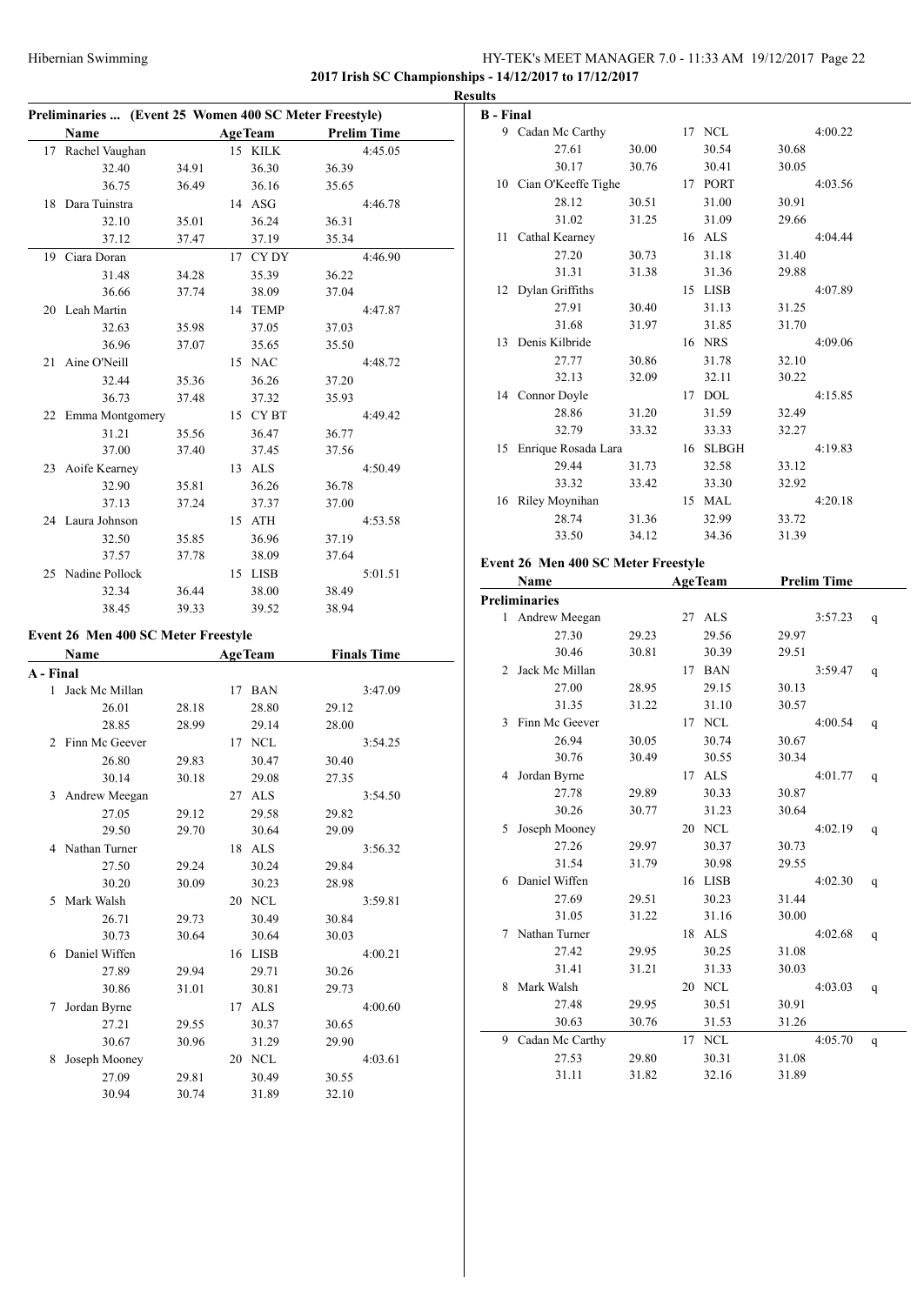### Hibernian Swimming HY-TEK's MEET MANAGER 7.0 - 11:33 AM 19/12/2017 Page 22 **2017 Irish SC Championships - 14/12/2017 to 17/12/2017**

**Preliminaries ... (Event 25 Women 400 SC Meter Freestyle) Name Age Team Prelim Time** 17 Rachel Vaughan 15 KILK 4:45.05 32.40 34.91 36.30 36.39 36.75 36.49 36.16 35.65 18 Dara Tuinstra 14 ASG 4:46.78 32.10 35.01 36.24 36.31 37.12 37.47 37.19 35.34 19 Ciara Doran 17 CY DY 4:46.90 31.48 34.28 35.39 36.22 36.66 37.74 38.09 37.04 20 Leah Martin 14 TEMP 4:47.87 32.63 35.98 37.05 37.03 36.96 37.07 35.65 35.50 21 Aine O'Neill 15 NAC 4:48.72 32.44 35.36 36.26 37.20 36.73 37.48 37.32 35.93 22 Emma Montgomery 15 CY BT 4:49.42 31.21 35.56 36.47 36.77 37.00 37.40 37.45 37.56 23 Aoife Kearney 13 ALS 4:50.49 32.90 35.81 36.26 36.78 37.13 37.24 37.37 37.00 24 Laura Johnson 15 ATH 4:53.58 32.50 35.85 36.96 37.19 37.57 37.78 38.09 37.64 25 Nadine Pollock 15 LISB 5:01.51 32.34 36.44 38.00 38.49 38.45 39.33 39.52 38.94 **Event 26 Men 400 SC Meter Freestyle Name Age Team Finals Time A - Final** 1 Jack Mc Millan 17 BAN 3:47.09 26.01 28.18 28.80 29.12 28.85 28.99 29.14 28.00 2 Finn Mc Geever 17 NCL 3:54.25 26.80 29.83 30.47 30.40 30.14 30.18 29.08 27.35 3 Andrew Meegan 27 ALS 3:54.50 27.05 29.12 29.58 29.82 29.50 29.70 30.64 29.09 4 Nathan Turner 18 ALS 3:56.32 27.50 29.24 30.24 29.84 30.20 30.09 30.23 28.98 5 Mark Walsh 20 NCL 3:59.81 26.71 29.73 30.49 30.84 30.73 30.64 30.64 30.03 6 Daniel Wiffen 16 LISB 4:00.21 27.89 29.94 29.71 30.26 30.86 31.01 30.81 29.73 7 Jordan Byrne 17 ALS 4:00.60 27.21 29.55 30.37 30.65 30.67 30.96 31.29 29.90 8 Joseph Mooney 20 NCL 4:03.61 27.09 29.81 30.49 30.55 30.94 30.74 31.89 32.10

| <b>Results</b>   |                                     |       |                |       |                    |   |
|------------------|-------------------------------------|-------|----------------|-------|--------------------|---|
| <b>B</b> - Final |                                     |       |                |       |                    |   |
|                  | 9 Cadan Mc Carthy                   |       | 17 NCL         |       | 4:00.22            |   |
|                  | 27.61                               | 30.00 | 30.54          | 30.68 |                    |   |
|                  | 30.17                               | 30.76 | 30.41          | 30.05 |                    |   |
|                  | 10 Cian O'Keeffe Tighe              |       | 17 PORT        |       | 4:03.56            |   |
|                  | 28.12                               | 30.51 | 31.00          | 30.91 |                    |   |
|                  | 31.02                               | 31.25 | 31.09          | 29.66 |                    |   |
|                  | 11 Cathal Kearney                   |       | 16 ALS         |       | 4:04.44            |   |
|                  | 27.20                               | 30.73 | 31.18          | 31.40 |                    |   |
|                  | 31.31                               | 31.38 | 31.36          | 29.88 |                    |   |
|                  | 12 Dylan Griffiths                  |       | 15 LISB        |       | 4:07.89            |   |
|                  | 27.91                               | 30.40 | 31.13          | 31.25 |                    |   |
|                  | 31.68                               | 31.97 | 31.85          | 31.70 |                    |   |
|                  | 13 Denis Kilbride                   |       | 16 NRS         |       | 4:09.06            |   |
|                  | 27.77                               | 30.86 | 31.78          | 32.10 |                    |   |
|                  | 32.13                               | 32.09 | 32.11          | 30.22 |                    |   |
|                  | 14 Connor Doyle                     |       | 17 DOL         |       | 4:15.85            |   |
|                  | 28.86                               | 31.20 | 31.59          | 32.49 |                    |   |
|                  | 32.79                               | 33.32 | 33.33          | 32.27 |                    |   |
|                  | 15 Enrique Rosada Lara              |       | 16 SLBGH       |       | 4:19.83            |   |
|                  | 29.44                               | 31.73 | 32.58          | 33.12 |                    |   |
|                  | 33.32                               | 33.42 | 33.30          | 32.92 |                    |   |
|                  | 16 Riley Moynihan                   |       | 15 MAL         |       | 4:20.18            |   |
|                  | 28.74                               | 31.36 | 32.99          | 33.72 |                    |   |
|                  | 33.50                               | 34.12 | 34.36          | 31.39 |                    |   |
|                  | Event 26 Men 400 SC Meter Freestyle |       |                |       |                    |   |
|                  | Name                                |       | <b>AgeTeam</b> |       | <b>Prelim Time</b> |   |
|                  | <b>Preliminaries</b>                |       |                |       |                    |   |
| 1                | Andrew Meegan                       |       | 27 ALS         |       | 3:57.23            | q |
|                  | 27.30                               | 29.23 | 29.56          | 29.97 |                    |   |
|                  | 30.46                               | 30.81 | 30.39          | 29.51 |                    |   |
|                  | $\mathbf{v}$ and $\mathbf{v}$       |       |                |       |                    |   |

|                | 30.40           | <b>30.81</b> |    | 30.39       | 29.31 |         |   |
|----------------|-----------------|--------------|----|-------------|-------|---------|---|
| $\mathfrak{D}$ | Jack Mc Millan  |              | 17 | <b>BAN</b>  |       | 3:59.47 | q |
|                | 27.00           | 28.95        |    | 29.15       | 30.13 |         |   |
|                | 31.35           | 31.22        |    | 31.10       | 30.57 |         |   |
| $\mathcal{L}$  | Finn Mc Geever  |              | 17 | <b>NCL</b>  |       | 4:00.54 | q |
|                | 26.94           | 30.05        |    | 30.74       | 30.67 |         |   |
|                | 30.76           | 30.49        |    | 30.55       | 30.34 |         |   |
| 4              | Jordan Byrne    |              | 17 | <b>ALS</b>  |       | 4:01.77 | q |
|                | 27.78           | 29.89        |    | 30.33       | 30.87 |         |   |
|                | 30.26           | 30.77        |    | 31.23       | 30.64 |         |   |
| 5              | Joseph Mooney   |              | 20 | <b>NCL</b>  |       | 4:02.19 | q |
|                | 27.26           | 29.97        |    | 30.37       | 30.73 |         |   |
|                | 31.54           | 31.79        |    | 30.98       | 29.55 |         |   |
| 6              | Daniel Wiffen   |              | 16 | <b>LISB</b> |       | 4:02.30 | q |
|                | 27.69           | 29.51        |    | 30.23       | 31.44 |         |   |
|                | 31.05           | 31.22        |    | 31.16       | 30.00 |         |   |
| 7              | Nathan Turner   |              | 18 | <b>ALS</b>  |       | 4:02.68 | q |
|                | 27.42           | 29.95        |    | 30.25       | 31.08 |         |   |
|                | 31.41           | 31.21        |    | 31.33       | 30.03 |         |   |
| 8              | Mark Walsh      |              | 20 | <b>NCL</b>  |       | 4:03.03 | q |
|                | 27.48           | 29.95        |    | 30.51       | 30.91 |         |   |
|                | 30.63           | 30.76        |    | 31.53       | 31.26 |         |   |
| 9              | Cadan Mc Carthy |              | 17 | <b>NCL</b>  |       | 4:05.70 | q |
|                | 27.53           | 29.80        |    | 30.31       | 31.08 |         |   |

31.11 31.82 32.16 31.89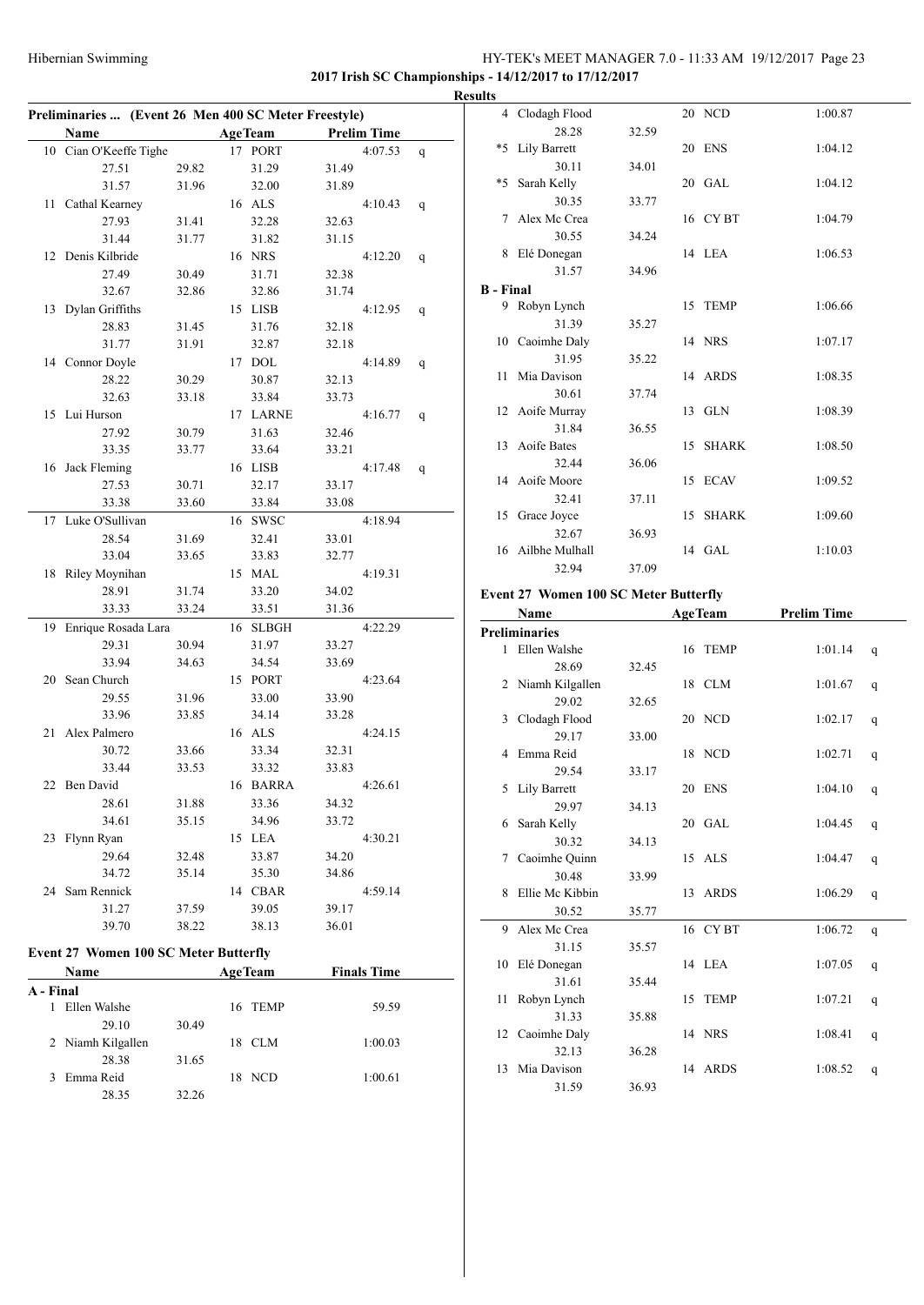#### HY-TEK's MEET MANAGER 7.0 - 11:33 AM 19/12/2017 Page 23 **2017 Irish SC Championships - 14/12/2017 to 17/12/2017**

**Preliminaries ... (Event 26 Men 400 SC Meter Freestyle) Name Age Team Prelim Time** 10 Cian O'Keeffe Tighe 17 PORT 4:07.53 q 27.51 29.82 31.29 31.49 31.57 31.96 32.00 31.89 11 Cathal Kearney 16 ALS 4:10.43 q 27.93 31.41 32.28 32.63 31.44 31.77 31.82 31.15 12 Denis Kilbride 16 NRS 4:12.20 q 27.49 30.49 31.71 32.38 32.67 32.86 32.86 31.74 13 Dylan Griffiths 15 LISB 4:12.95 q 28.83 31.45 31.76 32.18 31.77 31.91 32.87 32.18 14 Connor Doyle 17 DOL 4:14.89 q 28.22 30.29 30.87 32.13 32.63 33.18 33.84 33.73 15 Lui Hurson 17 LARNE 4:16.77 q 27.92 30.79 31.63 32.46 33.35 33.77 33.64 33.21 16 Jack Fleming 16 LISB 4:17.48 q 27.53 30.71 32.17 33.17 33.38 33.60 33.84 33.08 17 Luke O'Sullivan 16 SWSC 4:18.94 28.54 31.69 32.41 33.01 33.04 33.65 33.83 32.77 18 Riley Moynihan 15 MAL 4:19.31 28.91 31.74 33.20 34.02 33.33 33.24 33.51 31.36 19 Enrique Rosada Lara 16 SLBGH 4:22.29 29.31 30.94 31.97 33.27 33.94 34.63 34.54 33.69 20 Sean Church 15 PORT 4:23.64 29.55 31.96 33.00 33.90 33.96 33.85 34.14 33.28 21 Alex Palmero 16 ALS 4:24.15 30.72 33.66 33.34 32.31 33.44 33.53 33.32 33.83 22 Ben David 16 BARRA 4:26.61 28.61 31.88 33.36 34.32 34.61 35.15 34.96 33.72 23 Flynn Ryan 15 LEA 4:30.21 29.64 32.48 33.87 34.20 34.72 35.14 35.30 34.86 24 Sam Rennick 14 CBAR 4:59.14 31.27 37.59 39.05 39.17 39.70 38.22 38.13 36.01 **Event 27 Women 100 SC Meter Butterfly**

# **Name Age Team Finals Time**

| гуание            |       | дее геаш | гинану типе |  |
|-------------------|-------|----------|-------------|--|
| A - Final         |       |          |             |  |
| Ellen Walshe      |       | 16 TEMP  | 59.59       |  |
| 29.10             | 30.49 |          |             |  |
| 2 Niamh Kilgallen |       | 18 CLM   | 1:00.03     |  |
| 28.38             | 31.65 |          |             |  |
| Emma Reid<br>3    |       | 18 NCD   | 1:00.61     |  |
| 28.35             | 32.26 |          |             |  |
|                   |       |          |             |  |

| <b>Results</b>   |                   |       |          |         |  |
|------------------|-------------------|-------|----------|---------|--|
|                  | 4 Clodagh Flood   |       | 20 NCD   | 1:00.87 |  |
|                  | 28.28             | 32.59 |          |         |  |
|                  | *5 Lily Barrett   |       | 20 ENS   | 1:04.12 |  |
|                  | 30.11             | 34.01 |          |         |  |
|                  | *5 Sarah Kelly    |       | 20 GAL   | 1:04.12 |  |
|                  | 30.35             | 33.77 |          |         |  |
|                  | 7 Alex Mc Crea    |       | 16 CYBT  | 1:04.79 |  |
|                  | 30.55             | 34.24 |          |         |  |
|                  | 8 Elé Donegan     |       | 14 LEA   | 1:06.53 |  |
|                  | 31.57             | 34.96 |          |         |  |
| <b>B</b> - Final |                   |       |          |         |  |
|                  | 9 Robyn Lynch     |       | 15 TEMP  | 1:06.66 |  |
|                  | 31.39             | 35.27 |          |         |  |
|                  | 10 Caoimhe Daly   |       | 14 NRS   | 1:07.17 |  |
|                  | 31.95             | 35.22 |          |         |  |
|                  | 11 Mia Davison    |       | 14 ARDS  | 1:08.35 |  |
|                  | 30.61             | 37.74 |          |         |  |
|                  | 12 Aoife Murray   |       | 13 GLN   | 1:08.39 |  |
|                  | 31.84             | 36.55 |          |         |  |
|                  | 13 Aoife Bates    |       | 15 SHARK | 1:08.50 |  |
|                  | 32.44             | 36.06 |          |         |  |
|                  | 14 Aoife Moore    |       | 15 ECAV  | 1:09.52 |  |
|                  | 32.41             | 37.11 |          |         |  |
|                  | 15 Grace Joyce    |       | 15 SHARK | 1:09.60 |  |
|                  | 32.67             | 36.93 |          |         |  |
|                  | 16 Ailbhe Mulhall |       | 14 GAL   | 1:10.03 |  |
|                  | 32.94             | 37.09 |          |         |  |

#### **Event 27 Women 100 SC Meter Butterfly**

|    | Name                 | <b>AgeTeam</b> |    |             | <b>Prelim Time</b> |   |  |
|----|----------------------|----------------|----|-------------|--------------------|---|--|
|    | <b>Preliminaries</b> |                |    |             |                    |   |  |
|    | 1 Ellen Walshe       |                |    | 16 TEMP     | 1:01.14            | q |  |
|    | 28.69                | 32.45          |    |             |                    |   |  |
| 2  | Niamh Kilgallen      |                |    | 18 CLM      | 1:01.67            | q |  |
|    | 29.02                | 32.65          |    |             |                    |   |  |
| 3  | Clodagh Flood        |                |    | 20 NCD      | 1:02.17            | q |  |
|    | 29.17                | 33.00          |    |             |                    |   |  |
| 4  | Emma Reid            |                |    | 18 NCD      | 1:02.71            | q |  |
|    | 29.54                | 33.17          |    |             |                    |   |  |
| 5  | Lily Barrett         |                |    | 20 ENS      | 1:04.10            | q |  |
|    | 29.97                | 34.13          |    |             |                    |   |  |
| 6  | Sarah Kelly          |                |    | 20 GAL      | 1:04.45            | q |  |
|    | 30.32                | 34.13          |    |             |                    |   |  |
| 7  | Caoimhe Quinn        |                |    | 15 ALS      | 1:04.47            | q |  |
|    | 30.48                | 33.99          |    |             |                    |   |  |
| 8  | Ellie Mc Kibbin      |                |    | 13 ARDS     | 1:06.29            | q |  |
|    | 30.52                | 35.77          |    |             |                    |   |  |
|    | 9 Alex Mc Crea       |                |    | 16 CYBT     | 1:06.72            | q |  |
|    | 31.15                | 35.57          |    |             |                    |   |  |
| 10 | Elé Donegan          |                |    | 14 LEA      | 1:07.05            | q |  |
|    | 31.61                | 35.44          |    |             |                    |   |  |
| 11 | Robyn Lynch          |                | 15 | <b>TEMP</b> | 1:07.21            | q |  |
|    | 31.33                | 35.88          |    |             |                    |   |  |
|    | 12 Caoimhe Daly      |                |    | 14 NRS      | 1:08.41            | q |  |
|    | 32.13                | 36.28          |    |             |                    |   |  |
| 13 | Mia Davison          |                |    | 14 ARDS     | 1:08.52            | q |  |
|    | 31.59                | 36.93          |    |             |                    |   |  |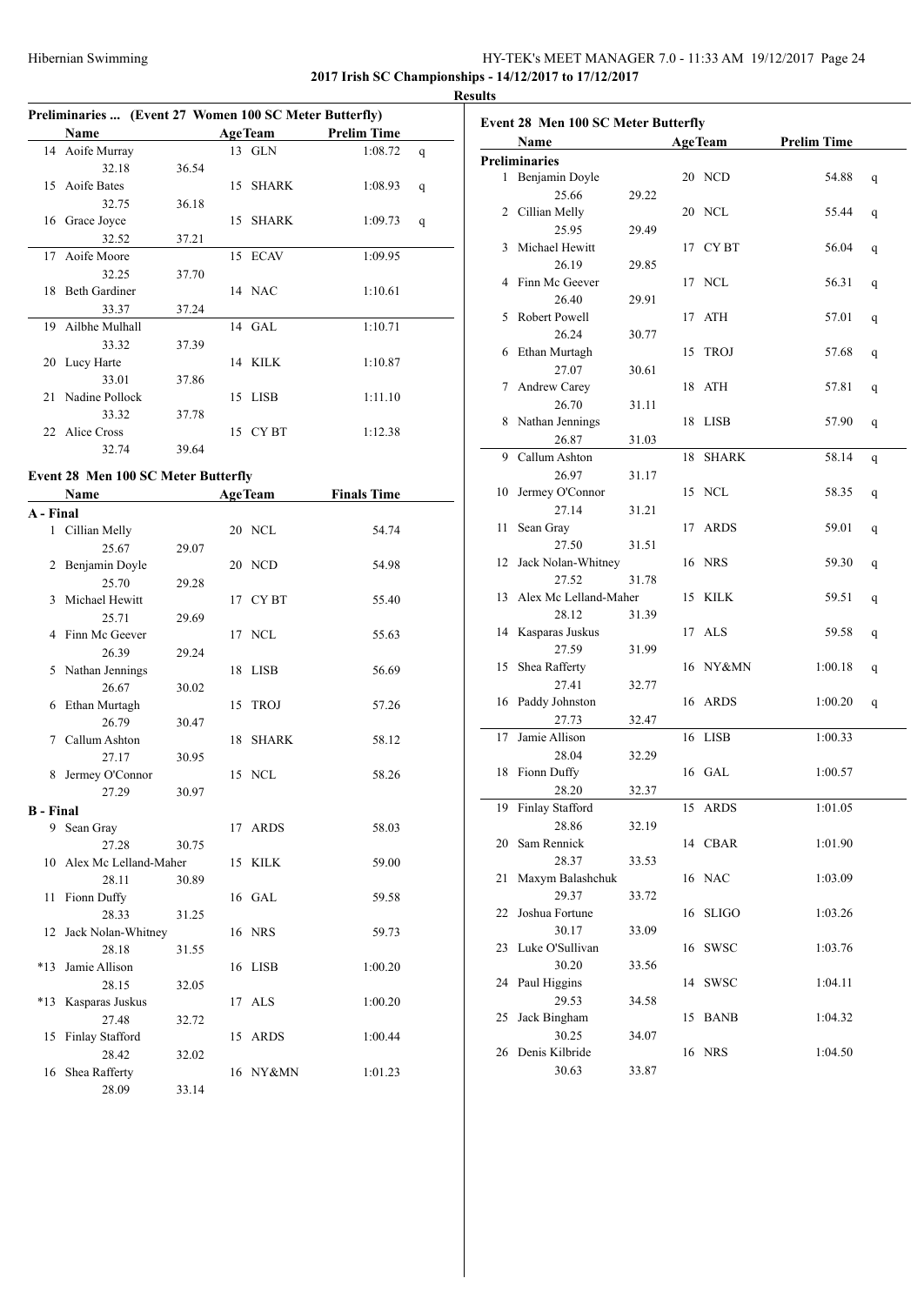### Hibernian Swimming HY-TEK's MEET MANAGER 7.0 - 11:33 AM 19/12/2017 Page 24 **2017 Irish SC Championships - 14/12/2017 to 17/12/2017**

**Results**

| Preliminaries  (Event 27 Women 100 SC Meter Butterfly) |                      |       |    |                |                    |   |  |
|--------------------------------------------------------|----------------------|-------|----|----------------|--------------------|---|--|
|                                                        | Name                 |       |    | <b>AgeTeam</b> | <b>Prelim Time</b> |   |  |
| 14                                                     | Aoife Murray         |       |    | 13 GLN         | 1:08.72            | q |  |
|                                                        | 32.18                | 36.54 |    |                |                    |   |  |
| 15.                                                    | Aoife Bates          |       |    | 15 SHARK       | 1:08.93            | q |  |
|                                                        | 32.75                | 36.18 |    |                |                    |   |  |
| 16                                                     | Grace Joyce          |       | 15 | <b>SHARK</b>   | 1:09.73            | q |  |
|                                                        | 32.52                | 37.21 |    |                |                    |   |  |
| 17                                                     | Aoife Moore          |       |    | 15 ECAV        | 1:09.95            |   |  |
|                                                        | 32.25                | 37.70 |    |                |                    |   |  |
| 18.                                                    | <b>Beth Gardiner</b> |       |    | 14 NAC         | 1:10.61            |   |  |
|                                                        | 33.37                | 37.24 |    |                |                    |   |  |
| 19                                                     | Ailbhe Mulhall       |       |    | 14 GAL         | 1:10.71            |   |  |
|                                                        | 33.32                | 37.39 |    |                |                    |   |  |
| 20                                                     | Lucy Harte           |       |    | 14 KILK        | 1:10.87            |   |  |
|                                                        | 33.01                | 37.86 |    |                |                    |   |  |
| 21                                                     | Nadine Pollock       |       |    | 15 LISB        | 1:11.10            |   |  |
|                                                        | 33.32                | 37.78 |    |                |                    |   |  |
| $22 -$                                                 | Alice Cross          |       |    | 15 CYBT        | 1:12.38            |   |  |
|                                                        | 32.74                | 39.64 |    |                |                    |   |  |

# **Event 28 Men 100 SC Meter Butterfly**

|                  | <b>Name</b>           |       |    | <b>AgeTeam</b> | <b>Finals Time</b> |
|------------------|-----------------------|-------|----|----------------|--------------------|
| A - Final        |                       |       |    |                |                    |
| $\mathbf{1}$     | Cillian Melly         |       |    | 20 NCL         | 54.74              |
|                  | 25.67                 | 29.07 |    |                |                    |
| 2                | Benjamin Doyle        |       |    | 20 NCD         | 54.98              |
|                  | 25.70                 | 29.28 |    |                |                    |
| 3                | Michael Hewitt        |       |    | 17 CYBT        | 55.40              |
|                  | 25.71                 | 29.69 |    |                |                    |
| 4                | Finn Mc Geever        |       |    | 17 NCL         | 55.63              |
|                  | 26.39                 | 29.24 |    |                |                    |
| 5                | Nathan Jennings       |       | 18 | <b>LISB</b>    | 56.69              |
|                  | 26.67                 | 30.02 |    |                |                    |
| 6                | Ethan Murtagh         |       | 15 | <b>TROJ</b>    | 57.26              |
|                  | 26.79                 | 30.47 |    |                |                    |
| 7                | Callum Ashton         |       | 18 | <b>SHARK</b>   | 58.12              |
|                  | 27.17                 | 30.95 |    |                |                    |
| 8                | Jermey O'Connor       |       |    | 15 NCL         | 58.26              |
|                  | 27.29                 | 30.97 |    |                |                    |
| <b>B</b> - Final |                       |       |    |                |                    |
|                  | 9 Sean Gray           |       |    | 17 ARDS        | 58.03              |
|                  | 27.28                 | 30.75 |    |                |                    |
| 10               | Alex Mc Lelland-Maher |       |    | 15 KILK        | 59.00              |
|                  | 28.11                 | 30.89 |    |                |                    |
| 11               | Fionn Duffy           |       |    | 16 GAL         | 59.58              |
|                  | 28.33                 | 31.25 |    |                |                    |
| 12               | Jack Nolan-Whitney    |       |    | 16 NRS         | 59.73              |
|                  | 28.18                 | 31.55 |    |                |                    |
| $*13$            | Jamie Allison         |       |    | 16 LISB        | 1:00.20            |
|                  | 28.15                 | 32.05 |    |                |                    |
| $*13$            | Kasparas Juskus       |       |    | 17 ALS         | 1:00.20            |
|                  | 27.48                 | 32.72 |    |                |                    |
| 15               | Finlay Stafford       |       |    | 15 ARDS        | 1:00.44            |
|                  | 28.42                 | 32.02 |    |                |                    |
| 16               | Shea Rafferty         |       |    | 16 NY&MN       | 1:01.23            |
|                  | 28.09                 | 33.14 |    |                |                    |

| Event 28 Men 100 SC Meter Butterfly |                          |       |    |                |                    |   |  |
|-------------------------------------|--------------------------|-------|----|----------------|--------------------|---|--|
|                                     | Name                     |       |    | <b>AgeTeam</b> | <b>Prelim Time</b> |   |  |
|                                     | <b>Preliminaries</b>     |       |    |                |                    |   |  |
|                                     | 1 Benjamin Doyle         |       |    | 20 NCD         | 54.88              | q |  |
|                                     | 25.66                    | 29.22 |    |                |                    |   |  |
|                                     | 2 Cillian Melly          |       |    | 20 NCL         | 55.44              | q |  |
|                                     | 25.95                    | 29.49 |    |                |                    |   |  |
|                                     | 3 Michael Hewitt         |       |    | 17 CYBT        | 56.04              | q |  |
|                                     | 26.19                    | 29.85 |    |                |                    |   |  |
|                                     | 4 Finn Mc Geever         |       |    | 17 NCL         | 56.31              | q |  |
|                                     | 26.40                    | 29.91 |    |                |                    |   |  |
|                                     | 5 Robert Powell          |       |    | 17 ATH         | 57.01              | q |  |
|                                     | 26.24                    | 30.77 |    |                |                    |   |  |
|                                     | 6 Ethan Murtagh          |       |    | 15 TROJ        | 57.68              | q |  |
|                                     | 27.07                    | 30.61 |    |                |                    |   |  |
|                                     | 7 Andrew Carey           |       | 18 | ATH            | 57.81              | q |  |
|                                     | 26.70                    | 31.11 |    |                |                    |   |  |
|                                     | 8 Nathan Jennings        |       | 18 | LISB           | 57.90              | q |  |
|                                     | 26.87                    | 31.03 |    |                |                    |   |  |
|                                     | 9 Callum Ashton          |       | 18 | <b>SHARK</b>   | 58.14              | q |  |
|                                     | 26.97                    | 31.17 |    |                |                    |   |  |
| 10                                  | Jermey O'Connor          |       |    | 15 NCL         | 58.35              | q |  |
|                                     | 27.14                    | 31.21 |    |                |                    |   |  |
| 11                                  | Sean Gray                |       |    | 17 ARDS        | 59.01              | q |  |
|                                     | 27.50                    | 31.51 |    |                |                    |   |  |
| 12                                  | Jack Nolan-Whitney       |       |    | 16 NRS         | 59.30              | q |  |
|                                     | 27.52                    | 31.78 |    |                |                    |   |  |
|                                     | 13 Alex Mc Lelland-Maher |       |    | 15 KILK        | 59.51              | q |  |
|                                     | 28.12                    | 31.39 |    |                |                    |   |  |
|                                     | 14 Kasparas Juskus       |       |    | 17 ALS         | 59.58              |   |  |
|                                     | 27.59                    | 31.99 |    |                |                    | q |  |
| 15                                  | Shea Rafferty            |       |    | 16 NY&MN       | 1:00.18            |   |  |
|                                     | 27.41                    | 32.77 |    |                |                    | q |  |
|                                     | 16 Paddy Johnston        |       | 16 | ARDS           | 1:00.20            |   |  |
|                                     | 27.73                    | 32.47 |    |                |                    | q |  |
| 17                                  | Jamie Allison            |       |    | 16 LISB        | 1:00.33            |   |  |
|                                     | 28.04                    | 32.29 |    |                |                    |   |  |
| 18                                  | Fionn Duffy              |       |    | 16 GAL         | 1:00.57            |   |  |
|                                     | 28.20                    | 32.37 |    |                |                    |   |  |
|                                     | 19 Finlay Stafford       |       |    | 15 ARDS        | 1:01.05            |   |  |
|                                     | 28.86                    | 32.19 |    |                |                    |   |  |
| 20                                  | Sam Rennick              |       |    | 14 CBAR        | 1:01.90            |   |  |
|                                     | 28.37                    |       |    |                |                    |   |  |
| 21                                  | Maxym Balashchuk         | 33.53 |    | 16 NAC         | 1:03.09            |   |  |
|                                     | 29.37                    |       |    |                |                    |   |  |
|                                     |                          | 33.72 |    |                |                    |   |  |
| 22                                  | Joshua Fortune           |       |    | 16 SLIGO       | 1:03.26            |   |  |
|                                     | 30.17                    | 33.09 |    |                |                    |   |  |
| 23                                  | Luke O'Sullivan          |       |    | 16 SWSC        | 1:03.76            |   |  |
|                                     | 30.20                    | 33.56 |    |                |                    |   |  |
| 24                                  | Paul Higgins             |       | 14 | <b>SWSC</b>    | 1:04.11            |   |  |
|                                     | 29.53                    | 34.58 |    |                |                    |   |  |
| 25                                  | Jack Bingham             |       |    | 15 BANB        | 1:04.32            |   |  |
|                                     | 30.25                    | 34.07 |    |                |                    |   |  |
|                                     | 26 Denis Kilbride        |       |    | 16 NRS         | 1:04.50            |   |  |
|                                     | 30.63                    | 33.87 |    |                |                    |   |  |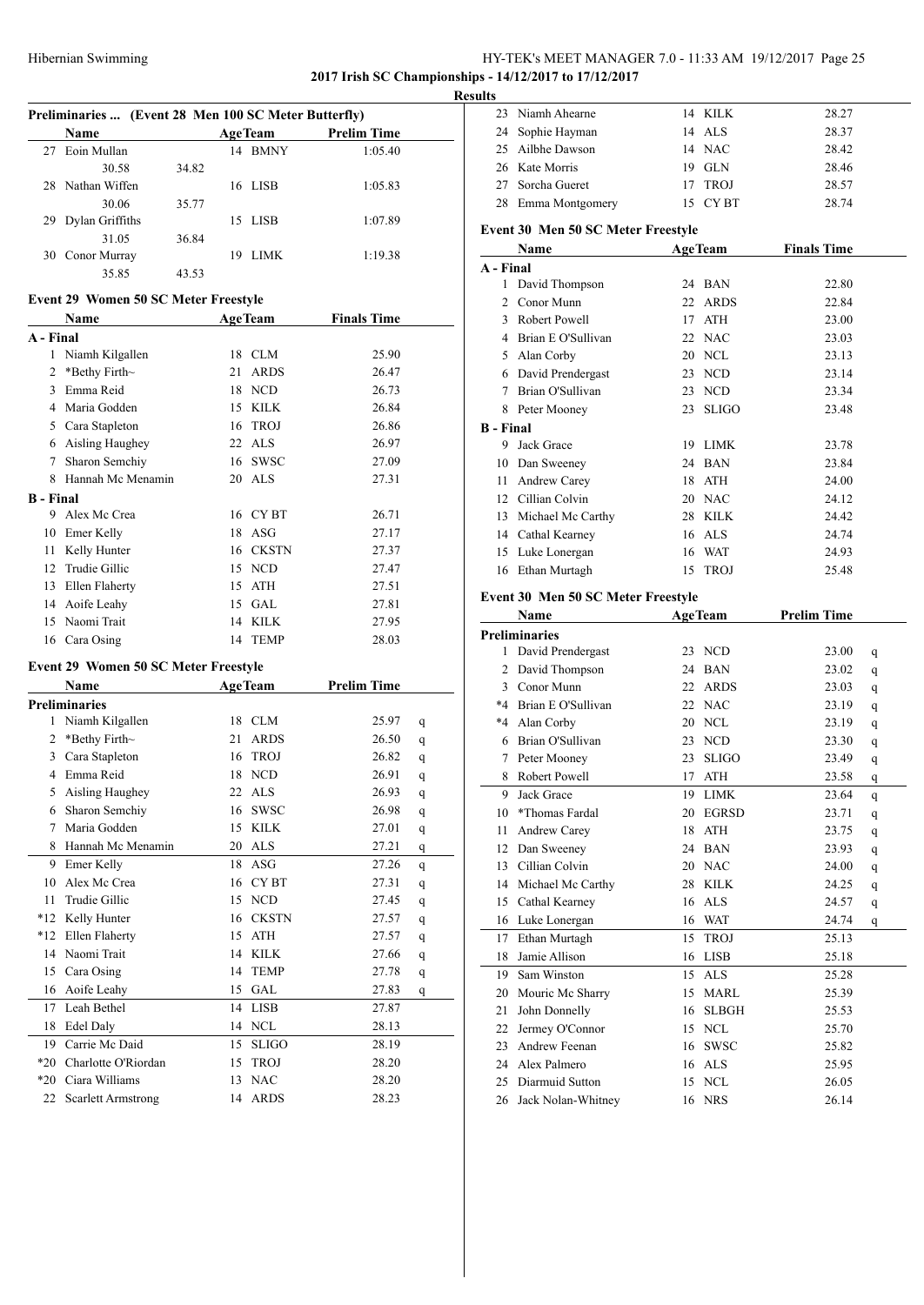# HY-TEK's MEET MANAGER 7.0 - 11:33 AM 19/12/2017 Page 25

**2017 Irish SC Championships - 14/12/2017 to 17/12/2017**

|                  |                                                      |    |                |                               | Resul |
|------------------|------------------------------------------------------|----|----------------|-------------------------------|-------|
|                  | Preliminaries  (Event 28 Men 100 SC Meter Butterfly) |    |                |                               |       |
|                  | Name                                                 |    | <b>AgeTeam</b> | <b>Prelim Time</b><br>1:05.40 |       |
| 27               | Eoin Mullan                                          |    | 14 BMNY        |                               |       |
|                  | 30.58<br>34.82<br>28 Nathan Wiffen                   |    | 16 LISB        |                               |       |
|                  | 30.06<br>35.77                                       |    |                | 1:05.83                       |       |
|                  | 29 Dylan Griffiths                                   |    | 15 LISB        | 1:07.89                       |       |
|                  | 31.05<br>36.84                                       |    |                |                               |       |
|                  | 30 Conor Murray                                      |    | 19 LIMK        | 1:19.38                       |       |
|                  | 35.85<br>43.53                                       |    |                |                               |       |
|                  |                                                      |    |                |                               |       |
|                  | Event 29 Women 50 SC Meter Freestyle                 |    |                |                               |       |
|                  | <b>Example 2</b> AgeTeam<br>Name                     |    |                | <b>Finals Time</b>            |       |
| A - Final        |                                                      |    |                |                               |       |
|                  | 1 Niamh Kilgallen                                    |    | 18 CLM         | 25.90                         |       |
| $\overline{c}$   | *Bethy Firth~                                        | 21 | <b>ARDS</b>    | 26.47                         |       |
| 3                | Emma Reid                                            |    | 18 NCD         | 26.73                         |       |
|                  | 4 Maria Godden                                       |    | 15 KILK        | 26.84                         |       |
|                  | 5 Cara Stapleton                                     |    | 16 TROJ        | 26.86                         |       |
|                  | 6 Aisling Haughey                                    |    | 22 ALS         | 26.97                         |       |
|                  | 7 Sharon Semchiy                                     |    | 16 SWSC        | 27.09                         |       |
|                  | 8 Hannah Mc Menamin                                  |    | 20 ALS         | 27.31                         |       |
| <b>B</b> - Final |                                                      |    |                |                               |       |
|                  | 9 Alex Mc Crea                                       |    | 16 CYBT        | 26.71                         |       |
|                  | 10 Emer Kelly                                        |    | 18 ASG         | 27.17                         |       |
| 11               | Kelly Hunter                                         |    | 16 CKSTN       | 27.37                         |       |
|                  | 12 Trudie Gillic                                     |    | 15 NCD         | 27.47                         |       |
| 13               | Ellen Flaherty                                       |    | 15 ATH         | 27.51                         |       |
|                  | 14 Aoife Leahy                                       |    | 15 GAL         | 27.81                         |       |
|                  | 15 Naomi Trait                                       |    | 14 KILK        | 27.95                         |       |
|                  | 16 Cara Osing                                        | 14 | <b>TEMP</b>    | 28.03                         |       |
|                  | <b>Event 29 Women 50 SC Meter Freestyle</b>          |    |                |                               |       |
|                  | Name                                                 |    | <b>AgeTeam</b> | <b>Prelim Time</b>            |       |
|                  | <b>Preliminaries</b>                                 |    |                |                               |       |
|                  | 1 Niamh Kilgallen                                    |    | 18 CLM         | 25.97                         | q     |
| $\overline{2}$   | *Bethy Firth~                                        | 21 | ARDS           | 26.50                         | q     |
|                  | 3 Cara Stapleton                                     |    | 16 TROJ        | 26.82                         | q     |
|                  | 4 Emma Reid                                          |    | 18 NCD         | 26.91                         | q     |
| 5                | Aisling Haughey                                      | 22 | ALS            | 26.93                         | q     |
| 6                | Sharon Semchiy                                       | 16 | SWSC           | 26.98                         | q     |
| 7                | Maria Godden                                         | 15 | KILK           | 27.01                         | q     |
| 8                | Hannah Mc Menamin                                    |    | 20 ALS         | 27.21                         | q     |
| 9                | Emer Kelly                                           | 18 | ASG            | 27.26                         | q     |
| 10               | Alex Mc Crea                                         |    | 16 CYBT        | 27.31                         | q     |
| 11               | Trudie Gillic                                        |    | 15 NCD         | 27.45                         | q     |
| $*12$            | Kelly Hunter                                         |    | 16 CKSTN       | 27.57                         | q     |
| $*12$            | Ellen Flaherty                                       |    | 15 ATH         | 27.57                         | q     |
| 14               | Naomi Trait                                          |    | 14 KILK        | 27.66                         | q     |
| 15               | Cara Osing                                           | 14 | <b>TEMP</b>    | 27.78                         | q     |
| 16               | Aoife Leahy                                          |    | 15 GAL         | 27.83                         | q     |
| 17               | Leah Bethel                                          |    | 14 LISB        | 27.87                         |       |
| 18               | Edel Daly                                            |    | 14 NCL         | 28.13                         |       |
| 19               | Carrie Mc Daid                                       | 15 | <b>SLIGO</b>   | 28.19                         |       |
|                  | *20 Charlotte O'Riordan                              | 15 | <b>TROJ</b>    | 28.20                         |       |
|                  | *20 Ciara Williams                                   | 13 | <b>NAC</b>     | 28.20                         |       |
|                  | 22 Scarlett Armstrong                                |    | 14 ARDS        | 28.23                         |       |

|                  | 23 Niamh Ahearne                   |                | 14 KILK        | 28.27              |   |
|------------------|------------------------------------|----------------|----------------|--------------------|---|
|                  | 24 Sophie Hayman                   |                | 14 ALS         | 28.37              |   |
|                  | 25 Ailbhe Dawson                   |                | 14 NAC         | 28.42              |   |
|                  | 26 Kate Morris                     |                | 19 GLN         | 28.46              |   |
|                  | 27 Sorcha Gueret                   |                | 17 TROJ        | 28.57              |   |
|                  | 28 Emma Montgomery                 |                | 15 CYBT        | 28.74              |   |
|                  | Event 30 Men 50 SC Meter Freestyle |                |                |                    |   |
|                  | Name                               |                | <b>AgeTeam</b> | <b>Finals Time</b> |   |
| A - Final        |                                    |                |                |                    |   |
|                  | 1 David Thompson                   |                | 24 BAN         | 22.80              |   |
|                  | 2 Conor Munn                       |                | 22 ARDS        | 22.84              |   |
|                  | 3 Robert Powell                    |                | 17 ATH         | 23.00              |   |
|                  | 4 Brian E O'Sullivan               |                | 22 NAC         | 23.03              |   |
|                  | 5 Alan Corby                       |                | 20 NCL         | 23.13              |   |
|                  | 6 David Prendergast                |                | 23 NCD         | 23.14              |   |
|                  | 7 Brian O'Sullivan                 |                | 23 NCD         | 23.34              |   |
|                  | 8 Peter Mooney                     |                | 23 SLIGO       | 23.48              |   |
|                  |                                    |                |                |                    |   |
| <b>B</b> - Final | 9 Jack Grace                       |                | 19 LIMK        | 23.78              |   |
|                  | 10 Dan Sweeney                     |                | 24 BAN         | 23.84              |   |
|                  | 11 Andrew Carey                    |                | 18 ATH         | 24.00              |   |
|                  | 12 Cillian Colvin                  |                |                |                    |   |
|                  |                                    |                | 20 NAC         | 24.12              |   |
|                  | 13 Michael Mc Carthy               |                | 28 KILK        | 24.42              |   |
|                  | 14 Cathal Kearney                  |                | 16 ALS         | 24.74              |   |
|                  | 15 Luke Lonergan                   |                | 16 WAT         | 24.93              |   |
|                  | 16 Ethan Murtagh                   |                | 15 TROJ        | 25.48              |   |
|                  | Event 30 Men 50 SC Meter Freestyle |                |                |                    |   |
|                  |                                    |                |                |                    |   |
|                  | Name                               | <b>AgeTeam</b> |                | <b>Prelim Time</b> |   |
|                  | <b>Preliminaries</b>               |                |                |                    |   |
|                  | 1 David Prendergast                |                | 23 NCD         | 23.00              | q |
|                  | 2 David Thompson                   |                | 24 BAN         | 23.02              | q |
|                  | 3 Conor Munn                       |                | 22 ARDS        | 23.03              | q |
|                  | *4 Brian E O'Sullivan              |                | 22 NAC         | 23.19              | q |
|                  | *4 Alan Corby                      |                | 20 NCL         | 23.19              | q |
| 6                | Brian O'Sullivan                   |                | 23 NCD         | 23.30              | q |
| 7                | Peter Mooney                       | 23             | <b>SLIGO</b>   | 23.49              | q |
| 8                | Robert Powell                      | 17             | <b>ATH</b>     | 23.58              | q |
| 9                | Jack Grace                         | 19             | LIMK           | 23.64              | q |
| 10               | *Thomas Fardal                     | 20             | EGRSD          | 23.71              | q |
| 11               | Andrew Carey                       | 18             | <b>ATH</b>     | 23.75              | q |
|                  | 12 Dan Sweeney                     |                | 24 BAN         | 23.93              | q |
|                  | 13 Cillian Colvin                  |                | 20 NAC         | 24.00              | q |
|                  | 14 Michael Mc Carthy               |                | 28 KILK        | 24.25              | q |
| 15               | Cathal Kearney                     | 16             | <b>ALS</b>     | 24.57              | q |
| 16               | Luke Lonergan                      |                | 16 WAT         | 24.74              | q |
| 17               | Ethan Murtagh                      | 15             | <b>TROJ</b>    | 25.13              |   |
| 18               | Jamie Allison                      |                | 16 LISB        | 25.18              |   |
| 19               | Sam Winston                        | 15             | <b>ALS</b>     | 25.28              |   |
| 20               | Mouric Mc Sharry                   | 15             | <b>MARL</b>    | 25.39              |   |
| 21               | John Donnelly                      | 16             | <b>SLBGH</b>   | 25.53              |   |
| 22               | Jermey O'Connor                    | 15             | <b>NCL</b>     | 25.70              |   |
| 23               | Andrew Feenan                      | 16             | <b>SWSC</b>    | 25.82              |   |
|                  | 24 Alex Palmero                    | 16             | ALS            | 25.95              |   |
| 25               | Diarmuid Sutton                    | 15             | <b>NCL</b>     | 26.05              |   |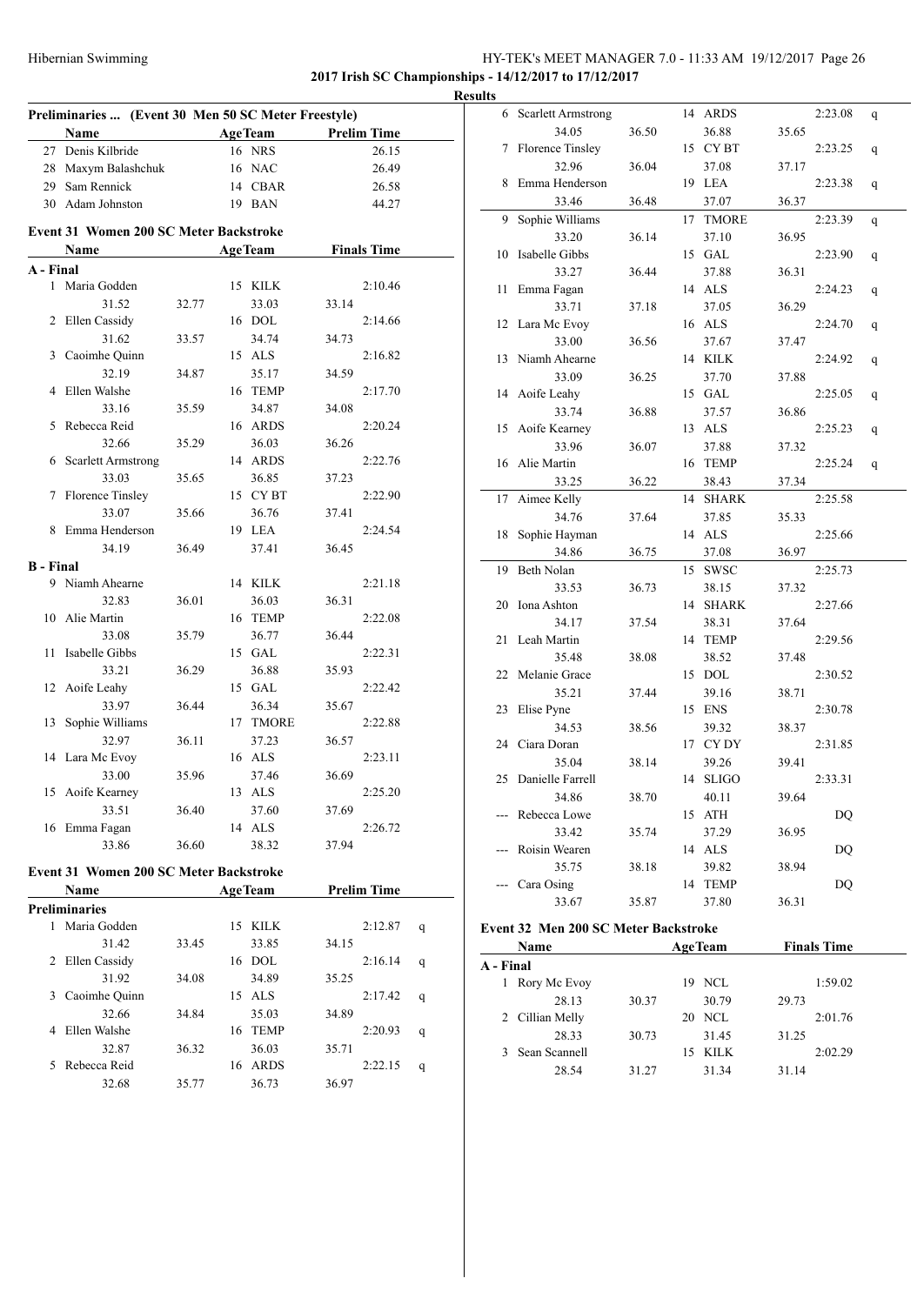# HY-TEK's MEET MANAGER 7.0 - 11:33 AM 19/12/2017 Page 26 **2017 Irish SC Championships - 14/12/2017 to 17/12/2017**

**Preliminaries ... (Event 30 Men 50 SC Meter Freestyle) Name Age Team Prelim Time** 27 Denis Kilbride 16 NRS 26.15 28 Maxym Balashchuk 16 NAC 26.49 29 Sam Rennick 14 CBAR 26.58 30 Adam Johnston 19 BAN 44.27 **Event 31 Women 200 SC Meter Backstroke Name Age Team Finals Time A - Final** 1 Maria Godden 15 KILK 2:10.46 31.52 32.77 33.03 33.14 2 Ellen Cassidy 16 DOL 2:14.66 31.62 33.57 34.74 34.73 3 Caoimhe Quinn 15 ALS 2:16.82 32.19 34.87 35.17 34.59 4 Ellen Walshe 16 TEMP 2:17.70 33.16 35.59 34.87 34.08 5 Rebecca Reid 16 ARDS 2:20.24 32.66 35.29 36.03 36.26 6 Scarlett Armstrong 14 ARDS 2:22.76 33.03 35.65 36.85 37.23 7 Florence Tinsley 15 CY BT 2:22.90 33.07 35.66 36.76 37.41 8 Emma Henderson 19 LEA 2:24.54 34.19 36.49 37.41 36.45 **B - Final** 9 Niamh Ahearne 14 KILK 2:21.18 32.83 36.01 36.03 36.31 10 Alie Martin 16 TEMP 2:22.08 33.08 35.79 36.77 36.44 11 Isabelle Gibbs 15 GAL 2:22.31 33.21 36.29 36.88 35.93 12 Aoife Leahy 15 GAL 2:22.42 33.97 36.44 36.34 35.67 13 Sophie Williams 17 TMORE 2:22.88 32.97 36.11 37.23 36.57 14 Lara Mc Evoy 16 ALS 2:23.11 33.00 35.96 37.46 36.69 15 Aoife Kearney 13 ALS 2:25.20 33.51 36.40 37.60 37.69 16 Emma Fagan 14 ALS 2:26.72 33.86 36.60 38.32 37.94 **Event 31 Women 200 SC Meter Backstroke Name Age Team Prelim Time Preliminaries** 1 Maria Godden 15 KILK 2:12.87 q 31.42 33.45 33.85 34.15 2 Ellen Cassidy 16 DOL 2:16.14 q 31.92 34.08 34.89 35.25 3 Caoimhe Quinn 15 ALS 2:17.42 q

32.66 34.84 35.03 34.89 4 Ellen Walshe 16 TEMP 2:20.93 q 32.87 36.32 36.03 35.71 5 Rebecca Reid 16 ARDS 2:22.15 q 32.68 35.77 36.73 36.97

| <b>Results</b> |                      |       |    |              |       |         |   |
|----------------|----------------------|-------|----|--------------|-------|---------|---|
|                | 6 Scarlett Armstrong |       |    | 14 ARDS      |       | 2:23.08 | q |
|                | 34.05                | 36.50 |    | 36.88        | 35.65 |         |   |
| 7              | Florence Tinsley     |       |    | 15 CYBT      |       | 2:23.25 | q |
|                | 32.96                | 36.04 |    | 37.08        | 37.17 |         |   |
| 8              | Emma Henderson       |       |    | 19 LEA       |       | 2:23.38 | q |
|                | 33.46                | 36.48 |    | 37.07        | 36.37 |         |   |
| 9              | Sophie Williams      |       | 17 | <b>TMORE</b> |       | 2:23.39 | q |
|                | 33.20                | 36.14 |    | 37.10        | 36.95 |         |   |
| 10             | Isabelle Gibbs       |       |    | 15 GAL       |       | 2:23.90 | q |
|                | 33.27                | 36.44 |    | 37.88        | 36.31 |         |   |
| 11             | Emma Fagan           |       |    | 14 ALS       |       | 2:24.23 | q |
|                | 33.71                | 37.18 |    | 37.05        | 36.29 |         |   |
| 12             | Lara Mc Evoy         |       |    | 16 ALS       |       | 2:24.70 | q |
|                | 33.00                | 36.56 |    | 37.67        | 37.47 |         |   |
| 13             | Niamh Ahearne        |       |    | 14 KILK      |       | 2:24.92 | q |
|                | 33.09                | 36.25 |    | 37.70        | 37.88 |         |   |
| 14             | Aoife Leahy          |       |    | 15 GAL       |       | 2:25.05 | q |
|                | 33.74                | 36.88 |    | 37.57        | 36.86 |         |   |
| 15             | Aoife Kearney        |       |    | 13 ALS       |       | 2:25.23 | q |
|                | 33.96                | 36.07 |    | 37.88        | 37.32 |         |   |
| 16             | Alie Martin          |       |    | 16 TEMP      |       | 2:25.24 | q |
|                | 33.25                | 36.22 |    | 38.43        | 37.34 |         |   |
| 17             | Aimee Kelly          |       |    | 14 SHARK     |       | 2:25.58 |   |
|                | 34.76                | 37.64 |    | 37.85        | 35.33 |         |   |
| 18             | Sophie Hayman        |       |    | 14 ALS       |       | 2:25.66 |   |
|                | 34.86                | 36.75 |    | 37.08        | 36.97 |         |   |
| 19             | Beth Nolan           |       |    | 15 SWSC      |       | 2:25.73 |   |
|                | 33.53                | 36.73 |    | 38.15        | 37.32 |         |   |
| 20             | Iona Ashton          |       |    | 14 SHARK     |       | 2:27.66 |   |
|                | 34.17                | 37.54 |    | 38.31        | 37.64 |         |   |
| 21             | Leah Martin          |       |    | 14 TEMP      |       | 2:29.56 |   |
|                | 35.48                | 38.08 |    | 38.52        | 37.48 |         |   |
| 22             | Melanie Grace        |       |    | 15 DOL       |       | 2:30.52 |   |
|                | 35.21                | 37.44 |    | 39.16        | 38.71 |         |   |
| 23             | Elise Pyne           |       |    | 15 ENS       |       | 2:30.78 |   |
|                | 34.53                | 38.56 |    | 39.32        | 38.37 |         |   |
|                | 24 Ciara Doran       |       |    | 17 CYDY      |       | 2:31.85 |   |
|                | 35.04                | 38.14 |    | 39.26        | 39.41 |         |   |
| 25             | Danielle Farrell     |       |    | 14 SLIGO     |       | 2:33.31 |   |
|                | 34.86                | 38.70 |    | 40.11        | 39.64 |         |   |
|                | Rebecca Lowe         |       |    | 15 ATH       |       | DQ      |   |
|                | 33.42                | 35.74 |    | 37.29        | 36.95 |         |   |
|                | Roisin Wearen        |       |    | 14 ALS       |       | DQ      |   |
|                | 35.75                | 38.18 |    | 39.82        | 38.94 |         |   |
|                | Cara Osing           |       | 14 | <b>TEMP</b>  |       | DQ      |   |
|                | 33.67                | 35.87 |    | 37.80        | 36.31 |         |   |
|                |                      |       |    |              |       |         |   |

# **Event 32 Men 200 SC Meter Backstroke**

| <b>Name</b>       |       |        | <b>AgeTeam</b> |       | <b>Finals Time</b> |  |
|-------------------|-------|--------|----------------|-------|--------------------|--|
| A - Final         |       |        |                |       |                    |  |
| Rory Mc Evoy<br>1 |       | 19 NCL |                |       | 1:59.02            |  |
| 28.13             | 30.37 |        | 30.79          | 29.73 |                    |  |
| 2 Cillian Melly   |       | 20 NCL |                |       | 2:01.76            |  |
| 28.33             | 30.73 |        | 31.45          | 31.25 |                    |  |
| 3 Sean Scannell   |       | 15     | KILK           |       | 2:02.29            |  |
| 28.54             | 31.27 |        | 31.34          | 31.14 |                    |  |
|                   |       |        |                |       |                    |  |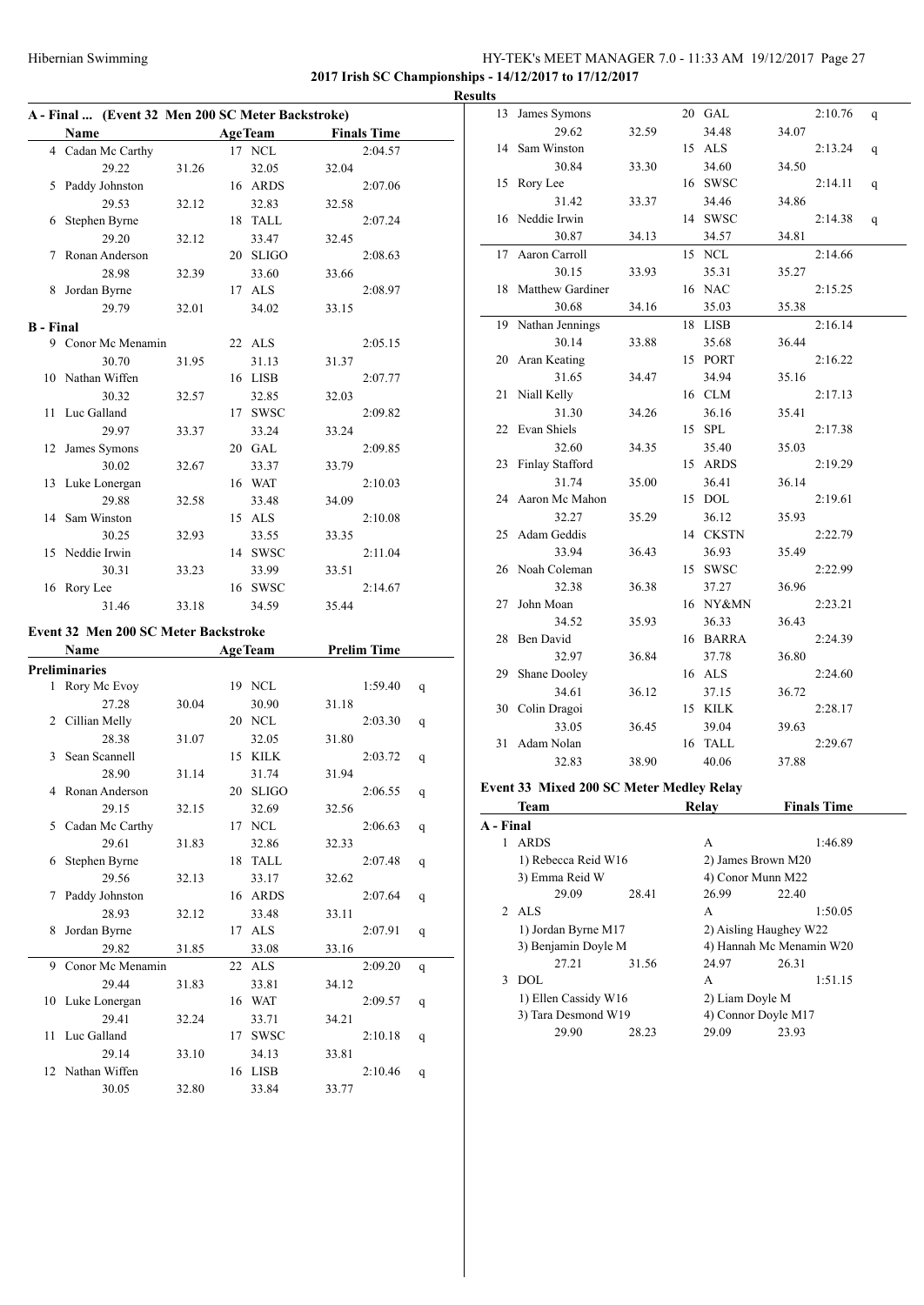# Hibernian Swimming HY-TEK's MEET MANAGER 7.0 - 11:33 AM 19/12/2017 Page 27 **2017 Irish SC Championships - 14/12/2017 to 17/12/2017**

**A - Final ... (Event 32 Men 200 SC Meter Backstroke) Name Age Team Finals Time** 4 Cadan Mc Carthy 17 NCL 2:04.57 29.22 31.26 32.05 32.04 5 Paddy Johnston 16 ARDS 2:07.06 29.53 32.12 32.83 32.58 6 Stephen Byrne 18 TALL 2:07.24 29.20 32.12 33.47 32.45 7 Ronan Anderson 20 SLIGO 2:08.63 28.98 32.39 33.60 33.66 8 Jordan Byrne 17 ALS 2:08.97 29.79 32.01 34.02 33.15 **B - Final** 9 Conor Mc Menamin 22 ALS 2:05.15 30.70 31.95 31.13 31.37 10 Nathan Wiffen 16 LISB 2:07.77 30.32 32.57 32.85 32.03 11 Luc Galland 17 SWSC 2:09.82 29.97 33.37 33.24 33.24 12 James Symons 20 GAL 2:09.85 30.02 32.67 33.37 33.79 13 Luke Lonergan 16 WAT 2:10.03 29.88 32.58 33.48 34.09 14 Sam Winston 15 ALS 2:10.08 30.25 32.93 33.55 33.35 15 Neddie Irwin 14 SWSC 2:11.04 30.31 33.23 33.99 33.51 16 Rory Lee 16 SWSC 2:14.67 31.46 33.18 34.59 35.44 **Event 32 Men 200 SC Meter Backstroke Name Age Team Prelim Time Preliminaries** 1 Rory Mc Evoy 19 NCL 1:59.40 q 27.28 30.04 30.90 31.18 2 Cillian Melly 20 NCL 2:03.30 q 28.38 31.07 32.05 31.80 3 Sean Scannell 15 KILK 2:03.72 q 28.90 31.14 31.74 31.94 4 Ronan Anderson 20 SLIGO 2:06.55 q 29.15 32.15 32.69 32.56 5 Cadan Mc Carthy 17 NCL 2:06.63 q 29.61 31.83 32.86 32.33 6 Stephen Byrne 18 TALL 2:07.48 q 29.56 32.13 33.17 32.62 7 Paddy Johnston 16 ARDS 2:07.64 q 28.93 32.12 33.48 33.11 8 Jordan Byrne 17 ALS 2:07.91 q 29.82 31.85 33.08 33.16 9 Conor Mc Menamin 22 ALS 2:09.20 q 29.44 31.83 33.81 34.12 10 Luke Lonergan 16 WAT 2:09.57 q 29.41 32.24 33.71 34.21 11 Luc Galland 17 SWSC 2:10.18 q 29.14 33.10 34.13 33.81 12 Nathan Wiffen 16 LISB 2:10.46 q 30.05 32.80 33.84 33.77

| <b>Results</b> |                                          |       |                          |       |                    |   |
|----------------|------------------------------------------|-------|--------------------------|-------|--------------------|---|
| 13             | James Symons                             |       | 20 GAL                   |       | 2:10.76            | q |
|                | 29.62                                    | 32.59 | 34.48                    | 34.07 |                    |   |
| 14             | Sam Winston                              |       | 15 ALS                   |       | 2:13.24            | q |
|                | 30.84                                    | 33.30 | 34.60                    | 34.50 |                    |   |
|                | 15 Rory Lee                              |       | 16 SWSC                  |       | 2:14.11            | q |
|                | 31.42                                    | 33.37 | 34.46                    | 34.86 |                    |   |
|                | 16 Neddie Irwin                          |       | 14 SWSC                  |       | 2:14.38            | q |
|                | 30.87                                    | 34.13 | 34.57                    | 34.81 |                    |   |
| 17             | Aaron Carroll                            |       | 15 NCL                   |       | 2:14.66            |   |
|                | 30.15                                    | 33.93 | 35.31                    | 35.27 |                    |   |
|                | 18 Matthew Gardiner                      |       | 16 NAC                   |       | 2:15.25            |   |
|                | 30.68                                    | 34.16 | 35.03                    | 35.38 |                    |   |
| 19             | Nathan Jennings                          |       | 18 LISB                  |       | 2:16.14            |   |
|                | 30.14                                    | 33.88 | 35.68                    | 36.44 |                    |   |
| 20             | Aran Keating                             |       | 15 PORT                  |       | 2:16.22            |   |
|                | 31.65                                    | 34.47 | 34.94                    | 35.16 |                    |   |
| 21             | Niall Kelly                              |       | 16 CLM                   |       | 2:17.13            |   |
|                | 31.30                                    | 34.26 | 36.16                    | 35.41 |                    |   |
|                | 22 Evan Shiels                           |       | 15 SPL                   |       | 2:17.38            |   |
|                | 32.60                                    | 34.35 | 35.40                    | 35.03 |                    |   |
| 23             | Finlay Stafford                          |       | 15 ARDS                  |       | 2:19.29            |   |
|                | 31.74                                    | 35.00 | 36.41                    | 36.14 |                    |   |
| 24             | Aaron Mc Mahon                           |       | 15 DOL                   |       | 2:19.61            |   |
|                | 32.27                                    | 35.29 | 36.12                    | 35.93 |                    |   |
| 25             | Adam Geddis                              |       | 14 CKSTN                 |       | 2:22.79            |   |
|                | 33.94                                    | 36.43 | 36.93                    | 35.49 |                    |   |
|                | 26 Noah Coleman                          |       | 15 SWSC                  |       | 2:22.99            |   |
|                | 32.38                                    | 36.38 | 37.27                    | 36.96 |                    |   |
| 27             | John Moan                                |       | 16 NY&MN                 |       | 2:23.21            |   |
|                | 34.52                                    | 35.93 | 36.33                    | 36.43 |                    |   |
| 28             | Ben David                                |       | 16 BARRA                 |       | 2:24.39            |   |
|                | 32.97                                    | 36.84 | 37.78                    | 36.80 |                    |   |
| 29             | Shane Dooley                             |       | 16 ALS                   |       | 2:24.60            |   |
|                | 34.61                                    |       | 37.15                    |       |                    |   |
|                | 30 Colin Dragoi                          | 36.12 | 15 KILK                  | 36.72 |                    |   |
|                |                                          |       |                          |       | 2:28.17            |   |
|                | 33.05                                    | 36.45 | 39.04                    | 39.63 |                    |   |
| 31             | Adam Nolan                               |       | 16 TALL                  |       | 2:29.67            |   |
|                | 32.83                                    | 38.90 | 40.06                    | 37.88 |                    |   |
|                | Event 33 Mixed 200 SC Meter Medley Relay |       |                          |       |                    |   |
|                | Team                                     |       | Relay                    |       | <b>Finals Time</b> |   |
| A - Final      |                                          |       |                          |       |                    |   |
|                | 1 ARDS                                   |       | A                        |       | 1:46.89            |   |
|                | 1) Rebecca Reid W16                      |       | 2) James Brown M20       |       |                    |   |
|                | 3) Emma Reid W                           |       | 4) Conor Munn M22        |       |                    |   |
|                | 29.09                                    | 28.41 | 26.99                    | 22.40 |                    |   |
|                | 2 ALS                                    |       | A                        |       | 1:50.05            |   |
|                | 1) Jordan Byrne M17                      |       | 2) Aisling Haughey W22   |       |                    |   |
|                | 3) Benjamin Doyle M                      |       | 4) Hannah Mc Menamin W20 |       |                    |   |
|                | 27.21                                    | 31.56 | 24.97                    | 26.31 |                    |   |
|                | 3 DOL                                    |       | A                        |       | 1:51.15            |   |
|                | 1) Ellen Cassidy W16                     |       | 2) Liam Doyle M          |       |                    |   |
|                | 3) Tara Desmond W19                      |       | 4) Connor Doyle M17      |       |                    |   |
|                | 29.90                                    | 28.23 | 29.09                    | 23.93 |                    |   |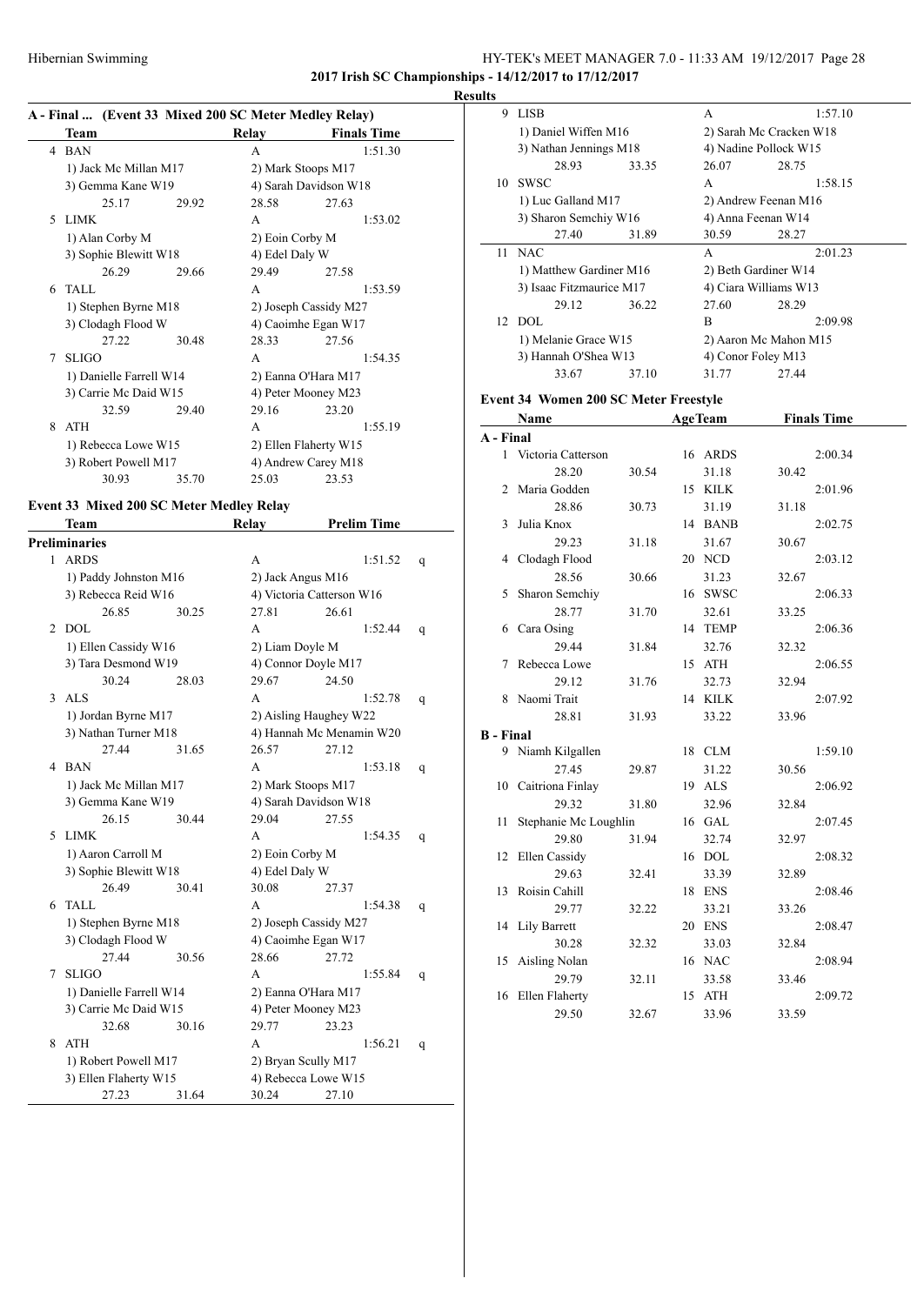### Hibernian Swimming HY-TEK's MEET MANAGER 7.0 - 11:33 AM 19/12/2017 Page 28 **2017 Irish SC Championships - 14/12/2017 to 17/12/2017**

**Results**

# **A - Final ... (Event 33 Mixed 200 SC Meter Medley Relay)**

|   | Team                    |       | Relay                 | <b>Finals Time</b> |  |
|---|-------------------------|-------|-----------------------|--------------------|--|
|   | 4 BAN                   |       | A                     | 1:51.30            |  |
|   | 1) Jack Mc Millan M17   |       | 2) Mark Stoops M17    |                    |  |
|   | 3) Gemma Kane W19       |       | 4) Sarah Davidson W18 |                    |  |
|   | 25.17                   | 29.92 | 28.58                 | 27.63              |  |
| 5 | <b>LIMK</b>             |       | A                     | 1:53.02            |  |
|   | 1) Alan Corby M         |       | 2) Eoin Corby M       |                    |  |
|   | 3) Sophie Blewitt W18   |       | 4) Edel Daly W        |                    |  |
|   | 26.29                   | 29.66 | 29.49                 | 27.58              |  |
| 6 | TALL.                   |       | A                     | 1:53.59            |  |
|   | 1) Stephen Byrne M18    |       | 2) Joseph Cassidy M27 |                    |  |
|   | 3) Clodagh Flood W      |       | 4) Caoimhe Egan W17   |                    |  |
|   | 27.22                   | 30.48 | 28.33                 | 27.56              |  |
| 7 | <b>SLIGO</b>            |       | A                     | 1:54.35            |  |
|   | 1) Danielle Farrell W14 |       | 2) Eanna O'Hara M17   |                    |  |
|   | 3) Carrie Mc Daid W15   |       | 4) Peter Mooney M23   |                    |  |
|   | 32.59                   | 29.40 | 29.16                 | 23.20              |  |
| 8 | <b>ATH</b>              |       | A                     | 1:55.19            |  |
|   | 1) Rebecca Lowe W15     |       | 2) Ellen Flaherty W15 |                    |  |
|   | 3) Robert Powell M17    |       | 4) Andrew Carey M18   |                    |  |
|   | 30.93                   | 35.70 | 25.03                 | 23.53              |  |

# **Event 33 Mixed 200 SC Meter Medley Relay**

|              | Team                    |       | <b>Relay</b>      | <b>Prelim Time</b>        |   |  |
|--------------|-------------------------|-------|-------------------|---------------------------|---|--|
|              | <b>Preliminaries</b>    |       |                   |                           |   |  |
| $\mathbf{1}$ | <b>ARDS</b>             |       | A                 | 1:51.52                   | q |  |
|              | 1) Paddy Johnston M16   |       | 2) Jack Angus M16 |                           |   |  |
|              | 3) Rebecca Reid W16     |       |                   | 4) Victoria Catterson W16 |   |  |
|              | 26.85                   | 30.25 | 27.81             | 26.61                     |   |  |
| 2            | DOL                     |       | A                 | 1:52.44                   | q |  |
|              | 1) Ellen Cassidy W16    |       | 2) Liam Doyle M   |                           |   |  |
|              | 3) Tara Desmond W19     |       |                   | 4) Connor Doyle M17       |   |  |
|              | 30.24                   | 28.03 | 29.67             | 24.50                     |   |  |
| 3            | ALS                     |       | A                 | 1:52.78                   | q |  |
|              | 1) Jordan Byrne M17     |       |                   | 2) Aisling Haughey W22    |   |  |
|              | 3) Nathan Turner M18    |       |                   | 4) Hannah Mc Menamin W20  |   |  |
|              | 27.44                   | 31.65 | 26.57             | 27.12                     |   |  |
| 4            | <b>BAN</b>              |       | A                 | 1:53.18                   | q |  |
|              | 1) Jack Mc Millan M17   |       |                   | 2) Mark Stoops M17        |   |  |
|              | 3) Gemma Kane W19       |       |                   | 4) Sarah Davidson W18     |   |  |
|              | 26.15                   | 30.44 | 29.04             | 27.55                     |   |  |
| 5            | <b>LIMK</b>             |       | A                 | 1:54.35                   | q |  |
|              | 1) Aaron Carroll M      |       | 2) Eoin Corby M   |                           |   |  |
|              | 3) Sophie Blewitt W18   |       | 4) Edel Daly W    |                           |   |  |
|              | 26.49                   | 30.41 | 30.08             | 27.37                     |   |  |
| 6            | <b>TALL</b>             |       | A                 | 1:54.38                   | q |  |
|              | 1) Stephen Byrne M18    |       |                   | 2) Joseph Cassidy M27     |   |  |
|              | 3) Clodagh Flood W      |       |                   | 4) Caoimhe Egan W17       |   |  |
|              | 27.44                   | 30.56 | 28.66             | 27.72                     |   |  |
| 7            | <b>SLIGO</b>            |       | A                 | 1:55.84                   | q |  |
|              | 1) Danielle Farrell W14 |       |                   | 2) Eanna O'Hara M17       |   |  |
|              | 3) Carrie Mc Daid W15   |       |                   | 4) Peter Mooney M23       |   |  |
|              | 32.68                   | 30.16 | 29.77             | 23.23                     |   |  |
| 8            | <b>ATH</b>              |       | A                 | 1:56.21                   | q |  |
|              | 1) Robert Powell M17    |       |                   | 2) Bryan Scully M17       |   |  |
|              | 3) Ellen Flaherty W15   |       |                   | 4) Rebecca Lowe W15       |   |  |
|              | 27.23                   | 31.64 | 30.24             | 27.10                     |   |  |

| 9  | <b>LISB</b>                                  |       | А                       | 1:57.10 |  |
|----|----------------------------------------------|-------|-------------------------|---------|--|
|    | 1) Daniel Wiffen M16                         |       | 2) Sarah Mc Cracken W18 |         |  |
|    | 3) Nathan Jennings M18                       |       | 4) Nadine Pollock W15   |         |  |
|    | 28.93                                        | 33.35 | 26.07                   | 28.75   |  |
| 10 | <b>SWSC</b>                                  |       | A                       | 1:58.15 |  |
|    | 1) Luc Galland M17                           |       | 2) Andrew Feenan M16    |         |  |
|    | 3) Sharon Semchiy W16                        |       | 4) Anna Feenan W14      |         |  |
|    | 27.40                                        | 31.89 | 30.59                   | 28.27   |  |
|    | 11 NAC                                       |       | A                       | 2:01.23 |  |
|    | 1) Matthew Gardiner M16                      |       | 2) Beth Gardiner W14    |         |  |
|    | 3) Isaac Fitzmaurice M17                     |       | 4) Ciara Williams W13   |         |  |
|    | 29.12                                        | 36.22 | 27.60                   | 28.29   |  |
|    | 12 DOL                                       |       | R.                      | 2:09.98 |  |
|    | 1) Melanie Grace W15<br>3) Hannah O'Shea W13 |       | 2) Aaron Mc Mahon M15   |         |  |
|    |                                              |       | 4) Conor Foley M13      |         |  |
|    | 33.67                                        | 37.10 | 31.77                   | 27.44   |  |

### **Event 34 Women 200 SC Meter Freestyle**

|           | Name                  |       | <b>AgeTeam</b> |       | <b>Finals Time</b> |  |
|-----------|-----------------------|-------|----------------|-------|--------------------|--|
| A - Final |                       |       |                |       |                    |  |
|           | 1 Victoria Catterson  |       | 16 ARDS        |       | 2:00.34            |  |
|           | 28.20                 | 30.54 | 31.18          | 30.42 |                    |  |
| 2         | Maria Godden          |       | 15 KILK        |       | 2:01.96            |  |
|           | 28.86                 | 30.73 | 31.19          | 31.18 |                    |  |
| 3         | Julia Knox            |       | 14 BANB        |       | 2:02.75            |  |
|           | 29.23                 | 31.18 | 31.67          | 30.67 |                    |  |
| 4         | Clodagh Flood         |       | 20 NCD         |       | 2:03.12            |  |
|           | 28.56                 | 30.66 | 31.23          | 32.67 |                    |  |
| 5         | Sharon Semchiy        |       | 16 SWSC        |       | 2:06.33            |  |
|           | 28.77                 | 31.70 | 32.61          | 33.25 |                    |  |
| 6         | Cara Osing            |       | 14 TEMP        |       | 2:06.36            |  |
|           | 29.44                 | 31.84 | 32.76          | 32.32 |                    |  |
| 7         | Rebecca Lowe          |       | 15 ATH         |       | 2:06.55            |  |
|           | 29.12                 | 31.76 | 32.73          | 32.94 |                    |  |
| 8         | Naomi Trait           |       | 14 KILK        |       | 2:07.92            |  |
|           | 28.81                 | 31.93 | 33.22          | 33.96 |                    |  |
| B - Final |                       |       |                |       |                    |  |
|           | 9 Niamh Kilgallen     |       | 18 CLM         |       | 1:59.10            |  |
|           | 27.45                 | 29.87 | 31.22          | 30.56 |                    |  |
|           | 10 Caitriona Finlay   |       | 19 ALS         |       | 2:06.92            |  |
|           | 29.32                 | 31.80 | 32.96          | 32.84 |                    |  |
| 11        | Stephanie Mc Loughlin |       | 16 GAL         |       | 2:07.45            |  |
|           | 29.80                 | 31.94 | 32.74          | 32.97 |                    |  |
| 12        | Ellen Cassidy         |       | 16 DOL         |       | 2:08.32            |  |
|           | 29.63                 | 32.41 | 33.39          | 32.89 |                    |  |
|           | 13 Roisin Cahill      |       | 18 ENS         |       | 2:08.46            |  |
|           | 29.77                 | 32.22 | 33.21          | 33.26 |                    |  |
|           | 14 Lily Barrett       |       | 20 ENS         |       | 2:08.47            |  |
|           | 30.28                 | 32.32 | 33.03          | 32.84 |                    |  |
| 15        | Aisling Nolan         |       | 16 NAC         |       | 2:08.94            |  |
|           | 29.79                 | 32.11 | 33.58          | 33.46 |                    |  |
| 16        | Ellen Flaherty        |       | 15 ATH         |       | 2:09.72            |  |
|           | 29.50                 | 32.67 | 33.96          | 33.59 |                    |  |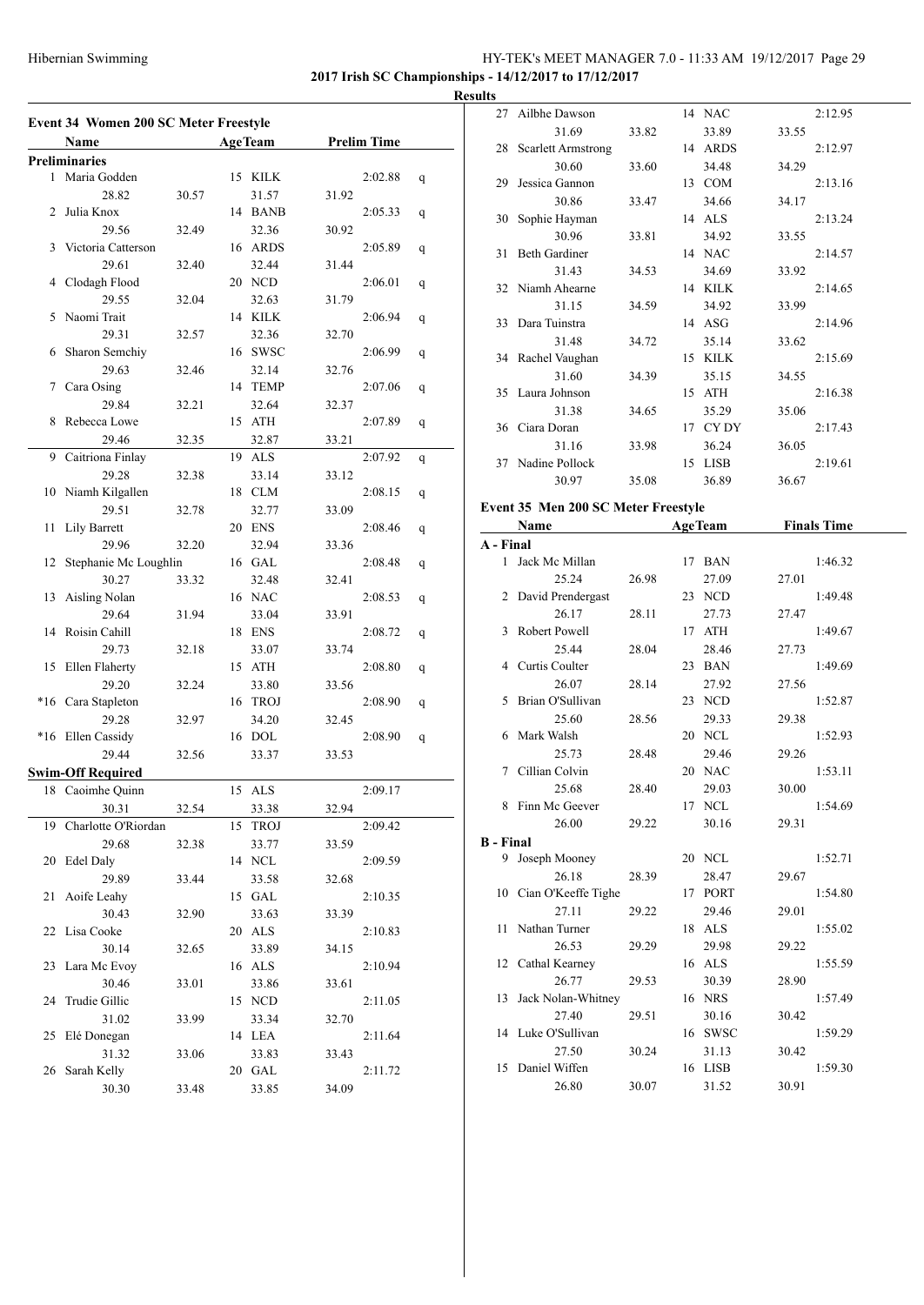# Hibernian Swimming HY-TEK's MEET MANAGER 7.0 - 11:33 AM 19/12/2017 Page 29 **2017 Irish SC Championships - 14/12/2017 to 17/12/2017**

**Results**

|              | Name                     |       |    | <b>AgeTeam</b> |       | <b>Prelim Time</b> |   |
|--------------|--------------------------|-------|----|----------------|-------|--------------------|---|
|              | <b>Preliminaries</b>     |       |    |                |       |                    |   |
| $\mathbf{1}$ | Maria Godden             |       | 15 | <b>KILK</b>    |       | 2:02.88            | q |
|              | 28.82                    | 30.57 |    | 31.57          | 31.92 |                    |   |
| 2            | Julia Knox               |       | 14 | <b>BANB</b>    |       | 2:05.33            | q |
|              | 29.56                    | 32.49 |    | 32.36          | 30.92 |                    |   |
| 3            | Victoria Catterson       |       | 16 | ARDS           |       | 2:05.89            | q |
|              | 29.61                    | 32.40 |    | 32.44          | 31.44 |                    |   |
| 4            | Clodagh Flood            |       |    | 20 NCD         |       | 2:06.01            |   |
|              | 29.55                    | 32.04 |    | 32.63          | 31.79 |                    | q |
| 5            | Naomi Trait              |       |    | 14 KILK        |       | 2:06.94            |   |
|              | 29.31                    | 32.57 |    | 32.36          | 32.70 |                    | q |
|              | Sharon Semchiy           |       | 16 | <b>SWSC</b>    |       | 2:06.99            |   |
| 6            |                          |       |    |                |       |                    | q |
|              | 29.63                    | 32.46 |    | 32.14          | 32.76 |                    |   |
| 7            | Cara Osing               |       | 14 | TEMP           |       | 2:07.06            | q |
|              | 29.84                    | 32.21 |    | 32.64          | 32.37 |                    |   |
| 8            | Rebecca Lowe             |       | 15 | ATH            |       | 2:07.89            | q |
|              | 29.46                    | 32.35 |    | 32.87          | 33.21 |                    |   |
| 9            | Caitriona Finlay         |       |    | 19 ALS         |       | 2:07.92            | q |
|              | 29.28                    | 32.38 |    | 33.14          | 33.12 |                    |   |
| 10           | Niamh Kilgallen          |       | 18 | <b>CLM</b>     |       | 2:08.15            | q |
|              | 29.51                    | 32.78 |    | 32.77          | 33.09 |                    |   |
| 11           | <b>Lily Barrett</b>      |       | 20 | <b>ENS</b>     |       | 2:08.46            | q |
|              | 29.96                    | 32.20 |    | 32.94          | 33.36 |                    |   |
| 12           | Stephanie Mc Loughlin    |       |    | 16 GAL         |       | 2:08.48            | q |
|              | 30.27                    | 33.32 |    | 32.48          | 32.41 |                    |   |
| 13           | Aisling Nolan            |       |    | 16 NAC         |       | 2:08.53            | q |
|              | 29.64                    | 31.94 |    | 33.04          | 33.91 |                    |   |
| 14           | Roisin Cahill            |       | 18 | <b>ENS</b>     |       | 2:08.72            | q |
|              | 29.73                    | 32.18 |    | 33.07          | 33.74 |                    |   |
| 15           | Ellen Flaherty           |       | 15 | ATH            |       | 2:08.80            | q |
|              | 29.20                    | 32.24 |    | 33.80          | 33.56 |                    |   |
| *16          | Cara Stapleton           |       | 16 | <b>TROJ</b>    |       | 2:08.90            | q |
|              | 29.28                    | 32.97 |    | 34.20          | 32.45 |                    |   |
|              | *16 Ellen Cassidy        |       |    | 16 DOL         |       | 2:08.90            | q |
|              | 29.44                    | 32.56 |    | 33.37          | 33.53 |                    |   |
|              | <b>Swim-Off Required</b> |       |    |                |       |                    |   |
|              | 18 Caoimhe Ouinn         |       | 15 | ALS            |       | 2:09.17            |   |
|              | 30.31                    | 32.54 |    | 33.38          | 32.94 |                    |   |
| 19           | Charlotte O'Riordan      |       | 15 | <b>TROJ</b>    |       | 2:09.42            |   |
|              | 29.68                    | 32.38 |    | 33.77          |       |                    |   |
|              | Edel Daly                |       |    |                | 33.59 |                    |   |
| 20           |                          |       |    | 14 NCL         |       | 2:09.59            |   |
|              | 29.89                    | 33.44 |    | 33.58          | 32.68 |                    |   |
| 21           | Aoife Leahy              |       |    | 15 GAL         |       | 2:10.35            |   |
|              | 30.43                    | 32.90 |    | 33.63          | 33.39 |                    |   |
| 22           | Lisa Cooke               |       |    | 20 ALS         |       | 2:10.83            |   |
|              | 30.14                    | 32.65 |    | 33.89          | 34.15 |                    |   |
| 23           | Lara Mc Evoy             |       |    | 16 ALS         |       | 2:10.94            |   |
|              | 30.46                    | 33.01 |    | 33.86          | 33.61 |                    |   |
| 24           | Trudie Gillic            |       |    | 15 NCD         |       | 2:11.05            |   |
|              | 31.02                    | 33.99 |    | 33.34          | 32.70 |                    |   |
| 25           | Elé Donegan              |       |    | 14 LEA         |       | 2:11.64            |   |
|              | 31.32                    | 33.06 |    | 33.83          | 33.43 |                    |   |
| 26           | Sarah Kelly              |       |    | 20 GAL         |       | 2:11.72            |   |
|              | 30.30                    | 33.48 |    | 33.85          | 34.09 |                    |   |

|                                     | 27 Ailbhe Dawson          |       |  | 14 NAC           |       | 2:12.95            |  |  |
|-------------------------------------|---------------------------|-------|--|------------------|-------|--------------------|--|--|
|                                     | 31.69                     | 33.82 |  | 33.89            | 33.55 |                    |  |  |
| 28                                  | <b>Scarlett Armstrong</b> |       |  | 14 ARDS          |       | 2:12.97            |  |  |
|                                     | 30.60                     | 33.60 |  | 34.48            | 34.29 |                    |  |  |
| 29                                  | Jessica Gannon            |       |  | 13 COM           |       | 2:13.16            |  |  |
|                                     | 30.86                     | 33.47 |  | 34.66            | 34.17 |                    |  |  |
| 30                                  | Sophie Hayman             |       |  | 14 ALS           |       | 2:13.24            |  |  |
|                                     | 30.96                     | 33.81 |  | 34.92            | 33.55 |                    |  |  |
| 31                                  | <b>Beth Gardiner</b>      |       |  | 14 NAC           |       | 2:14.57            |  |  |
|                                     | 31.43                     |       |  | 34.69            |       |                    |  |  |
| 32                                  | Niamh Ahearne             | 34.53 |  | 14 KILK          | 33.92 |                    |  |  |
|                                     |                           |       |  |                  |       | 2:14.65            |  |  |
|                                     | 31.15                     | 34.59 |  | 34.92            | 33.99 |                    |  |  |
| 33                                  | Dara Tuinstra             |       |  | 14 ASG           |       | 2:14.96            |  |  |
|                                     | 31.48                     | 34.72 |  | 35.14            | 33.62 |                    |  |  |
|                                     | 34 Rachel Vaughan         |       |  | 15 KILK          |       | 2:15.69            |  |  |
|                                     | 31.60                     | 34.39 |  | 35.15            | 34.55 |                    |  |  |
| 35                                  | Laura Johnson             |       |  | 15 ATH           |       | 2:16.38            |  |  |
|                                     | 31.38                     | 34.65 |  | 35.29            | 35.06 |                    |  |  |
|                                     | 36 Ciara Doran            |       |  | 17 CYDY          |       | 2:17.43            |  |  |
|                                     | 31.16                     | 33.98 |  | 36.24            | 36.05 |                    |  |  |
|                                     | 37 Nadine Pollock         |       |  | 15 LISB          |       | 2:19.61            |  |  |
|                                     | 30.97                     | 35.08 |  | 36.89            | 36.67 |                    |  |  |
| Event 35 Men 200 SC Meter Freestyle |                           |       |  |                  |       |                    |  |  |
|                                     | Name                      |       |  | <b>AgeTeam</b>   |       | <b>Finals Time</b> |  |  |
|                                     |                           |       |  |                  |       |                    |  |  |
| A - Final<br>$\mathbf{1}$           | Jack Mc Millan            |       |  | 17 BAN           |       | 1:46.32            |  |  |
|                                     |                           |       |  |                  |       |                    |  |  |
|                                     | 25.24                     | 26.98 |  | 27.09            | 27.01 |                    |  |  |
|                                     | 2 David Prendergast       |       |  | 23 NCD           |       | 1:49.48            |  |  |
|                                     |                           | 28.11 |  |                  | 27.47 |                    |  |  |
|                                     | 26.17                     |       |  | 27.73            |       |                    |  |  |
| 3                                   | Robert Powell             |       |  | 17 ATH           |       | 1:49.67            |  |  |
|                                     | 25.44                     | 28.04 |  | 28.46            | 27.73 |                    |  |  |
|                                     | 4 Curtis Coulter          |       |  | 23 BAN           |       | 1:49.69            |  |  |
|                                     | 26.07                     | 28.14 |  | 27.92            | 27.56 |                    |  |  |
| 5                                   | Brian O'Sullivan          |       |  | 23 NCD           |       | 1:52.87            |  |  |
|                                     | 25.60                     | 28.56 |  | 29.33            | 29.38 |                    |  |  |
| 6                                   | Mark Walsh                |       |  | 20 NCL           |       | 1:52.93            |  |  |
|                                     | 25.73                     | 28.48 |  | 29.46            | 29.26 |                    |  |  |
| 7                                   | Cillian Colvin            |       |  | 20 NAC           |       | 1:53.11            |  |  |
|                                     | 25.68                     | 28.40 |  | 29.03            | 30.00 |                    |  |  |
| 8                                   | Finn Mc Geever            |       |  | 17 NCL           |       | 1:54.69            |  |  |
|                                     | 26.00                     | 29.22 |  | 30.16            | 29.31 |                    |  |  |
| <b>B</b> - Final                    |                           |       |  |                  |       |                    |  |  |
| 9                                   | Joseph Mooney             |       |  | 20 NCL           |       | 1:52.71            |  |  |
|                                     | 26.18                     | 28.39 |  | 28.47            | 29.67 |                    |  |  |
|                                     | 10 Cian O'Keeffe Tighe    |       |  |                  |       | 1:54.80            |  |  |
|                                     | 27.11                     | 29.22 |  | 17 PORT<br>29.46 | 29.01 |                    |  |  |
| 11                                  | Nathan Turner             |       |  | 18 ALS           |       | 1:55.02            |  |  |
|                                     |                           |       |  |                  |       |                    |  |  |
| 12                                  | 26.53                     | 29.29 |  | 29.98            | 29.22 |                    |  |  |
|                                     | Cathal Kearney            |       |  | 16 ALS           |       | 1:55.59            |  |  |
|                                     | 26.77                     | 29.53 |  | 30.39            | 28.90 |                    |  |  |
| 13                                  | Jack Nolan-Whitney        |       |  | 16 NRS           |       | 1:57.49            |  |  |
|                                     | 27.40                     | 29.51 |  | 30.16            | 30.42 |                    |  |  |
| 14                                  | Luke O'Sullivan           |       |  | 16 SWSC          |       | 1:59.29            |  |  |
|                                     | 27.50                     | 30.24 |  | 31.13            | 30.42 |                    |  |  |
| 15                                  | Daniel Wiffen<br>26.80    | 30.07 |  | 16 LISB<br>31.52 | 30.91 | 1:59.30            |  |  |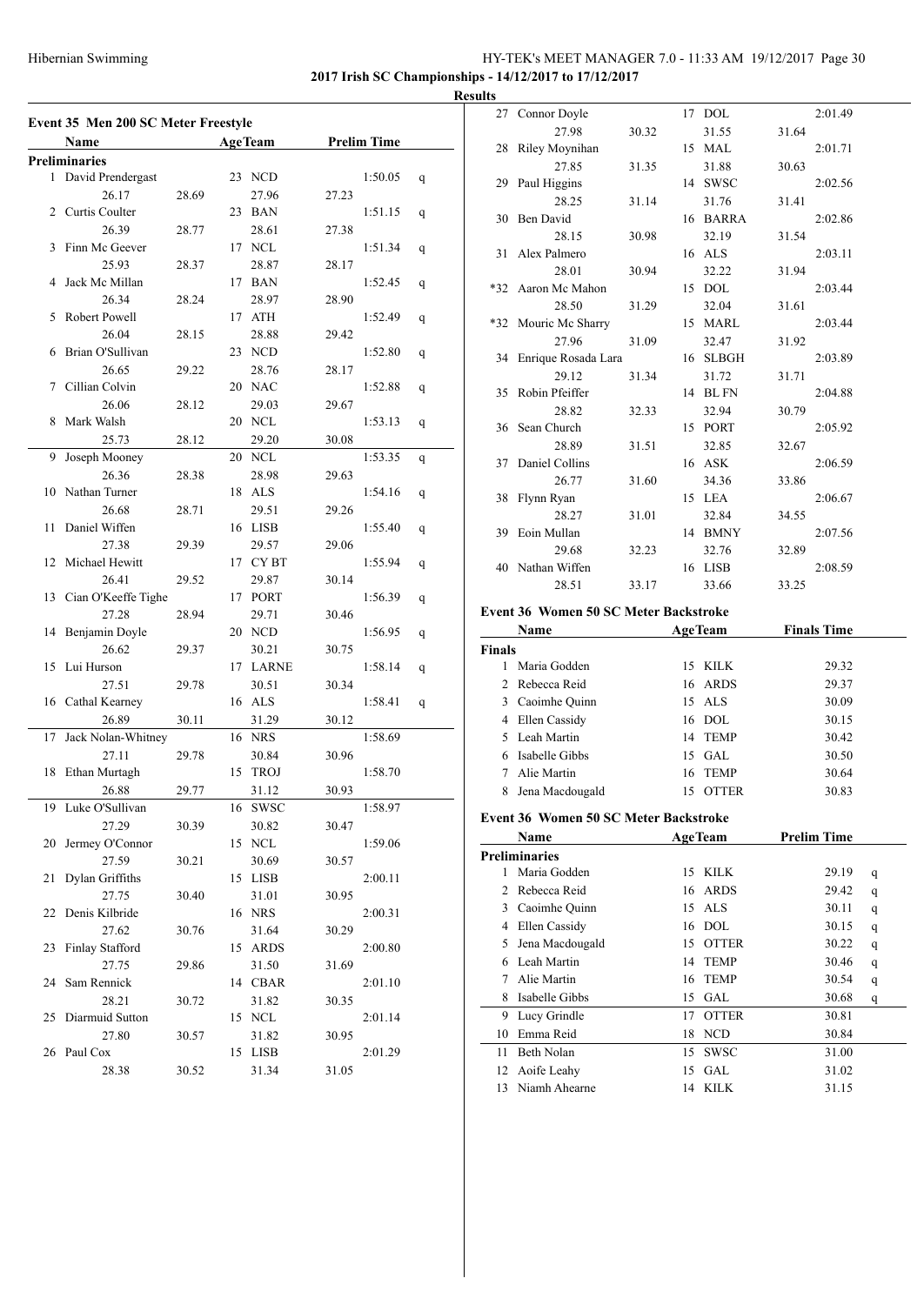# HY-TEK's MEET MANAGER 7.0 - 11:33 AM 19/12/2017 Page 30 **2017 Irish SC Championships - 14/12/2017 to 17/12/2017**

**Result** 

| Event 35 Men 200 SC Meter Freestyle |                      |       |                |          |       |                    |   |
|-------------------------------------|----------------------|-------|----------------|----------|-------|--------------------|---|
|                                     | Name                 |       | <b>AgeTeam</b> |          |       | <b>Prelim Time</b> |   |
|                                     | <b>Preliminaries</b> |       |                |          |       |                    |   |
| 1                                   | David Prendergast    |       |                | 23 NCD   |       | 1:50.05            | q |
|                                     | 26.17                | 28.69 |                | 27.96    | 27.23 |                    |   |
| 2                                   | Curtis Coulter       |       |                | 23 BAN   |       | 1:51.15            | q |
|                                     | 26.39                | 28.77 |                | 28.61    | 27.38 |                    |   |
| 3                                   | Finn Mc Geever       |       |                | 17 NCL   |       | 1:51.34            | q |
|                                     | 25.93                | 28.37 |                | 28.87    | 28.17 |                    |   |
| 4                                   | Jack Mc Millan       |       |                | 17 BAN   |       | 1:52.45            | q |
|                                     | 26.34                | 28.24 |                | 28.97    | 28.90 |                    |   |
| 5                                   | Robert Powell        |       |                | 17 ATH   |       | 1:52.49            | q |
|                                     | 26.04                | 28.15 |                | 28.88    | 29.42 |                    |   |
| 6                                   | Brian O'Sullivan     |       |                | 23 NCD   |       | 1:52.80            | q |
|                                     | 26.65                | 29.22 |                | 28.76    | 28.17 |                    |   |
| 7                                   | Cillian Colvin       |       |                | 20 NAC   |       | 1:52.88            | q |
|                                     | 26.06                | 28.12 |                | 29.03    | 29.67 |                    |   |
| 8                                   | Mark Walsh           |       |                | 20 NCL   |       | 1:53.13            | q |
|                                     | 25.73                | 28.12 |                | 29.20    | 30.08 |                    |   |
| 9                                   | Joseph Mooney        |       |                | 20 NCL   |       | 1:53.35            | q |
|                                     | 26.36                | 28.38 |                | 28.98    | 29.63 |                    |   |
| 10                                  | Nathan Turner        |       |                | 18 ALS   |       | 1:54.16            | q |
|                                     | 26.68                | 28.71 |                | 29.51    | 29.26 |                    |   |
| 11                                  | Daniel Wiffen        |       |                | 16 LISB  |       | 1:55.40            | q |
|                                     | 27.38                | 29.39 |                | 29.57    | 29.06 |                    |   |
| 12                                  | Michael Hewitt       |       |                | 17 CYBT  |       | 1:55.94            | q |
|                                     | 26.41                | 29.52 |                | 29.87    | 30.14 |                    |   |
| 13                                  | Cian O'Keeffe Tighe  |       |                | 17 PORT  |       | 1:56.39            | q |
|                                     | 27.28                | 28.94 |                | 29.71    | 30.46 |                    |   |
| 14                                  | Benjamin Doyle       |       |                | 20 NCD   |       | 1:56.95            | q |
|                                     | 26.62                | 29.37 |                | 30.21    | 30.75 |                    |   |
| 15                                  | Lui Hurson           |       |                | 17 LARNE |       | 1:58.14            | q |
|                                     | 27.51                | 29.78 |                | 30.51    | 30.34 |                    |   |
| 16                                  | Cathal Kearney       |       |                | 16 ALS   |       | 1:58.41            | q |
|                                     | 26.89                | 30.11 |                | 31.29    | 30.12 |                    |   |
| 17                                  | Jack Nolan-Whitney   |       |                | 16 NRS   |       | 1:58.69            |   |
|                                     | 27.11                | 29.78 |                | 30.84    | 30.96 |                    |   |
| 18                                  | Ethan Murtagh        |       | 15             | TROJ     |       | 1:58.70            |   |
|                                     |                      |       |                |          |       |                    |   |
|                                     | 26.88                | 29.77 |                | 31.12    | 30.93 |                    |   |
|                                     | 19 Luke O'Sullivan   |       |                | 16 SWSC  |       | 1:58.97            |   |
|                                     | 27.29                | 30.39 |                | 30.82    | 30.47 |                    |   |
| 20                                  | Jermey O'Connor      |       |                | 15 NCL   |       | 1:59.06            |   |
|                                     | 27.59                | 30.21 |                | 30.69    | 30.57 |                    |   |
| 21                                  | Dylan Griffiths      |       |                | 15 LISB  |       | 2:00.11            |   |
|                                     | 27.75                | 30.40 |                | 31.01    | 30.95 |                    |   |
| 22                                  | Denis Kilbride       |       |                | 16 NRS   |       | 2:00.31            |   |
|                                     | 27.62                | 30.76 |                | 31.64    | 30.29 |                    |   |
| 23                                  | Finlay Stafford      |       |                | 15 ARDS  |       | 2:00.80            |   |
|                                     | 27.75                | 29.86 |                | 31.50    | 31.69 |                    |   |
| 24                                  | Sam Rennick          |       |                | 14 CBAR  |       | 2:01.10            |   |
|                                     | 28.21                | 30.72 |                | 31.82    | 30.35 |                    |   |
| 25                                  | Diarmuid Sutton      |       |                | 15 NCL   |       | 2:01.14            |   |
|                                     | 27.80                | 30.57 |                | 31.82    | 30.95 |                    |   |
| 26                                  | Paul Cox             |       |                | 15 LISB  |       | 2:01.29            |   |
|                                     | 28.38                | 30.52 |                | 31.34    | 31.05 |                    |   |

| IIS |                                              |       |          |       |         |
|-----|----------------------------------------------|-------|----------|-------|---------|
|     | 27 Connor Doyle                              |       | 17 DOL   |       | 2:01.49 |
|     | 27.98                                        | 30.32 | 31.55    | 31.64 |         |
| 28  | Riley Moynihan                               |       | 15 MAL   |       | 2:01.71 |
|     | 27.85                                        | 31.35 | 31.88    | 30.63 |         |
| 29  | Paul Higgins                                 |       | 14 SWSC  |       | 2:02.56 |
|     | 28.25                                        | 31.14 | 31.76    | 31.41 |         |
|     | 30 Ben David                                 |       | 16 BARRA |       | 2:02.86 |
|     | 28.15                                        | 30.98 | 32.19    | 31.54 |         |
| 31  | Alex Palmero                                 |       | 16 ALS   |       | 2:03.11 |
|     | 28.01                                        | 30.94 | 32.22    | 31.94 |         |
|     | *32 Aaron Mc Mahon                           |       | 15 DOL   |       | 2:03.44 |
|     | 28.50                                        | 31.29 | 32.04    | 31.61 |         |
|     | *32 Mouric Mc Sharry                         |       | 15 MARL  |       | 2:03.44 |
|     | 27.96                                        | 31.09 | 32.47    | 31.92 |         |
| 34  | Enrique Rosada Lara                          |       | 16 SLBGH |       | 2:03.89 |
|     | 29.12                                        | 31.34 | 31.72    | 31.71 |         |
| 35  | Robin Pfeiffer                               |       | 14 BL FN |       | 2:04.88 |
|     | 28.82                                        | 32.33 | 32.94    | 30.79 |         |
|     | 36 Sean Church                               |       | 15 PORT  |       | 2:05.92 |
|     | 28.89                                        | 31.51 | 32.85    | 32.67 |         |
| 37  | Daniel Collins                               |       | 16 ASK   |       | 2:06.59 |
|     | 26.77                                        | 31.60 | 34.36    | 33.86 |         |
| 38  | Flynn Ryan                                   |       | 15 LEA   |       | 2:06.67 |
|     | 28.27                                        | 31.01 | 32.84    | 34.55 |         |
| 39  | Eoin Mullan                                  |       | 14 BMNY  |       | 2:07.56 |
|     | 29.68                                        | 32.23 | 32.76    | 32.89 |         |
|     | 40 Nathan Wiffen                             |       | 16 LISB  |       | 2:08.59 |
|     | 28.51                                        | 33.17 | 33.66    | 33.25 |         |
|     | <b>Event 36 Women 50 SC Meter Backstroke</b> |       |          |       |         |

### **Name Age Team Finals Time Finals** 1 Maria Godden 15 KILK 29.32 2 Rebecca Reid 16 ARDS 29.37 3 Caoimhe Quinn 15 ALS 30.09 4 Ellen Cassidy 16 DOL 30.15 5 Leah Martin 14 TEMP 30.42 6 Isabelle Gibbs 15 GAL 30.50 7 Alie Martin 16 TEMP 30.64

8 Jena Macdougald 15 OTTER 30.83

#### **Event 36 Women 50 SC Meter Backstroke**

|               | Name                 |    | <b>AgeTeam</b>   | <b>Prelim Time</b> |   |
|---------------|----------------------|----|------------------|--------------------|---|
|               | <b>Preliminaries</b> |    |                  |                    |   |
| 1             | Maria Godden         | 15 | KILK             | 29.19              | q |
| $\mathcal{L}$ | Rebecca Reid         |    | 16 ARDS          | 29.42              | q |
| 3             | Caoimhe Quinn        |    | $15$ ALS         | 30.11              | q |
| 4             | Ellen Cassidy        |    | 16 DOL           | 30.15              | q |
| 5             | Jena Macdougald      | 15 | <b>OTTER</b>     | 30.22              | q |
| 6             | Leah Martin          | 14 | <b>TEMP</b>      | 30.46              | q |
| 7             | Alie Martin          | 16 | <b>TEMP</b>      | 30.54              | q |
| 8             | Isabelle Gibbs       | 15 | GAL              | 30.68              | q |
| 9             | Lucy Grindle         | 17 | <b>OTTER</b>     | 30.81              |   |
| 10            | Emma Reid            | 18 | <b>NCD</b>       | 30.84              |   |
| 11            | Beth Nolan           | 15 | <b>SWSC</b>      | 31.00              |   |
| 12            | Aoife Leahy          | 15 | GAL.             | 31.02              |   |
| 13            | Niamh Ahearne        | 14 | KILK <sup></sup> | 31.15              |   |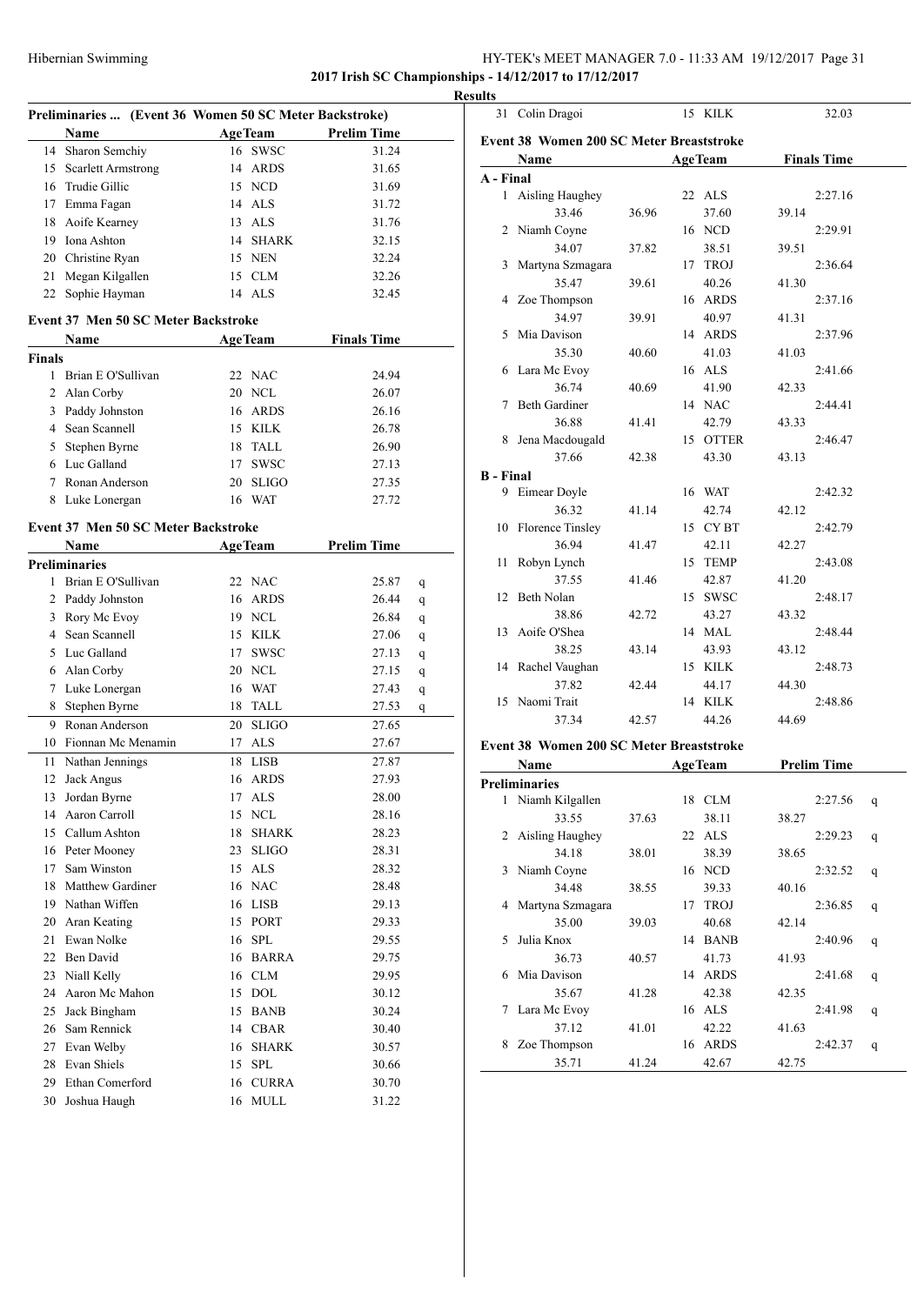### HY-TEK's MEET MANAGER 7.0 - 11:33 AM 19/12/2017 Page 31 **2017 Irish SC Championships - 14/12/2017 to 17/12/2017**

**Results**

| Preliminaries  (Event 36 Women 50 SC Meter Backstroke) |                                     |    |                        |                    |   |
|--------------------------------------------------------|-------------------------------------|----|------------------------|--------------------|---|
|                                                        | Name                                |    | <b>AgeTeam</b>         | <b>Prelim Time</b> |   |
| 14                                                     | Sharon Semchiy                      | 16 | <b>SWSC</b>            | 31.24              |   |
| 15                                                     | <b>Scarlett Armstrong</b>           |    | 14 ARDS                | 31.65              |   |
|                                                        | 16 Trudie Gillic                    |    | 15 NCD                 | 31.69              |   |
|                                                        | 17 Emma Fagan                       |    | 14 ALS                 | 31.72              |   |
| 18                                                     | Aoife Kearney                       |    | 13 ALS                 | 31.76              |   |
|                                                        | 19 Iona Ashton                      |    | 14 SHARK               | 32.15              |   |
| 20                                                     | Christine Ryan                      |    | 15 NEN                 | 32.24              |   |
| 21                                                     | Megan Kilgallen                     |    | 15 CLM                 | 32.26              |   |
| 22                                                     | Sophie Hayman                       |    | 14 ALS                 | 32.45              |   |
|                                                        |                                     |    |                        |                    |   |
|                                                        | Event 37 Men 50 SC Meter Backstroke |    |                        |                    |   |
|                                                        | Name                                |    | <b>AgeTeam</b>         | <b>Finals Time</b> |   |
| Finals<br>1                                            | Brian E O'Sullivan                  |    | 22 NAC                 | 24.94              |   |
|                                                        |                                     |    |                        |                    |   |
| 2                                                      | Alan Corby                          |    | 20 NCL                 | 26.07              |   |
| 3                                                      | Paddy Johnston                      |    | 16 ARDS                | 26.16              |   |
|                                                        | 4 Sean Scannell                     |    | 15 KILK                | 26.78              |   |
| 5                                                      | Stephen Byrne                       |    | 18 TALL                | 26.90              |   |
|                                                        | 6 Luc Galland                       |    | 17 SWSC                | 27.13              |   |
|                                                        | 7 Ronan Anderson                    |    | 20 SLIGO               | 27.35              |   |
|                                                        | 8 Luke Lonergan                     |    | 16 WAT                 | 27.72              |   |
|                                                        | Event 37 Men 50 SC Meter Backstroke |    |                        |                    |   |
|                                                        | Name                                |    | <b>AgeTeam</b>         | <b>Prelim Time</b> |   |
|                                                        | Preliminaries                       |    |                        |                    |   |
| 1                                                      | Brian E O'Sullivan                  |    | 22 NAC                 | 25.87              | q |
| 2                                                      | Paddy Johnston                      |    | 16 ARDS                | 26.44              | q |
| 3                                                      | Rory Mc Evoy                        |    | 19 NCL                 | 26.84              | q |
|                                                        | 4 Sean Scannell                     |    | 15 KILK                | 27.06              | q |
|                                                        | 5 Luc Galland                       |    | 17 SWSC                | 27.13              | q |
| 6                                                      | Alan Corby                          |    | 20 NCL                 | 27.15              | q |
| 7                                                      | Luke Lonergan                       |    | 16 WAT                 | 27.43              | q |
| 8                                                      | Stephen Byrne                       |    | 18 TALL                | 27.53              | q |
| 9                                                      | Ronan Anderson                      |    | 20 SLIGO               | 27.65              |   |
| 10                                                     | Fionnan Mc Menamin                  |    | 17 ALS                 | 27.67              |   |
| 11                                                     | Nathan Jennings                     |    | 18 LISB                | 27.87              |   |
| 12                                                     | Jack Angus                          |    | 16 ARDS                | 27.93              |   |
|                                                        | 13 Jordan Byrne                     |    | 17 ALS                 | 28.00              |   |
|                                                        | 14 Aaron Carroll                    |    | 15 NCL                 | 28.16              |   |
| 15                                                     | Callum Ashton                       | 18 | $\operatorname{SHARK}$ | 28.23              |   |
|                                                        | 16 Peter Mooney                     | 23 | <b>SLIGO</b>           | 28.31              |   |
| 17                                                     | Sam Winston                         |    | 15 ALS                 | 28.32              |   |
| 18                                                     | <b>Matthew Gardiner</b>             |    | 16 NAC                 | 28.48              |   |
| 19                                                     | Nathan Wiffen                       |    | 16 LISB                | 29.13              |   |
| 20                                                     | Aran Keating                        |    | 15 PORT                | 29.33              |   |
| 21                                                     | Ewan Nolke                          |    | 16 SPL                 | 29.55              |   |
| 22                                                     | Ben David                           |    | 16 BARRA               | 29.75              |   |
| 23                                                     | Niall Kelly                         |    | 16 CLM                 | 29.95              |   |
| 24                                                     | Aaron Mc Mahon                      |    | 15 DOL                 | 30.12              |   |
| 25                                                     | Jack Bingham                        | 15 | <b>BANB</b>            | 30.24              |   |
| 26                                                     | Sam Rennick                         |    | 14 CBAR                | 30.40              |   |
| 27                                                     | Evan Welby                          | 16 | <b>SHARK</b>           | 30.57              |   |
| 28                                                     | Evan Shiels                         | 15 | <b>SPL</b>             | 30.66              |   |
| 29                                                     | Ethan Comerford                     | 16 | <b>CURRA</b>           | 30.70              |   |
| 30                                                     | Joshua Haugh                        | 16 | MULL                   | 31.22              |   |
|                                                        |                                     |    |                        |                    |   |

| 31               | Colin Dragoi                             |       |    | 15 KILK        |       | 32.03              |   |
|------------------|------------------------------------------|-------|----|----------------|-------|--------------------|---|
|                  | Event 38 Women 200 SC Meter Breaststroke |       |    |                |       |                    |   |
|                  | Name                                     |       |    | <b>AgeTeam</b> |       | <b>Finals Time</b> |   |
| A - Final        |                                          |       |    |                |       |                    |   |
| $\mathbf{1}$     | Aisling Haughey                          |       |    | 22 ALS         |       | 2:27.16            |   |
|                  | 33.46                                    | 36.96 |    | 37.60          | 39.14 |                    |   |
|                  | 2 Niamh Coyne                            |       |    | 16 NCD         |       | 2:29.91            |   |
|                  | 34.07                                    | 37.82 |    | 38.51          | 39.51 |                    |   |
| 3                | Martyna Szmagara                         |       |    | 17 TROJ        |       | 2:36.64            |   |
|                  | 35.47                                    | 39.61 |    | 40.26          | 41.30 |                    |   |
| 4                | Zoe Thompson                             |       |    | 16 ARDS        |       | 2:37.16            |   |
|                  | 34.97                                    | 39.91 |    | 40.97          | 41.31 |                    |   |
| 5                | Mia Davison                              |       |    | 14 ARDS        |       | 2:37.96            |   |
|                  | 35.30                                    | 40.60 |    | 41.03          | 41.03 |                    |   |
| 6                | Lara Mc Evoy                             |       |    | 16 ALS         |       | 2:41.66            |   |
|                  | 36.74                                    | 40.69 |    | 41.90          | 42.33 |                    |   |
| 7                | <b>Beth Gardiner</b>                     |       |    | 14 NAC         |       | 2:44.41            |   |
|                  | 36.88                                    | 41.41 |    | 42.79          | 43.33 |                    |   |
| 8                | Jena Macdougald                          |       |    | 15 OTTER       |       | 2:46.47            |   |
|                  | 37.66                                    | 42.38 |    | 43.30          | 43.13 |                    |   |
| <b>B</b> - Final |                                          |       |    |                |       |                    |   |
| 9                | Eimear Doyle                             |       |    | 16 WAT         |       | 2:42.32            |   |
|                  | 36.32                                    | 41.14 |    | 42.74          | 42.12 |                    |   |
| 10               | <b>Florence Tinsley</b>                  |       |    | 15 CYBT        |       | 2:42.79            |   |
|                  | 36.94                                    | 41.47 |    | 42.11          | 42.27 |                    |   |
| 11               | Robyn Lynch                              |       |    | 15 TEMP        |       | 2:43.08            |   |
|                  | 37.55                                    | 41.46 |    |                | 41.20 |                    |   |
| 12               | Beth Nolan                               |       |    | 42.87          |       |                    |   |
|                  |                                          |       |    | 15 SWSC        |       | 2:48.17            |   |
|                  | 38.86                                    | 42.72 |    | 43.27          | 43.32 |                    |   |
| 13               | Aoife O'Shea                             |       |    | 14 MAL         |       | 2:48.44            |   |
|                  | 38.25                                    | 43.14 |    | 43.93          | 43.12 |                    |   |
| 14               | Rachel Vaughan                           |       |    | 15 KILK        |       | 2:48.73            |   |
|                  | 37.82                                    | 42.44 |    | 44.17          | 44.30 |                    |   |
|                  | 15 Naomi Trait                           |       |    | 14 KILK        |       | 2:48.86            |   |
|                  | 37.34                                    | 42.57 |    | 44.26          | 44.69 |                    |   |
|                  | Event 38 Women 200 SC Meter Breaststroke |       |    |                |       |                    |   |
|                  | Name                                     |       |    | <b>AgeTeam</b> |       | <b>Prelim Time</b> |   |
|                  | <b>Preliminaries</b>                     |       |    |                |       |                    |   |
| 1                | Niamh Kilgallen                          |       |    | 18 CLM         |       | 2:27.56            | q |
|                  | 33.55                                    | 37.63 |    | 38.11          | 38.27 |                    |   |
|                  | 2 Aisling Haughey                        |       |    | 22 ALS         |       | 2:29.23            | q |
|                  | 34.18                                    | 38.01 |    | 38.39          | 38.65 |                    |   |
| 3                | Niamh Coyne                              |       |    | 16 NCD         |       | 2:32.52            | q |
|                  | 34.48                                    | 38.55 |    | 39.33          | 40.16 |                    |   |
| 4                | Martyna Szmagara                         |       | 17 | <b>TROJ</b>    |       | 2:36.85            | q |

35.00 39.03 40.68 42.14 Julia Knox 14 BANB 2:40.96 q 36.73 40.57 41.73 41.93 Mia Davison 14 ARDS 2:41.68 q 35.67 41.28 42.38 42.35 Lara Mc Evoy 16 ALS 2:41.98 q 37.12 41.01 42.22 41.63 Zoe Thompson 16 ARDS 2:42.37 q 35.71 41.24 42.67 42.75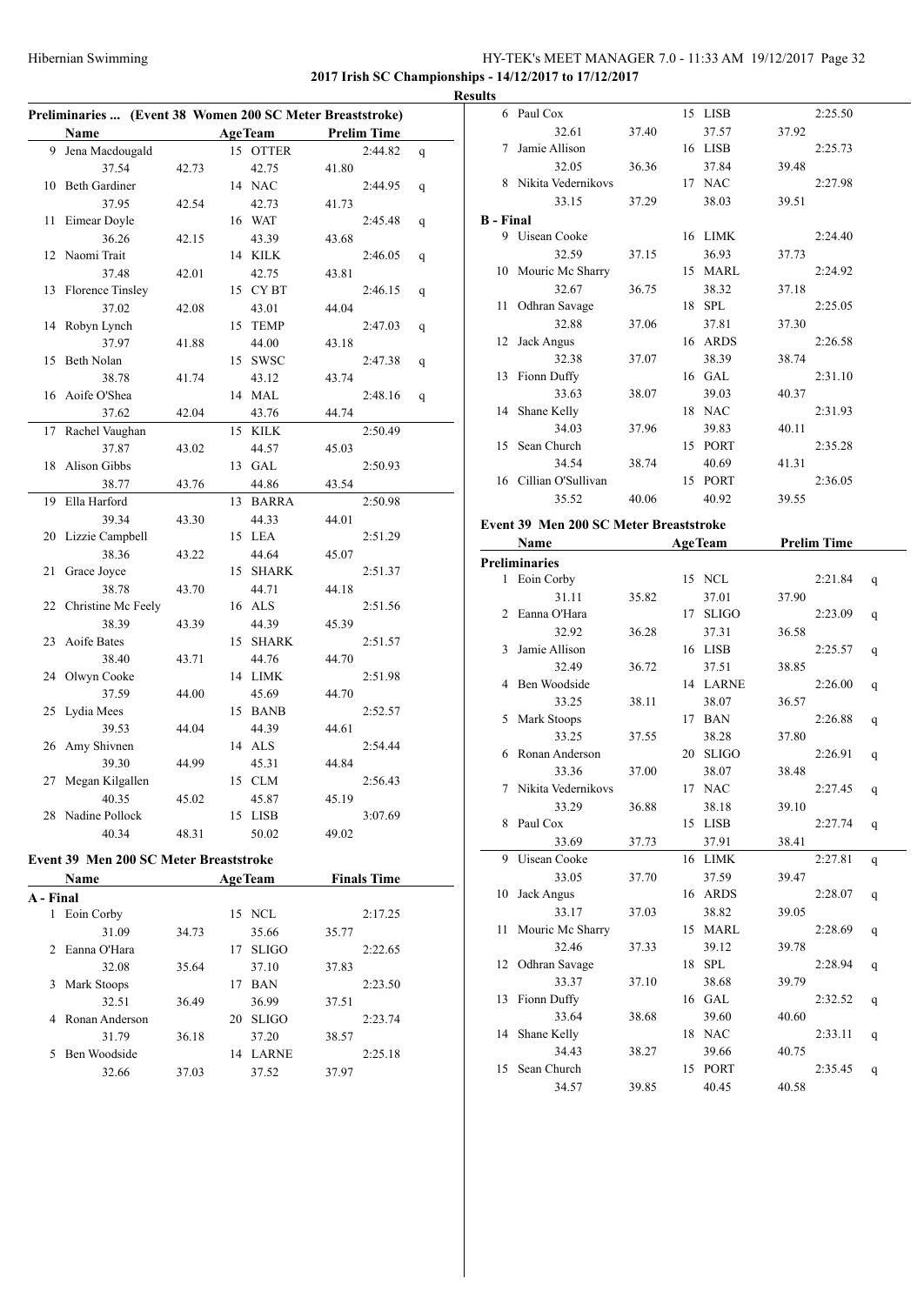### Hibernian Swimming HY-TEK's MEET MANAGER 7.0 - 11:33 AM 19/12/2017 Page 32 **2017 Irish SC Championships - 14/12/2017 to 17/12/2017**

**Results**

|           |                                        |       |    |                | Preliminaries  (Event 38 Women 200 SC Meter Breaststroke) |   |
|-----------|----------------------------------------|-------|----|----------------|-----------------------------------------------------------|---|
|           | Name                                   |       |    | <b>AgeTeam</b> | <b>Prelim Time</b>                                        |   |
| 9         | Jena Macdougald                        |       |    | 15 OTTER       | 2:44.82                                                   | q |
|           | 37.54                                  | 42.73 |    | 42.75          | 41.80                                                     |   |
| 10        | <b>Beth Gardiner</b>                   |       |    | 14 NAC         | 2:44.95                                                   | q |
|           | 37.95                                  | 42.54 |    | 42.73          | 41.73                                                     |   |
| 11        | Eimear Doyle                           |       |    | 16 WAT         | 2:45.48                                                   | q |
|           | 36.26                                  | 42.15 |    | 43.39          | 43.68                                                     |   |
| 12        | Naomi Trait                            |       |    | 14 KILK        | 2:46.05                                                   | q |
|           | 37.48                                  | 42.01 |    | 42.75          | 43.81                                                     |   |
| 13        | Florence Tinsley                       |       |    | 15 CYBT        | 2:46.15                                                   | q |
|           | 37.02                                  | 42.08 |    | 43.01          | 44.04                                                     |   |
| 14        | Robyn Lynch                            |       | 15 | <b>TEMP</b>    | 2:47.03                                                   | q |
|           | 37.97                                  | 41.88 |    | 44.00          | 43.18                                                     |   |
| 15        | Beth Nolan                             |       | 15 | <b>SWSC</b>    | 2:47.38                                                   | q |
|           | 38.78                                  | 41.74 |    | 43.12          | 43.74                                                     |   |
| 16        | Aoife O'Shea                           |       | 14 | MAL            | 2:48.16                                                   | q |
|           | 37.62                                  | 42.04 |    | 43.76          | 44.74                                                     |   |
| 17        | Rachel Vaughan                         |       | 15 | KILK           | 2:50.49                                                   |   |
|           | 37.87                                  | 43.02 |    | 44.57          | 45.03                                                     |   |
| 18        | Alison Gibbs                           |       |    | 13 GAL         | 2:50.93                                                   |   |
|           | 38.77                                  | 43.76 |    | 44.86          | 43.54                                                     |   |
| 19        | Ella Harford                           |       |    | 13 BARRA       | 2:50.98                                                   |   |
|           | 39.34                                  | 43.30 |    | 44.33          | 44.01                                                     |   |
| 20        | Lizzie Campbell                        |       |    | 15 LEA         | 2:51.29                                                   |   |
|           | 38.36                                  | 43.22 |    | 44.64          | 45.07                                                     |   |
| 21        | Grace Joyce                            |       | 15 | <b>SHARK</b>   | 2:51.37                                                   |   |
|           | 38.78                                  | 43.70 |    | 44.71          | 44.18                                                     |   |
| 22        | Christine Mc Feely                     |       |    | 16 ALS         | 2:51.56                                                   |   |
|           | 38.39                                  | 43.39 |    | 44.39          | 45.39                                                     |   |
| 23        | Aoife Bates                            |       |    | 15 SHARK       | 2:51.57                                                   |   |
|           | 38.40                                  | 43.71 |    | 44.76          | 44.70                                                     |   |
| 24        | Olwyn Cooke                            |       |    | 14 LIMK        | 2:51.98                                                   |   |
|           | 37.59                                  | 44.00 |    | 45.69          | 44.70                                                     |   |
| 25        | Lydia Mees                             |       | 15 | <b>BANB</b>    | 2:52.57                                                   |   |
|           | 39.53                                  | 44.04 |    | 44.39          | 44.61                                                     |   |
| 26        | Amy Shivnen                            |       |    | 14 ALS         | 2:54.44                                                   |   |
|           | 39.30                                  | 44.99 |    | 45.31          | 44.84                                                     |   |
|           | 27 Megan Kilgallen                     |       |    | 15 CLM         | 2:56.43                                                   |   |
|           | 40.35                                  | 45.02 |    | 45.87          | 45.19                                                     |   |
|           | 28 Nadine Pollock                      |       |    | 15 LISB        | 3:07.69                                                   |   |
|           | 40.34                                  | 48.31 |    | 50.02          | 49.02                                                     |   |
|           | Event 39 Men 200 SC Meter Breaststroke |       |    |                |                                                           |   |
|           | Name                                   |       |    | <b>AgeTeam</b> | <b>Finals Time</b>                                        |   |
| A - Final |                                        |       |    |                |                                                           |   |
| 1         | Eoin Corby                             |       |    | 15 NCL         | 2:17.25                                                   |   |
|           | 31.09                                  | 34.73 |    | 35.66          | 35.77                                                     |   |
| 2         | Eanna O'Hara                           |       |    | 17 SLIGO       | 2:22.65                                                   |   |
|           | 32.08                                  | 35.64 |    | 37.10          | 37.83                                                     |   |
| 3         | Mark Stoops                            |       |    | 17 BAN         | 2:23.50                                                   |   |
|           | 32.51                                  | 36.49 |    | 36.99          | 37.51                                                     |   |
|           | 4 Ronan Anderson                       |       |    | 20 SLIGO       | 2:23.74                                                   |   |
|           | 31.79                                  | 36.18 |    | 37.20          | 38.57                                                     |   |
| 5         | Ben Woodside                           |       |    | 14 LARNE       | 2:25.18                                                   |   |
|           | 32.66                                  | 37.03 |    | 37.52          | 37.97                                                     |   |
|           |                                        |       |    |                |                                                           |   |

|                                        | 6 Paul Cox            |       |    | 15 LISB        |       | 2:25.50            |   |  |
|----------------------------------------|-----------------------|-------|----|----------------|-------|--------------------|---|--|
|                                        | 32.61                 | 37.40 |    | 37.57          | 37.92 |                    |   |  |
| 7                                      | Jamie Allison         |       |    | 16 LISB        |       | 2:25.73            |   |  |
|                                        | 32.05                 | 36.36 |    | 37.84          | 39.48 |                    |   |  |
|                                        | 8 Nikita Vedernikovs  |       |    | 17 NAC         |       | 2:27.98            |   |  |
|                                        | 33.15                 | 37.29 |    | 38.03          | 39.51 |                    |   |  |
| <b>B</b> - Final                       |                       |       |    |                |       |                    |   |  |
|                                        | 9 Uisean Cooke        |       |    | 16 LIMK        |       | 2:24.40            |   |  |
|                                        | 32.59                 | 37.15 |    | 36.93          | 37.73 |                    |   |  |
|                                        | 10 Mouric Mc Sharry   |       |    | 15 MARL        |       | 2:24.92            |   |  |
|                                        | 32.67                 | 36.75 |    | 38.32          | 37.18 |                    |   |  |
| 11                                     | Odhran Savage         |       |    | 18 SPL         |       | 2:25.05            |   |  |
|                                        | 32.88                 | 37.06 |    | 37.81          | 37.30 |                    |   |  |
| 12                                     | Jack Angus            |       |    | 16 ARDS        |       | 2:26.58            |   |  |
|                                        | 32.38                 | 37.07 |    | 38.39          | 38.74 |                    |   |  |
|                                        | 13 Fionn Duffy        |       |    | 16 GAL         |       | 2:31.10            |   |  |
|                                        | 33.63                 | 38.07 |    | 39.03          | 40.37 |                    |   |  |
| 14                                     | Shane Kelly           |       |    | 18 NAC         |       | 2:31.93            |   |  |
|                                        | 34.03                 | 37.96 |    | 39.83          | 40.11 |                    |   |  |
| 15                                     | Sean Church           |       |    | 15 PORT        |       | 2:35.28            |   |  |
|                                        | 34.54                 | 38.74 |    | 40.69          | 41.31 |                    |   |  |
|                                        | 16 Cillian O'Sullivan |       |    | 15 PORT        |       | 2:36.05            |   |  |
|                                        | 35.52                 | 40.06 |    | 40.92          | 39.55 |                    |   |  |
|                                        |                       |       |    |                |       |                    |   |  |
| Event 39 Men 200 SC Meter Breaststroke |                       |       |    |                |       |                    |   |  |
|                                        | Name                  |       |    | <b>AgeTeam</b> |       | <b>Prelim Time</b> |   |  |
|                                        | <b>Preliminaries</b>  |       |    |                |       |                    |   |  |
|                                        | 1 Eoin Corby          |       |    | 15 NCL         |       | 2:21.84            | q |  |
|                                        | 31.11                 | 35.82 |    | 37.01          | 37.90 |                    |   |  |
|                                        | 2 Eanna O'Hara        |       |    | 17 SLIGO       |       | 2:23.09            | q |  |
|                                        | 32.92                 | 36.28 |    | 37.31          | 36.58 |                    |   |  |
|                                        | 3 Jamie Allison       |       |    | 16 LISB        |       | 2:25.57            | q |  |
|                                        | 32.49                 | 36.72 |    | 37.51          | 38.85 |                    |   |  |
|                                        | 4 Ben Woodside        |       |    | 14 LARNE       |       | 2:26.00            | q |  |
|                                        | 33.25                 | 38.11 |    | 38.07          | 36.57 |                    |   |  |
|                                        | 5 Mark Stoops         |       |    | 17 BAN         |       | 2:26.88            | q |  |
|                                        | 33.25                 | 37.55 |    | 38.28          | 37.80 |                    |   |  |
| 6                                      | Ronan Anderson        |       |    | 20 SLIGO       |       | 2:26.91            | q |  |
|                                        | 33.36                 | 37.00 |    | 38.07          | 38.48 |                    |   |  |
|                                        | 7 Nikita Vedernikovs  |       |    | 17 NAC         |       | 2:27.45            | q |  |
|                                        | 33.29                 | 36.88 |    | 38.18          | 39.10 |                    |   |  |
|                                        | 8 Paul Cox            |       |    | 15 LISB        |       | 2:27.74            | q |  |
|                                        | 33.69                 | 37.73 |    | 37.91          | 38.41 |                    |   |  |
| 9                                      | Uisean Cooke          |       | 16 | LIMK           |       | 2:27.81            | q |  |
|                                        |                       |       |    |                |       |                    |   |  |
| 10                                     | 33.05                 | 37.70 |    | 37.59          | 39.47 |                    |   |  |
|                                        | Jack Angus            |       |    | 16 ARDS        |       | 2:28.07            | q |  |
| 11                                     | 33.17                 | 37.03 |    | 38.82          | 39.05 |                    |   |  |
|                                        | Mouric Mc Sharry      |       |    | 15 MARL        |       | 2:28.69            | q |  |
|                                        | 32.46                 | 37.33 |    | 39.12          | 39.78 |                    |   |  |
| 12                                     | Odhran Savage         |       |    | 18 SPL         |       | 2:28.94            | q |  |
|                                        | 33.37                 | 37.10 |    | 38.68          | 39.79 |                    |   |  |
| 13                                     | Fionn Duffy           |       |    | 16 GAL         |       | 2:32.52            | q |  |
|                                        | 33.64                 | 38.68 |    | 39.60          | 40.60 |                    |   |  |
| 14                                     | Shane Kelly           |       |    | 18 NAC         |       | 2:33.11            | q |  |
|                                        | 34.43                 | 38.27 |    | 39.66          | 40.75 |                    |   |  |
| 15                                     | Sean Church           |       |    | 15 PORT        |       | 2:35.45            | q |  |
|                                        | 34.57                 | 39.85 |    | 40.45          | 40.58 |                    |   |  |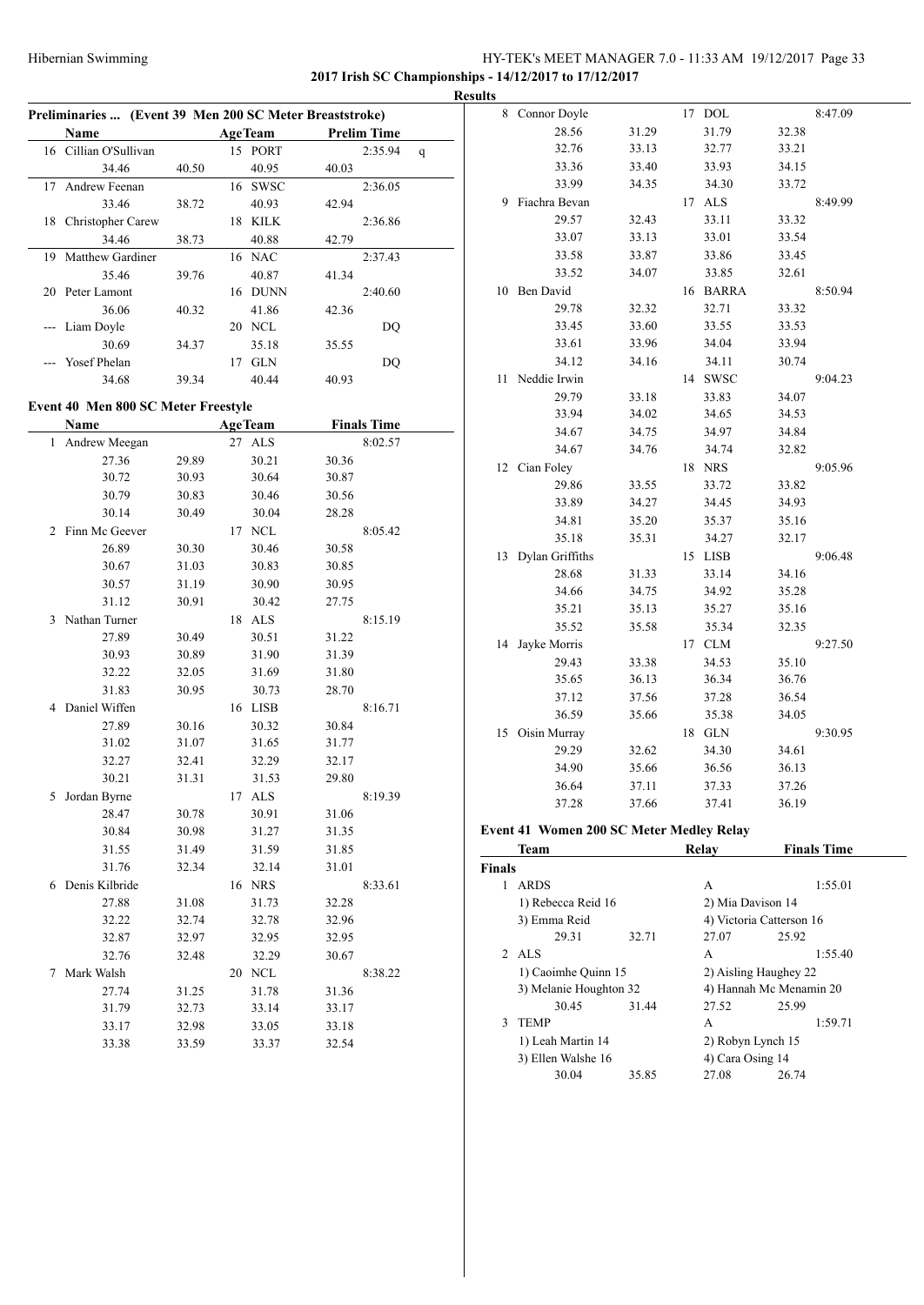# HY-TEK's MEET MANAGER 7.0 - 11:33 AM 19/12/2017 Page 33 **2017 Irish SC Championships - 14/12/2017 to 17/12/2017**

**Preliminaries ... (Event 39 Men 200 SC Meter Breaststroke) Name Age Team Prelim Time** 16 Cillian O'Sullivan 15 PORT 2:35.94 q 34.46 40.50 40.95 40.03 17 Andrew Feenan 16 SWSC 2:36.05 33.46 38.72 40.93 42.94 18 Christopher Carew 18 KILK 2:36.86 34.46 38.73 40.88 42.79 19 Matthew Gardiner 16 NAC 2:37.43 35.46 39.76 40.87 41.34 20 Peter Lamont 16 DUNN 2:40.60 36.06 40.32 41.86 42.36 --- Liam Doyle 20 NCL DQ 30.69 34.37 35.18 35.55 --- Yosef Phelan 17 GLN DQ 34.68 39.34 40.44 40.93 **Event 40 Men 800 SC Meter Freestyle Name Age Team Finals Time** 1 Andrew Meegan 27 ALS 8:02.57 27.36 29.89 30.21 30.36 30.72 30.93 30.64 30.87 30.79 30.83 30.46 30.56 30.14 30.49 30.04 28.28 2 Finn Mc Geever 17 NCL 8:05.42 26.89 30.30 30.46 30.58 30.67 31.03 30.83 30.85 30.57 31.19 30.90 30.95 31.12 30.91 30.42 27.75 3 Nathan Turner 18 ALS 8:15.19 27.89 30.49 30.51 31.22 30.93 30.89 31.90 31.39 32.22 32.05 31.69 31.80 31.83 30.95 30.73 28.70 4 Daniel Wiffen 16 LISB 8:16.71 27.89 30.16 30.32 30.84 31.02 31.07 31.65 31.77 32.27 32.41 32.29 32.17 30.21 31.31 31.53 29.80 5 Jordan Byrne 17 ALS 8:19.39 28.47 30.78 30.91 31.06 30.84 30.98 31.27 31.35 31.55 31.49 31.59 31.85 31.76 32.34 32.14 31.01 6 Denis Kilbride 16 NRS 8:33.61 27.88 31.08 31.73 32.28 32.22 32.74 32.78 32.96 32.87 32.97 32.95 32.95 32.76 32.48 32.29 30.67 7 Mark Walsh 20 NCL 8:38.22 27.74 31.25 31.78 31.36 31.79 32.73 33.14 33.17 33.17 32.98 33.05 33.18 33.38 33.59 33.37 32.54

|   | <b>Results</b> |                 |       |    |             |       |         |
|---|----------------|-----------------|-------|----|-------------|-------|---------|
|   |                | 8 Connor Doyle  |       |    | 17 DOL      |       | 8:47.09 |
| ł |                | 28.56           | 31.29 |    | 31.79       | 32.38 |         |
|   |                | 32.76           | 33.13 |    | 32.77       | 33.21 |         |
|   |                | 33.36           | 33.40 |    | 33.93       | 34.15 |         |
| - |                | 33.99           | 34.35 |    | 34.30       | 33.72 |         |
|   | 9              | Fiachra Bevan   |       | 17 | <b>ALS</b>  |       | 8:49.99 |
|   |                | 29.57           | 32.43 |    | 33.11       | 33.32 |         |
|   |                | 33.07           | 33.13 |    | 33.01       | 33.54 |         |
|   |                | 33.58           | 33.87 |    | 33.86       | 33.45 |         |
|   |                | 33.52           | 34.07 |    | 33.85       | 32.61 |         |
|   | 10             | Ben David       |       |    | 16 BARRA    |       | 8:50.94 |
|   |                | 29.78           | 32.32 |    | 32.71       | 33.32 |         |
|   |                | 33.45           | 33.60 |    | 33.55       | 33.53 |         |
|   |                | 33.61           | 33.96 |    | 34.04       | 33.94 |         |
|   |                | 34.12           | 34.16 |    | 34.11       | 30.74 |         |
|   | 11             | Neddie Irwin    |       | 14 | <b>SWSC</b> |       | 9:04.23 |
|   |                | 29.79           | 33.18 |    | 33.83       | 34.07 |         |
|   |                | 33.94           | 34.02 |    | 34.65       | 34.53 |         |
|   |                | 34.67           | 34.75 |    | 34.97       | 34.84 |         |
|   |                | 34.67           | 34.76 |    | 34.74       | 32.82 |         |
|   |                | 12 Cian Foley   |       |    | 18 NRS      |       | 9:05.96 |
|   |                | 29.86           | 33.55 |    | 33.72       | 33.82 |         |
|   |                | 33.89           | 34.27 |    | 34.45       | 34.93 |         |
|   |                | 34.81           | 35.20 |    | 35.37       | 35.16 |         |
|   |                | 35.18           | 35.31 |    | 34.27       | 32.17 |         |
|   | 13             | Dylan Griffiths |       |    | 15 LISB     |       | 9:06.48 |
|   |                | 28.68           | 31.33 |    | 33.14       | 34.16 |         |
|   |                | 34.66           | 34.75 |    | 34.92       | 35.28 |         |
|   |                | 35.21           | 35.13 |    | 35.27       | 35.16 |         |
|   |                | 35.52           | 35.58 |    | 35.34       | 32.35 |         |
|   | 14             | Jayke Morris    |       |    | 17 CLM      |       | 9:27.50 |
|   |                | 29.43           | 33.38 |    | 34.53       | 35.10 |         |
|   |                | 35.65           | 36.13 |    | 36.34       | 36.76 |         |
|   |                | 37.12           | 37.56 |    | 37.28       | 36.54 |         |
|   |                | 36.59           | 35.66 |    | 35.38       | 34.05 |         |
|   | 15             | Oisin Murray    |       | 18 | ${\rm GLN}$ |       | 9:30.95 |
|   |                | 29.29           | 32.62 |    | 34.30       | 34.61 |         |
|   |                | 34.90           | 35.66 |    | 36.56       | 36.13 |         |
|   |                | 36.64           | 37.11 |    | 37.33       | 37.26 |         |
|   |                | 37.28           | 37.66 |    | 37.41       | 36.19 |         |
|   |                |                 |       |    |             |       |         |

#### **Event 41 Women 200 SC Meter Medley Relay**

|                    | <b>Team</b>            |       | Relay                    | <b>Finals Time</b> |  |  |
|--------------------|------------------------|-------|--------------------------|--------------------|--|--|
| <b>Finals</b>      |                        |       |                          |                    |  |  |
|                    | <b>ARDS</b>            |       | A                        | 1:55.01            |  |  |
| 1) Rebecca Reid 16 |                        |       | 2) Mia Davison 14        |                    |  |  |
| 3) Emma Reid       |                        |       | 4) Victoria Catterson 16 |                    |  |  |
|                    | 29.31                  | 32.71 | 27.07                    | 25.92              |  |  |
|                    | 2 ALS                  |       | A                        | 1:55.40            |  |  |
|                    | 1) Caoimhe Quinn 15    |       | 2) Aisling Haughey 22    |                    |  |  |
|                    | 3) Melanie Houghton 32 |       | 4) Hannah Mc Menamin 20  |                    |  |  |
|                    | 30.45                  | 31.44 | 27.52                    | 25.99              |  |  |
| 3                  | <b>TEMP</b>            |       | A                        | 1:59.71            |  |  |
|                    | 1) Leah Martin 14      |       | 2) Robyn Lynch 15        |                    |  |  |
|                    | 3) Ellen Walshe 16     |       | 4) Cara Osing 14         |                    |  |  |
|                    | 30.04                  | 35.85 | 27.08                    | 26.74              |  |  |
|                    |                        |       |                          |                    |  |  |